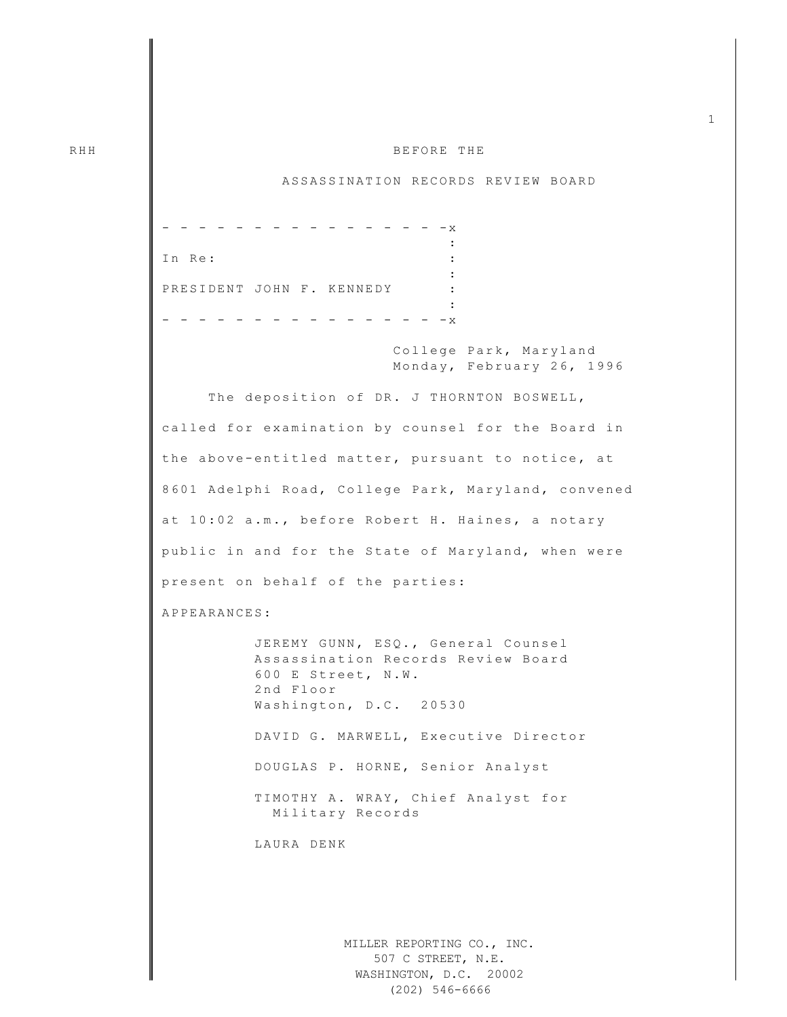## RHH **III BEFORE THE**

## ASSASSINATION RECORDS REVIEW BOARD

 $-$  - - - - - -  $-$ **Example 2008** The Contract of Contract Contract 2008 In Re:  $\qquad \qquad \vdots$ : PRESIDENT JOHN F. KENNEDY : **Example 2008** The Contract of Contract Contract 2008  $-$  - - - - - - - - - -  $-$ College Park, Maryland Monday, February 26, 1996 The deposition of DR. J THORNTON BOSWELL, called for examination by counsel for the Board in the above -entitled matter, pursuant to notice, at 8601 Adelphi Road, College Park, Maryland, convened at 10:02 a.m., before Robert H. Haines, a notary public in and for the State of Maryland, when were present on behalf of the parties: APPEARANCES: JEREMY GUNN, ESQ., General Counsel Assassination Records Review Board 600 E Street, N.W. 2nd Floor Washington, D.C. 20530 DAVID G. MARWELL, Executive Director DOUGLAS P. HORNE, Senior Analyst TIMOTHY A. WRAY, Chief Analyst for Mili tary Records LAURA DENK

> MILLER REPORTING CO., INC. 507 C STREET, N.E. WASHINGTON, D.C. 20002 (202) 546-6666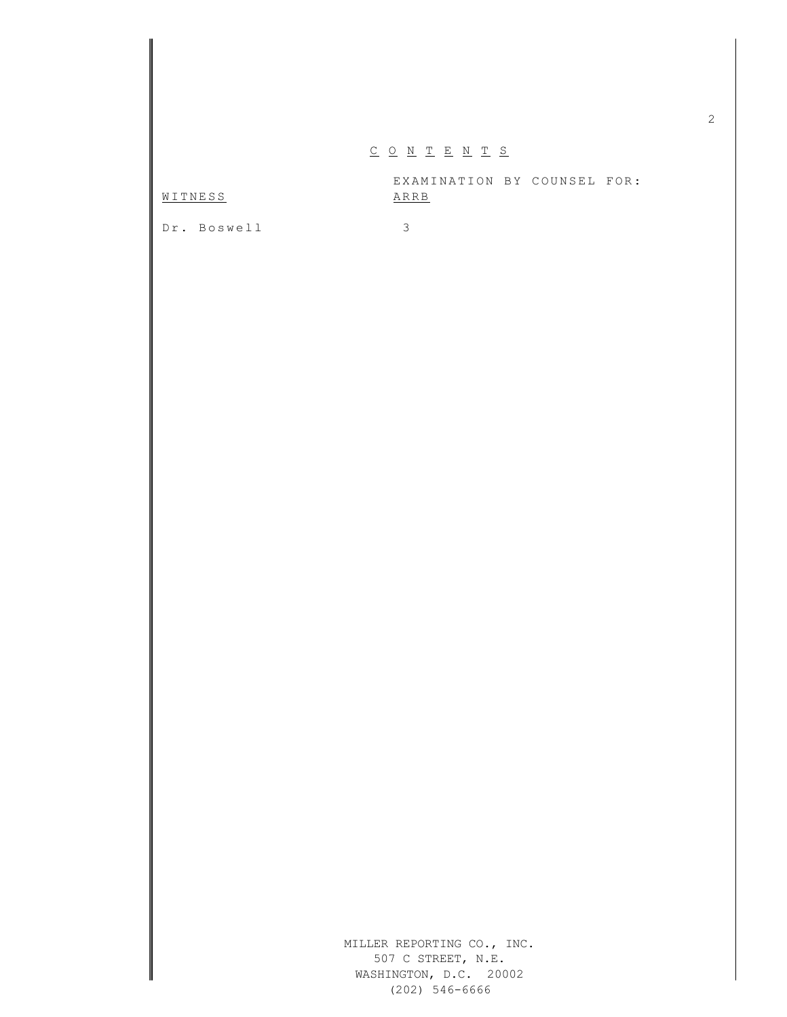## $\underline{C} \underline{O} \underline{N} \underline{T} \underline{E} \underline{N} \underline{T} \underline{S}$

EXAMINATION BY COUNSEL FOR: WITNESS ARRB

Dr. Boswell 3

MILLER REPORTING CO., INC. 507 C STREET, N.E. WASHINGTON, D.C. 20002 (202) 546-6666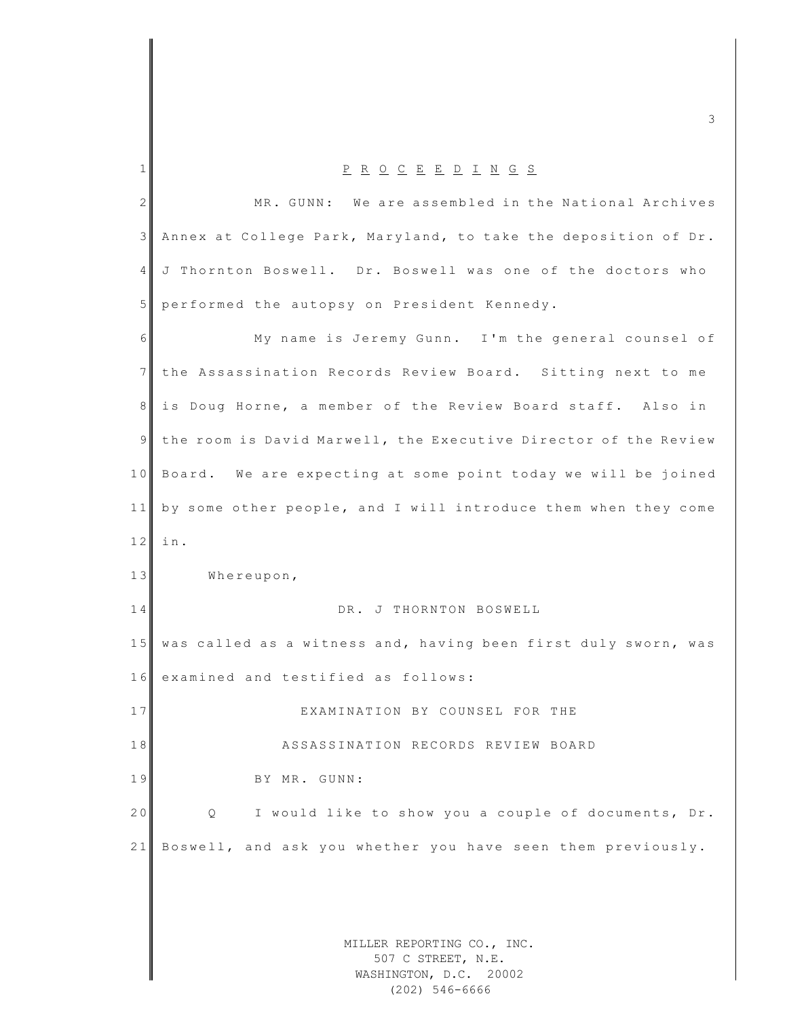MILLER REPORTING CO., INC. 507 C STREET, N.E. WASHINGTON, D.C. 20002 1 P R O C E E D I N G S 2 MR. GUNN: We are assembled in the National Archives 3 Annex at College Park, Maryland, to take the deposition of Dr. 4 J Thornton Boswell. Dr. Boswell was one of the doctors who 5 performed the autopsy on President Kennedy. 6 My name is Jeremy Gunn. I'm the general counsel of 7 the Assassination Records Review Board. Sitting next to me 8 is Doug Horne, a member of the Review Board staff. Also in 9 the room is David Marwell, the Executive Director of the Review 10 Board. We are expecting at some point today we will be joined 11 by some other people, and I will introduce them when they come  $12$  in. 13 Whereupon, 14 DR. J THORNTON BOSWELL 15 was called as a witness and, having been first duly sworn, was 16 examined and testified as follows: 17 EXAMINATION BY COUNSEL FOR THE 18 **ASSASSINATION RECORDS REVIEW BOARD** 19 BY MR. GUNN: 20 Q I would like to show you a couple of documents, Dr. 21 Boswell, and ask you whether you have seen them previously.

m c  $\sim$  3

(202) 546-6666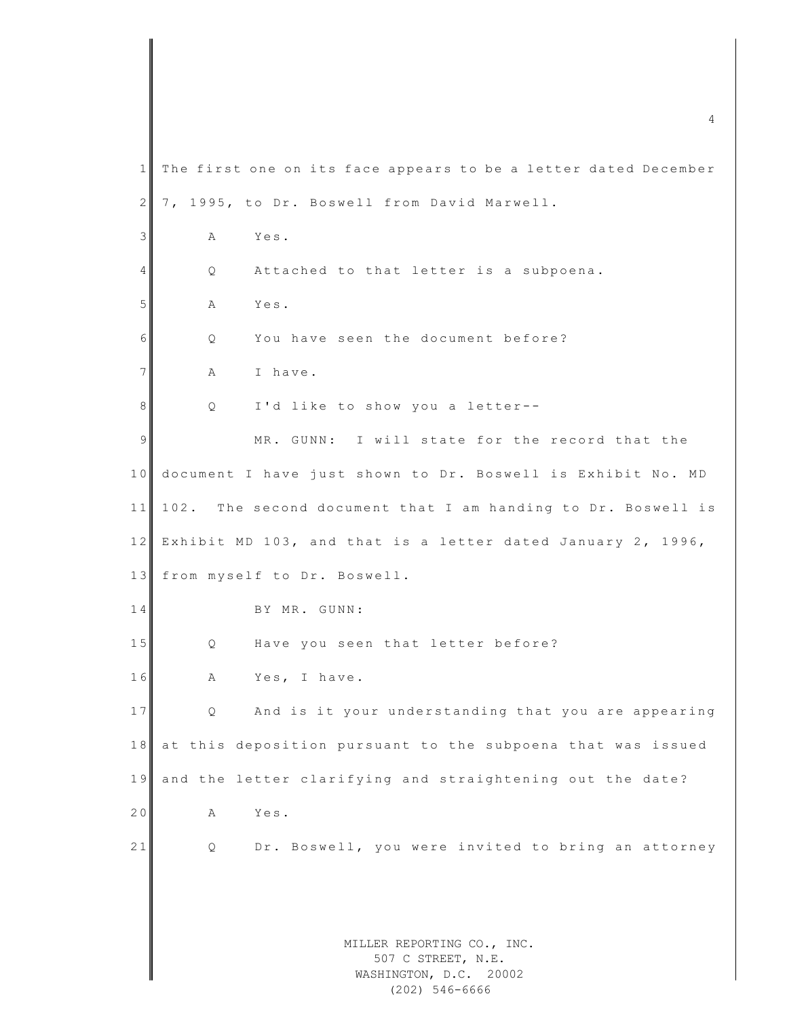MILLER REPORTING CO., INC. 507 C STREET, N.E. WASHINGTON, D.C. 20002  $\frac{4}{4}$  $1$  The first one on its face appears to be a letter dated December 2 7, 1995, to Dr. Boswell from David Marwell. 3 A Yes. 4 Q Attached to that letter is a subpoena. 5 A Yes.  $6$  O You have seen the document before? 7 A I have. 8 Q I'd like to show you a letter--9 MR. GUNN: I will state for the record that the 10 document I have just shown to Dr. Boswell is Exhibit No. MD 11 102. The second document that I am handing to Dr. Boswell is 12 Exhibit MD 103, and that is a letter dated January 2, 1996, 13 from myself to Dr. Boswell. 14 BY MR. GUNN: 15 Q Have you seen that letter before? 16 A Yes, I have. 17 Q And is it your understanding that you are appearing 18 at this deposition pursuant to the subpoena that was issued 19 and the letter clarifying and straightening out the date? 20 A Yes. 21 Q Dr. Boswell, you were invited to bring an attorney

(202) 546-6666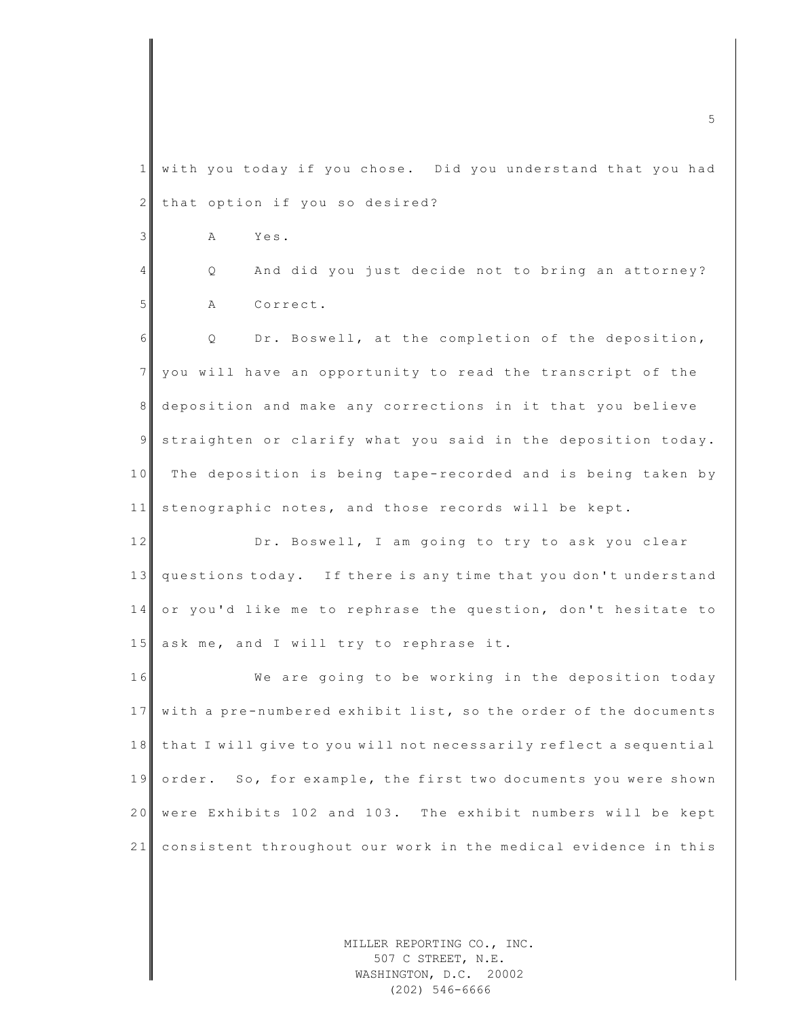1 with you today if you chose. Did you understand that you had 2 that option if you so desired? 3 A Yes. 4 Q And did you just decide not to bring an attorney? 5 A Correct. 6 Q Dr. Boswell, at the completion of the deposition, 7 you will have an opportunity to read the transcript of the 8 deposition and make any corrections in it that you believe 9 straighten or clarify what you said in the deposition today. 10 The deposition is being tape-recorded and is being taken by 11 sten ographic notes, and those records will be kept. 12 Dr. Boswell, I am going to try to ask you clear 13 questions today. If there is any time that you don't understand 14 or you'd like me to rephrase the question, don't hesitate to 15 ask me, and I will try to rephrase it. 16 We are going to be working in the deposition today 17 with a pre-numbered exhibit list, so the order of the documents 18 that I will give to you will not necessarily reflect a sequential 19 order. So, for example, the first two documents you were shown 20 were Exhibits 102 and 103. The exhibit numbers will be kept 21 consistent throughout our work in the medical evidence in this

> MILLER REPORTING CO., INC. 507 C STREET, N.E. WASHINGTON, D.C. 20002 (202) 546-6666

m c  $\blacksquare$  . The set of the set of the set of the set of the set of the set of the set of the set of the set of the set of the set of the set of the set of the set of the set of the set of the set of the set of the set of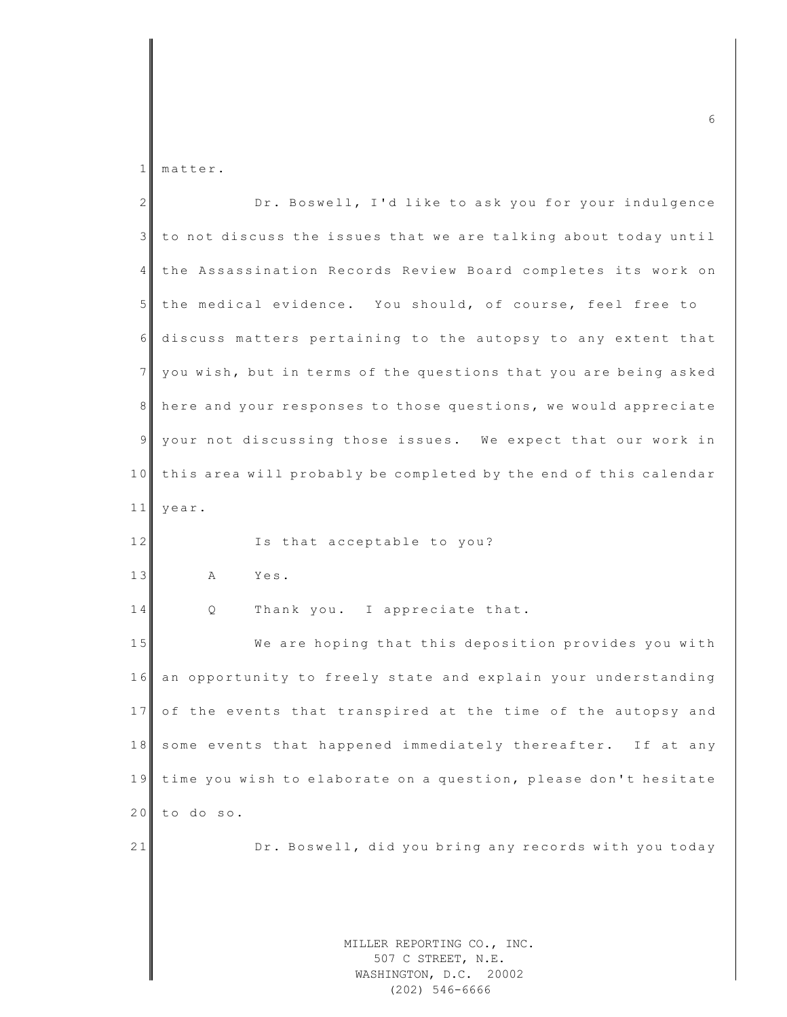1 matter.

| 2 <sup>1</sup> | Dr. Boswell, I'd like to ask you for your indulgence             |
|----------------|------------------------------------------------------------------|
| 3 <sup>1</sup> | to not discuss the issues that we are talking about today until  |
| 4              | the Assassination Records Review Board completes its work on     |
| 5 <sub>1</sub> | the medical evidence. You should, of course, feel free to        |
| 6              | discuss matters pertaining to the autopsy to any extent that     |
| 7 <sup>1</sup> | you wish, but in terms of the questions that you are being asked |
| 8 <sup>1</sup> | here and your responses to those questions, we would appreciate  |
| 9              | your not discussing those issues. We expect that our work in     |
| 10             | this area will probably be completed by the end of this calendar |
| 11             | year.                                                            |
| 12             | Is that acceptable to you?                                       |
| 13             | A<br>Yes.                                                        |
| 14             | Thank you. I appreciate that.<br>Q                               |
| 15             | We are hoping that this deposition provides you with             |
| 16             | an opportunity to freely state and explain your understanding    |
| 17             | of the events that transpired at the time of the autopsy and     |
| 18             | some events that happened immediately thereafter. If at any      |
| 19             | time you wish to elaborate on a question, please don't hesitate  |
| 20             | to do so.                                                        |
| 21             | Dr. Boswell, did you bring any records with you today            |
|                |                                                                  |
|                |                                                                  |
|                |                                                                  |

(202) 546-6666

m c 6  $\sim$  6  $\sim$  6  $\sim$  6  $\sim$  6  $\sim$  6  $\sim$  6  $\sim$  6  $\sim$  6  $\sim$  6  $\sim$  6  $\sim$  6  $\sim$  6  $\sim$  6  $\sim$  6  $\sim$  6  $\sim$  6  $\sim$  6  $\sim$  6  $\sim$  6  $\sim$  6  $\sim$  6  $\sim$  6  $\sim$  6  $\sim$  6  $\sim$  6  $\sim$  6  $\sim$  6  $\sim$  6  $\sim$  6  $\sim$  6  $\sim$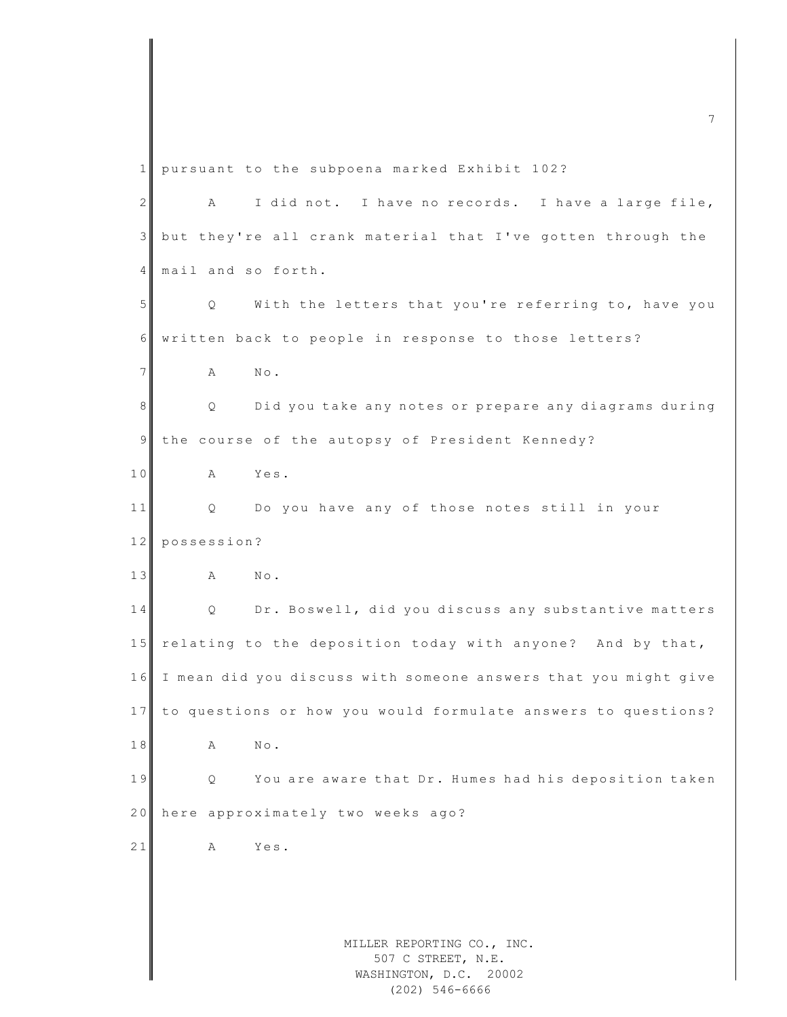MILLER REPORTING CO., INC. 507 C STREET, N.E. WASHINGTON, D.C. 20002 1 pursuant to the subpoena marked Exhibit 102? 2 A I did not. I have no records. I have a large file, 3 but they're all crank material that I've gotten through the 4 mail and so forth. 5 | Q With the letters that you're referring to, have you 6 written back to people in response to those letters? 7 **A** No. 8 Q Did you take any notes or prepare any diagrams during 9 the course of the autopsy of President Kennedy? 10 A Yes. 11 Q Do you have any of those notes still in your 12 possession? 13 A No. 14 Q Dr. Boswell, did you discuss any substantive matters 15 relating to the deposition today with anyone? And by that, 16 I mean did you discuss with someone answers that you might give 17 to questions or how you would formulate answers to questions? 18 A No. 19 | Q You are aware that Dr. Humes had his deposition taken 20 here approximately two weeks ago? 21 A Yes.

m c  $\overline{a}$  and  $\overline{a}$  and  $\overline{a}$  and  $\overline{a}$  and  $\overline{a}$  and  $\overline{a}$  and  $\overline{a}$  and  $\overline{a}$  and  $\overline{a}$  and  $\overline{a}$  and  $\overline{a}$  and  $\overline{a}$  and  $\overline{a}$  and  $\overline{a}$  and  $\overline{a}$  and  $\overline{a}$  and  $\overline{a}$ 

(202) 546-6666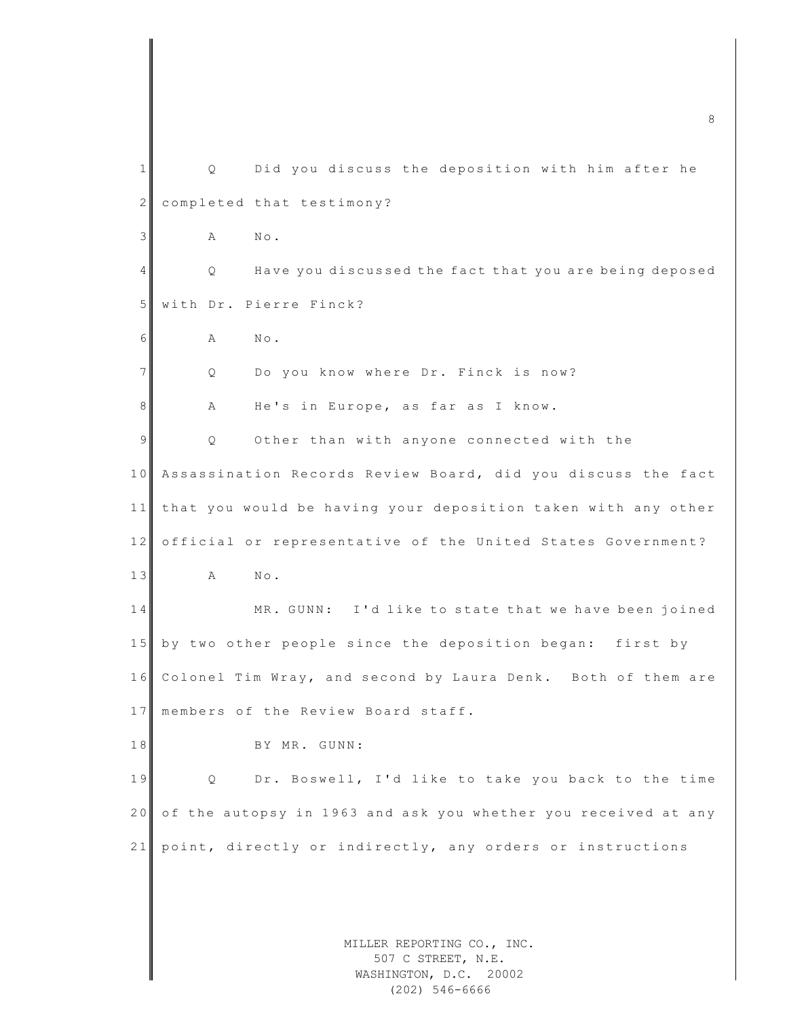|                | 8                                                               |
|----------------|-----------------------------------------------------------------|
| $\mathbf{1}$   | Did you discuss the deposition with him after he<br>Q           |
| $\mathbf{2}$   | completed that testimony?                                       |
| 3              | Α<br>$N \circ$ .                                                |
| 4              | Have you discussed the fact that you are being deposed<br>Q.    |
| 5              | with Dr. Pierre Finck?                                          |
| 6              | $\mathbb{N}\circ$ .<br>Α                                        |
| 7 <sup>1</sup> | Do you know where Dr. Finck is now?<br>Q                        |
| 8              | He's in Europe, as far as I know.<br>Α                          |
| 9              | Other than with anyone connected with the<br>Q                  |
| 10             | Assassination Records Review Board, did you discuss the fact    |
| 11             | that you would be having your deposition taken with any other   |
| 12             | official or representative of the United States Government?     |
| 13             | Α<br>$\mathbb{N}\circ$ .                                        |
| 14             | MR. GUNN: I'd like to state that we have been joined            |
| 15             | by two other people since the deposition began: first by        |
|                | 16 Colonel Tim Wray, and second by Laura Denk. Both of them are |
| 17             | members of the Review Board staff.                              |
| 18             | BY MR. GUNN:                                                    |
| 19             | Dr. Boswell, I'd like to take you back to the time<br>Q         |
| 20             | of the autopsy in 1963 and ask you whether you received at any  |
| 21             | point, directly or indirectly, any orders or instructions       |
|                |                                                                 |
|                |                                                                 |
|                | MILLER REPORTING CO., INC.                                      |
|                | 507 C STREET, N.E.<br>WASHINGTON, D.C. 20002                    |

(202) 546-6666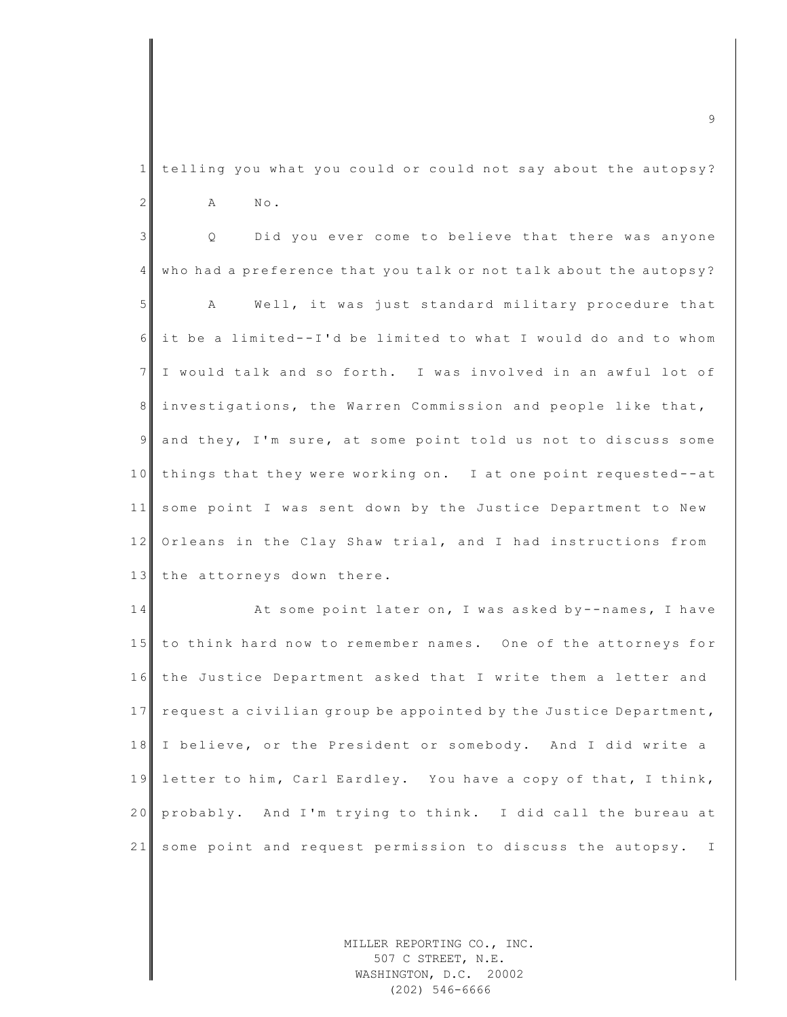1 telling you what you could or could not say about the autopsy? 2 A No.

3 | Q Did you ever come to believe that there was anyone  $4$  who had a preference that you talk or not talk about the autopsy? 5 A Well, it was just standard military procedure that 6 it be a limited--I'd be limited to what I would do and to whom 7 I would talk and so forth. I was involved in an awful lot of 8 investigations, the Warren Commission and people like that, 9 and they, I'm sure, at some point told us not to discuss some 10 things that they were working on. I at one point requested--at 11 some point I was sent down by the Justice Department to New 12 Orleans in the Clay Shaw trial, and I had instructions from 13 the attorneys down there.

14 At some point later on, I was asked by -- names, I have 15 to think hard now to remember names. One of the attorneys for 16 the Justice Department asked that I write them a letter and 17 request a civilian group be appointed by the Justice Department, 18 I believe, or the President or somebody. And I did write a 19 letter to him, Carl Eardley. You have a copy of that, I think, 20 probably. And I'm trying to think. I did call the bureau at 21 some point and request permission to discuss the autopsy. I

> MILLER REPORTING CO., INC. 507 C STREET, N.E. WASHINGTON, D.C. 20002 (202) 546-6666

m c 9  $\sim$  9  $\sim$  9  $\sim$  9  $\sim$  9  $\sim$  9  $\sim$  9  $\sim$  9  $\sim$  9  $\sim$  9  $\sim$  9  $\sim$  9  $\sim$  9  $\sim$  9  $\sim$  9  $\sim$  9  $\sim$  9  $\sim$  9  $\sim$  9  $\sim$  9  $\sim$  9  $\sim$  9  $\sim$  9  $\sim$  9  $\sim$  9  $\sim$  9  $\sim$  9  $\sim$  9  $\sim$  9  $\sim$  9  $\sim$  9  $\sim$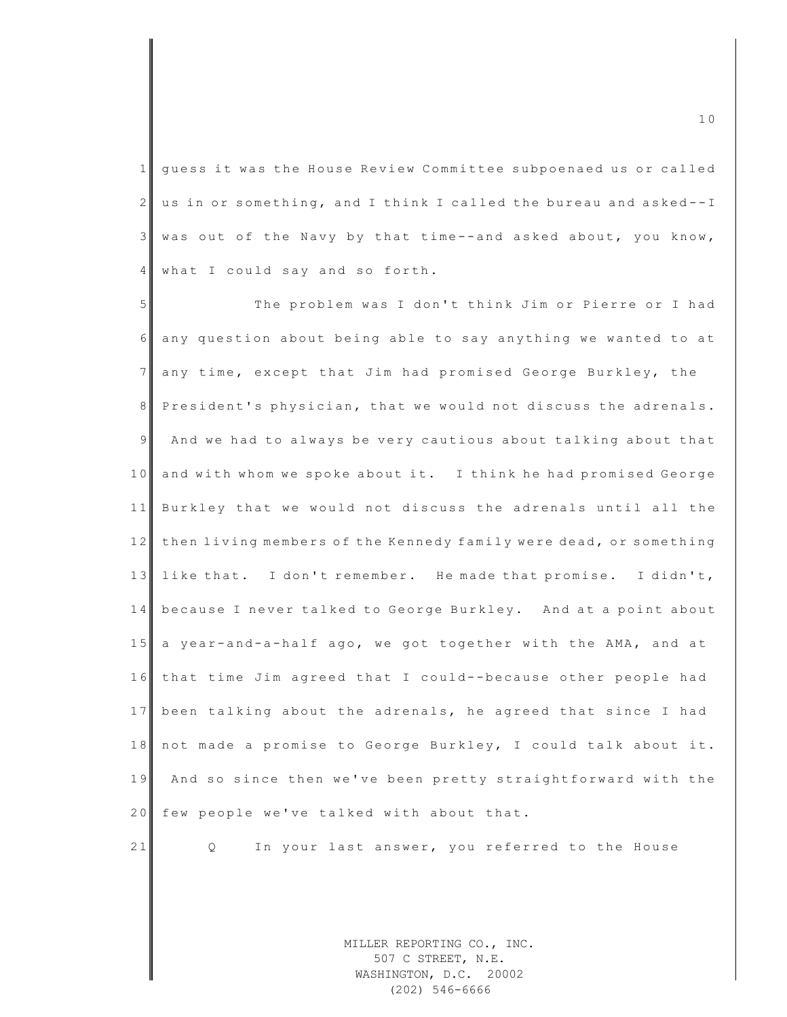1 guess it was the House Review Committee subpoenaed us or called  $2 \parallel$  us in or something, and I think I called the bureau and asked--I  $3$  was out of the Navy by that time--and asked about, you know, 4 what I could say and so forth.

5 The problem was I don't think Jim or Pierre or I had  $6$  any question about being able to say anything we wanted to at 7 any time, except that Jim had promised George Burkley, the 8 President's physician, that we would not discuss the adrenals. 9 And we had to always be very cautious about talking about that 10 and with whom we spoke about it. I think he had promised George 11 Burkley that we would not discuss the adrenals until all the 12 then living members of the Kennedy family were dead, or something 13 like that. I don't remember. He made that promise. I didn't, 14 because I never talked to George Burkley. And at a point about 15 a year-and-a-half ago, we got together with the AMA, and at 16 that time Jim agreed that I could--because other people had 17 been talking about the adrenals, he agreed that since I had 18 not made a promise to George Burkley, I could talk about it. 19 And so since then we've been pretty straightforward with the 20 few people we've talked with about that.

21 Q In your last answer, you referred to the House

MILLER REPORTING CO., INC. 507 C STREET, N.E. WASHINGTON, D.C. 20002 (202) 546-6666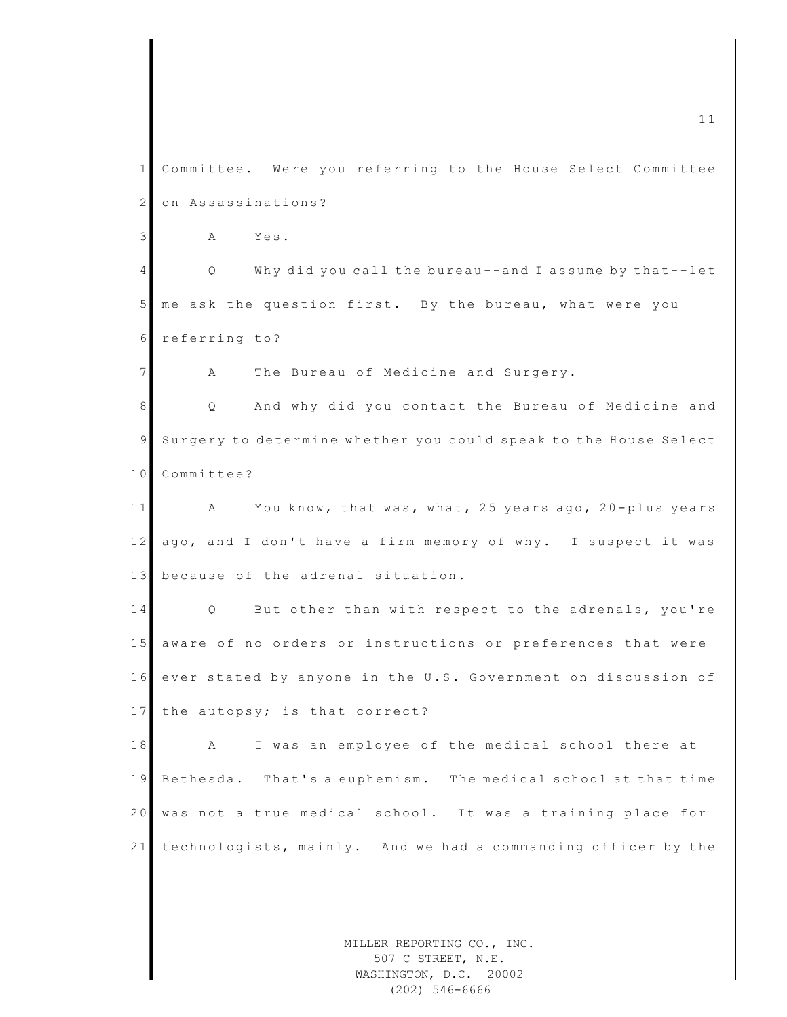MILLER REPORTING CO., INC. m c 11  $\blacksquare$ 1 Committee. Were you referring to the House Select Committee 2 on Assassinations? 3 A Yes. 4 Q Why did you call the bureau -- and I assume by that--let 5 me ask the question first. By the bureau, what were you 6 referring to? 7 A The Bureau of Medicine and Surgery. 8 Q And why did you contact the Bureau of Medicine and 9 Surgery to determine whether you could speak to the House Select 10 Committee? 11 A You know, that was, what, 25 years ago, 20-plus years 12 ago, and I don't have a firm memory of why. I suspect it was 13 because of the adrenal situation. 14 Q But other than with respect to the adrenals, you're 15 aware of no orders or instructions or preferences that were 16 ever stated by anyone in the U.S. Government on discussion of 17 the autopsy; is that correct? 18 A I was an employee of the medical school there at 19 Bethesda. That's a euphemism. The medical school at that time 20 was not a true medical school. It was a training place for 21 technologists, mainly. And we had a commanding officer by the

507 C STREET, N.E. WASHINGTON, D.C. 20002 (202) 546-6666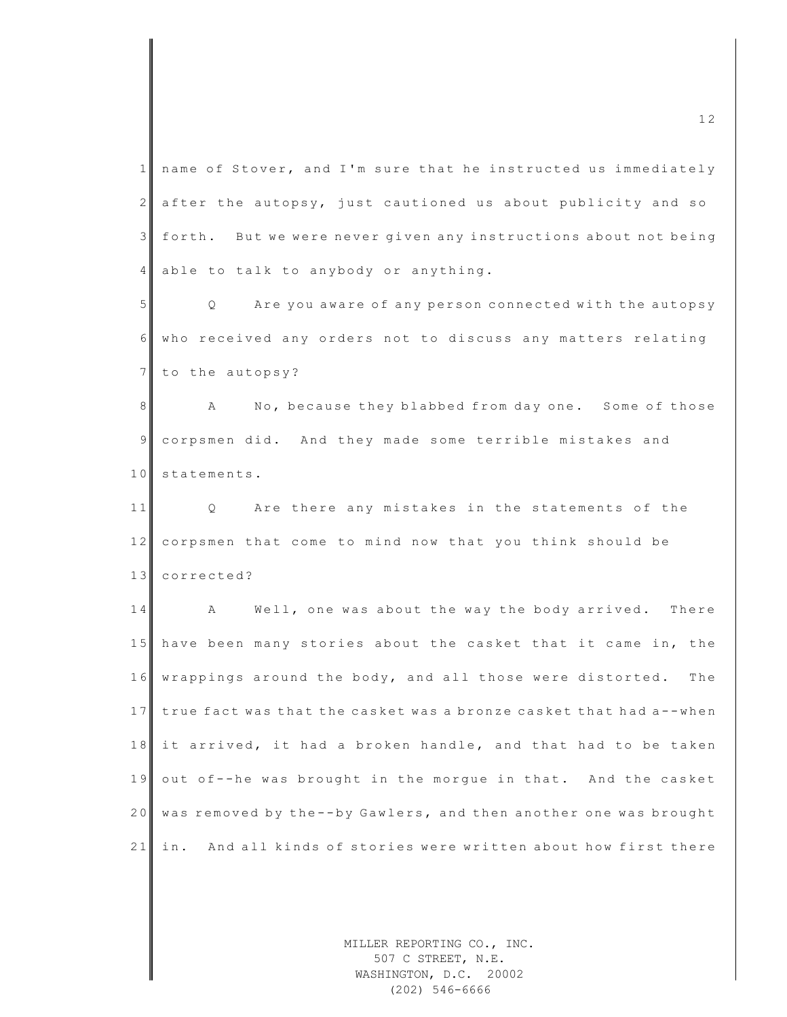$1$  name of Stover, and I'm sure that he instructed us immediately 2 after the autopsy, just cautioned us about publicity and so 3 forth. But we were never given any instructions about not being 4 able to talk to anybody or anything. 5 Q Are you aware of any person connected with the autopsy 6 who received any orders not to discuss any matters relating 7 to the autopsy? 8 A No, because they blabbed from day one. Some of those 9 corpsmen did. And they made some terrible mistakes and 10 statements. 11 Q Are there any mistakes in the statements of the 12 corpsmen that come to mind now that you think should be 13 corrected? 14 A Well, one was about the way the body arrived. There 15 have been many stories about the casket that it came in, the 16 wrappings around the body, and all those were distorted. The 17 true fact was that the casket was a bronze casket that had a--when 18 it arrived, it had a broken handle, and that had to be taken 19 out of--he was brought in the morgue in that. And the casket 20 was removed by the--by Gawlers, and then another one was brought 21 in. And all kinds of stories were written about how first there

> MILLER REPORTING CO., INC. 507 C STREET, N.E. WASHINGTON, D.C. 20002 (202) 546-6666

 $\frac{12}{2}$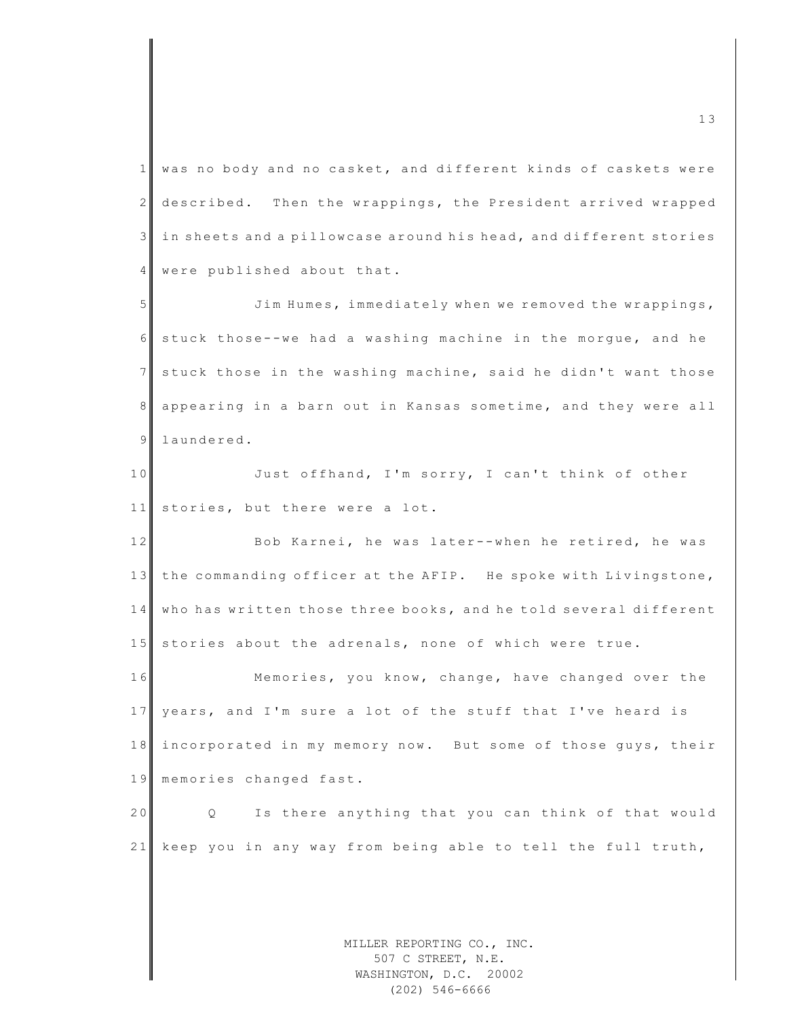$1$  was no body and no casket, and different kinds of caskets were 2 described. Then the wrappings, the President arrived wrapped 3 in sheets and a pillowcase around his head, and different stories 4 were published about that.

5 Jim Humes, immediately when we removed the wrappings, 6 stuck those - - we had a washing machine in the morgue, and he  $7$  stuck those in the washing machine, said he didn't want those 8 appearing in a barn out in Kansas sometime, and they were all 9 laundered.

10 Just offhand, I'm sorry, I can't think of other 11 stories, but there were a lot.

12 Bob Karnei, he was later--when he retired, he was 13 the commanding officer at the AFIP. He spoke with Livingstone, 14 who has written those three books, and he told several different 15 stories about the adrenals, none of which were true.

16 Memories, you know, change, have changed over the 17 years, and I'm sure a lot of the stuff that I've heard is 18 incorporated in my memory now. But some of those guys, their 19 memories changed fast.

20 Q Is there anything that you can think of that would 21 keep you in any way from being able to tell the full truth,

> MILLER REPORTING CO., INC. 507 C STREET, N.E. WASHINGTON, D.C. 20002 (202) 546-6666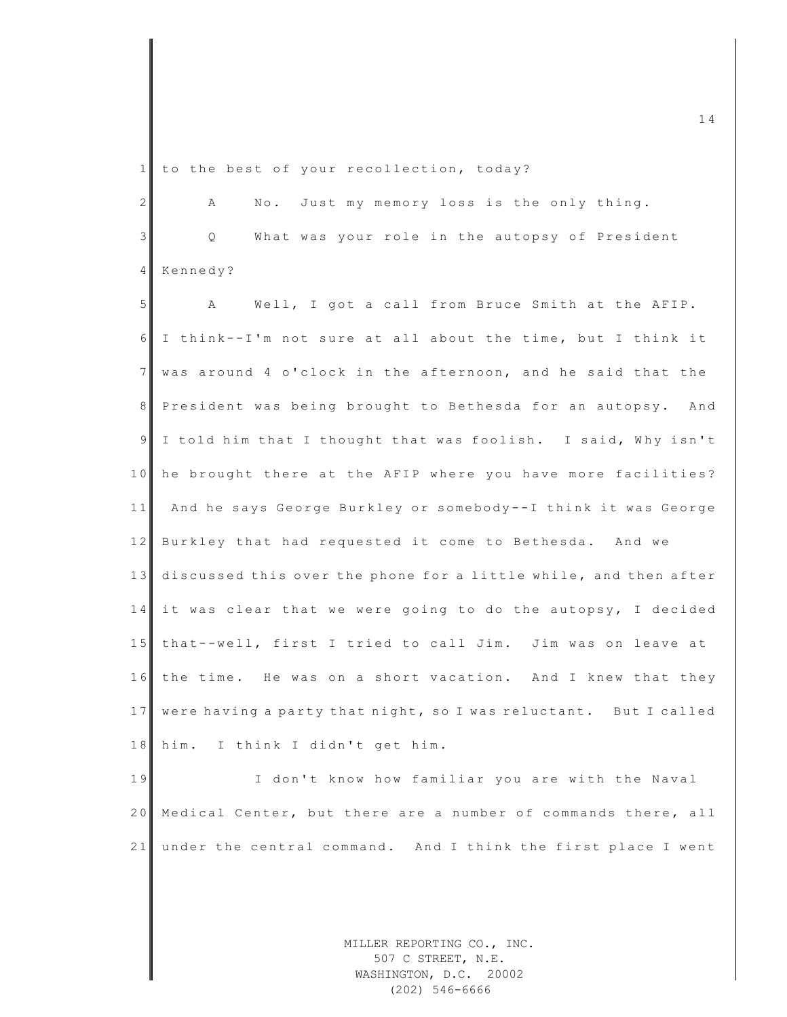1 to the best of your recollection, today?

2 A No. Just my memory loss is the only thing. 3 || Q What was your role in the autopsy of President 4 Kennedy? 5 A Well, I got a call from Bruce Smith at the AFIP.  $6 \parallel$  I think --I'm not sure at all about the time, but I think it 7 was around 4 o'clock in the afternoon, and he said that the 8 President was being brought to Bethesda for an autopsy. And 9 I told him that I thought that was foolish. I said, Why isn't 10 he brought there at the AFIP where you have more facilities? 11 And he says George Burkley or somebody--I think it was George 12 Burkley that had requested it come to Bethesda. And we 13 discussed this over the phone for a little while, and then after  $14$  it was clear that we were going to do the autopsy, I decided 15 that--well, first I tried to call Jim. Jim was on leave at 16 the time. He was on a short vacation. And I knew that they 17 were having a party that night, so I was reluctant. But I called 18 him. I think I didn't get him.

19 I don't know how familiar you are with the Naval 20 Medical Center, but there are a number of commands there, all 21 under the central command. And I think the first place I went

> MILLER REPORTING CO., INC. 507 C STREET, N.E. WASHINGTON, D.C. 20002 (202) 546-6666

 $\frac{1}{4}$  and  $\frac{1}{4}$  and  $\frac{1}{4}$  and  $\frac{1}{4}$  and  $\frac{1}{4}$  and  $\frac{1}{4}$  and  $\frac{1}{4}$  and  $\frac{1}{4}$  and  $\frac{1}{4}$  and  $\frac{1}{4}$  and  $\frac{1}{4}$  and  $\frac{1}{4}$  and  $\frac{1}{4}$  and  $\frac{1}{4}$  and  $\frac{1}{4}$  and  $\frac{1}{4}$  a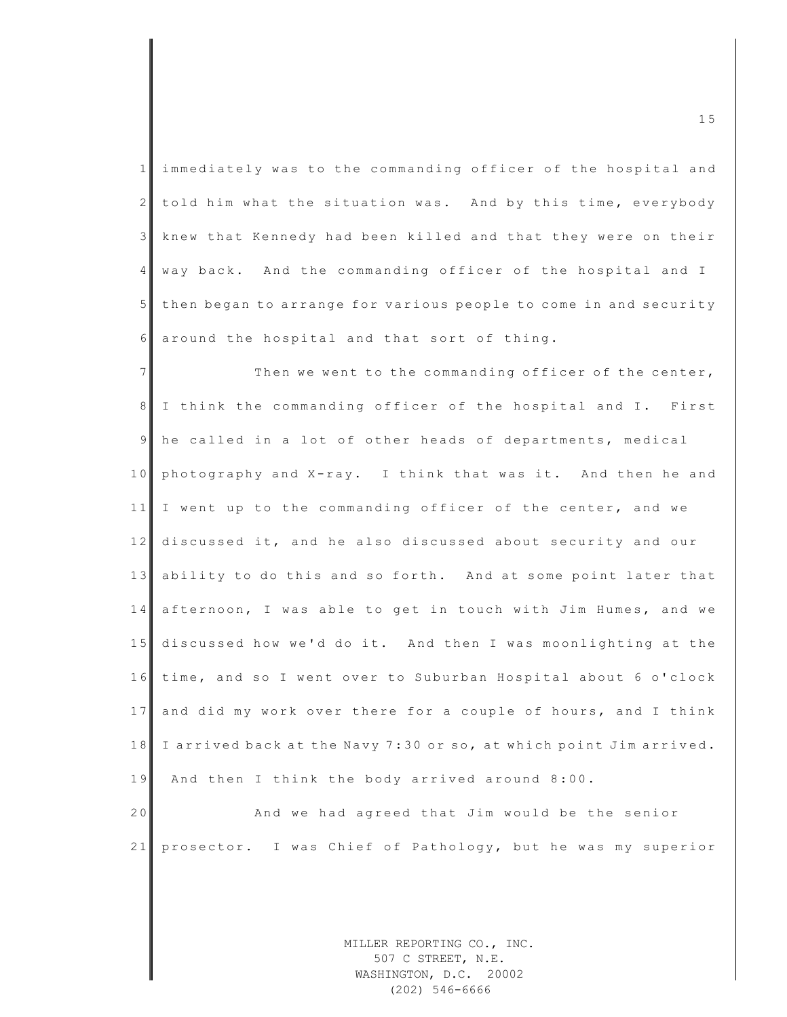| 1 immediately was to the commanding officer of the hospital and    |
|--------------------------------------------------------------------|
| 2 told him what the situation was. And by this time, everybody     |
| 3 knew that Kennedy had been killed and that they were on their    |
| 4 way back. And the commanding officer of the hospital and I       |
| 5 then began to arrange for various people to come in and security |
| 6 around the hospital and that sort of thing.                      |

7 Then we went to the commanding officer of the center, 8 I think the commanding officer of the hospital and I. First 9 he called in a lot of other heads of departments, medical 10 photography and X-ray. I think that was it. And then he and 11 I went up to the commanding officer of the center, and we 12 discussed it, and he also discussed about security and our 13 ability to do this and so forth. And at some point later that 14 afternoon, I was able to get in touch with Jim Humes, and we 15 discussed how we'd do it. And then I was moonlighting at the 16 time, and so I went over to Suburban Hospital about 6 o'clock 17 and did my work over there for a couple of hours, and I think 18 I arrived back at the Navy 7:30 or so, at which point Jim arrived. 19 And then I think the body arrived around 8:00. 20 And we had agreed that Jim would be the senior

21 prosector. I was Chief of Pathology, but he was my superior

MILLER REPORTING CO., INC. 507 C STREET, N.E. WASHINGTON, D.C. 20002 (202) 546-6666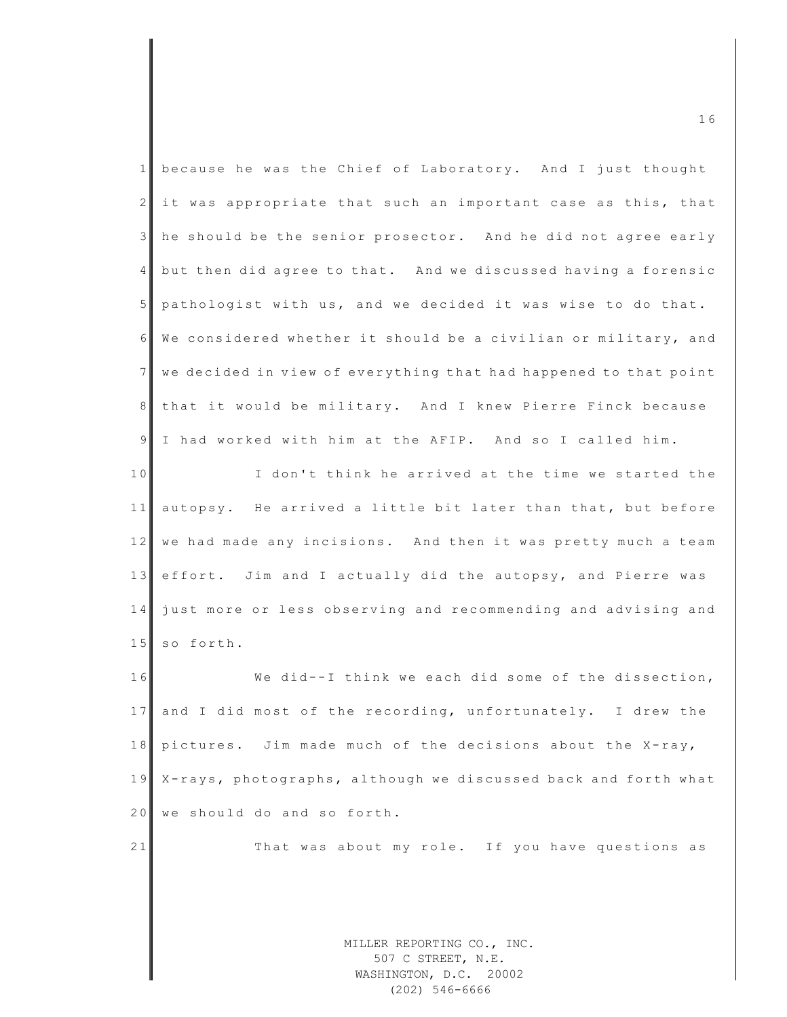|                | 16                                                                         |
|----------------|----------------------------------------------------------------------------|
| $\mathbf{1}$   | because he was the Chief of Laboratory. And I just thought                 |
| $\mathbf{2}$   | it was appropriate that such an important case as this, that               |
| $\mathcal{E}$  | he should be the senior prosector. And he did not agree early              |
| $4 \mid$       | but then did agree to that. And we discussed having a forensic             |
| 5 <sub>1</sub> | pathologist with us, and we decided it was wise to do that.                |
| 6              | We considered whether it should be a civilian or military, and             |
| 7 <sup>1</sup> | we decided in view of everything that had happened to that point           |
| 8 <sup>1</sup> | that it would be military. And I knew Pierre Finck because                 |
| 9              | I had worked with him at the AFIP. And so I called him.                    |
| 10             | I don't think he arrived at the time we started the                        |
| 11             | autopsy. He arrived a little bit later than that, but before               |
| 12             | we had made any incisions. And then it was pretty much a team              |
| 13             | effort. Jim and I actually did the autopsy, and Pierre was                 |
| 14             | just more or less observing and recommending and advising and              |
| 15             | so forth.                                                                  |
| 16             | We did--I think we each did some of the dissection,                        |
| 17             | and I did most of the recording, unfortunately. I drew the                 |
| 18             | pictures. Jim made much of the decisions about the X-ray,                  |
| 19             | X-rays, photographs, although we discussed back and forth what             |
| 20             | we should do and so forth.                                                 |
| 21             | That was about my role. If you have questions as                           |
|                |                                                                            |
|                |                                                                            |
|                | MILLER REPORTING CO., INC.<br>507 C STREET, N.E.<br>WASHINGTON, D.C. 20002 |

(202) 546-6666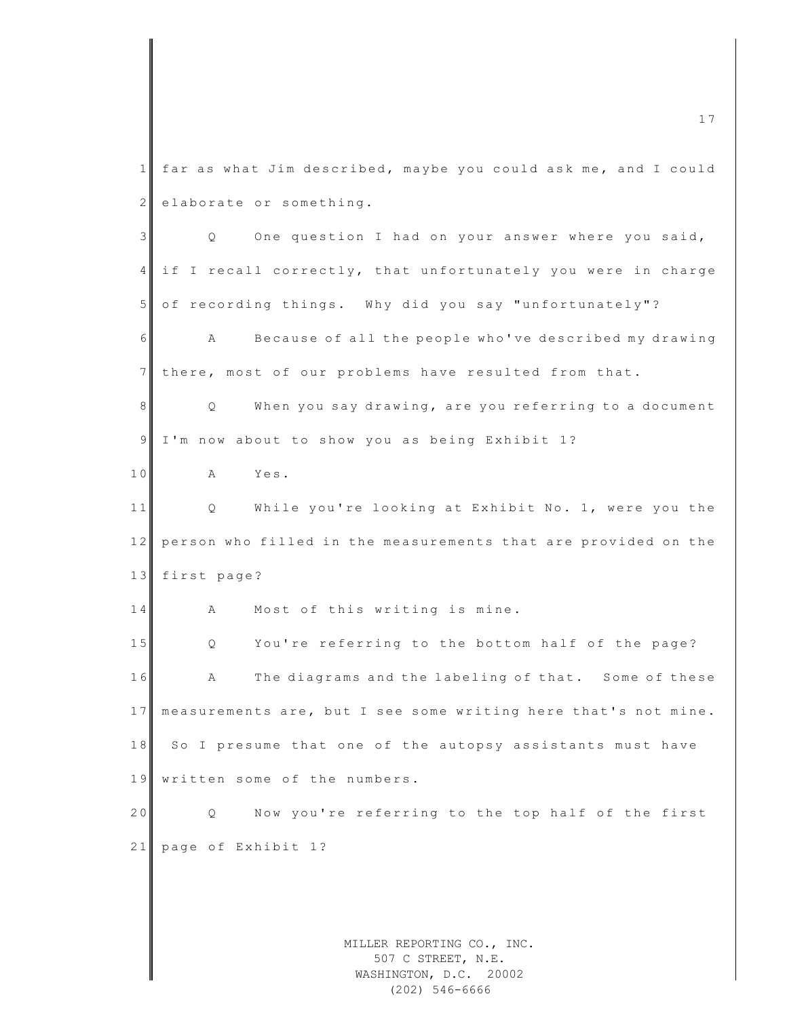MILLER REPORTING CO., INC.  $1$  far as what Jim described, maybe you could ask me, and I could  $2$  elaborate or something. 3 | Q One question I had on your answer where you said, 4 if I recall correctly, that unfortunately you were in charge 5 of recording things. Why did you say "unfortunately"? 6 A Because of all the people who 've described my drawing 7 there, most of our problems have resulted from that. 8 Q When you say drawing, are you referring to a document 9 I'm now about to show you as being Exhibit 1? 10 A Yes. 11 | Q While you're looking at Exhibit No. 1, were you the 12 person who filled in the measurements that are provided on the 13 first page? 14 A Most of this writing is mine. 15 Q You're referring to the bottom half of the page? 16 A The diagrams and the labeling of that. Some of these 17 measurements are, but I see some writing here that's not mine. 18 So I presume that one of the autopsy assistants must have 19 written some of the numbers. 20 Q Now you're referring to the top half of the first 21 page of Exhibit 1?

507 C STREET, N.E. WASHINGTON, D.C. 20002 (202) 546-6666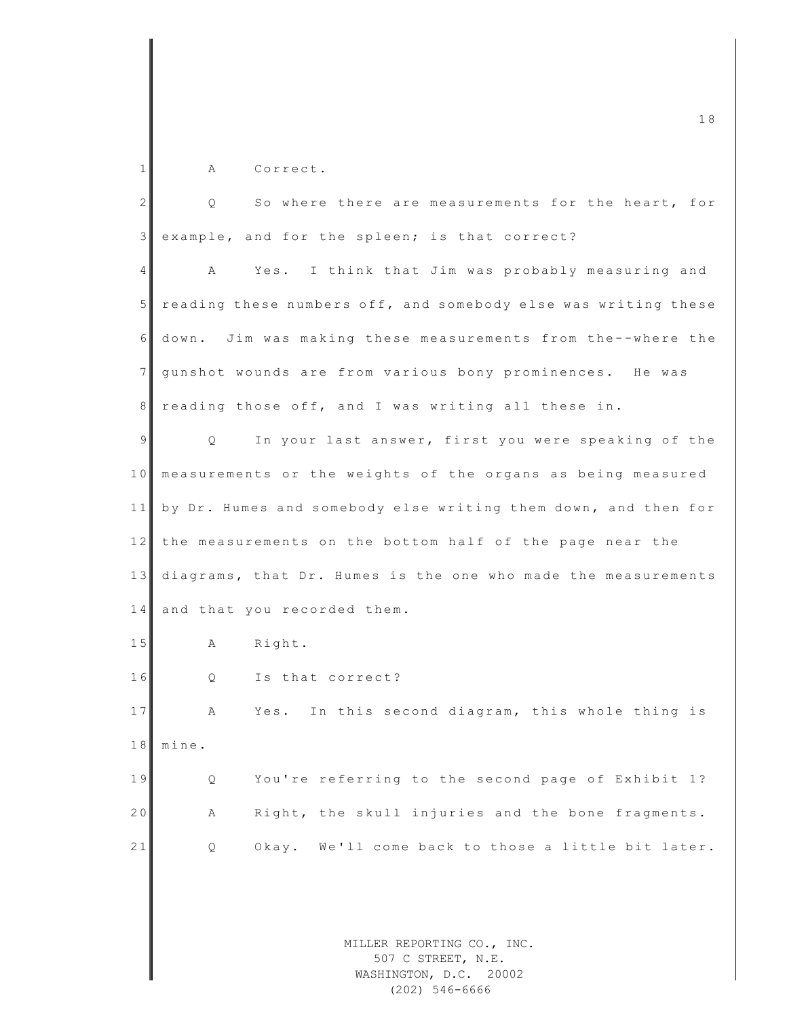| $\mathbf{1}$   | Correct.<br>Α                                                  |
|----------------|----------------------------------------------------------------|
| 2              | So where there are measurements for the heart, for<br>Q.       |
| 3              | example, and for the spleen; is that correct?                  |
| 4              | Yes. I think that Jim was probably measuring and<br>A          |
| 5 <sub>1</sub> | reading these numbers off, and somebody else was writing these |
| 6              | down. Jim was making these measurements from the--where the    |
| $\overline{7}$ | gunshot wounds are from various bony prominences. He was       |
| 8              | reading those off, and I was writing all these in.             |
| $\overline{9}$ | In your last answer, first you were speaking of the<br>Q       |
| 10             | measurements or the weights of the organs as being measured    |
| 11             | by Dr. Humes and somebody else writing them down, and then for |
| 12             | the measurements on the bottom half of the page near the       |
| 13             | diagrams, that Dr. Humes is the one who made the measurements  |
| 14             | and that you recorded them.                                    |
| 15             | Right.<br>Α                                                    |
| 16             | Is that correct?<br>Q                                          |
| 17             | Yes. In this second diagram, this whole thing is<br>A          |
|                |                                                                |

18 mine.

19 Q You're referring to the second page of Exhibit 1? 20 A Right, the skull injuries and the bone fragments. 21 Q Okay. We'll come back to those a little bit later.

> MILLER REPORTING CO., INC. 507 C STREET, N.E. WASHINGTON, D.C. 20002 (202) 546-6666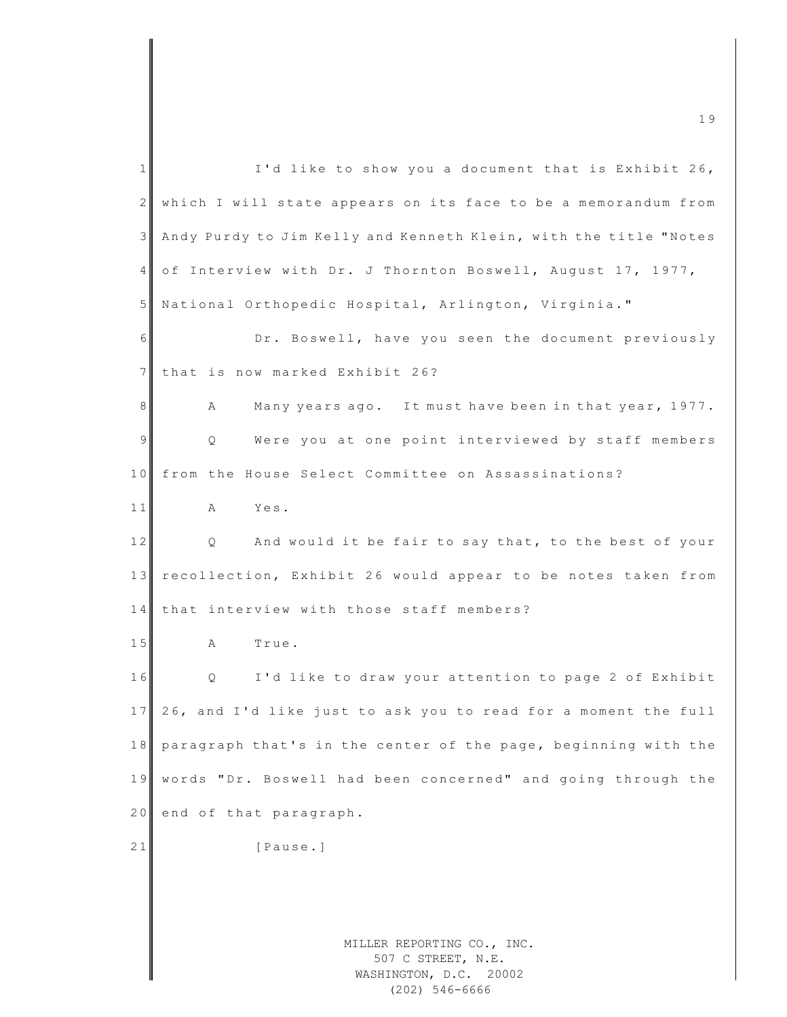| $\mathbf{1}$   | I'd like to show you a document that is Exhibit 26,                        |
|----------------|----------------------------------------------------------------------------|
| $\mathbf{2}$   | which I will state appears on its face to be a memorandum from             |
| 3              | Andy Purdy to Jim Kelly and Kenneth Klein, with the title "Notes           |
| 4              | of Interview with Dr. J Thornton Boswell, August 17, 1977,                 |
| 5              | National Orthopedic Hospital, Arlington, Virginia."                        |
| 6              | Dr. Boswell, have you seen the document previously                         |
| $7\phantom{.}$ | that is now marked Exhibit 26?                                             |
| 8              | Many years ago. It must have been in that year, 1977.<br>Α                 |
| 9              | Were you at one point interviewed by staff members<br>Q                    |
| 10             | from the House Select Committee on Assassinations?                         |
| 11             | Yes.<br>A                                                                  |
| 12             | And would it be fair to say that, to the best of your<br>Q                 |
| 13             | recollection, Exhibit 26 would appear to be notes taken from               |
| 14             | that interview with those staff members?                                   |
| 15             | Α<br>True.                                                                 |
| 16             | I'd like to draw your attention to page 2 of Exhibit<br>Q                  |
| 17             | 26, and I'd like just to ask you to read for a moment the full             |
| 18             | paragraph that's in the center of the page, beginning with the             |
| 19             | words "Dr. Boswell had been concerned" and going through the               |
| 20             | end of that paragraph.                                                     |
| 21             | [Pause.]                                                                   |
|                |                                                                            |
|                |                                                                            |
|                | MILLER REPORTING CO., INC.<br>507 C STREET, N.E.<br>WASHINGTON, D.C. 20002 |

WASHINGTON, D.C. 20002 (202) 546-6666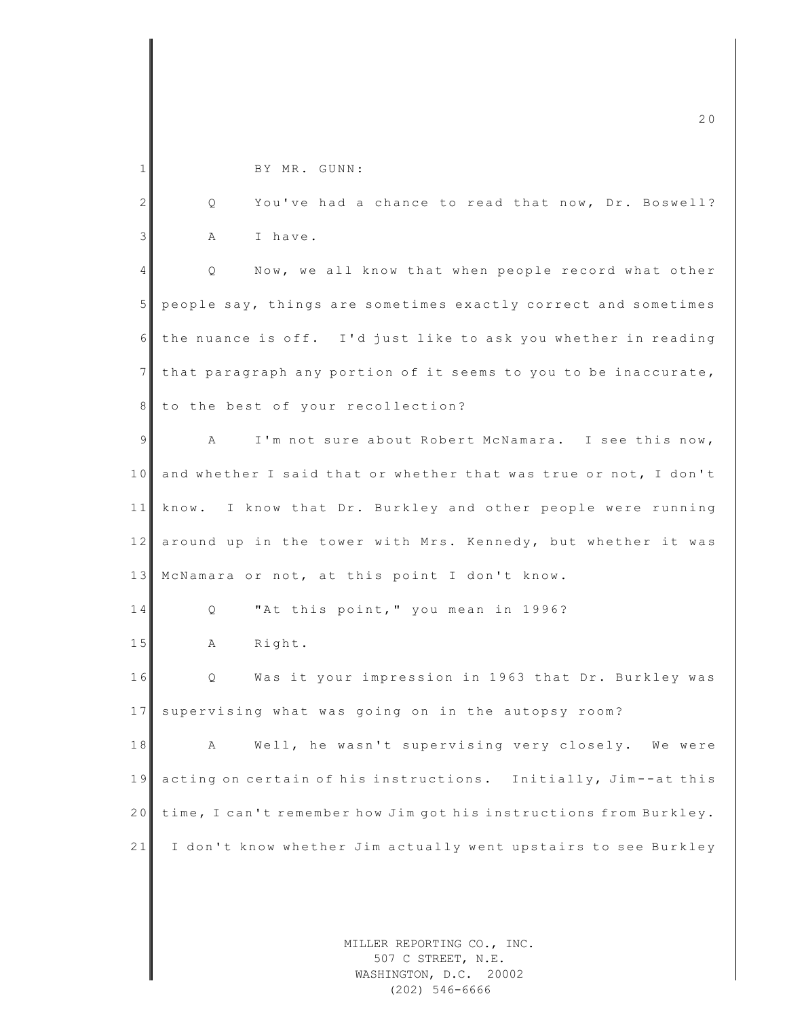|                | 20                                                                         |
|----------------|----------------------------------------------------------------------------|
|                |                                                                            |
| 1              | BY MR. GUNN:                                                               |
| 2              | You've had a chance to read that now, Dr. Boswell?<br>Q.                   |
| $\mathfrak{Z}$ | I have.<br>Α                                                               |
| 4              | Now, we all know that when people record what other<br>Q                   |
| $5\phantom{.}$ | people say, things are sometimes exactly correct and sometimes             |
| 6              | the nuance is off. I'd just like to ask you whether in reading             |
| $7\phantom{.}$ | that paragraph any portion of it seems to you to be inaccurate,            |
| 8 <sup>1</sup> | to the best of your recollection?                                          |
| 9              | I'm not sure about Robert McNamara. I see this now,<br>Α                   |
| 10             | and whether I said that or whether that was true or not, I don't           |
| 11             | know. I know that Dr. Burkley and other people were running                |
| 12             | around up in the tower with Mrs. Kennedy, but whether it was               |
| 13             | McNamara or not, at this point I don't know.                               |
| 14             | "At this point, " you mean in 1996?<br>Q                                   |
| $1\,5$         | Right.<br>Α                                                                |
| 16             | Was it your impression in 1963 that Dr. Burkley was<br>Q                   |
| 17             | supervising what was going on in the autopsy room?                         |
| 18             | Well, he wasn't supervising very closely. We were<br>А                     |
| 19             | acting on certain of his instructions. Initially, Jim--at this             |
| 20             | time, I can't remember how Jim got his instructions from Burkley.          |
| 21             | I don't know whether Jim actually went upstairs to see Burkley             |
|                |                                                                            |
|                |                                                                            |
|                | MILLER REPORTING CO., INC.<br>507 C STREET, N.E.<br>WASHINGTON, D.C. 20002 |

(202) 546-6666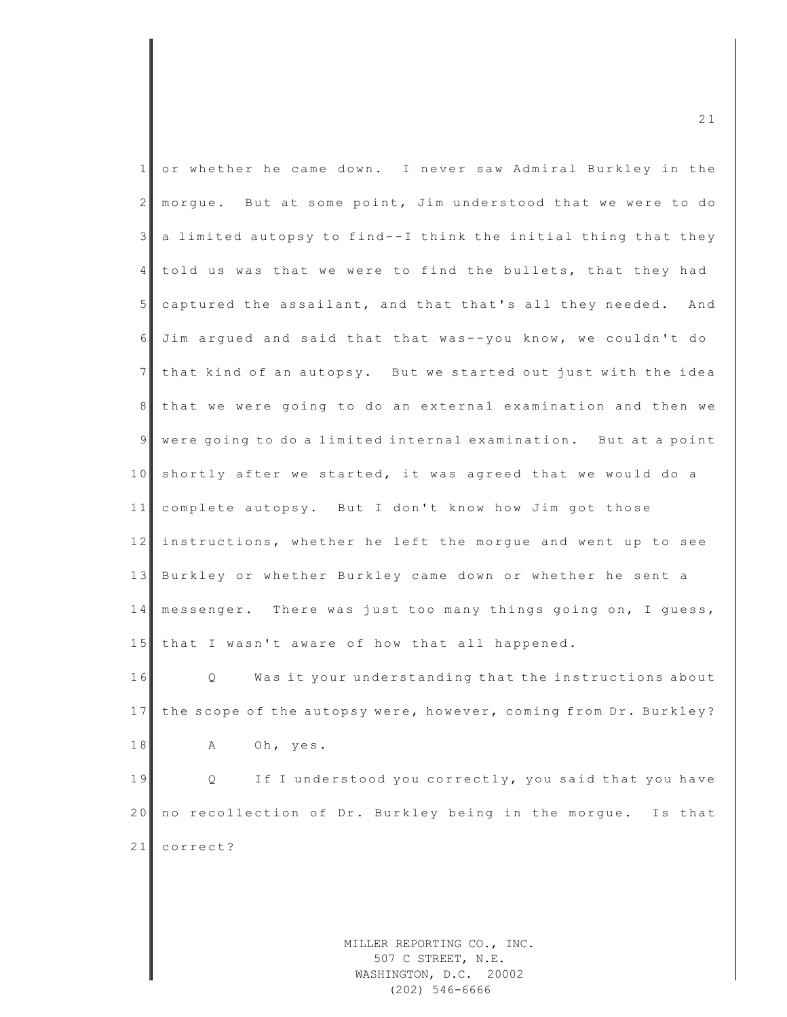| $1\vert$        | or whether he came down. I never saw Admiral Burkley in the       |
|-----------------|-------------------------------------------------------------------|
| 2 <sub>1</sub>  | morgue. But at some point, Jim understood that we were to do      |
| $\mathcal{E}$   | a limited autopsy to find--I think the initial thing that they    |
| $\overline{4}$  | told us was that we were to find the bullets, that they had       |
| 5 <sub>1</sub>  | captured the assailant, and that that's all they needed. And      |
| 6               | Jim argued and said that that was--you know, we couldn't do       |
| 7 <sup>1</sup>  | that kind of an autopsy. But we started out just with the idea    |
| 8 <sup>1</sup>  | that we were going to do an external examination and then we      |
| $\overline{9}$  | were going to do a limited internal examination. But at a point   |
| 10 <sub>l</sub> | shortly after we started, it was agreed that we would do a        |
| 11              | complete autopsy. But I don't know how Jim got those              |
| 12              | instructions, whether he left the morgue and went up to see       |
| 13              | Burkley or whether Burkley came down or whether he sent a         |
| 14              | messenger. There was just too many things going on, I guess,      |
| 15              | that I wasn't aware of how that all happened.                     |
| 16              | $Q \sim$<br>Was it your understanding that the instructions about |
| 17              | the scope of the autopsy were, however, coming from Dr. Burkley?  |
| 18              | Oh, yes.<br>Α                                                     |
| 19              | If I understood you correctly, you said that you have<br>Q.       |
| 20              | no recollection of Dr. Burkley being in the morgue.<br>Is that    |
| 21              | correct?                                                          |
|                 |                                                                   |
|                 |                                                                   |
|                 | MILLER REPORTING CO., INC.                                        |

507 C STREET, N.E. WASHINGTON, D.C. 20002 (202) 546-6666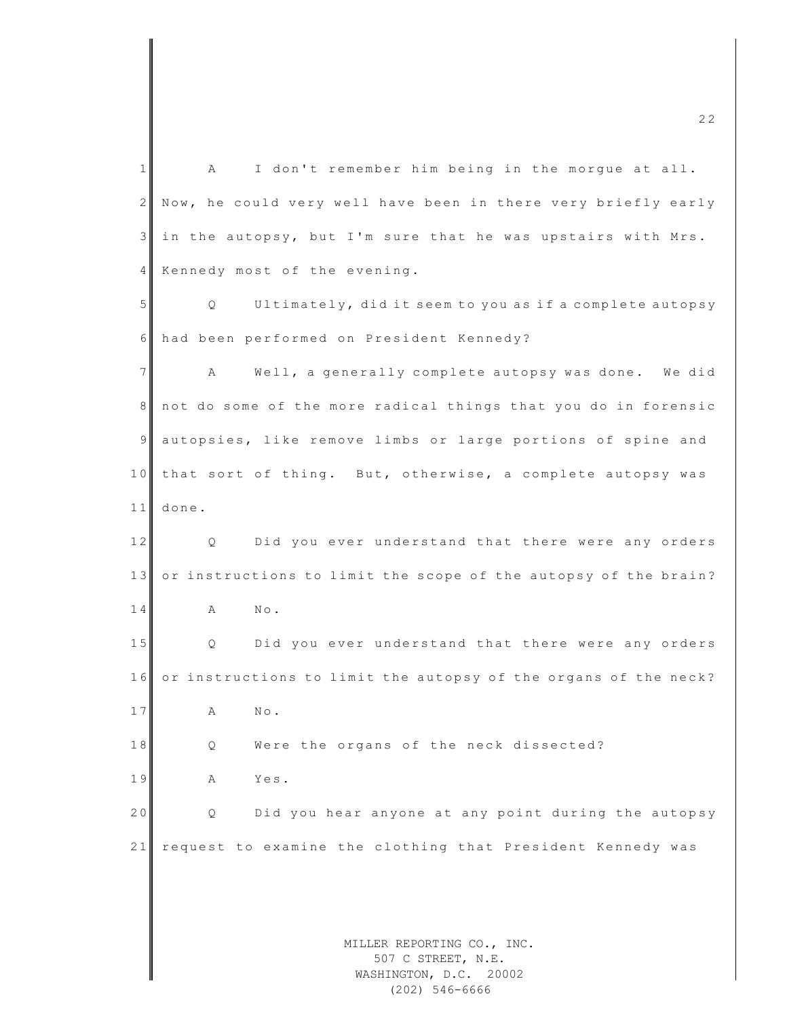MILLER REPORTING CO., INC. 1 A I don't remember him being in the morque at all. 2 Now, he could very well have been in there very briefly early 3 in the autopsy, but I'm sure that he was upstairs with Mrs. 4 Kennedy most of the evening. 5 Q Ultimately, did it seem to you as if a complete autopsy 6 had been performed on President Kennedy? 7 A Well, a generally complete autopsy was done. We did 8 not do some of the more radical things that you do in forensic 9 autopsies, like remove limbs or large portions of spine and 10 that sort of thing. But, otherwise, a complete autopsy was  $11$  done. 12 Q Did you ever understand that there were any orders 13 or instructions to limit the scope of the autopsy of the brain? 14 A No. 15 Q Did you ever understand that there were any orders 16 or instructions to limit the autopsy of the organs of the neck? 17 A No. 18 || Q Were the organs of the neck dissected? 19 A Yes. 20 Q Did you hear anyone at any point during the autopsy 21 request to examine the clothing that President Kennedy was

m c  $22$ 

507 C STREET, N.E. WASHINGTON, D.C. 20002 (202) 546-6666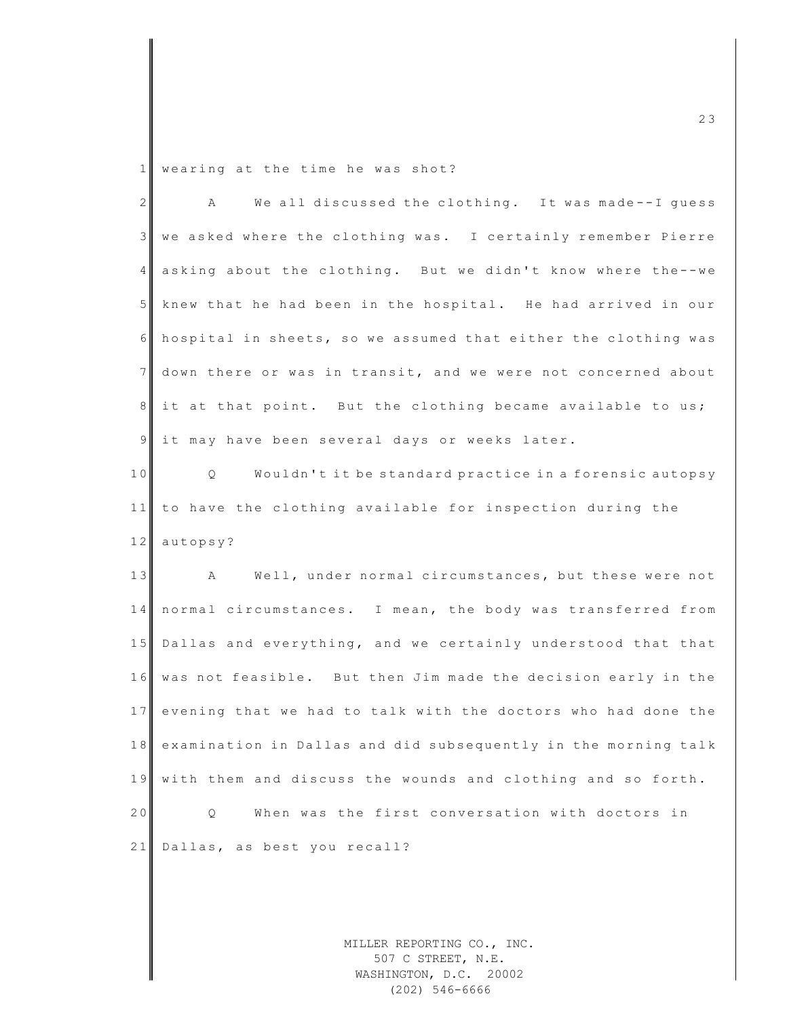1 wearing at the time he was shot?

| $\overline{2}$  | We all discussed the clothing. It was made--I guess<br>Α       |
|-----------------|----------------------------------------------------------------|
| $\mathcal{E}$   | we asked where the clothing was. I certainly remember Pierre   |
| 4               | asking about the clothing. But we didn't know where the--we    |
| $5\phantom{.}$  | knew that he had been in the hospital. He had arrived in our   |
| 6               | hospital in sheets, so we assumed that either the clothing was |
| $7\phantom{.0}$ | down there or was in transit, and we were not concerned about  |
| 8               | it at that point. But the clothing became available to us;     |
| $\mathsf{S}$    | it may have been several days or weeks later.                  |
| 10              | Wouldn't it be standard practice in a forensic autopsy<br>Q    |
| 11              | to have the clothing available for inspection during the       |
| 12              | autopsy?                                                       |
|                 |                                                                |
| 13              | A<br>Well, under normal circumstances, but these were not      |
|                 | 14 normal circumstances. I mean, the body was transferred from |
| 15              | Dallas and everything, and we certainly understood that that   |
| 16              | was not feasible. But then Jim made the decision early in the  |
| 17              | evening that we had to talk with the doctors who had done the  |
| 18              | examination in Dallas and did subsequently in the morning talk |
| 19              | with them and discuss the wounds and clothing and so forth.    |
| 20              | When was the first conversation with doctors in<br>Q           |
| 21              | Dallas, as best you recall?                                    |
|                 |                                                                |

MILLER REPORTING CO., INC. 507 C STREET, N.E. WASHINGTON, D.C. 20002 (202) 546-6666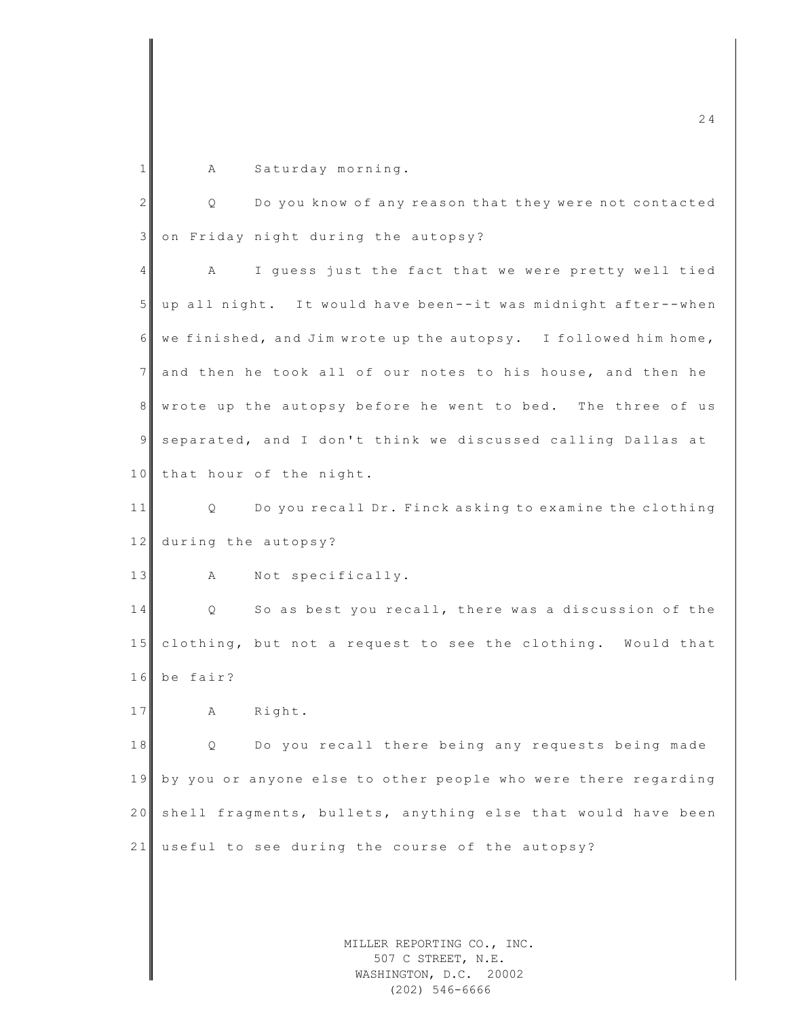1 A Saturday morning.

2 Q Do you know of any reason that they were not contacted 3 on Friday night during the autopsy? 4 A I guess just the fact that we were pretty well tied 5 up all night. It would have been--it was midnight after--when  $6$  we finished, and Jim wrote up the autopsy. I followed him home, 7 and then he took all of our notes to his house, and then he 8 wrote up the autopsy before he went to bed. The three of us 9 separated, and I don't think we discussed calling Dallas at 10 that hour of the night. 11 Q Do you recall Dr. Finck asking to examine the clothing 12 during the autopsy? 13 A Not specifically. 14 Q So as best you recall, there was a discussion of the

15 clothing, but not a request to see the clothing. Would that 16 be fair?

17 A Right.

18 || Q Do you recall there being any requests being made 19 by you or anyone else to other people who were there regarding 20 shell fragments, bullets, anything else that would have been 21 useful to see during the course of the autopsy?

> MILLER REPORTING CO., INC. 507 C STREET, N.E. WASHINGTON, D.C. 20002 (202) 546-6666

 $\sim$  2 4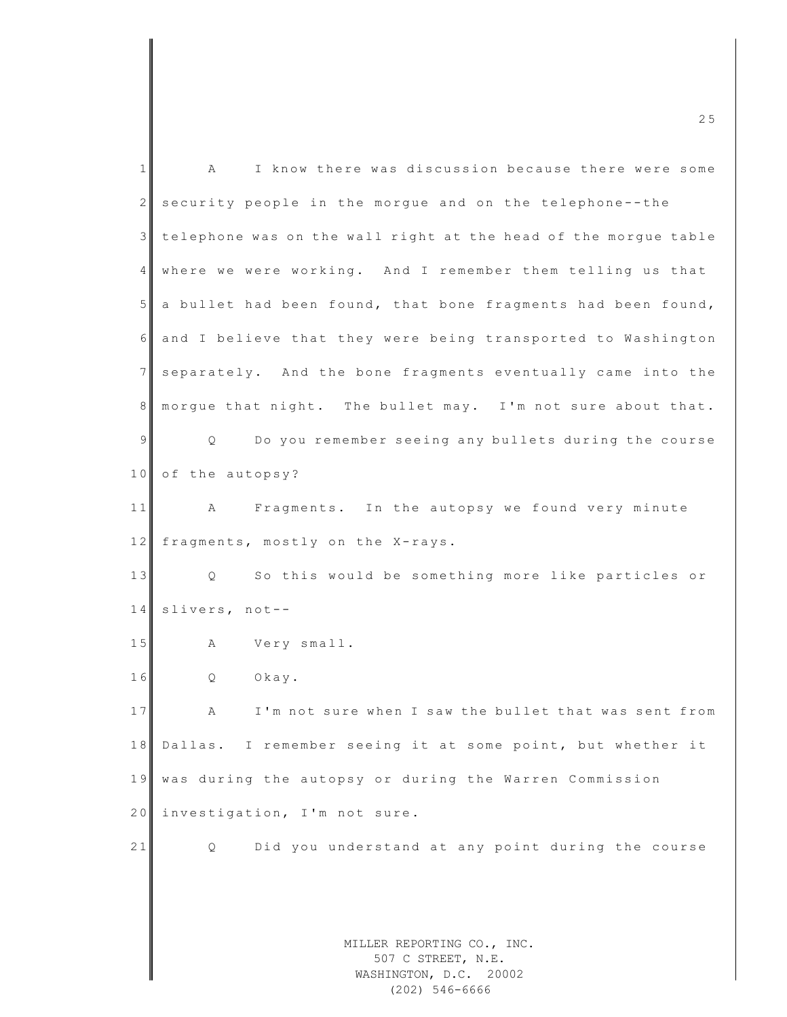| $\mathbf{1}$   | I know there was discussion because there were some<br>Α        |
|----------------|-----------------------------------------------------------------|
| $\mathbf{2}$   | security people in the morgue and on the telephone--the         |
| 3              | telephone was on the wall right at the head of the morgue table |
| 4              | where we were working. And I remember them telling us that      |
| 5 <sup>1</sup> | a bullet had been found, that bone fragments had been found,    |
| 6              | and I believe that they were being transported to Washington    |
| 7              | separately. And the bone fragments eventually came into the     |
| 8              | morgue that night. The bullet may. I'm not sure about that.     |
| 9              | Do you remember seeing any bullets during the course<br>Q       |
| 10             | of the autopsy?                                                 |
| 11             | Fragments. In the autopsy we found very minute<br>A             |
| 12             | fragments, mostly on the X-rays.                                |
| 13             | So this would be something more like particles or<br>Q          |
| 14             | slivers, not--                                                  |
| 15             | Very small.<br>Α                                                |
| 16             | Q<br>Okay.                                                      |
| 17             | I'm not sure when I saw the bullet that was sent from<br>Α      |
| 18             | Dallas. I remember seeing it at some point, but whether it      |
| 19             | was during the autopsy or during the Warren Commission          |
| 20             | investigation, I'm not sure.                                    |
| 21             | Did you understand at any point during the course<br>Q          |
|                |                                                                 |
|                |                                                                 |
|                | MILLER REPORTING CO., INC.<br>507 C STREET, N.E.                |
|                | WASHINGTON, D.C. 20002                                          |

507 C STREET, N.E. WASHINGTON, D.C. 20002 (202) 546-6666

m c  $\sim$  2 5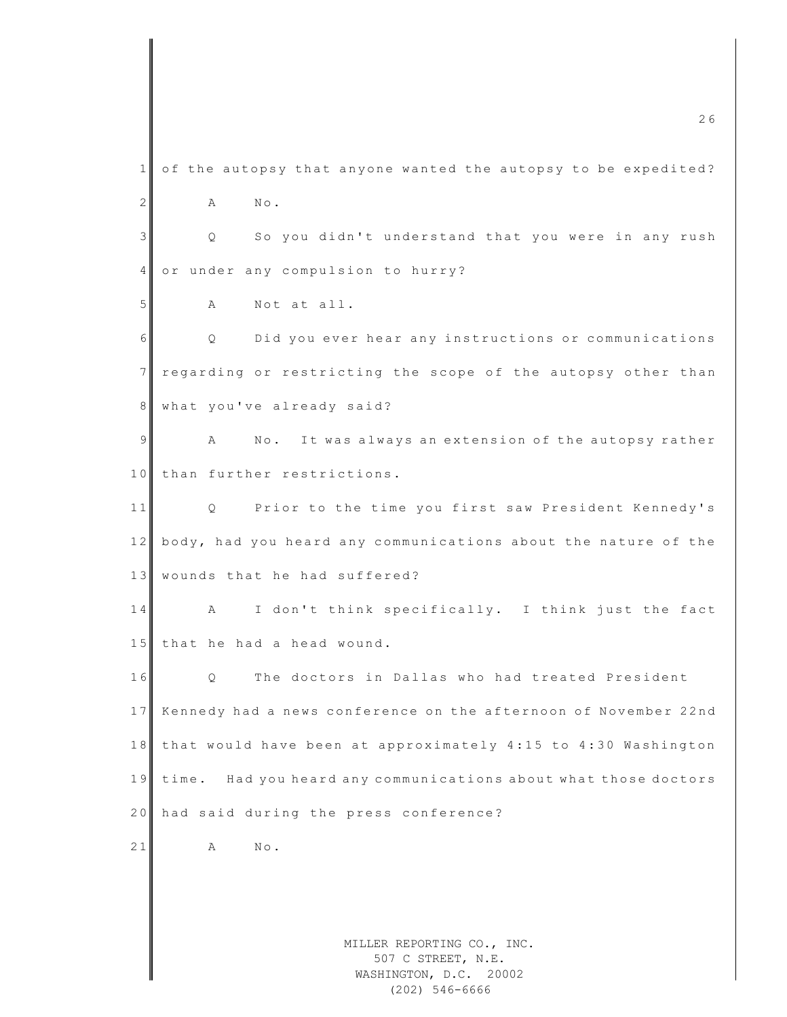MILLER REPORTING CO., INC. 507 C STREET, N.E. WASHINGTON, D.C. 20002 m c  $26$  $1$  of the autopsy that anyone wanted the autopsy to be expedited? 2 A No. 3 | Q So you didn't understand that you were in any rush 4 or under any compulsion to hurry? 5 A Not at all. 6 | Q Did you ever hear any instructions or communications 7 regarding or restricting the scope of the autopsy other than 8 what you've already said? 9 A No. It was always an extension of the autopsy rather 10 than further restrictions. 11 Q Prior to the time you first saw President Kennedy's 12 body, had you heard any communications about the nature of the 13 wounds that he had suffered? 14 A I don't think specifically. I think just the fact 15 that he had a head wound. 16 O The doctors in Dallas who had treated President 17 Kennedy had a news conference on the afternoon of November 22nd 18 that would have been at approximately 4:15 to 4:30 Washington 19 time. Had you heard any communications about what those doctors 20 had said during the press conference?  $21$  A No.

(202) 546-6666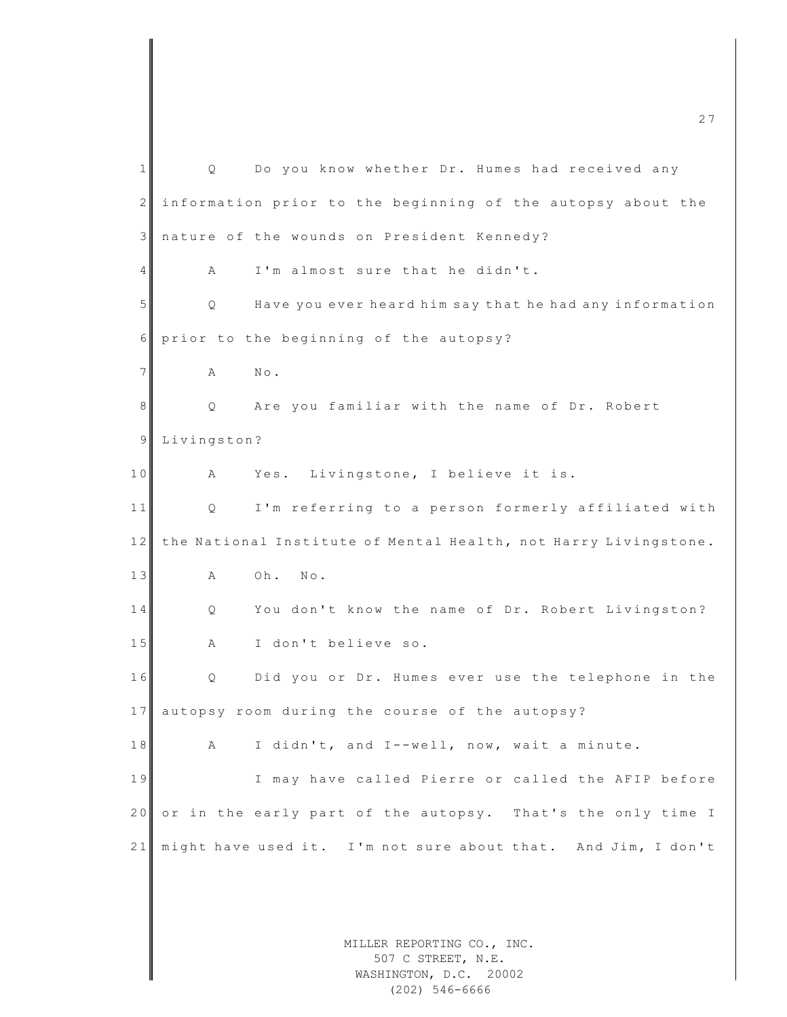| $\mathbf{1}$ | Q           | Do you know whether Dr. Humes had received any                  |
|--------------|-------------|-----------------------------------------------------------------|
| $\mathbf{2}$ |             | information prior to the beginning of the autopsy about the     |
| 3            |             | nature of the wounds on President Kennedy?                      |
| 4            | Α           | I'm almost sure that he didn't.                                 |
| 5            | Q           | Have you ever heard him say that he had any information         |
| 6            |             | prior to the beginning of the autopsy?                          |
| 7            | Α           | $N \circ$ .                                                     |
| 8            | Q           | Are you familiar with the name of Dr. Robert                    |
| 9            | Livingston? |                                                                 |
| 10           | А           | Livingstone, I believe it is.<br>Yes.                           |
| 11           | Q           | I'm referring to a person formerly affiliated with              |
| 12           |             | the National Institute of Mental Health, not Harry Livingstone. |
| 13           | Α           | Oh.<br>$\mathbb N \circ$ .                                      |
| 14           | Q           | You don't know the name of Dr. Robert Livingston?               |
| 15           | Α           | I don't believe so.                                             |
| 16           | Q           | Did you or Dr. Humes ever use the telephone in the              |
| 17           |             | autopsy room during the course of the autopsy?                  |
| 18           | Α           | I didn't, and I--well, now, wait a minute.                      |
| 19           |             | I may have called Pierre or called the AFIP before              |
| 20           |             | or in the early part of the autopsy. That's the only time I     |
| 21           |             | might have used it. I'm not sure about that. And Jim, I don't   |
|              |             |                                                                 |
|              |             |                                                                 |
|              |             | MILLER REPORTING CO., INC.                                      |

507 C STREET, N.E. WASHINGTON, D.C. 20002 (202) 546-6666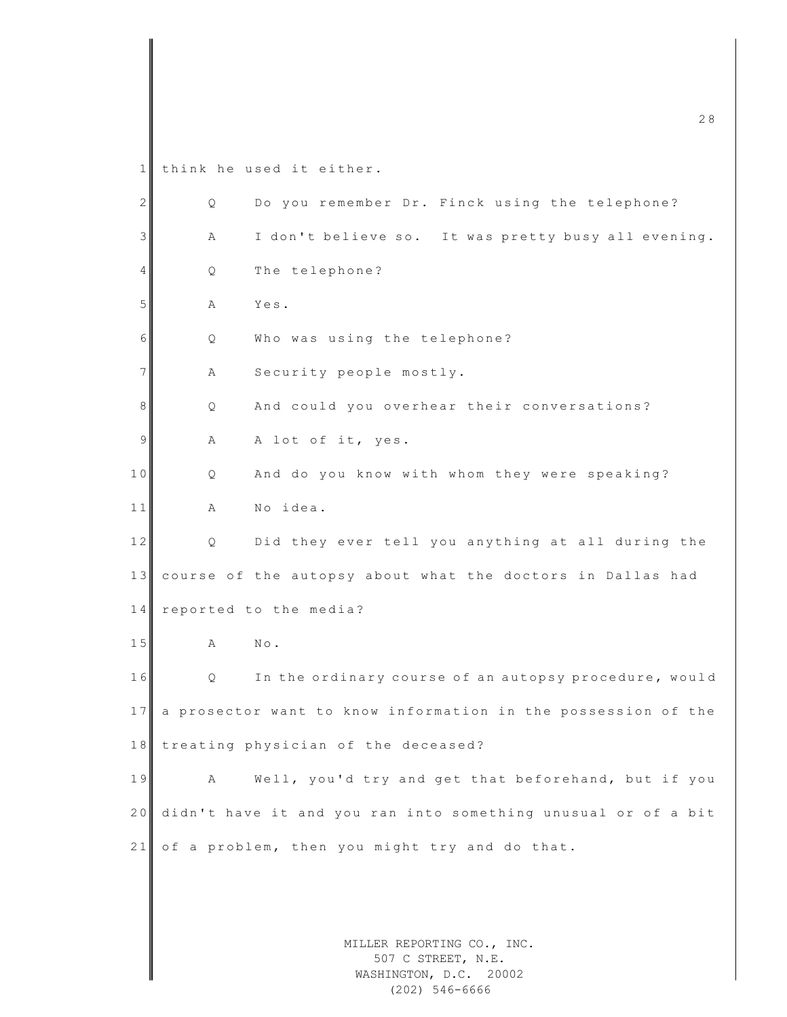1 think he used it either.

| $\mathbf{2}$ | Q | Do you remember Dr. Finck using the telephone?                |
|--------------|---|---------------------------------------------------------------|
| 3            | Α | I don't believe so. It was pretty busy all evening.           |
| 4            | Q | The telephone?                                                |
| 5            | Α | Yes.                                                          |
| 6            | Q | Who was using the telephone?                                  |
| 7            | Α | Security people mostly.                                       |
| 8            | Q | And could you overhear their conversations?                   |
| 9            | Α | A lot of it, yes.                                             |
| 10           | Q | And do you know with whom they were speaking?                 |
| 11           | Α | No idea.                                                      |
| 12           | Q | Did they ever tell you anything at all during the             |
| 13           |   | course of the autopsy about what the doctors in Dallas had    |
| 14           |   | reported to the media?                                        |
| 15           | Α | $\mathbb{N}\circ$ .                                           |
| 16           | Q | In the ordinary course of an autopsy procedure, would         |
| 17           |   | a prosector want to know information in the possession of the |
| 18           |   | treating physician of the deceased?                           |
| 19           | Α | Well, you'd try and get that beforehand, but if you           |
| 20           |   | didn't have it and you ran into something unusual or of a bit |
| 21           |   | of a problem, then you might try and do that.                 |
|              |   |                                                               |
|              |   |                                                               |
|              |   | MILLER REPORTING CO., INC.<br>507 C STREET, N.E.              |
|              |   | WASHINGTON, D.C. 20002<br>$(202)$ 546-6666                    |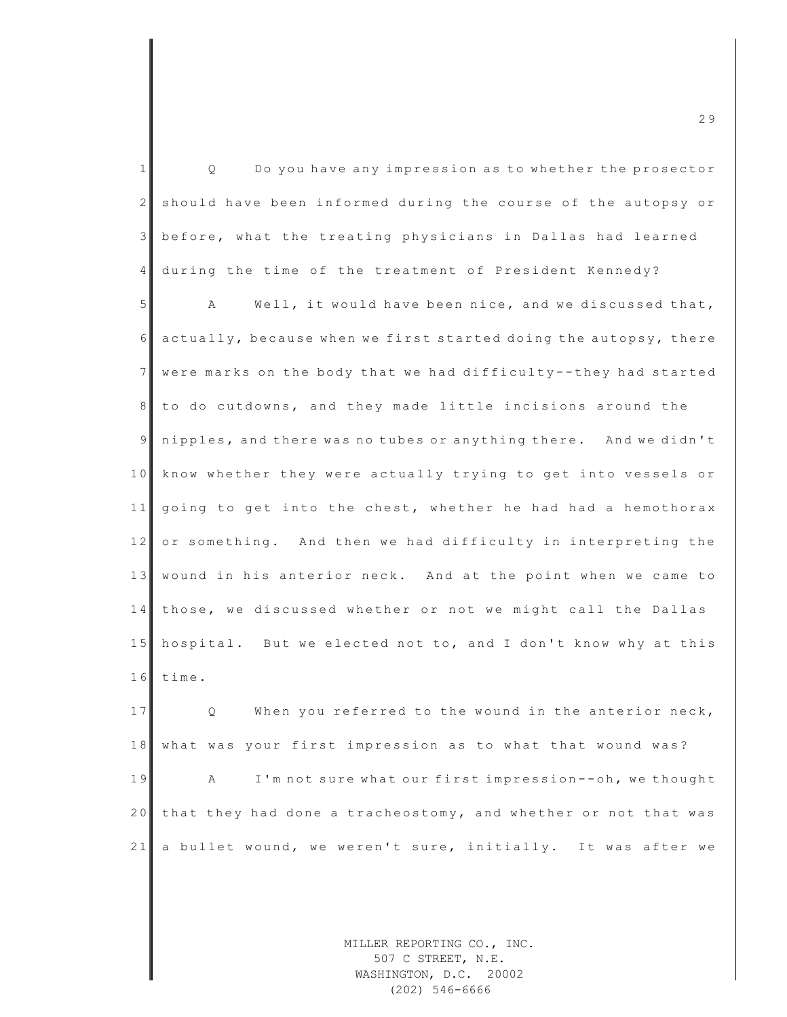| $\mathbf{1}$    | Do you have any impression as to whether the prosector<br>Q      |
|-----------------|------------------------------------------------------------------|
| 2               | should have been informed during the course of the autopsy or    |
| 3               | before, what the treating physicians in Dallas had learned       |
| $\overline{4}$  | during the time of the treatment of President Kennedy?           |
| 5               | Well, it would have been nice, and we discussed that,<br>Α       |
| 6               | actually, because when we first started doing the autopsy, there |
| $7\overline{ }$ | were marks on the body that we had difficulty--they had started  |
| 8               | to do cutdowns, and they made little incisions around the        |
| 9               | nipples, and there was no tubes or anything there. And we didn't |
| 10              | know whether they were actually trying to get into vessels or    |
| 11              | going to get into the chest, whether he had had a hemothorax     |
| 12              | or something. And then we had difficulty in interpreting the     |
| 13              | wound in his anterior neck. And at the point when we came to     |
| 14              | those, we discussed whether or not we might call the Dallas      |
| 15              | hospital. But we elected not to, and I don't know why at this    |
| 16              | time.                                                            |
| 17              | When you referred to the wound in the anterior neck,<br>Q        |
| 18              | what was your first impression as to what that wound was?        |
| 19              | I'm not sure what our first impression -- oh, we thought<br>Α    |
| 20              | that they had done a tracheostomy, and whether or not that was   |
| 21              | a bullet wound, we weren't sure, initially. It was after we      |
|                 |                                                                  |
|                 |                                                                  |
|                 | MILLER REPORTING CO., INC.                                       |

507 C STREET, N.E. WASHINGTON, D.C. 20002 (202) 546-6666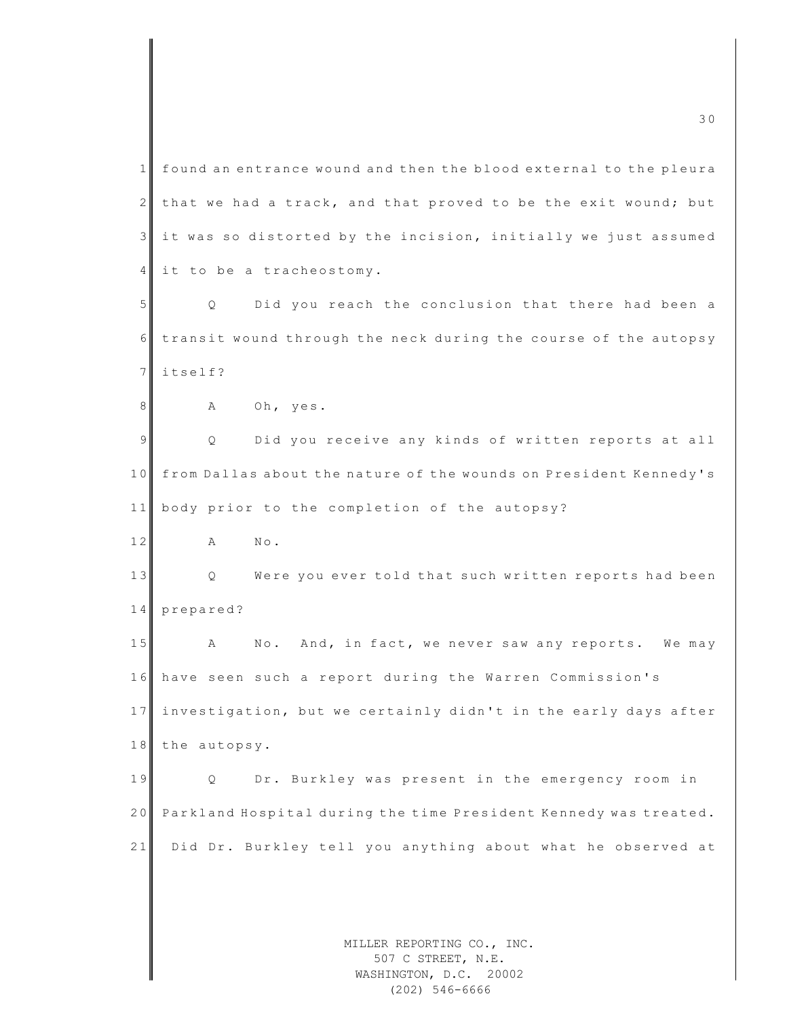MILLER REPORTING CO., INC. 1 found an entrance wound and then the blood external to the pleura  $2$  that we had a track, and that proved to be the exit wound; but  $3$  it was so distorted by the incision, initially we just assumed 4 it to be a tracheostomy. 5 Q Did you reach the conclusion that there had been a 6 transit wound through the neck during the course of the autopsy 7 itself? 8 A Oh, yes. 9 | Q Did you receive any kinds of written reports at all 10 from Dallas about the nature of the wounds on President Kennedy's 11 body prior to the completion of the autopsy? 12 A No. 13 | Q Were you ever told that such written reports had been 14 prepared? 15 A No. And, in fact, we never saw any reports. We may 1 6 have seen such a report during the Warren Commission's 17 investigation, but we certainly didn't in the early days after 18 the autopsy. 19 Q Dr. Burkley was present in the emergency room in 20 Parkland Hospital during the time President Kennedy was treated. 21 Did Dr. Burkley tell you anything about what he observed at

m c  $\overline{30}$  3 0

507 C STREET, N.E. WASHINGTON, D.C. 20002 (202) 546-6666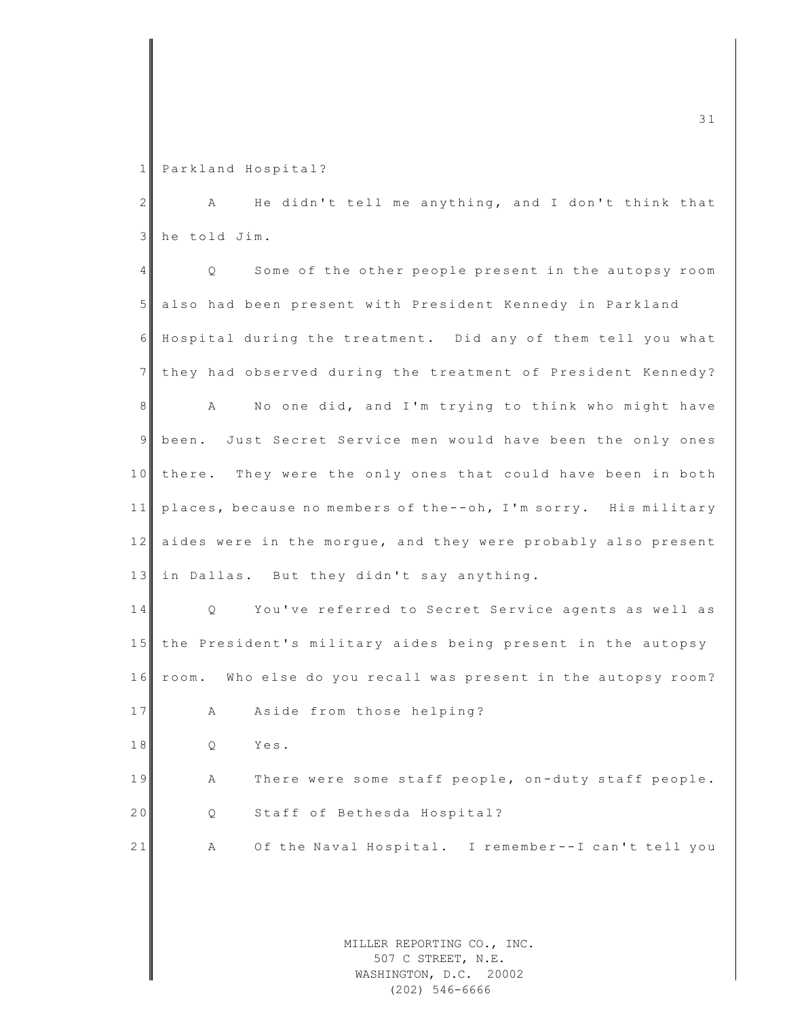1 Parkland Hospital?

2 A He didn't tell me anything, and I don't think that 3 he told Jim.

4 Q Some of the other people present in the autopsy room 5 also had been present with President Kennedy in Parkland 6 Hospital during the treatment. Did any of them tell you what 7 they had observed during the treatment of President Kennedy? 8 A No one did, and I'm trying to think who might have 9 been. Just Secret Service men would have been the only ones 10 there. They were the only ones that could have been in both 11 places, because no members of the--oh, I'm sorry. His military 12 aides were in the morgue, and they were probably also present 13 in Dallas. But they didn't say anything. 14 Q You've referred to Secret Service agents as well as 15 the President's military aides being present in the autopsy 16 room. Who else do you recall was present in the autopsy room? 17 A Aside from those helping? 18 Q Yes. 19 A There were some staff people, on-duty staff people. 20 Q Staff of Bethesda Hospital? 21 A Of the Naval Hospital. I remember--I can't tell you

> MILLER REPORTING CO., INC. 507 C STREET, N.E. WASHINGTON, D.C. 20002 (202) 546-6666

m c  $\frac{1}{3}$  3 1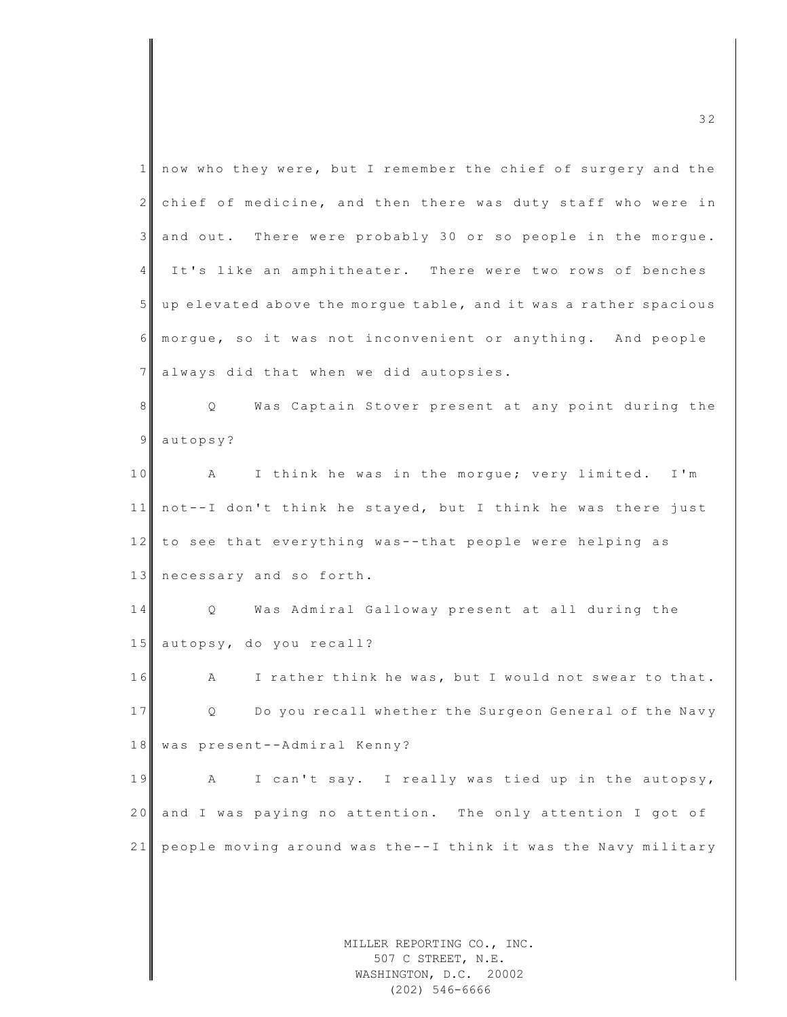| $\mathbf{1}$    | now who they were, but I remember the chief of surgery and the             |
|-----------------|----------------------------------------------------------------------------|
| $\mathbf{2}$    | chief of medicine, and then there was duty staff who were in               |
| $\mathcal{E}$   | and out. There were probably 30 or so people in the morgue.                |
| 4               | It's like an amphitheater. There were two rows of benches                  |
| 5 <sup>1</sup>  | up elevated above the morgue table, and it was a rather spacious           |
| 6               | morgue, so it was not inconvenient or anything. And people                 |
| $7\phantom{.0}$ | always did that when we did autopsies.                                     |
| 8               | Was Captain Stover present at any point during the<br>$Q \qquad \qquad$    |
| $\overline{9}$  | autopsy?                                                                   |
| 10              | $\mathbb A$<br>I think he was in the morgue; very limited. I'm             |
| 11              | not--I don't think he stayed, but I think he was there just                |
| 12              | to see that everything was--that people were helping as                    |
| 13              | necessary and so forth.                                                    |
| 14              | Was Admiral Galloway present at all during the<br>Q                        |
| 15              | autopsy, do you recall?                                                    |
| 16              | I rather think he was, but I would not swear to that.<br>A                 |
| 17              | Do you recall whether the Surgeon General of the Navy<br>Q                 |
| 18              | was present--Admiral Kenny?                                                |
| 19              | I can't say. I really was tied up in the autopsy,<br>А                     |
| 20              | and I was paying no attention. The only attention I got of                 |
| 21              | people moving around was the--I think it was the Navy military             |
|                 |                                                                            |
|                 |                                                                            |
|                 | MILLER REPORTING CO., INC.<br>507 C STREET, N.E.<br>WASHINGTON, D.C. 20002 |

(202) 546-6666

m c  $\overline{3}$  2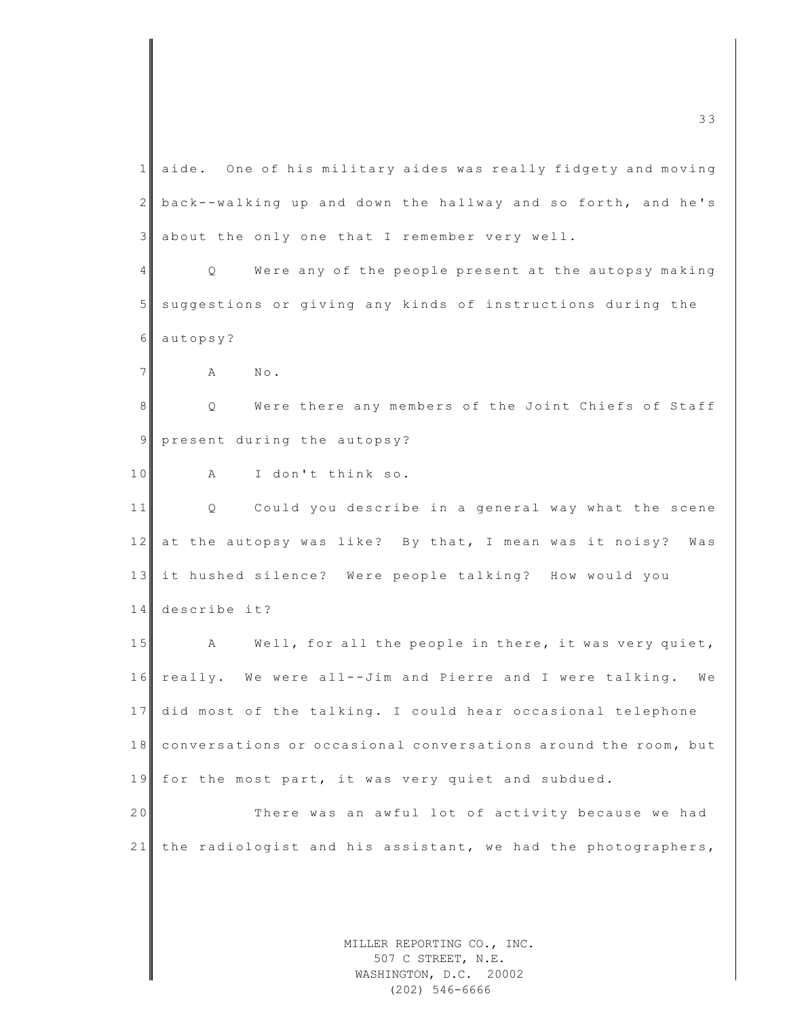MILLER REPORTING CO., INC. 1 aide. One of his military aides was really fidgety and moving 2 back - -walking up and down the hallway and so forth, and he's 3 about the only one that I remember very well. 4 | Q Were any of the people present at the autopsy making 5 suggestions or giving any kinds of instructions during the 6 autopsy? 7 **A** No. 8 Q Were there any members of the Joint Chiefs of Staff  $9$  present during the autopsy? 10 A I don't think so. 11 Q Could you describe in a general way what the scene 12 at the autopsy was like? By that, I mean was it noisy? Was 13 it hushed silence? Were people talking? How would you 14 describe it? 15 A Well, for all the people in there, it was very quiet, 16 really. We were all--Jim and Pierre and I were talking. We 17 did most of the talking. I could hear occasional telephone 18 conversations or occasional conversations around the room, but 19 for the most part, it was very quiet and subdued. 20 There was an awful lot of activity because we had 21 the radiologist and his assistant, we had the photographers,

507 C STREET, N.E. WASHINGTON, D.C. 20002 (202) 546-6666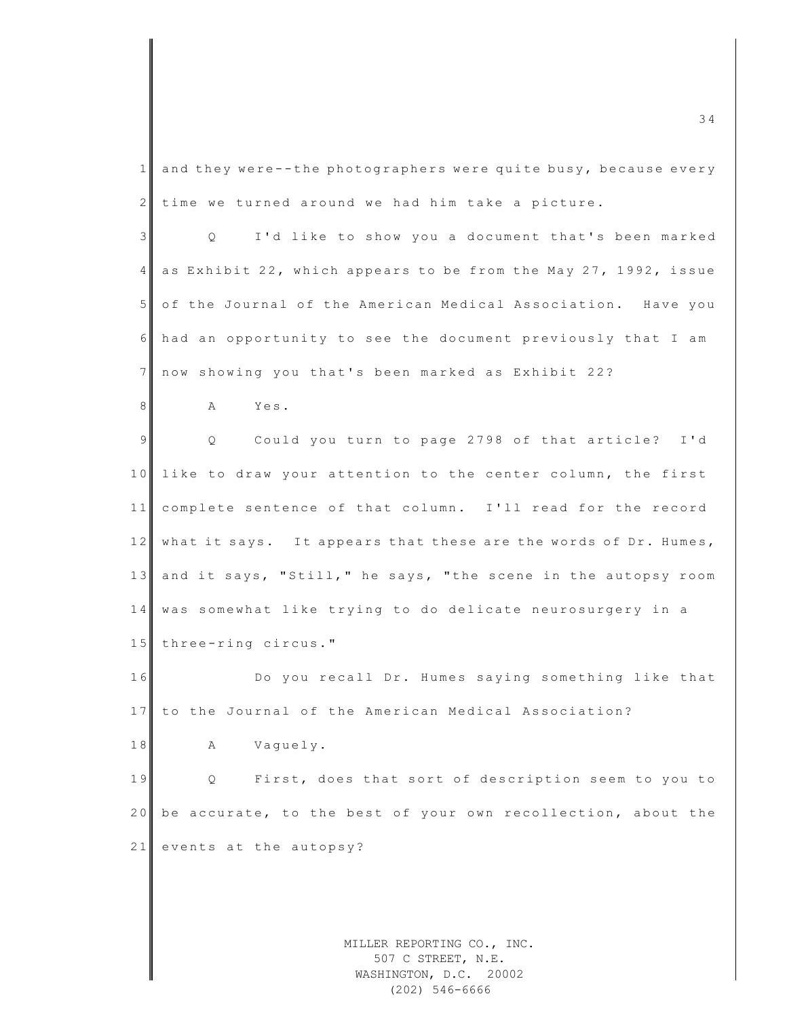| $\mathbf{1}$    | and they were--the photographers were quite busy, because every         |
|-----------------|-------------------------------------------------------------------------|
| $\mathbf{2}$    | time we turned around we had him take a picture.                        |
| 3               | I'd like to show you a document that's been marked<br>$Q \qquad \qquad$ |
| $\overline{4}$  | as Exhibit 22, which appears to be from the May 27, 1992, issue         |
| 5 <sup>1</sup>  | of the Journal of the American Medical Association. Have you            |
| 6               | had an opportunity to see the document previously that I am             |
| $7\phantom{.0}$ | now showing you that's been marked as Exhibit 22?                       |
| 8               | Yes.<br>A                                                               |
| $\overline{9}$  | Q Could you turn to page 2798 of that article? I'd                      |
| 10              | like to draw your attention to the center column, the first             |
| 11              | complete sentence of that column. I'll read for the record              |
| 12              | what it says. It appears that these are the words of Dr. Humes,         |
| 13              | and it says, "Still," he says, "the scene in the autopsy room           |
| 14              | was somewhat like trying to do delicate neurosurgery in a               |
| 15              | three-ring circus."                                                     |
| 16              | Do you recall Dr. Humes saying something like that                      |
| 17              | to the Journal of the American Medical Association?                     |
| $1\;8$          | Vaguely.<br>Α                                                           |
| 19              | First, does that sort of description seem to you to<br>Q                |
| 20              | be accurate, to the best of your own recollection, about the            |
| 21              | events at the autopsy?                                                  |
|                 |                                                                         |
|                 |                                                                         |

MILLER REPORTING CO., INC. 507 C STREET, N.E. WASHINGTON, D.C. 20002 (202) 546-6666

 $\frac{34}{2}$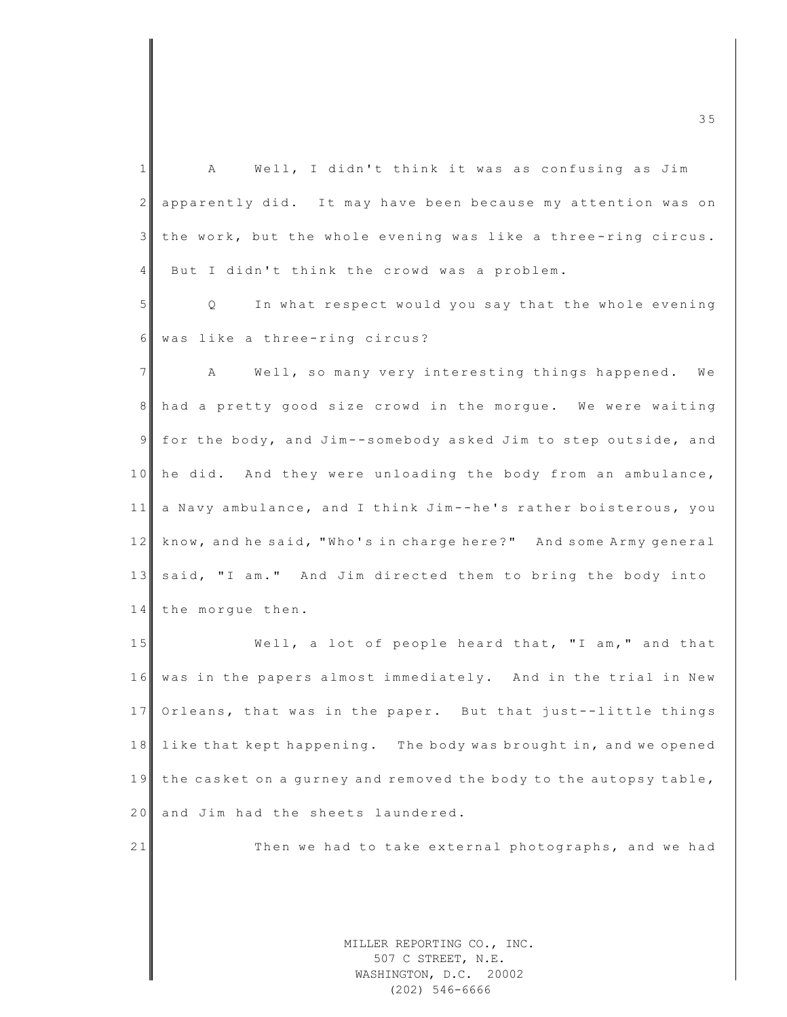1 A Well, I didn't think it was as confusing as Jim 2 apparently did. It may have been because my attention was on  $3$  the work, but the whole evening was like a three-ring circus. 4 But I didn't think the crowd was a problem. 5 | Q In what respect would you say that the whole evening 6 was like a three-ring circus? 7 A Well, so many very interesting things happened. We 8 had a pretty good size crowd in the morgue. We were waiting 9 for the body, and Jim--somebody asked Jim to step outside, and 10 he did. And they were unloading the body from an ambulance, 11 a Navy ambulance, and I think Jim--he's rather boisterous, you 12 know, and he said, "Who's in charge here?" And some Army general 13 said, "I am." And Jim directed them to bring the body into 14 the morque then. 15 Well, a lot of people heard that, "I am," and that 16 was in the papers almost immediately. And in the trial in New 17 Orleans, that was in the paper. But that just--little things 18 like that kept happening. The body was brought in, and we opened 19 the casket on a gurney and removed the body to the autopsy table, 20 and Jim had the sheets laundered. 21 Then we had to take external photographs, and we had

> MILLER REPORTING CO., INC. 507 C STREET, N.E. WASHINGTON, D.C. 20002 (202) 546-6666

m c  $\blacksquare$  and  $\blacksquare$  and  $\blacksquare$  and  $\blacksquare$  and  $\blacksquare$  and  $\blacksquare$  and  $\blacksquare$  and  $\blacksquare$  and  $\blacksquare$  and  $\blacksquare$  and  $\blacksquare$  and  $\blacksquare$  and  $\blacksquare$  and  $\blacksquare$  and  $\blacksquare$  and  $\blacksquare$  and  $\blacksquare$  and  $\blacksquare$  and  $\blacksquare$  and  $\blacksquare$  a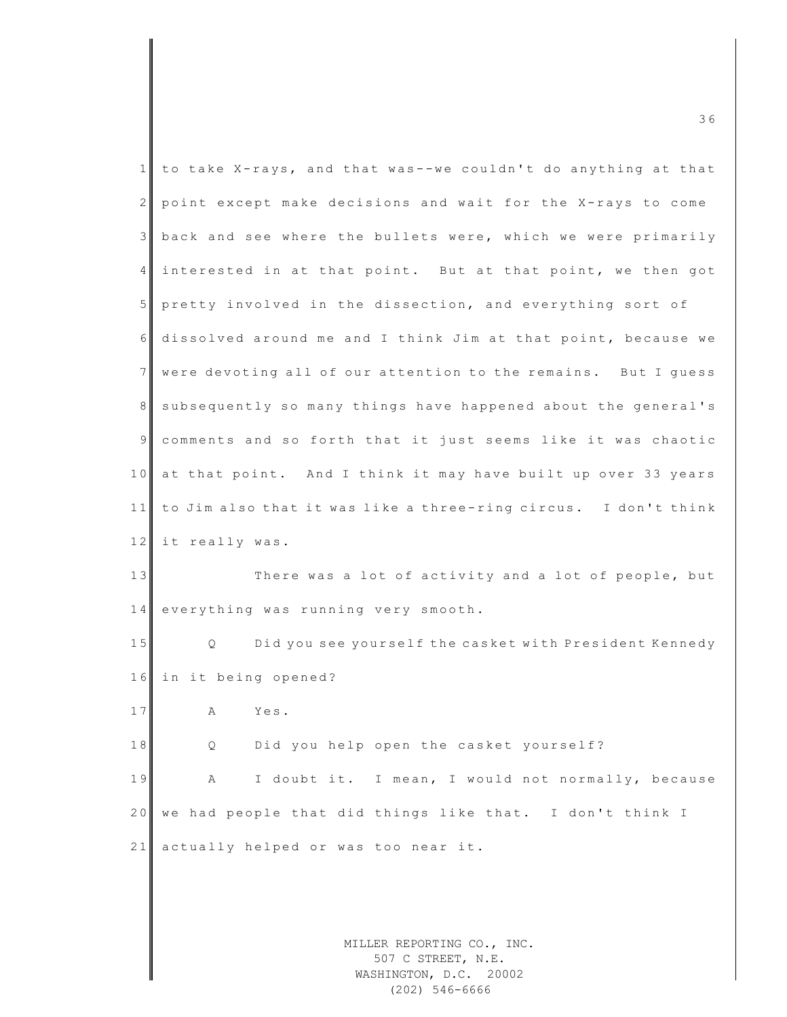| $\mathbf 1$    | to take X-rays, and that was--we couldn't do anything at that               |
|----------------|-----------------------------------------------------------------------------|
| $\overline{2}$ | point except make decisions and wait for the X-rays to come                 |
| 3              | back and see where the bullets were, which we were primarily                |
| $\overline{4}$ | interested in at that point. But at that point, we then got                 |
| 5 <sup>5</sup> | pretty involved in the dissection, and everything sort of                   |
| 6              | dissolved around me and I think Jim at that point, because we               |
| 7              | were devoting all of our attention to the remains. But I guess              |
| 8              | subsequently so many things have happened about the general's               |
| $\overline{9}$ | comments and so forth that it just seems like it was chaotic                |
| 10             | at that point. And I think it may have built up over 33 years               |
| 11             | to Jim also that it was like a three-ring circus. I don't think             |
| 12             | it really was.                                                              |
| 13             | There was a lot of activity and a lot of people, but                        |
| 14             | everything was running very smooth.                                         |
| 15             | Did you see yourself the casket with President Kennedy<br>$Q \qquad \qquad$ |
| 16             | in it being opened?                                                         |
| 17             | Α<br>Yes.                                                                   |
| $1\;8$         | Did you help open the casket yourself?<br>Q                                 |
| 19             | I doubt it. I mean, I would not normally, because<br>Α                      |
| 20             | we had people that did things like that. I don't think I                    |
| 21             | actually helped or was too near it.                                         |
|                |                                                                             |
|                |                                                                             |
|                | MILLER REPORTING CO., INC.                                                  |

m c  $\sim$  3 6

507 C STREET, N.E. WASHINGTON, D.C. 20002 (202) 546-6666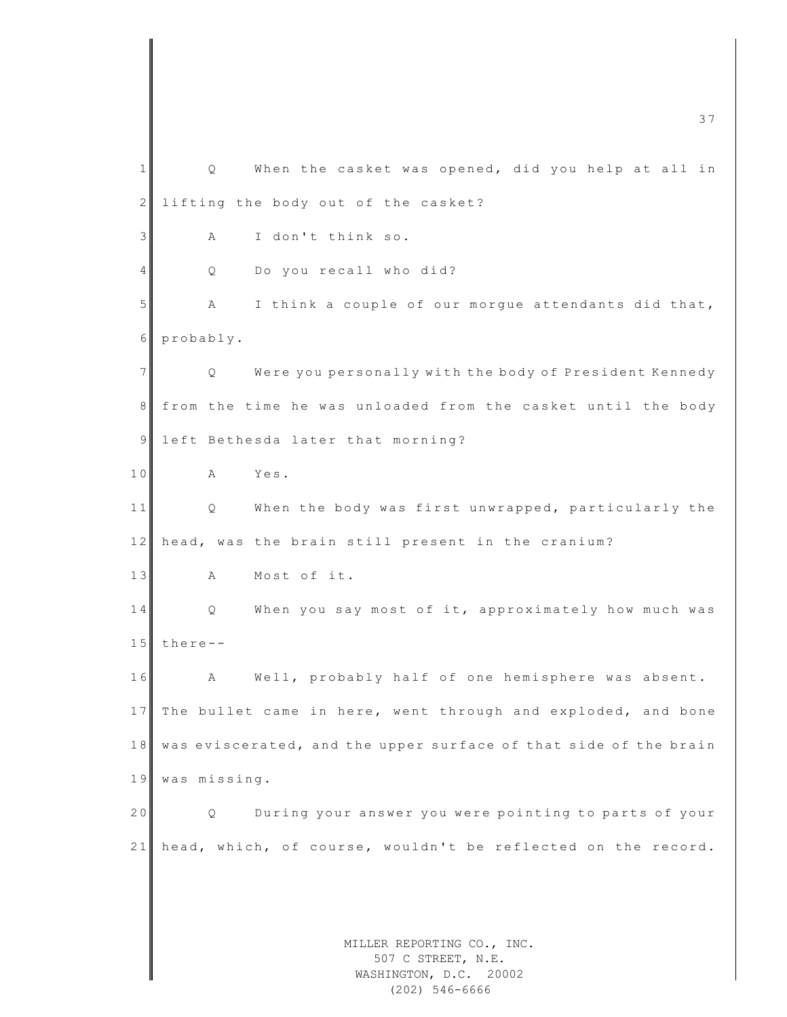MILLER REPORTING CO., INC. 507 C STREET, N.E. WASHINGTON, D.C. 20002 m c  $\overline{37}$ 1 | Q When the casket was opened, did you help at all in 2 lifting the body out of the casket? 3 A I don't think so. 4 Q Do you recall who did? 5 A I think a couple of our morgue attendants did that, 6 probably. 7 Q Were you personally with the body of President Kennedy 8 from the time he was unloaded from the casket until the body 9 left Bethesda later that morning? 10 A Yes. 11 Q When the body was first unwrapped, particularly the 12 head, was the brain still present in the cranium? 13 A Most of it. 14 Q When you say most of it, approximately how much was  $15$  there --16 A Well, probably half of one hemisphere was absent. 17 The bullet came in here, went through and exploded, and bone 18 was eviscerated, and the upper surface of that side of the brain 19 was missing. 20 Q During your answer you were pointing to parts of your 21 head, which, of course, wouldn't be reflected on the record.

(202) 546-6666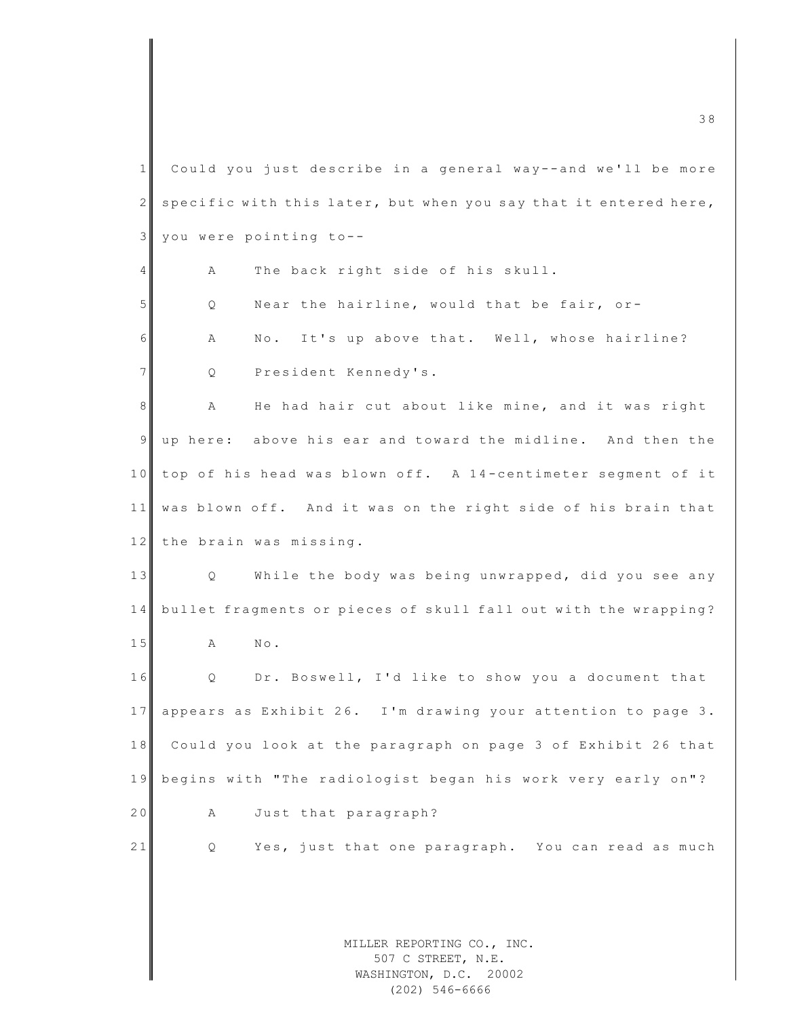MILLER REPORTING CO., INC.  $1$  Could you just describe in a general way--and we'll be more 2 specific with this later, but when you say that it entered here,  $3$  you were pointing to--4 A The back right side of his skull. 5 Q Near the hairline, would that be fair, or-6 A No. It's up above that. Well, whose hairline? 7 Q President Kennedy's. 8 A He had hair cut about like mine, and it was right 9 up here: above his ear and toward the midline. And then the 10 top of his head was blown off. A 14-centimeter segment of it 11 was blown off. And it was on the right side of his brain that 12 the brain was missing. 13 Q While the body was being unwrapped, did you see any 14 bullet fragments or pieces of skull fall out with the wrapping? 15 A No. 16 Q Dr. Boswell, I'd like to show you a document that 17 appears as Exhibit 26. I'm drawing your attention to page 3. 18 Could you look at the paragraph on page 3 of Exhibit 26 that 1 9 begins with "The radiologist began his work very early on"? 20 A Just that paragraph? 21 Q Yes, just that one paragraph. You can read as much

507 C STREET, N.E. WASHINGTON, D.C. 20002 (202) 546-6666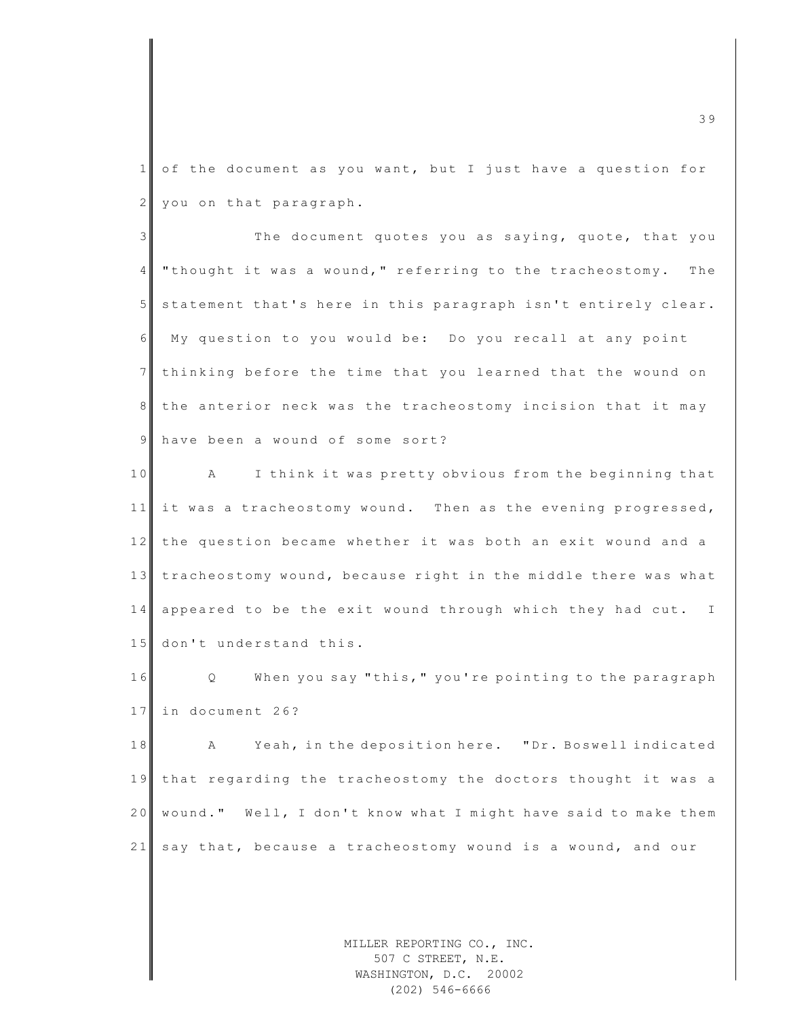$1 \mid$  of the document as you want, but I just have a question for  $2$  you on that paragraph.

3 The document quotes you as saying, quote, that you 4 "thought it was a wound," referring to the tracheostomy. The 5 statement that's here in this paragraph isn't entirely clear. 6 My question to you would be: Do you recall at any point 7 thinking before the time that you learned that the wound on 8 the anterior neck was the tracheostomy incision that it may 9 have been a wound of some sort?

10 A I think it was pretty obvious from the beginning that 11 it was a tracheostomy wound. Then as the evening progressed, 12 the question became whether it was both an exit wound and a 13 tracheostomy wound, because right in the middle there was what 14 appeared to be the exit wound through which they had cut. I 15 don't understand this.

16 Q When you say "this, " you're pointing to the paragraph 17 in document 26?

18 A Yeah, in the deposition here. "Dr. Boswell indicated 19 that regarding the tracheostomy the doctors thought it was a 20 wound." Well, I don't know what I might have said to make them 21 say that, because a tracheostomy wound is a wound, and our

> MILLER REPORTING CO., INC. 507 C STREET, N.E. WASHINGTON, D.C. 20002 (202) 546-6666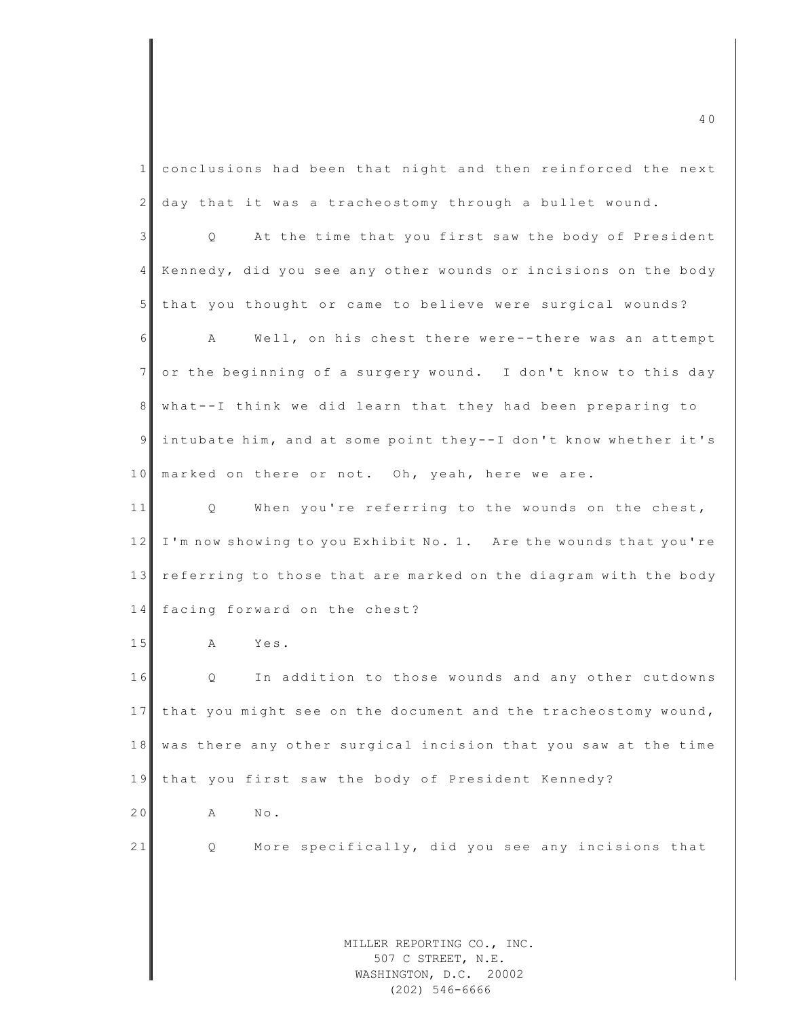| $\mathbf{1}$    | conclusions had been that night and then reinforced the next               |
|-----------------|----------------------------------------------------------------------------|
| 2               | day that it was a tracheostomy through a bullet wound.                     |
| 3               | At the time that you first saw the body of President<br>Q.                 |
| 4               | Kennedy, did you see any other wounds or incisions on the body             |
| 5               | that you thought or came to believe were surgical wounds?                  |
| 6               | A<br>Well, on his chest there were--there was an attempt                   |
| $7\phantom{.0}$ | or the beginning of a surgery wound. I don't know to this day              |
| 8               | what--I think we did learn that they had been preparing to                 |
| $\mathsf{S}$    | intubate him, and at some point they--I don't know whether it's            |
| 10              | marked on there or not. Oh, yeah, here we are.                             |
| 11              | When you're referring to the wounds on the chest,<br>Q                     |
| 12              | I'm now showing to you Exhibit No. 1. Are the wounds that you're           |
| 13              | referring to those that are marked on the diagram with the body            |
| 14              | facing forward on the chest?                                               |
| 15              | Yes.<br>A                                                                  |
| 16              | Q<br>In addition to those wounds and any other cutdowns                    |
| 17              | that you might see on the document and the tracheostomy wound,             |
| 18              | was there any other surgical incision that you saw at the time             |
| 19              | that you first saw the body of President Kennedy?                          |
| 20              | $\mathbb{N}\circ$ .<br>Α                                                   |
| 21              | More specifically, did you see any incisions that<br>Q                     |
|                 |                                                                            |
|                 |                                                                            |
|                 | MILLER REPORTING CO., INC.<br>507 C STREET, N.E.<br>WASHINGTON, D.C. 20002 |

(202) 546-6666

 $\overline{a}$  4 0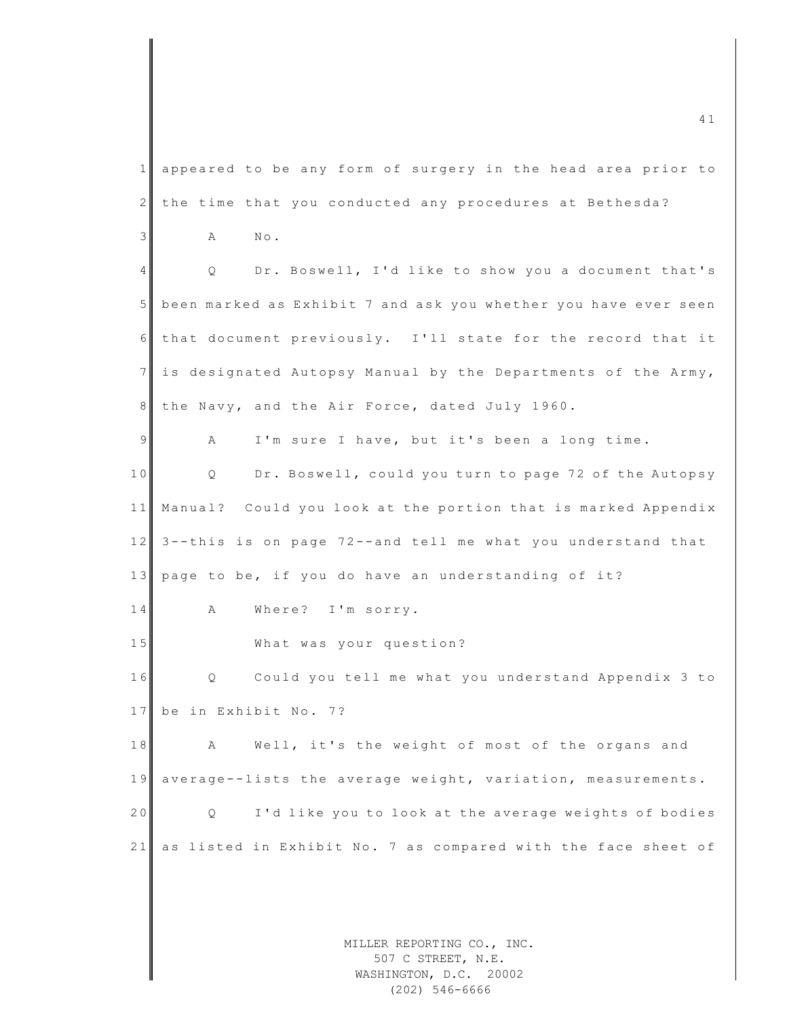MILLER REPORTING CO., INC.  $\frac{41}{41}$ 1 appeared to be any form of surgery in the head area prior to 2 the time that you conducted any procedures at Bethesda?  $3$  A No. 4 Q Dr. Boswell, I'd like to show you a document that's 5 been marked as Exhibit 7 and ask you whether you have ever seen 6 that document previously. I'll state for the record that it 7 is designated Autopsy Manual by the Departments of the Army, 8 the Navy, and the Air Force, dated July 1960. 9 A I'm sure I have, but it's been a long time. 10 Q Dr. Boswell, could you turn to page 72 of the Autopsy 11 Manual? Could you look at the portion that is marked Appendix 12 3 -- this is on page 72 -- and tell me what you understand that 13 page to be, if you do have an understanding of it? 14 A Where? I'm sorry. 15 What was your question? 16 Q Could you tell me what you understand Appendix 3 to 17 be in Exhibit No. 7? 18 A Well, it's the weight of most of the organs and 19 average--lists the average weight, variation, measurements. 20 Q I'd like you to look at the average weights of bodies 21 as listed in Exhibit No. 7 as compared with the face sheet of

507 C STREET, N.E. WASHINGTON, D.C. 20002 (202) 546-6666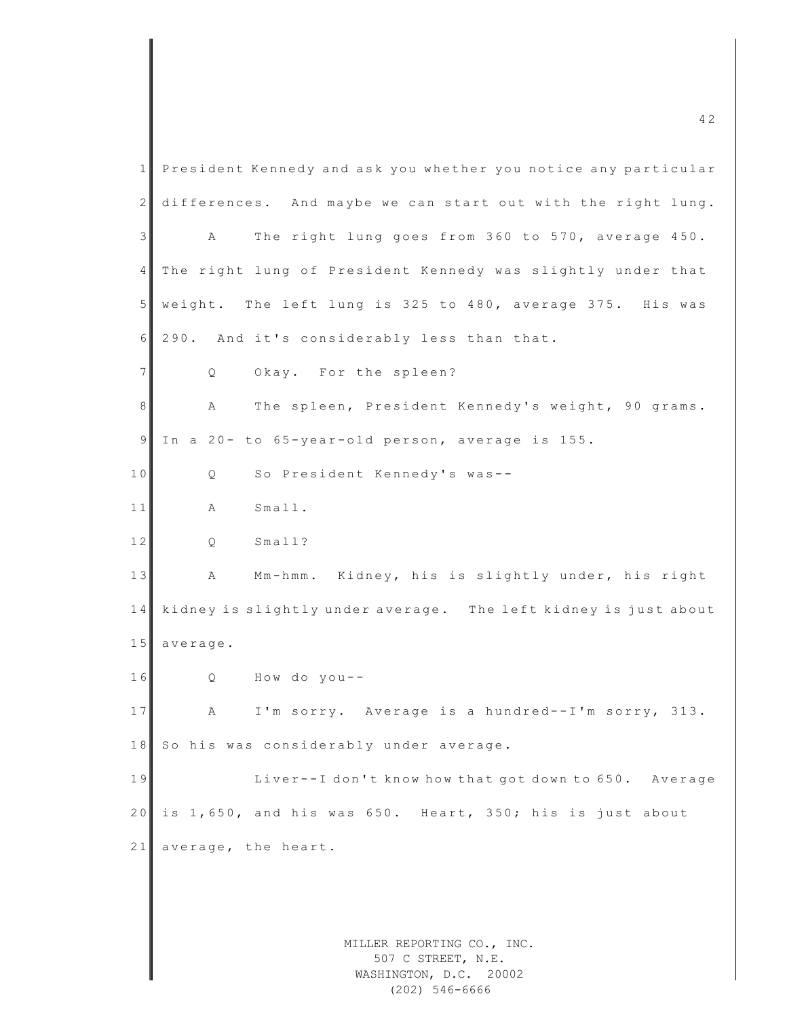| 1  | President Kennedy and ask you whether you notice any particular |
|----|-----------------------------------------------------------------|
| 2  | differences. And maybe we can start out with the right lung.    |
| 3  | The right lung goes from 360 to 570, average 450.<br>Α          |
| 4  | The right lung of President Kennedy was slightly under that     |
| 5  | weight. The left lung is 325 to 480, average 375. His was       |
| 6  | 290. And it's considerably less than that.                      |
| 7  | Okay. For the spleen?<br>Q                                      |
| 8  | The spleen, President Kennedy's weight, 90 grams.<br>Α          |
| 9  | In a 20- to 65-year-old person, average is 155.                 |
| 10 | So President Kennedy's was--<br>Q                               |
| 11 | Small.<br>Α                                                     |
| 12 | Small?<br>Q                                                     |
| 13 | Mm-hmm. Kidney, his is slightly under, his right<br>A           |
| 14 | kidney is slightly under average. The left kidney is just about |
| 15 | average.                                                        |
| 16 | How do you--<br>Q                                               |
| 17 | I'm sorry. Average is a hundred--I'm sorry, 313.<br>Α           |
| 18 | So his was considerably under average.                          |
| 19 | Liver--I don't know how that got down to 650. Average           |
| 20 | is 1,650, and his was 650. Heart, 350; his is just about        |
| 21 | average, the heart.                                             |
|    |                                                                 |
|    |                                                                 |
|    | MILLER REPORTING CO., INC.                                      |
|    | 507 C STREET, N.E.<br>WASHINGTON, D.C. 20002                    |

(202) 546-6666

 $\overline{4}$  2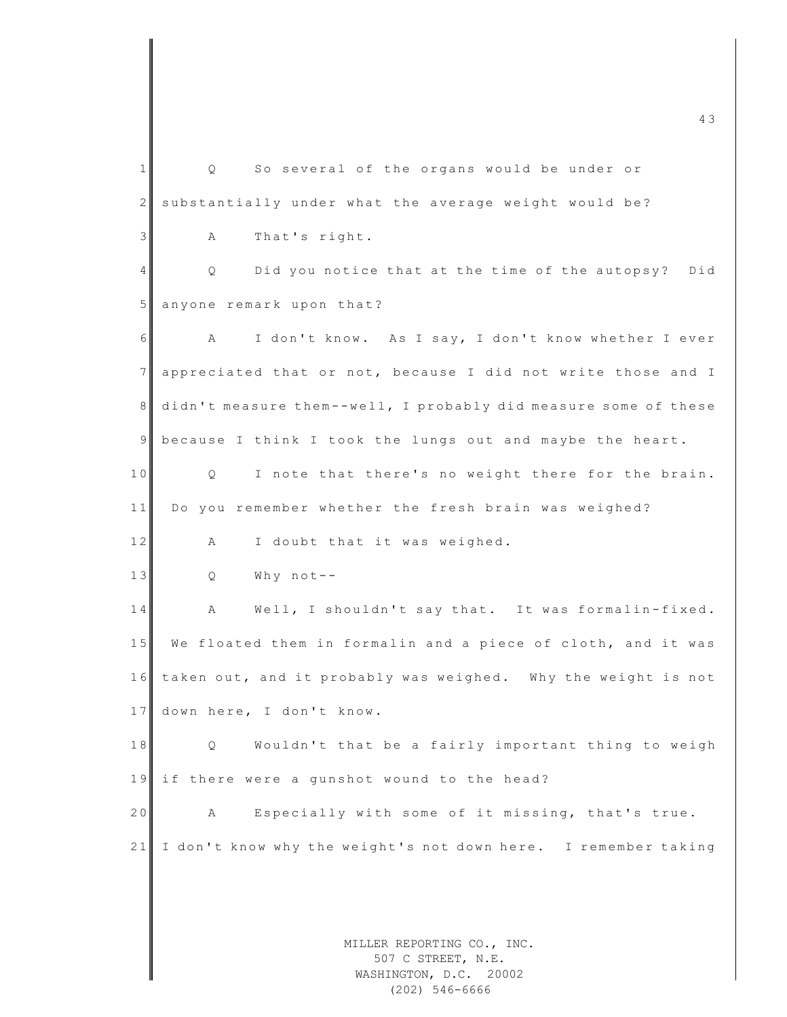MILLER REPORTING CO., INC. 507 C STREET, N.E. 1 Q So several of the organs would be under or 2 substantially under what the average weight would be? 3 A That's right. 4 Q Did you notice that at the time of the autopsy? Did 5 anyone remark upon that? 6 A I don't know. As I say, I don't know whether I ever 7 appreciated that or not, because I did not write those and I 8 didn't measure them--well, I probably did measure some of these 9 because I think I took the lungs out and maybe the heart. 10 Q I note that there's no weight there for the brain. 11 Do you remember whether the fresh brain was weighed? 12 A I doubt that it was weighed. 13 Q Why not--14 A Well, I shouldn't say that. It was formalin-fixed. 15 We floated them in formalin and a piece of cloth, and it was 16 taken out, and it probably was weighed. Why the weight is not 17 down here, I don't know. 18 Q Wouldn't that be a fairly important thing to weigh 19 if there were a qunshot wound to the head? 20 A Especially with some of it missing, that's true. 21 I don't know why the weight's not down here. I remember taking

 $\overline{4}$  3

WASHINGTON, D.C. 20002 (202) 546-6666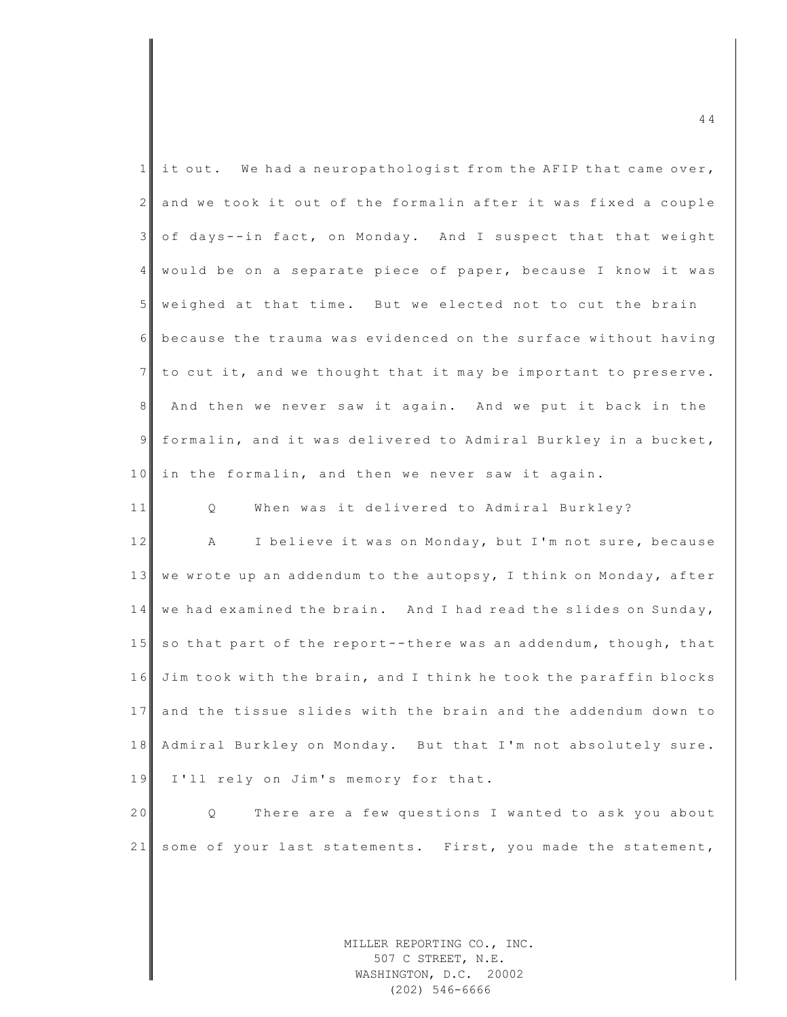| $\mathbf{1}$    | it out. We had a neuropathologist from the AFIP that came over,  |
|-----------------|------------------------------------------------------------------|
| $\mathbf{2}$    | and we took it out of the formalin after it was fixed a couple   |
| $\mathcal{E}$   | of days--in fact, on Monday. And I suspect that that weight      |
| $\overline{4}$  | would be on a separate piece of paper, because I know it was     |
| $5\phantom{.}$  | weighed at that time. But we elected not to cut the brain        |
| 6               | because the trauma was evidenced on the surface without having   |
| $7\phantom{.0}$ | to cut it, and we thought that it may be important to preserve.  |
| 8               | And then we never saw it again. And we put it back in the        |
| $\mathcal{G}$   | formalin, and it was delivered to Admiral Burkley in a bucket,   |
| 10              | in the formalin, and then we never saw it again.                 |
| 11              | When was it delivered to Admiral Burkley?<br>Q                   |
| 12              | I believe it was on Monday, but I'm not sure, because<br>A       |
| 13              | we wrote up an addendum to the autopsy, I think on Monday, after |
| 14              | we had examined the brain. And I had read the slides on Sunday,  |
| 15              | so that part of the report--there was an addendum, though, that  |
| 16              | Jim took with the brain, and I think he took the paraffin blocks |
| 17              | and the tissue slides with the brain and the addendum down to    |
| 18              | Admiral Burkley on Monday. But that I'm not absolutely sure.     |
| 19              | I'll rely on Jim's memory for that.                              |
| 20              | There are a few questions I wanted to ask you about<br>Q.        |
| 21              | some of your last statements. First, you made the statement,     |
|                 |                                                                  |
|                 |                                                                  |
|                 |                                                                  |

MILLER REPORTING CO., INC. 507 C STREET, N.E. WASHINGTON, D.C. 20002 (202) 546-6666

 $\frac{44}{4}$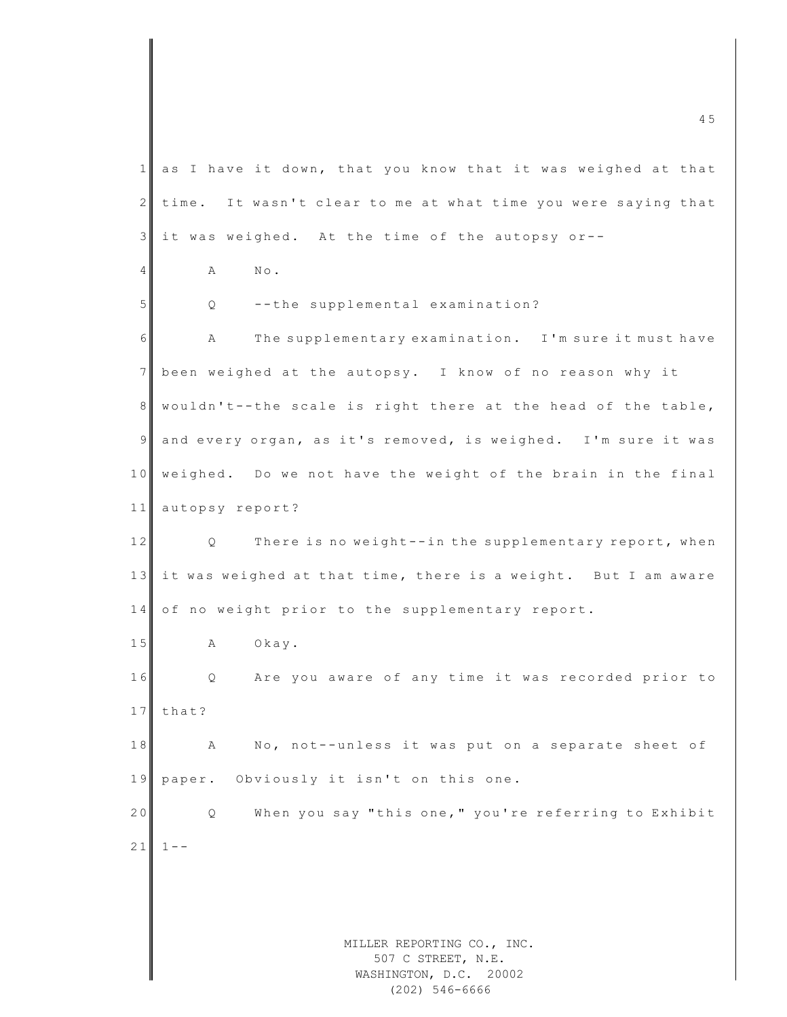MILLER REPORTING CO., INC. 507 C STREET, N.E.  $\frac{4}{5}$  $1$  as I have it down, that you know that it was weighed at that  $2$  time. It wasn't clear to me at what time you were saying that  $3$  it was weighed. At the time of the autopsy or--4 A No. 5 Q --the supplemental examination? 6 A The supplementary examination. I'm sure it must have 7 been weighed at the autopsy. I know of no reason why it 8 wouldn't--the scale is right there at the head of the table, 9 and every organ, as it's removed, is weighed. I'm sure it was 10 weighed. Do we not have the weight of the brain in the final 11 autopsy report? 12 Q There is no weight--in the supplementary report, when 13 it was weighed at that time, there is a weight. But I am aware 14 of no weight prior to the supplementary report. 15 A Okay. 16 Q Are you aware of any time it was recorded prior to 17 that? 18 A No, not--unless it was put on a separate sheet of 19 paper. Obviously it isn't on this one. 20 Q When you say "this one," you're referring to Exhibit  $21$  1 - -

WASHINGTON, D.C. 20002 (202) 546-6666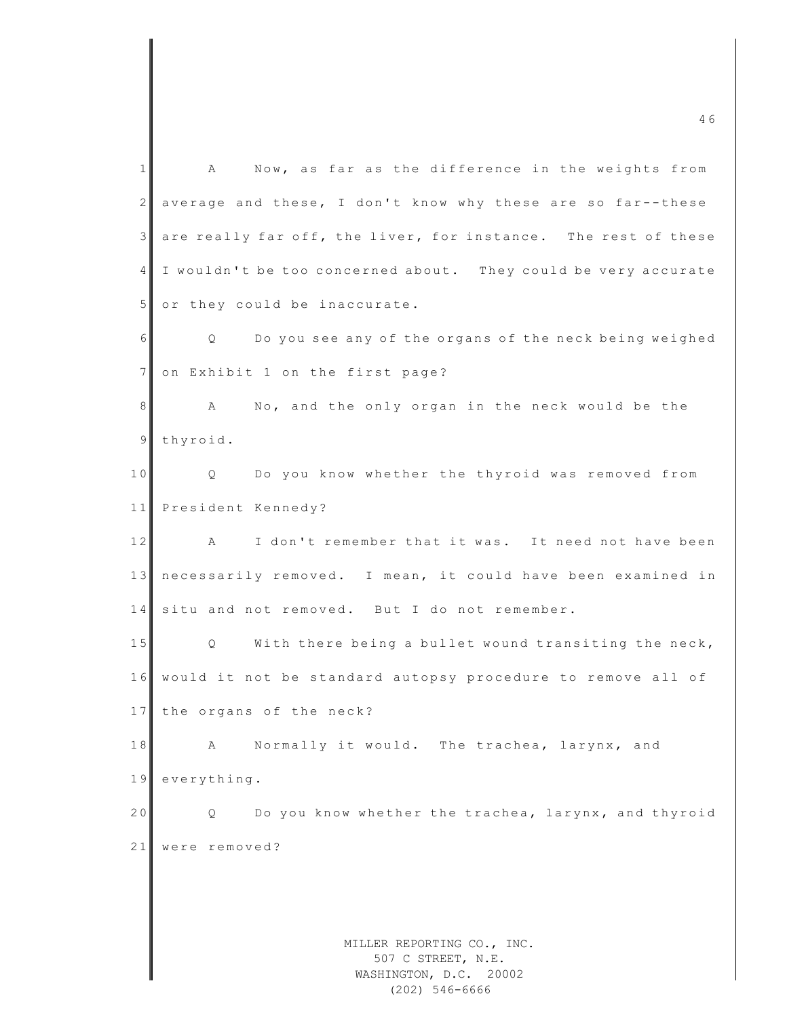MILLER REPORTING CO., INC. 507 C STREET, N.E. WASHINGTON, D.C. 20002 1 A Now, as far as the difference in the weights from 2 average and these, I don't know why these are so far--these 3 are really far off, the liver, for instance. The rest of these 4 I wouldn't be too concerned about. They could be very accurate 5 or they could be inaccurate. 6 Q Do you see any of the organs of the neck being weighed 7 on Exhibit 1 on the first page? 8 A No, and the only organ in the neck would be the 9 thyroid. 10 Q Do you know whether the thyroid was removed from 11 President Kennedy? 12 A I don't remember that it was. It need not have been 13 necessarily removed. I mean, it could have been examined in 14 situ and not removed. But I do not remember. 15 Q With there being a bullet wound transiting the neck, 1 6 would it not be standard autopsy procedure to remove all of 17 the organs of the neck? 18 A Normally it would. The trachea, larynx, and 19 everything. 20 Q Do you know whether the trachea, larynx, and thyroid 21 were removed?

(202) 546-6666

 $\frac{46}{46}$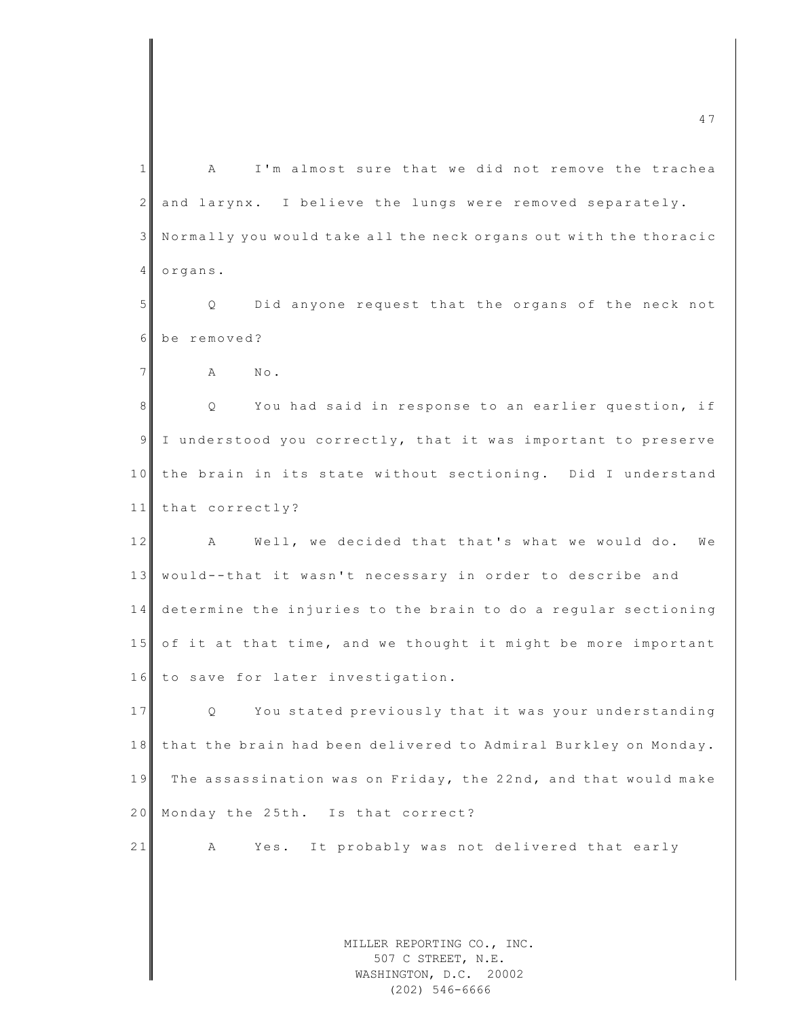MILLER REPORTING CO., INC. 507 C STREET, N.E. 1 A I'm almost sure that we did not remove the trachea 2 and larynx. I believe the lungs were removed separately. 3 Normally you would take all the neck organs out with the thoracic 4 organs. 5 Q Did anyone request that the organs of the neck not 6 be removed? 7 **A** No. 8 Q You had said in response to an earlier question, if 9 I understood you correctly, that it was important to preserve 10 the brain in its state without sectioning. Did I understand 11 that correctly? 12 A Well, we decided that that's what we would do. We 13 would--that it wasn't necessary in order to describe and 14 determine the injuries to the brain to do a reqular sectioning 15 of it at that time, and we thought it might be more important 16 to save for later investigation. 17 Q You stated previously that it was your understanding 18 that the brain had been delivered to Admiral Burkley on Monday. 19 The assassination was on Friday, the 22nd, and that would make 20 Monday the 25th. Is that correct? 21 A Yes. It probably was not delivered that early

 $\overline{a}$  4 7

WASHINGTON, D.C. 20002 (202) 546-6666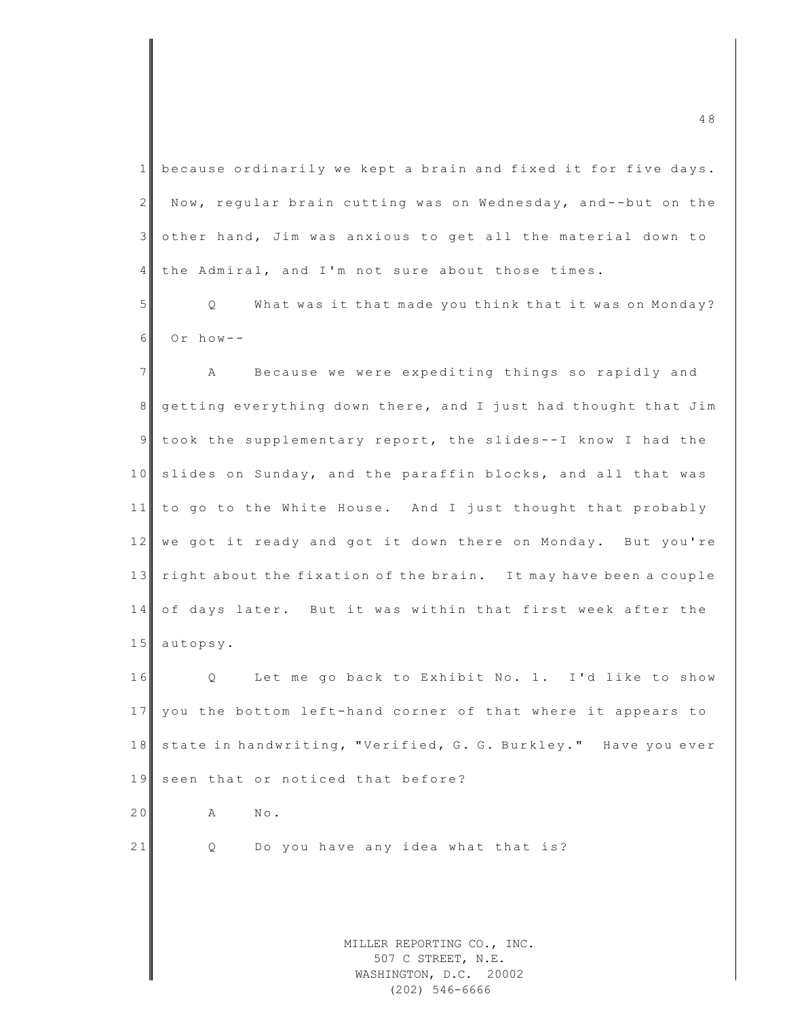| $\mathbf{1}$   | because ordinarily we kept a brain and fixed it for five days.   |
|----------------|------------------------------------------------------------------|
| 2              | Now, regular brain cutting was on Wednesday, and--but on the     |
| $\mathfrak{Z}$ | other hand, Jim was anxious to get all the material down to      |
| $\overline{4}$ | the Admiral, and I'm not sure about those times.                 |
| 5              | What was it that made you think that it was on Monday?<br>Q      |
| 6              | Or $how--$                                                       |
| $\overline{7}$ | Because we were expediting things so rapidly and<br>A            |
| 8 <sup>1</sup> | getting everything down there, and I just had thought that Jim   |
| $\overline{9}$ | took the supplementary report, the slides--I know I had the      |
| 10             | slides on Sunday, and the paraffin blocks, and all that was      |
| 11             | to go to the White House. And I just thought that probably       |
| 12             | we got it ready and got it down there on Monday. But you're      |
| 13             | right about the fixation of the brain. It may have been a couple |
| 14             | of days later. But it was within that first week after the       |
| 15             | autopsy.                                                         |
| 16             | Let me go back to Exhibit No. 1. I'd like to show<br>Q           |
| 17             | you the bottom left-hand corner of that where it appears to      |
| 18             | state in handwriting, "Verified, G. G. Burkley." Have you ever   |
| 19             | seen that or noticed that before?                                |
| 20             | No.<br>А                                                         |
| 21             | Do you have any idea what that is?<br>Q                          |
|                |                                                                  |
|                |                                                                  |
|                | MILLER REPORTING CO., INC.<br>507 C STREET, N.E.                 |
|                | WASHINGTON, D.C. 20002                                           |

(202) 546-6666

 $\overline{48}$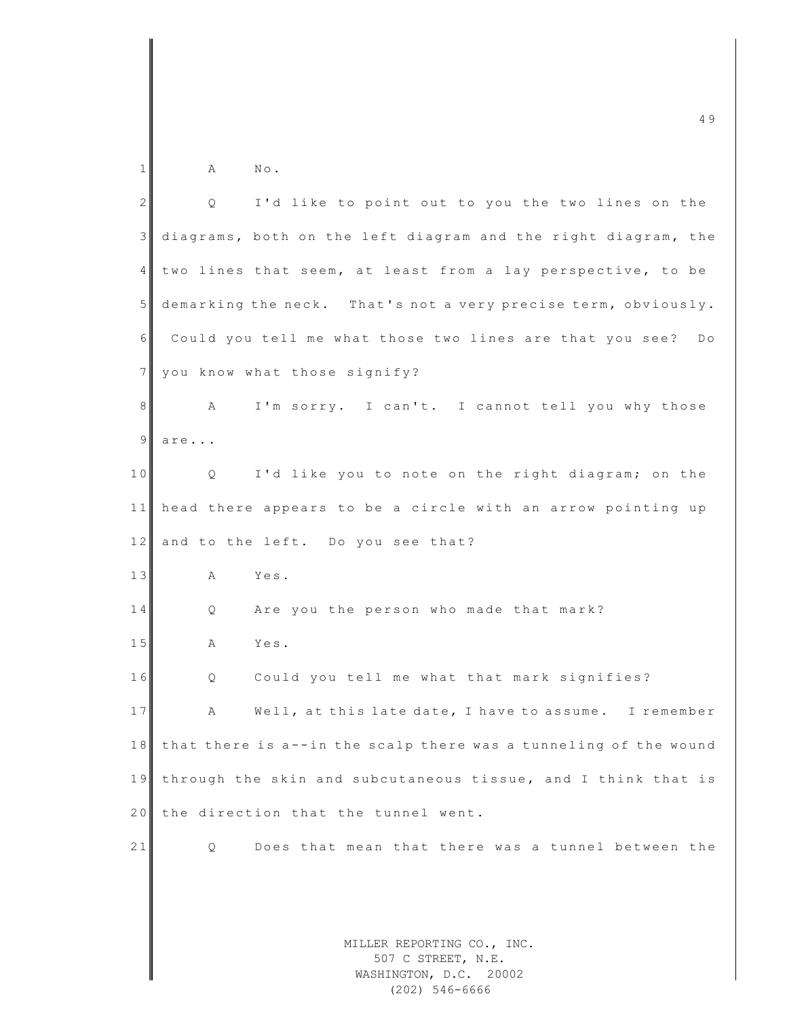| 1              | $\mathbb{N}\circ$ .<br>Α                                                   |
|----------------|----------------------------------------------------------------------------|
| $\overline{2}$ | I'd like to point out to you the two lines on the<br>Q                     |
| $\mathsf 3$    | diagrams, both on the left diagram and the right diagram, the              |
| 4              | two lines that seem, at least from a lay perspective, to be                |
| 5              | demarking the neck. That's not a very precise term, obviously.             |
| 6              | Could you tell me what those two lines are that you see?<br>$D \circ$      |
| 7              | you know what those signify?                                               |
| 8              | I'm sorry. I can't. I cannot tell you why those<br>Α                       |
| $\mathsf 9$    | are                                                                        |
| 10             | I'd like you to note on the right diagram; on the<br>Q                     |
| 11             | head there appears to be a circle with an arrow pointing up                |
| 12             | and to the left. Do you see that?                                          |
| 13             | Yes.<br>A                                                                  |
| 14             | Are you the person who made that mark?<br>Q.                               |
| 15             | A<br>Yes.                                                                  |
| 16             | Could you tell me what that mark signifies?<br>Q                           |
| 17             | Well, at this late date, I have to assume.<br>I remember<br>А              |
| 18             | that there is a--in the scalp there was a tunneling of the wound           |
| 19             | through the skin and subcutaneous tissue, and I think that is              |
| 20             | the direction that the tunnel went.                                        |
| 21             | Q<br>Does that mean that there was a tunnel between the                    |
|                |                                                                            |
|                |                                                                            |
|                | MILLER REPORTING CO., INC.<br>507 C STREET, N.E.<br>WASHINGTON, D.C. 20002 |

(202) 546-6666

 $\overline{4}$  9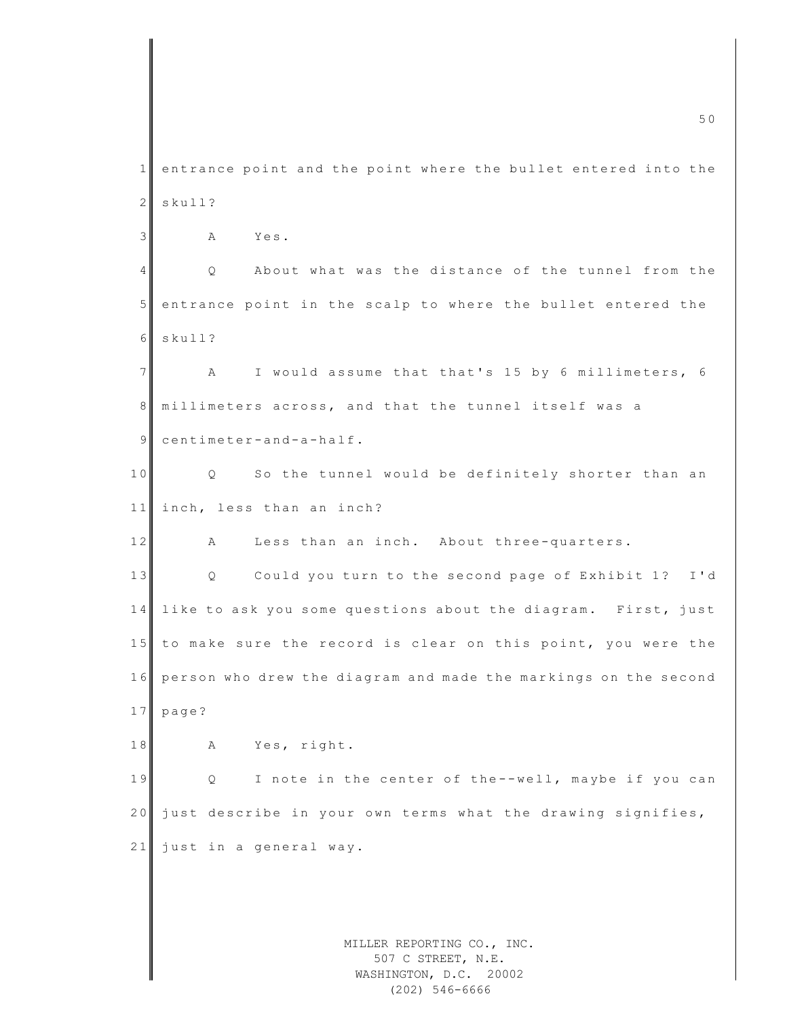MILLER REPORTING CO., INC. 507 C STREET, N.E. m c  $\sim$  5 0  $\sim$  5 0  $\sim$  5 0  $\sim$  5 0  $\sim$  5 0  $\sim$  5 0  $\sim$  5 0  $\sim$  5 0  $\sim$  5 0  $\sim$  5 0  $\sim$  5 0  $\sim$  5 0  $\sim$  5 0  $\sim$  5 0  $\sim$  5 0  $\sim$  5 0  $\sim$  5 0  $\sim$  5 0  $\sim$  5 0  $\sim$  5 0  $\sim$  5 0  $\sim$  5 0  $\sim$  5 0  $\sim$  5 0 1 entrance point and the point where the bullet entered into the 2 skull? 3 A Yes. 4 Q About what was the distance of the tunnel from the 5 entrance point in the scalp to where the bullet entered the 6 skull? 7 A I would assume that that's 15 by 6 millimeters, 6 8 millimeters across, and that the tunnel itself was a 9 centimeter-and-a-half. 10 Q So the tunnel would be definitely shorter than an 11 inch, less than an inch? 12 A Less than an inch. About three-quarters. 13 Q Could you turn to the second page of Exhibit 1? I'd 14 like to ask you some questions about the diagram. First, just 15 to make sure the record is clear on this point, you were the 16 person who drew the diagram and made the markings on the second 17 page? 18 A Yes, right. 19 Q I note in the center of the--well, maybe if you can 20 just describe in your own terms what the drawing signifies,  $21$  just in a general way.

> WASHINGTON, D.C. 20002 (202) 546-6666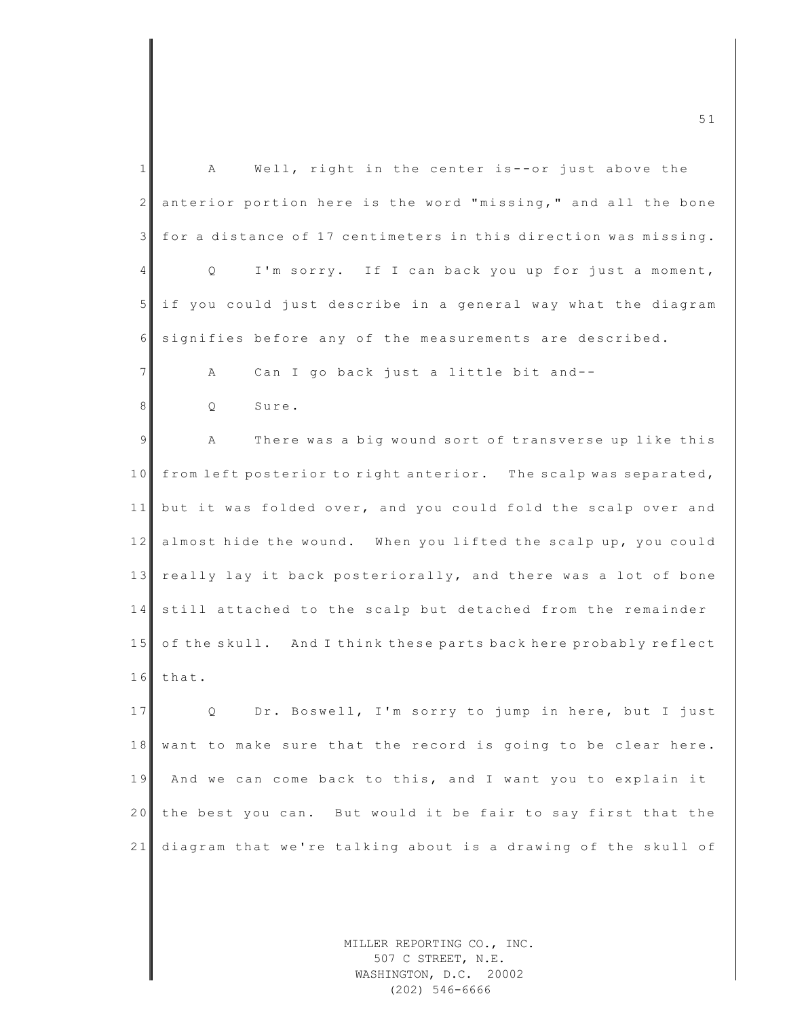| $\mathbf{1}$   | Well, right in the center is--or just above the<br>A             |
|----------------|------------------------------------------------------------------|
| $\mathbf{2}$   | anterior portion here is the word "missing," and all the bone    |
| 3              | for a distance of 17 centimeters in this direction was missing.  |
| 4              | I'm sorry. If I can back you up for just a moment,<br>Q.         |
| 5              | if you could just describe in a general way what the diagram     |
| 6              | signifies before any of the measurements are described.          |
| $\overline{7}$ | Can I go back just a little bit and--<br>Α                       |
| 8              | Sure.<br>Q                                                       |
| $\overline{9}$ | There was a big wound sort of transverse up like this<br>A       |
| 10             | from left posterior to right anterior. The scalp was separated,  |
| 11             | but it was folded over, and you could fold the scalp over and    |
| 12             | almost hide the wound. When you lifted the scalp up, you could   |
| 13             | really lay it back posteriorally, and there was a lot of bone    |
| 14             | still attached to the scalp but detached from the remainder      |
| 15             | of the skull. And I think these parts back here probably reflect |
| 16             | that.                                                            |
| 17             | Dr. Boswell, I'm sorry to jump in here, but I just<br>Q          |
| 18             | want to make sure that the record is going to be clear here.     |
| 19             | And we can come back to this, and I want you to explain it       |
| 20             | the best you can. But would it be fair to say first that the     |
| 21             | diagram that we're talking about is a drawing of the skull of    |
|                |                                                                  |
|                |                                                                  |
|                |                                                                  |

MILLER REPORTING CO., INC. 507 C STREET, N.E. WASHINGTON, D.C. 20002 (202) 546-6666

m c  $\frac{1}{2}$  5 1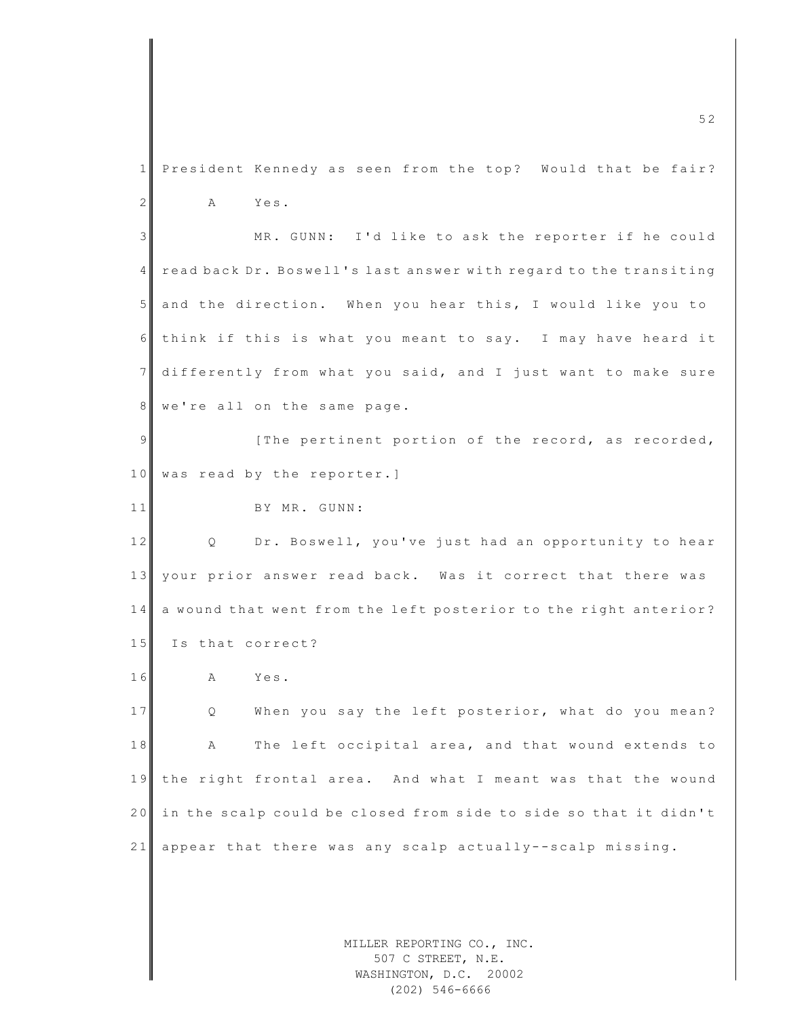1 President Kennedy as seen from the top? Would that be fair? 2 A Yes. 3 MR. GUNN: I'd like to ask the reporter if he could 4 read back Dr. Boswell's last answer with regard to the transiting 5 and the direction. When you hear this, I would like you to 6 think if this is what you meant to say. I may have heard it 7 differently from what you said, and I just want to make sure 8 we're all on the same page. 9 [The pertinent portion of the record, as recorded, 10 was read by the reporter.] 11 BY MR. GUNN: 12 Q Dr. Boswell, you've just had an opportunity to hear 13 your prior answer read back. Was it correct that there was 14 a wound that went from the left posterior to the right anterior? 15 Is that correct? 16 A Yes. 17 Q When you say the left posterior, what do you mean? 18 A The left occipital area, and that wound extends to 19 the right frontal area. And what I meant was that the wound 20 in the scalp could be closed from side to side so that it didn't 21 appear that there was any scalp actually--scalp missing.

> MILLER REPORTING CO., INC. 507 C STREET, N.E. WASHINGTON, D.C. 20002 (202) 546-6666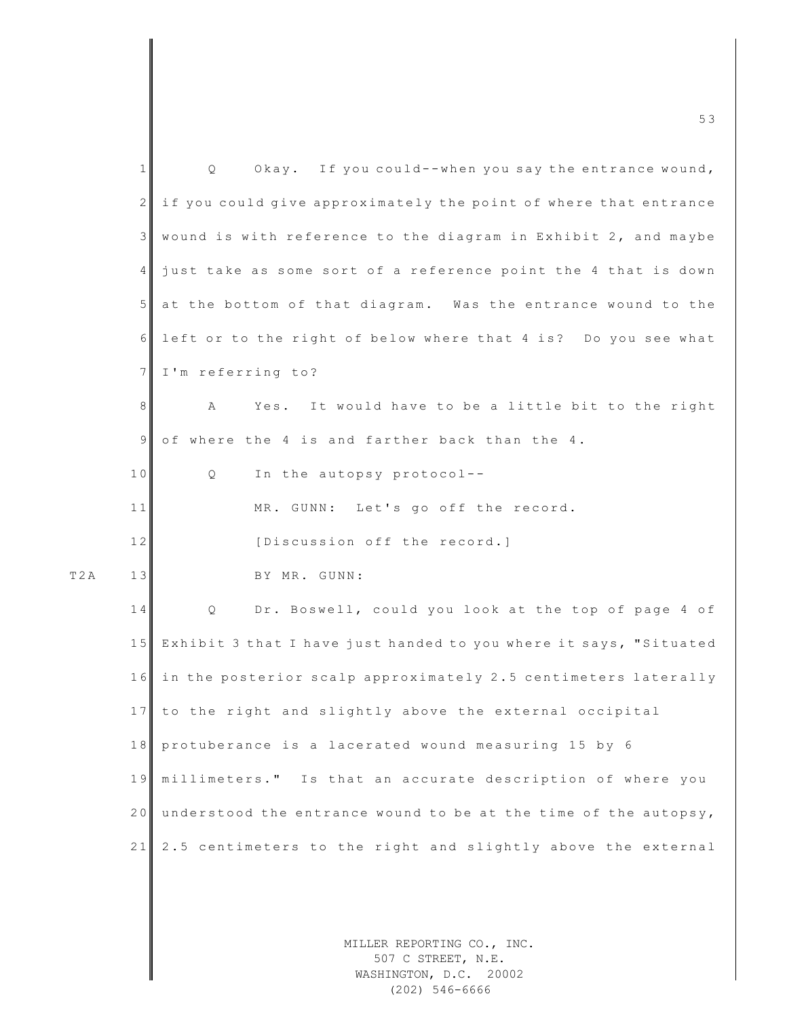| 1  | Okay. If you could--when you say the entrance wound,<br>Q                  |
|----|----------------------------------------------------------------------------|
| 2  | if you could give approximately the point of where that entrance           |
| 3  | wound is with reference to the diagram in Exhibit 2, and maybe             |
| 4  | just take as some sort of a reference point the 4 that is down             |
| 5  | at the bottom of that diagram. Was the entrance wound to the               |
| 6  | left or to the right of below where that 4 is? Do you see what             |
| 7  | I'm referring to?                                                          |
| 8  | Α<br>Yes. It would have to be a little bit to the right                    |
| 9  | of where the 4 is and farther back than the 4.                             |
| 10 | In the autopsy protocol--<br>Q                                             |
| 11 | MR. GUNN: Let's go off the record.                                         |
| 12 | [Discussion off the record.]                                               |
| 13 | BY MR. GUNN:                                                               |
| 14 | Dr. Boswell, could you look at the top of page 4 of<br>Q                   |
| 15 | Exhibit 3 that I have just handed to you where it says, "Situated          |
| 16 | in the posterior scalp approximately 2.5 centimeters laterally             |
| 17 | to the right and slightly above the external occipital                     |
| 18 | protuberance is a lacerated wound measuring 15 by 6                        |
| 19 | millimeters." Is that an accurate description of where you                 |
| 20 | understood the entrance wound to be at the time of the autopsy,            |
| 21 | 2.5 centimeters to the right and slightly above the external               |
|    |                                                                            |
|    |                                                                            |
|    | MILLER REPORTING CO., INC.<br>507 C STREET, N.E.<br>WASHINGTON, D.C. 20002 |

T 2 A

(202) 546-6666

m c  $\sim$  5 3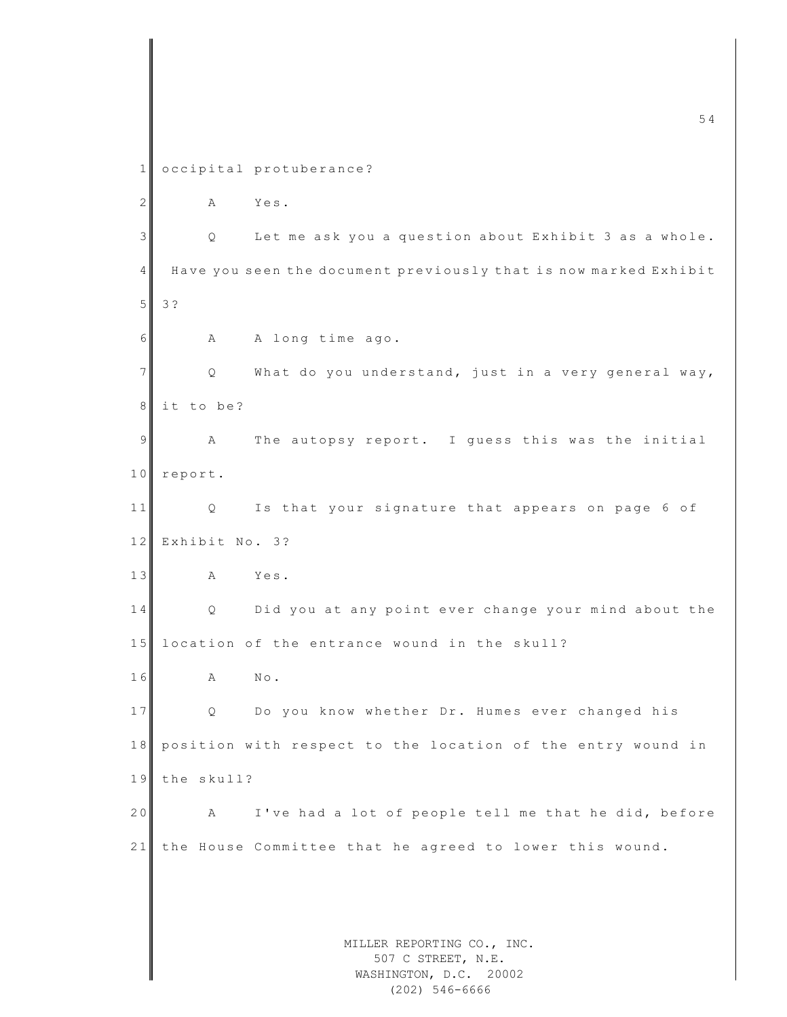MILLER REPORTING CO., INC. 507 C STREET, N.E. WASHINGTON, D.C. 20002  $\frac{1}{54}$ 1 occipital protuberance? 2 A Yes. 3 | Q Let me ask you a question about Exhibit 3 as a whole. 4 H ave you seen the document previously that is now marked Exhibit 5 3 ? 6 A A long time ago. 7 | Q What do you understand, just in a very general way, 8 it to be? 9 A The autopsy report. I quess this was the initial 10 report. 11 Q Is that your signature that appears on page 6 of 12 Exhibit No. 3? 13 A Yes. 14 Q Did you at any point ever change your mind about the  $15$  location of the entrance wound in the skull? 16 A No. 17 Q Do you know whether Dr. Humes ever changed his 18 position with respect to the location of the entry wound in 19 the skull? 20 A I've had a lot of people tell me that he did, before 21 the House Committee that he agreed to lower this wound.

(202) 546-6666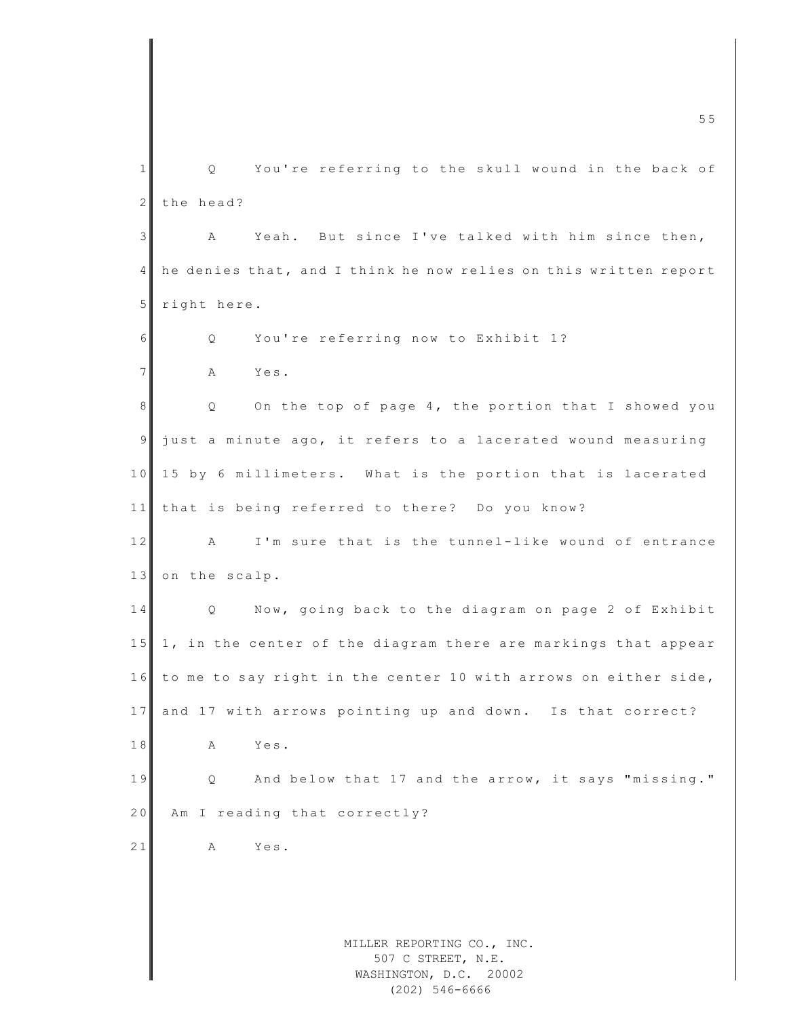MILLER REPORTING CO., INC. 507 C STREET, N.E. WASHINGTON, D.C. 20002 m c  $\blacksquare$  such that the contract of the contract of the contract of the contract of the contract of the contract of the contract of the contract of the contract of the contract of the contract of the contract of the cont 1 Q You're referring to the skull wound in the back of 2 the head? 3 A Yeah. But since I've talked with him since then, 4 he denies that, and I think he now relies on this written report 5 right here. 6 Q You're referring now to Exhibit 1? 7 A Yes. 8 | Q On the top of page 4, the portion that I showed you 9 just a minute ago, it refers to a lacerated wound measuring 10 15 by 6 millimeters. What is the portion that is lacerated 11 that is being referred to there? Do you know? 12 A I'm sure that is the tunnel-like wound of entrance 13 on the scalp. 14 Q Now, going back to the diagram on page 2 of Exhibit 15 1, in the center of the diagram there are markings that appear 16 to me to say right in the center 10 with arrows on either side, 17 and 17 with arrows pointing up and down. Is that correct? 18 A Yes. 19 Q And below that 17 and the arrow, it says "missing." 20 Am I reading that correctly? 21 A Yes.

(202) 546-6666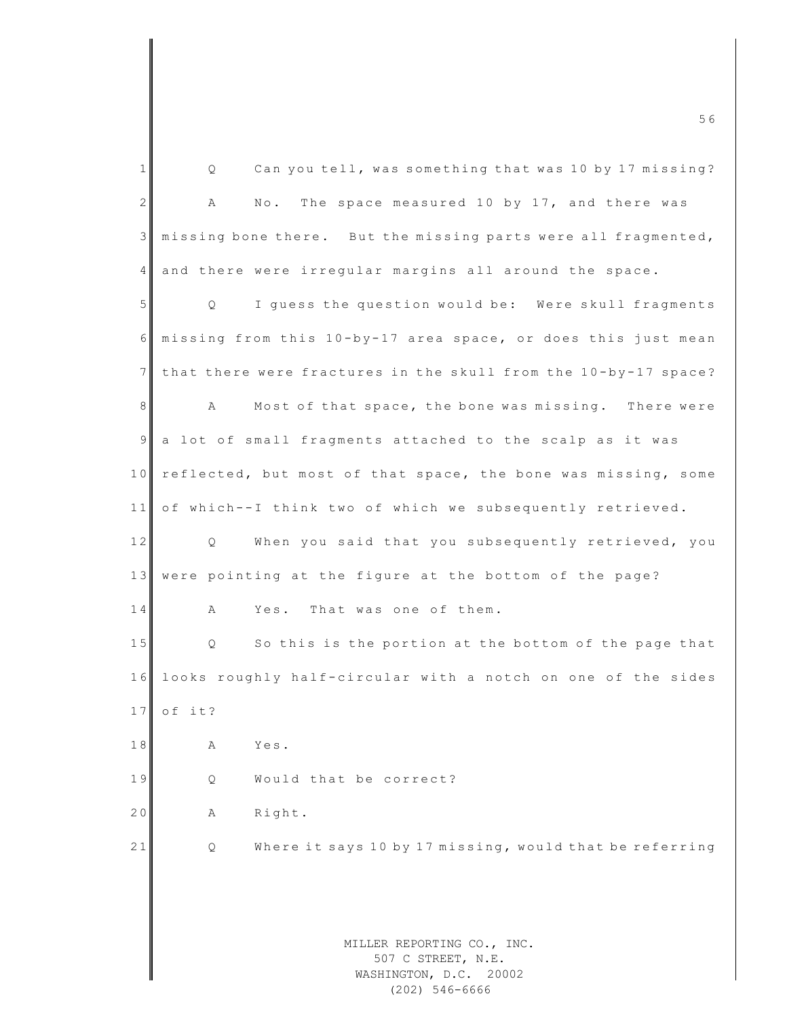| $\mathbf{1}$   | Can you tell, was something that was 10 by 17 missing?<br>Q.                  |  |
|----------------|-------------------------------------------------------------------------------|--|
| $\overline{c}$ | The space measured 10 by 17, and there was<br>$\mathbb{N} \circ$ .<br>Α       |  |
| 3              | missing bone there. But the missing parts were all fragmented,                |  |
| 4              | and there were irregular margins all around the space.                        |  |
| 5              | I guess the question would be: Were skull fragments<br>Q                      |  |
| 6              | missing from this 10-by-17 area space, or does this just mean                 |  |
| 7              | that there were fractures in the skull from the 10-by-17 space?               |  |
| 8              | Most of that space, the bone was missing. There were<br>A                     |  |
| $\overline{9}$ | a lot of small fragments attached to the scalp as it was                      |  |
| 10             | reflected, but most of that space, the bone was missing, some                 |  |
| 11             | of which--I think two of which we subsequently retrieved.                     |  |
| 12             | When you said that you subsequently retrieved, you<br>Q                       |  |
| 13             | were pointing at the figure at the bottom of the page?                        |  |
| 14             | Yes. That was one of them.<br>Α                                               |  |
| 15             | So this is the portion at the bottom of the page that<br>Q                    |  |
| 16             | looks roughly half-circular with a notch on one of the sides                  |  |
| 17             | of it?                                                                        |  |
| 18             | Yes.<br>Α                                                                     |  |
| 19             | Would that be correct?<br>Q                                                   |  |
| 20             | Right.<br>Α                                                                   |  |
| 21             | Where it says 10 by 17 missing, would that be referring<br>Q                  |  |
|                |                                                                               |  |
|                |                                                                               |  |
|                | MILLER REPORTING CO., INC.<br>507 C STREET, N.E.<br>WASHINGTON, D.C.<br>20002 |  |

(202) 546-6666

m c  $\sim$  5 6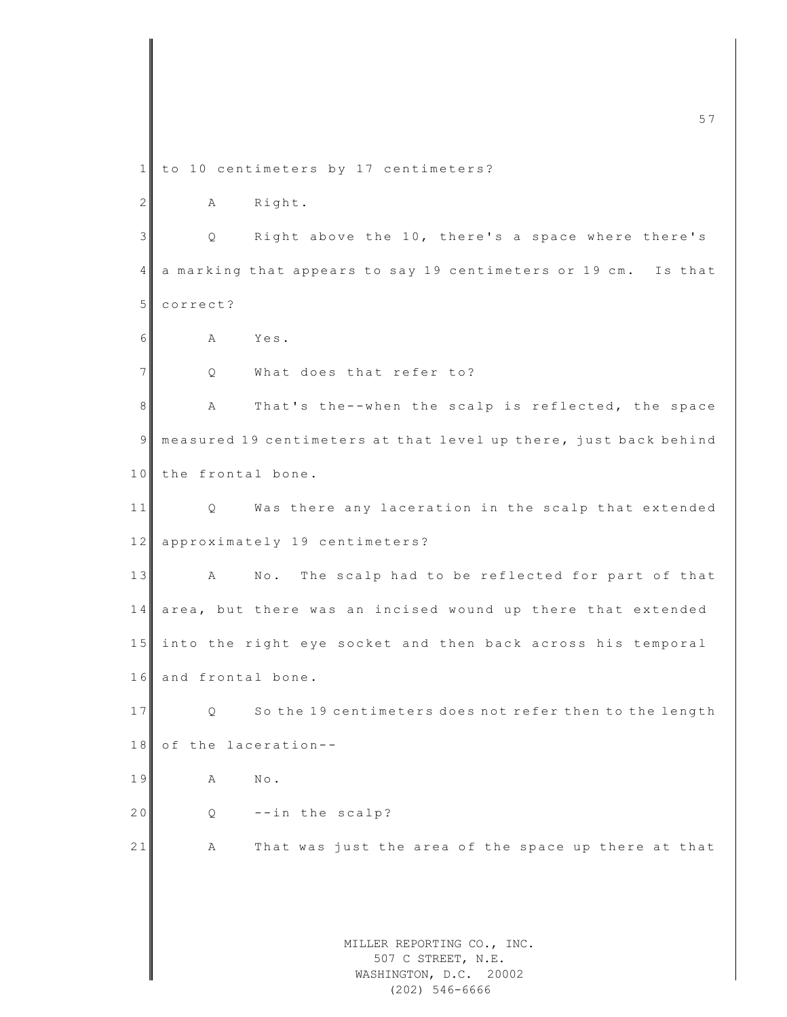MILLER REPORTING CO., INC. 507 C STREET, N.E. m c  $\overline{57}$ 1 to 10 centimeters by 17 centimeters? 2 A Right. 3 Q Right above the 10, there's a space where there's 4 a marking that appears to say 19 centimeters or 19 cm. Is that 5 correct? 6 A Yes. 7 Q What does that refer to? 8 A That's the--when the scalp is reflected, the space 9 measured 19 centimeters at that level up there, just back behind 10 the frontal bone. 11 Q Was there any laceration in the scalp that extended 12 approximately 19 centimeters? 13 A No. The scalp had to be reflected for part of that 14 area, but there was an incised wound up there that extended 15 into the right eye socket and then back across his temporal 16 and frontal bone. 17 Q So the 19 centimeters does not refer then to the length 18 of the laceration--19 A No. 20  $Q - -in$  the scalp? 21 A That was just the area of the space up there at that

## WASHINGTON, D.C. 20002 (202) 546-6666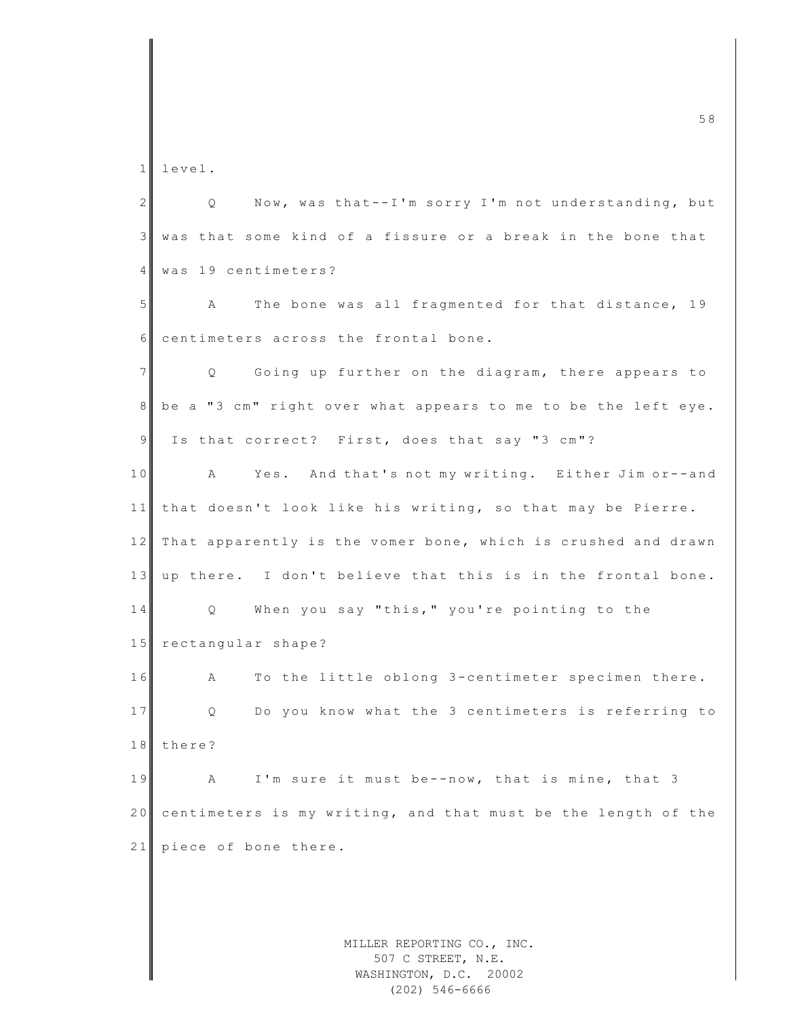1 level.

MILLER REPORTING CO., INC. 2 Q Now, was that--I'm sorry I'm not understanding, but 3 was that some kind of a fissure or a break in the bone that 4 was 19 centimeters? 5 A The bone was all fragmented for that distance, 19 6 centimeters across the frontal bone. 7 || Q Going up further on the diagram, there appears to 8 be a "3 cm" right over what appears to me to be the left eye. 9 Is that correct? First, does that say "3 cm"? 10 A Yes. And that's not my writing. Either Jim or--and 11 that doesn't look like his writing, so that may be Pierre. 12 That apparently is the vomer bone, which is crushed and drawn 13 up there. I don't believe that this is in the frontal bone. 14 Q When you say "this," you're pointing to the 15 rectangular shape? 16 A To the little oblong 3-centimeter specimen there. 17 Q Do you know what the 3 centimeters is referring to 18 there? 19 A I'm sure it must be--now, that is mine, that 3 20 centimeters is my writing, and that must be the length of the  $21$  piece of bone there.

507 C STREET, N.E. WASHINGTON, D.C. 20002 (202) 546-6666

m c  $\sim$  5 8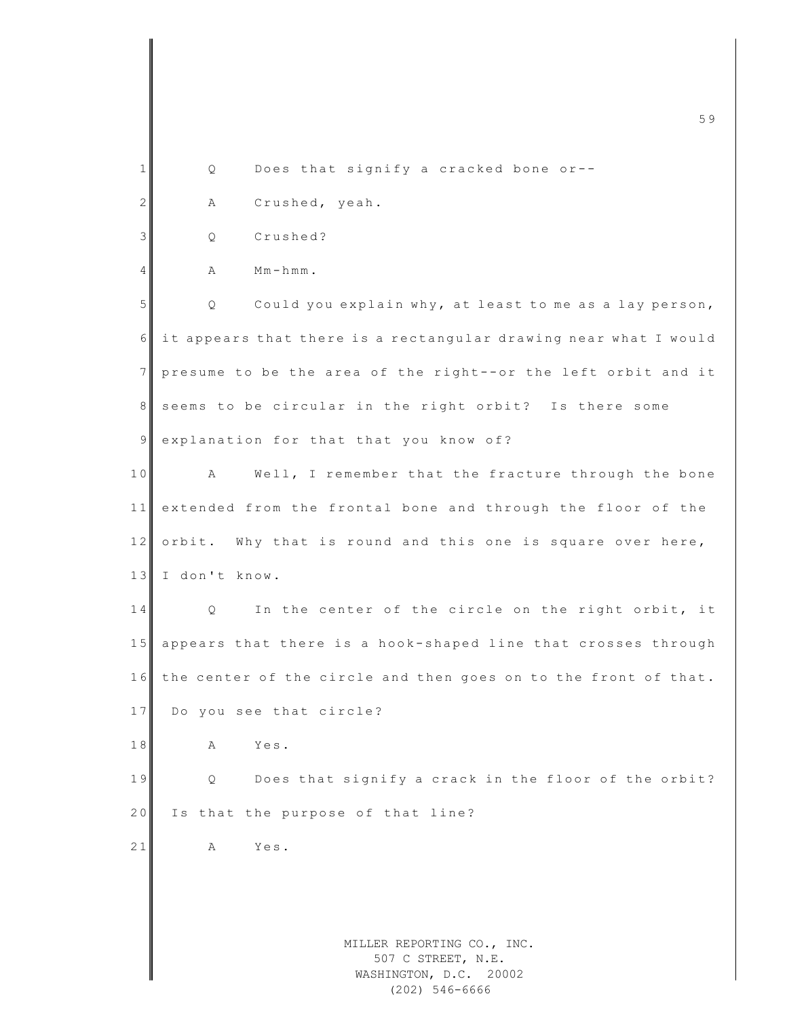|                 | 59                                                                         |
|-----------------|----------------------------------------------------------------------------|
|                 |                                                                            |
| 1               | Does that signify a cracked bone or--<br>Q                                 |
| $\mathbf{2}$    | Crushed, yeah.<br>Α                                                        |
| 3               | Crushed?<br>Q                                                              |
| $\overline{4}$  | $Mm-hmm$ .<br>Α                                                            |
| 5               | Could you explain why, at least to me as a lay person,<br>Q                |
| 6               | it appears that there is a rectangular drawing near what I would           |
| $7\phantom{.0}$ | presume to be the area of the right--or the left orbit and it              |
| 8               | seems to be circular in the right orbit? Is there some                     |
| 9               | explanation for that that you know of?                                     |
| 10              | Well, I remember that the fracture through the bone<br>Α                   |
| 11              | extended from the frontal bone and through the floor of the                |
| 12              | orbit. Why that is round and this one is square over here,                 |
| 13              | I don't know.                                                              |
| 14              | In the center of the circle on the right orbit, it<br>Q                    |
| 15              | appears that there is a hook-shaped line that crosses through              |
|                 | 16 the center of the circle and then goes on to the front of that.         |
| 17              | Do you see that circle?                                                    |
| 18              | Yes.<br>Α                                                                  |
| 19              | Does that signify a crack in the floor of the orbit?<br>Q                  |
| 20              | Is that the purpose of that line?                                          |
| 21              | Yes.<br>Α                                                                  |
|                 |                                                                            |
|                 |                                                                            |
|                 | MILLER REPORTING CO., INC.<br>507 C STREET, N.E.<br>WASHINGTON, D.C. 20002 |

(202) 546-6666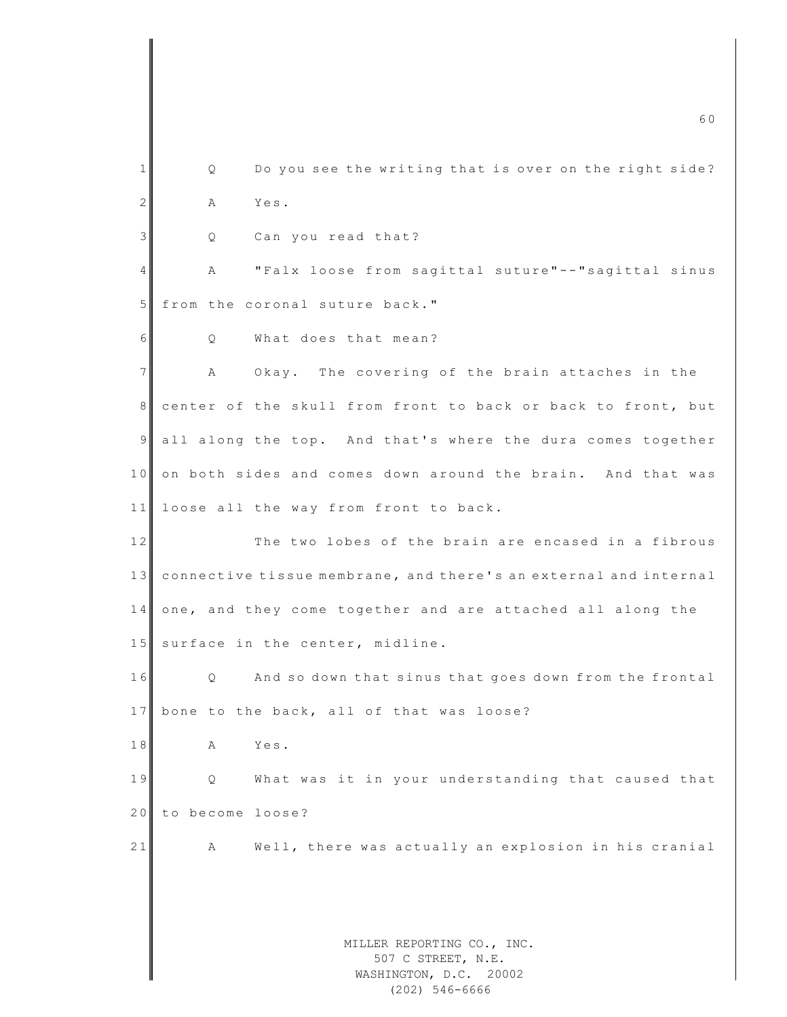MILLER REPORTING CO., INC. 507 C STREET, N.E. WASHINGTON, D.C. 20002 m c 6 0  $\sim$  6 0  $\sim$  6 0  $\sim$  6 0  $\sim$  6 0  $\sim$  6 0  $\sim$  6 0  $\sim$  6 0  $\sim$  6 0  $\sim$  6 0  $\sim$  6 0  $\sim$  6 0  $\sim$  6 0  $\sim$  6 0  $\sim$  6 0  $\sim$  6 0  $\sim$  6 0  $\sim$  6  $\sim$  6  $\sim$  6  $\sim$  6  $\sim$  6  $\sim$  6  $\sim$  6  $\sim$  6  $\sim$  6  $\sim$  6 1 Q Do you see the writing that is over on the right side? 2 A Yes. 3 Q Can you read that? 4 A "Falx loose from sagittal suture"--"sagittal sinus 5 from the coronal suture back."  $6$  O What does that mean? 7 A Okay. The covering of the brain attaches in the 8 center of the skull from front to back or back to front, but 9 all along the top. And that's where the dura comes together 10 on both sides and comes down around the brain. And that was 11 loose all the way from front to back. 12 The two lobes of the brain are encased in a fibrous 13 connective tissue membrane, and there's an external and internal 14 one, and they come together and are attached all along the 15 surface in the center, midline. 16 Q And so down that sinus that goes down from the frontal 17 bone to the back, all of that was loose? 18 A Yes. 19 **Q** What was it in your understanding that caused that 20 to become loose? 21 A Well, there was actually an explosion in his cranial

(202) 546-6666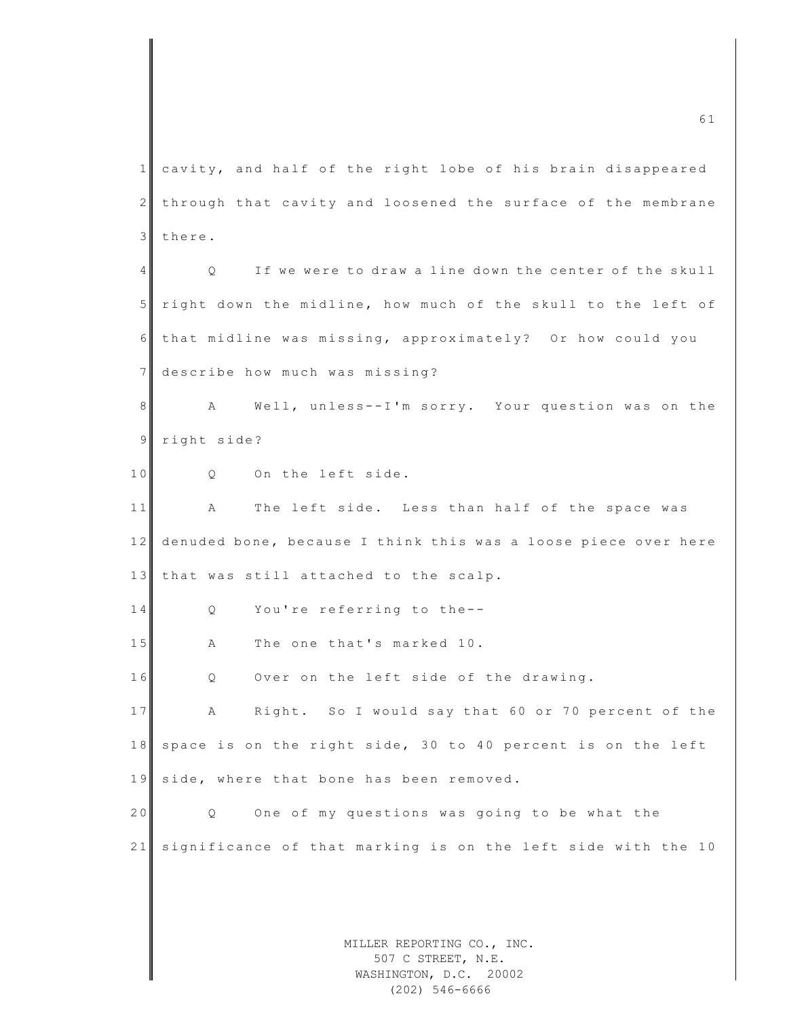MILLER REPORTING CO., INC. m c 6 1  $\overline{61}$ 1 cavity, and half of the right lobe of his brain disappeared 2 through that cavity and loosened the surface of the membrane 3 there. 4 Q If we were to draw a line down the center of the skull 5 right down the midline, how much of the skull to the left of 6 that midline was missing, approximately? Or how could you 7 describe how much was missing? 8 A Well, unless--I'm sorry. Your question was on the 9 right side? 10 0 On the left side. 11 A The left side. Less than half of the space was 12 denuded bone, because I think this was a loose piece over here 13 that was still attached to the scalp. 14 Q You're referring to the--15 A The one that's marked 10. 16 Q Over on the left side of the drawing. 17 A Right. So I would say that 60 or 70 percent of the 18 space is on the right side, 30 to 40 percent is on the left 19 side, where that bone has been removed. 20 Q One of my questions was going to be what the 21 significance of that marking is on the left side with the 10

507 C STREET, N.E. WASHINGTON, D.C. 20002 (202) 546-6666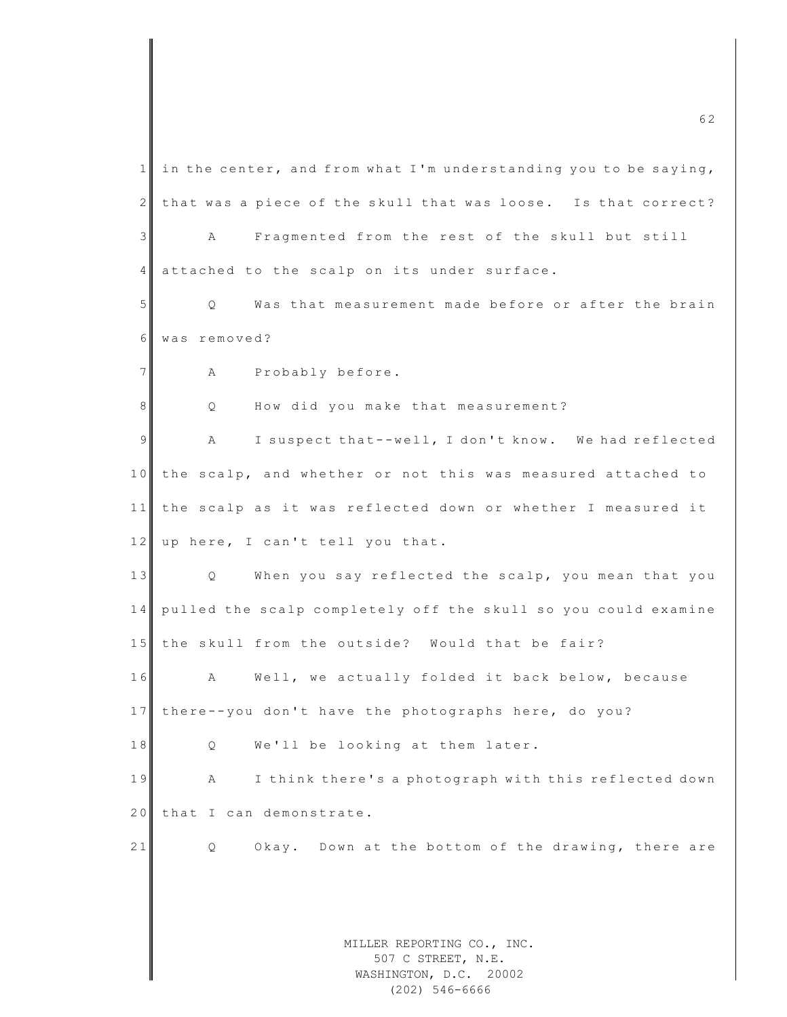MILLER REPORTING CO., INC. 507 C STREET, N.E. WASHINGTON, D.C. 20002 1 in the center, and from what I'm understanding you to be saying,  $2$  that was a piece of the skull that was loose. Is that correct? 3 A Fragmented from the rest of the skull but still 4 attached to the scalp on its under surface. 5 Q Was that measurement made before or after the brain 6 was removed? 7 A Probably before. 8 Q How did you make that measurement? 9 A I suspect that--well, I don't know. We had reflected 10 the scalp, and whether or not this was measured attached to 11 the scalp as it was reflected down or whether I measured it 12 up here, I can't tell you that. 13 Q When you say reflected the scalp, you mean that you 14 pulled the scalp completely off the skull so you could examine 15 the skull from the outside? Would that be fair? 16 A Well, we actually folded it back below, because 17 there--you don't have the photographs here, do you? 18 Q We'll be looking at them later. 19 A I think there's a photograph with this reflected down 20 that I can demonstrate. 21 Q Okay. Down at the bottom of the drawing, there are

m c 6  $2$ 

(202) 546-6666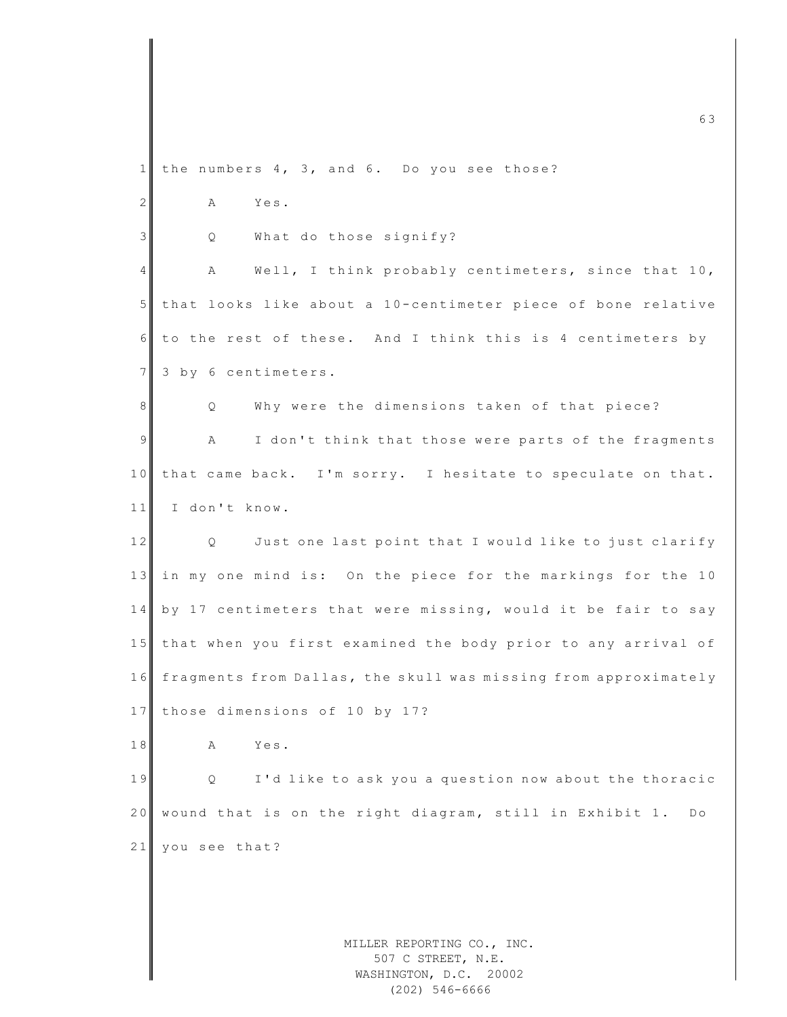MILLER REPORTING CO., INC. m c 6  $\overline{6}$  3 1 the numbers  $4, 3,$  and 6. Do you see those? 2 A Yes. 3 Q What do those signify? 4 A Well, I think probably centimeters, since that 10, 5 that looks like about a 10-centimeter piece of bone relative  $6$  to the rest of these. And I think this is 4 centimeters by 7 3 by 6 centimeters. 8 Q Why were the dimensions taken of that piece? 9 A I don't think that those were parts of the fragments 10 that came back. I'm sorry. I hesitate to speculate on that. 11 I don't know. 12 Q Just one last point that I would like to just clarify 13 in my one mind is: On the piece for the markings for the 10 14 by 17 centimeters that were missing, would it be fair to say 15 that when you first examined the body prior to any arrival of 16 fragments from Dallas, the skull was missing from approximately 17 those dimensions of 10 by 17? 18 A Yes. 19 Q I'd like to ask you a question now about the thoracic 20 wound that is on the right diagram, still in Exhibit 1. Do 21 you see that?

507 C STREET, N.E. WASHINGTON, D.C. 20002 (202) 546-6666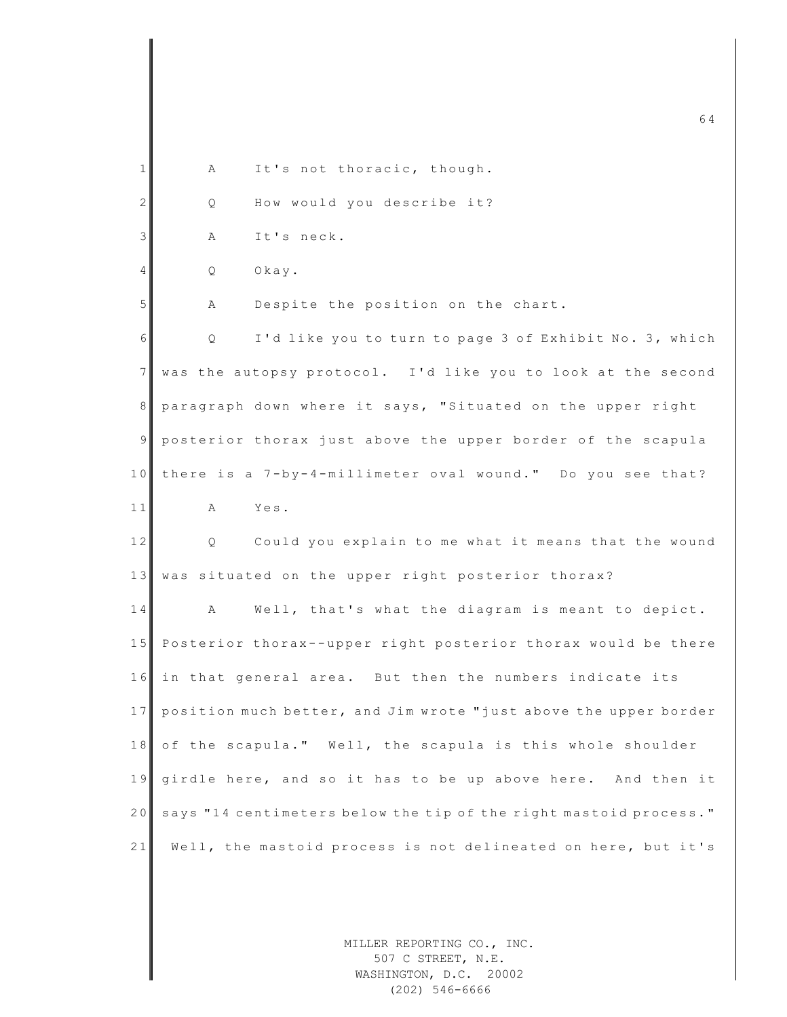|                |    |                                                                   | 64 |
|----------------|----|-------------------------------------------------------------------|----|
| 1              | А  | It's not thoracic, though.                                        |    |
| $\overline{2}$ | Q  | How would you describe it?                                        |    |
| $\mathfrak{Z}$ | Α  | It's neck.                                                        |    |
| $\overline{4}$ | Q  | Okay.                                                             |    |
| 5              | Α  | Despite the position on the chart.                                |    |
| 6              | Q. | I'd like you to turn to page 3 of Exhibit No. 3, which            |    |
| $\overline{7}$ |    | was the autopsy protocol. I'd like you to look at the second      |    |
| 8              |    | paragraph down where it says, "Situated on the upper right        |    |
| $\overline{9}$ |    | posterior thorax just above the upper border of the scapula       |    |
| 10             |    | there is a 7-by-4-millimeter oval wound." Do you see that?        |    |
| 11             | A  | Yes.                                                              |    |
| 12             | Q  | Could you explain to me what it means that the wound              |    |
| 13             |    | was situated on the upper right posterior thorax?                 |    |
| 14             | A  | Well, that's what the diagram is meant to depict.                 |    |
| 15             |    | Posterior thorax--upper right posterior thorax would be there     |    |
| 16             |    | in that general area. But then the numbers indicate its           |    |
| 17             |    | position much better, and Jim wrote "just above the upper border  |    |
| 18             |    | of the scapula." Well, the scapula is this whole shoulder         |    |
| 19             |    | girdle here, and so it has to be up above here. And then it       |    |
| 20             |    | says "14 centimeters below the tip of the right mastoid process." |    |
| 21             |    | Well, the mastoid process is not delineated on here, but it's     |    |
|                |    |                                                                   |    |
|                |    | MILLER REPORTING CO., INC.                                        |    |
|                |    | 507 C STREET, N.E.                                                |    |

WASHINGTON, D.C. 20002 (202) 546-6666

 $\mathsf I$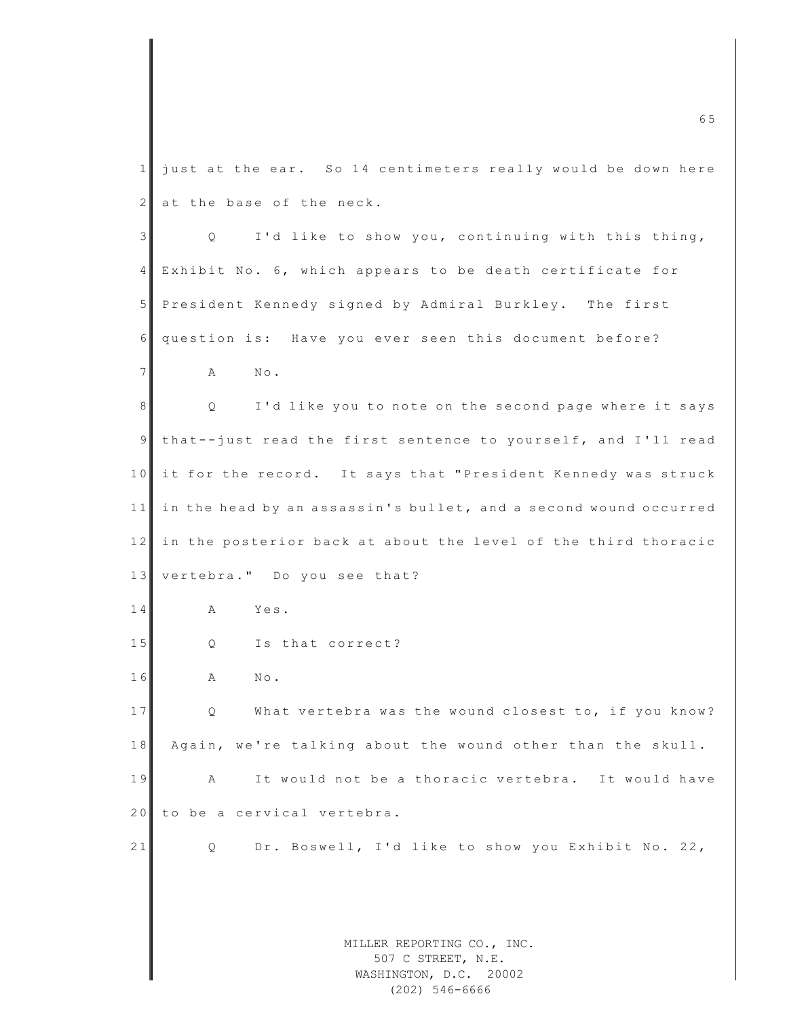MILLER REPORTING CO., INC. 507 C STREET, N.E. m c 6  $\overline{6}$  5  $\overline{6}$  6  $\overline{5}$  6  $\overline{6}$  6  $\overline{6}$  6  $\overline{6}$  6  $\overline{6}$  6  $\overline{6}$  6  $\overline{6}$  6  $\overline{6}$  6  $\overline{6}$  6  $\overline{6}$  6  $\overline{6}$  6  $\overline{6}$  6  $\overline{6}$  6  $\overline{6}$  6  $\overline{6}$  6  $\overline{6}$  6  $\overline{6}$  6  $\overline{6$  $1$  just at the ear. So 14 centimeters really would be down here  $2$  at the base of the neck.  $3$  Q I'd like to show you, continuing with this thing, 4 Exhibit No. 6, which appears to be death certificate for 5 President Kennedy signed by Admiral Burkley. The first 6 question is: Have you ever seen this document before? 7 **A** No. 8 | Q I'd like you to note on the second page where it says 9 that--just read the first sentence to yourself, and I'll read 10 it for the record. It says that "President Kennedy was struck 11 in the head by an assassin's bullet, and a second wound occurred  $12$  in the posterior back at about the level of the third thoracic 13 vertebra." Do you see that? 14 A Yes. 15 Q Is that correct? 16 A No. 17 Q What vertebra was the wound closest to, if you know? 18 Again, we're talking about the wound other than the skull. 19 A It would not be a thoracic vertebra. It would have 20 to be a cervical vertebra. 21 Q Dr. Boswell, I'd like to show you Exhibit No. 22,

> WASHINGTON, D.C. 20002 (202) 546-6666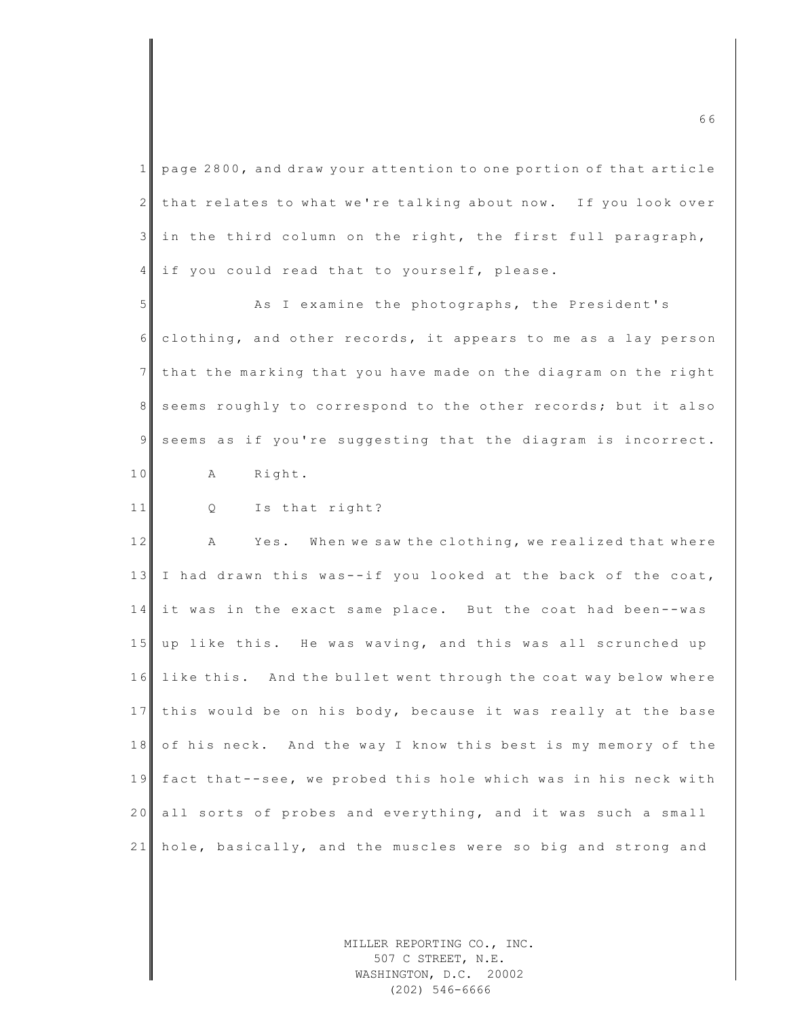$1$  page 2800, and draw your attention to one portion of that article  $2$  that relates to what we're talking about now. If you look over 3 in the third column on the right, the first full paragraph, 4 if you could read that to yourself, please.

5 As I examine the photographs, the President's 6 clothing, and other records, it appears to me as a lay person  $7$  that the marking that you have made on the diagram on the right 8 seems roughly to correspond to the other records; but it also 9 seems as if you're suggesting that the diagram is incorrect. 10 A Right.

11 Q Is that right?

12 A Yes. When we saw the clothing, we realized that where 13 I had drawn this was--if you looked at the back of the coat, 14 it was in the exact same place. But the coat had been--was 15 up like this. He was waving, and this was all scrunched up 16 like this. And the bullet went through the coat way below where 17 this would be on his body, because it was really at the base 18 of his neck. And the way I know this best is my memory of the 19 fact that--see, we probed this hole which was in his neck with 20 all sorts of probes and everything, and it was such a small 21 hole, basically, and the muscles were so big and strong and

> MILLER REPORTING CO., INC. 507 C STREET, N.E. WASHINGTON, D.C. 20002 (202) 546-6666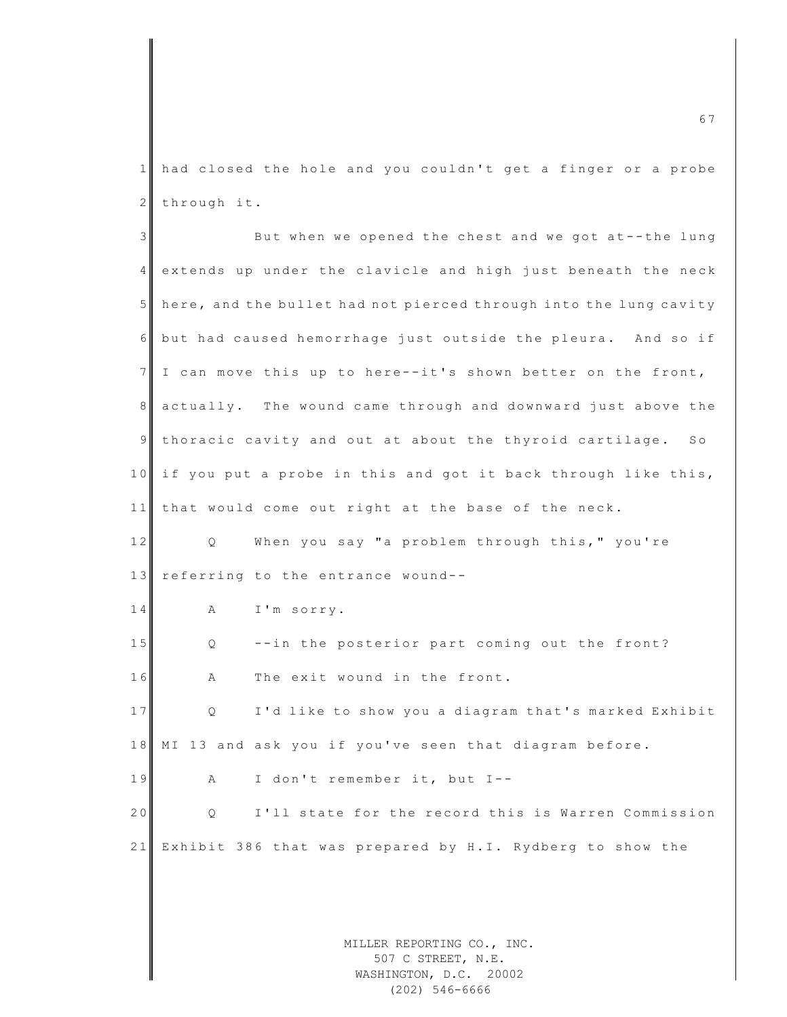1 had closed the hole and you couldn't get a finger or a probe 2 through it.

3 But when we opened the chest and we got at--the lung 4 extends up under the clavicle and high just beneath the neck 5 here, and the bullet had not pierced through into the lung cavity 6 but had caused hemorrhage just outside the pleura. And so if  $7$  I can move this up to here--it's shown better on the front, 8 actually. The wound came through and downward just above the 9 thoracic cavity and out at about the thyroid cartilage. So 10 if you put a probe in this and got it back through like this, 11 that would come out right at the base of the neck. 12 Q When you say "a problem through this," you're 13 referring to the entrance wound--14 A I'm sorry. 15 Q --in the posterior part coming out the front?  $16$  A The exit wound in the front. 17 Q I'd like to show you a diagram that's marked Exhibit 18 MI 13 and ask you if you've seen that diagram before.  $19$  A I don't remember it, but I--20 Q I'll state for the record this is Warren Commission 21 Exhibit 386 that was prepared by H.I. Rydberg to show the

> MILLER REPORTING CO., INC. 507 C STREET, N.E. WASHINGTON, D.C. 20002 (202) 546-6666

m c 6  $7$  6  $7$  6  $7$  6  $7$  6  $7$  6  $7$  6  $7$  6  $7$  6  $7$  6  $7$  6  $7$  6  $7$  6  $7$  6  $7$  6  $7$  6  $7$  6  $7$  6  $7$  6  $7$  6  $7$  6  $7$  6  $7$  6  $7$  6  $7$  6  $7$  6  $7$  6  $7$  6  $7$  6  $7$  6  $7$  6  $7$  6  $7$  6  $7$  6  $7$  6  $7$  6  $7$  6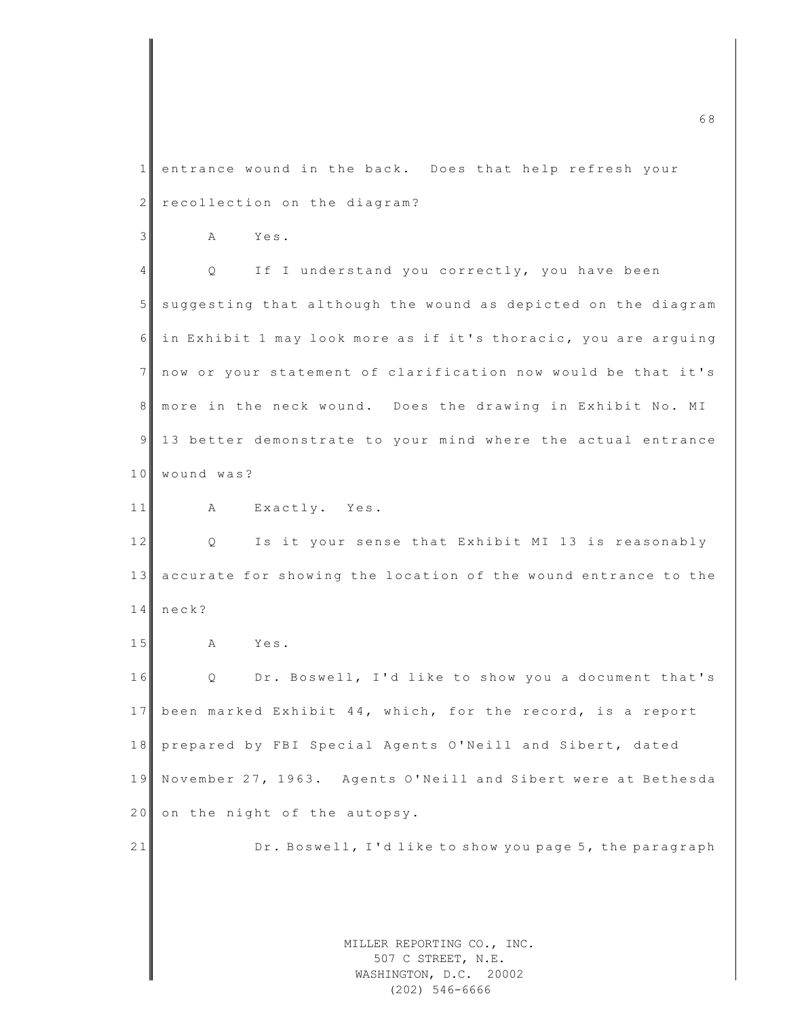MILLER REPORTING CO., INC. 507 C STREET, N.E. m c 6 8  $\sim$  6 8  $\sim$  6 8  $\sim$  6 8  $\sim$  6 8  $\sim$  6 8  $\sim$  6  $\sim$  6  $\sim$  6  $\sim$  6  $\sim$  6  $\sim$  6  $\sim$  6  $\sim$  6  $\sim$  6  $\sim$  6  $\sim$  6  $\sim$  6  $\sim$  6  $\sim$  6  $\sim$  6  $\sim$  6  $\sim$  6  $\sim$  6  $\sim$  6  $\sim$  6  $\sim$  6  $\sim$  6  $\sim$  6  $\sim$  6 1 entrance wound in the back. Does that help refresh your 2 recollection on the diagram? 3 A Yes. 4 Q If I understand you correctly, you have been 5 suggesting that although the wound as depicted on the diagram 6 in Exhibit 1 may look more as if it's thoracic, you are arquing 7 now or your statement of clarification now would be that it's 8 more in the neck wound. Does the drawing in Exhibit No. MI 9 13 better demonstrate to your mind where the actual entrance 10 wound was? 11 A Exactly. Yes. 12 Q Is it your sense that Exhibit MI 13 is reasonably 13 accurate for showing the location of the wound entrance to the 14 neck? 15 A Yes. 16 Q Dr. Boswell, I'd like to show you a document that's 17 been marked Exhibit 44, which, for the record, is a report 18 prepared by FBI Special Agents O'Neill and Sibert, dated 19 November 27, 1963. Agents O'Neill and Sibert were at Bethesda 20 on the night of the autopsy. 21 Dr. Boswell, I'd like to show you page 5, the paragraph

> WASHINGTON, D.C. 20002 (202) 546-6666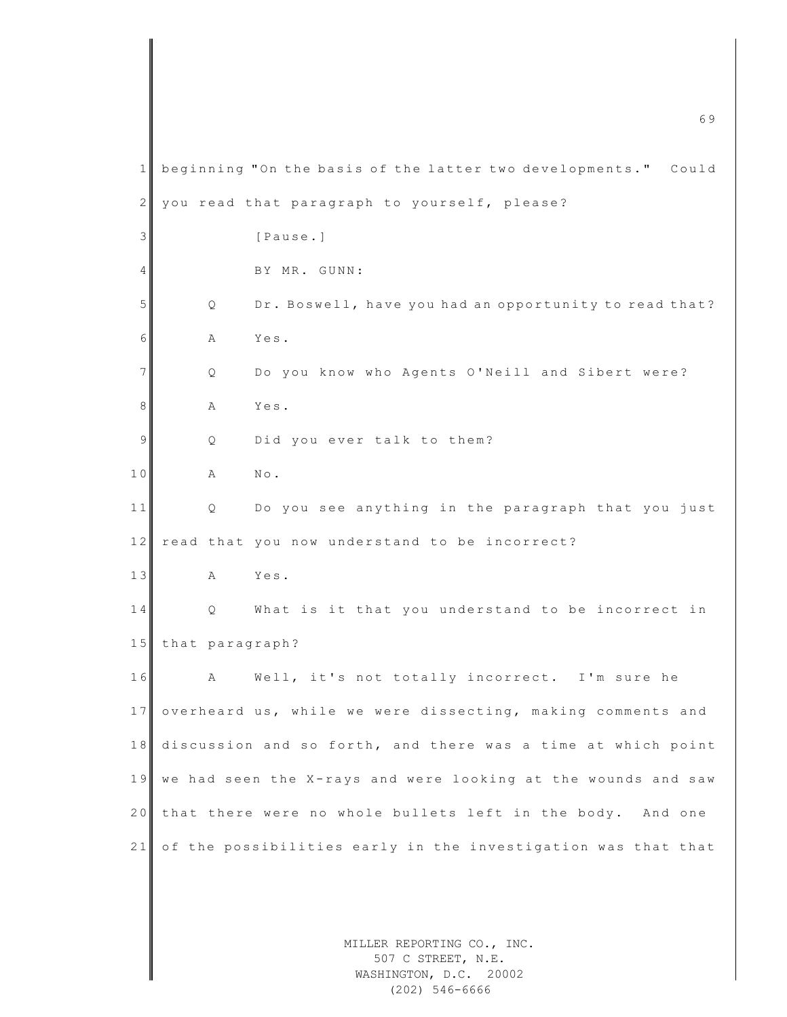MILLER REPORTING CO., INC. 507 C STREET, N.E. WASHINGTON, D.C. 20002 m c 6 9  $\sim$  6 9  $\sim$  6  $\sim$  6  $\sim$  6  $\sim$  6  $\sim$  6  $\sim$  6  $\sim$  6  $\sim$  6  $\sim$  6  $\sim$  6  $\sim$  6  $\sim$  6  $\sim$  6  $\sim$  6  $\sim$  6  $\sim$  6  $\sim$  6  $\sim$  6  $\sim$  6  $\sim$  6  $\sim$  6  $\sim$  6  $\sim$  6  $\sim$  6  $\sim$  6  $\sim$  6  $\sim$  6  $\sim$  6  $\sim$  6 1 beginning "On the basis of the latter two developments." Could  $2$  you read that paragraph to yourself, please? 3 [Pause.] 4 BY MR. GUNN: 5 Q Dr. Boswell, have you had an opportunity to read that? 6 A Yes. 7 | Q Do you know who Agents O'Neill and Sibert were? 8 A Yes. 9 Q Did you ever talk to them? 10 A No. 11 Q Do you see anything in the paragraph that you just 12 read that you now understand to be incorrect? 13 A Yes. 14 Q What is it that you understand to be incorrect in 15 that paragraph? 16 A Well, it's not totally incorrect. I'm sure he 17 overheard us, while we were dissecting, making comments and 18 discussion and so forth, and there was a time at which point 19 we had seen the X-rays and were looking at the wounds and saw 20 that there were no whole bullets left in the body. And one 21 of the possibilities early in the investigation was that that

(202) 546-6666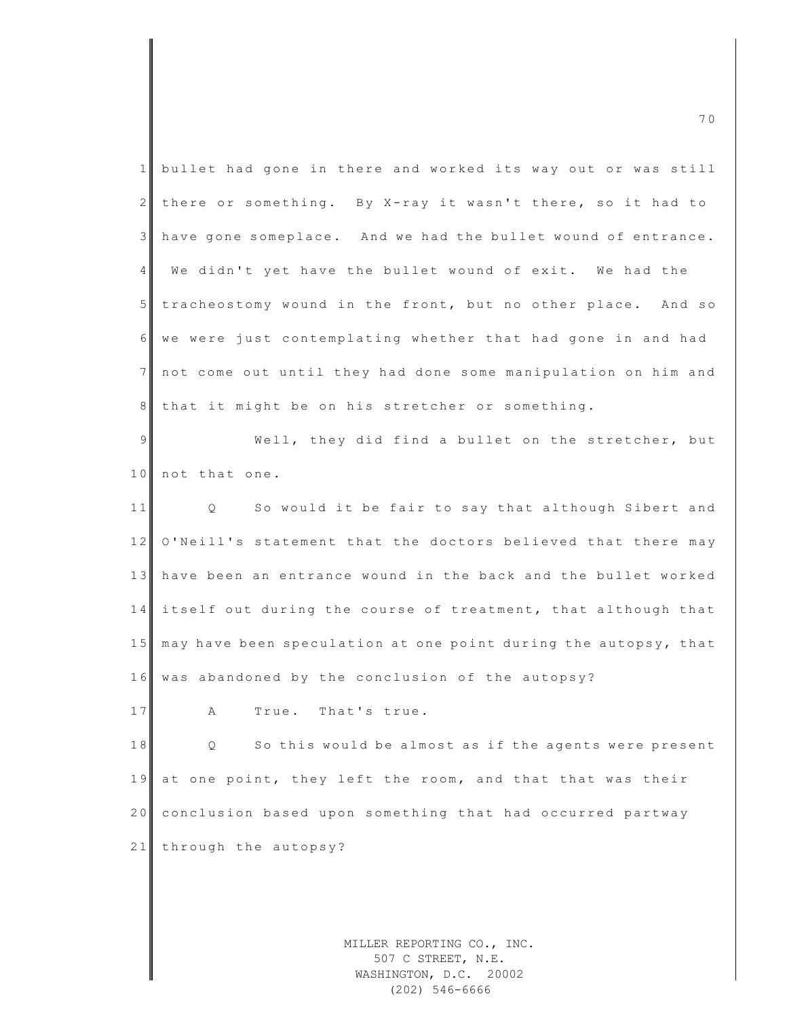|                | 70                                                              |
|----------------|-----------------------------------------------------------------|
| $\mathbf{1}$   | bullet had gone in there and worked its way out or was still    |
| $\mathbf{2}$   | there or something. By X-ray it wasn't there, so it had to      |
| 3 <sup>1</sup> | have gone someplace. And we had the bullet wound of entrance.   |
| 4 <sup>1</sup> | We didn't yet have the bullet wound of exit. We had the         |
| 5 <sub>1</sub> | tracheostomy wound in the front, but no other place. And so     |
| 6              | we were just contemplating whether that had gone in and had     |
| 7 <sup>1</sup> | not come out until they had done some manipulation on him and   |
| 8 <sup>1</sup> | that it might be on his stretcher or something.                 |
| $\overline{9}$ | Well, they did find a bullet on the stretcher, but              |
| 10             | not that one.                                                   |
| 11             | So would it be fair to say that although Sibert and<br>$Q \sim$ |
| 12             | O'Neill's statement that the doctors believed that there may    |
| 13             | have been an entrance wound in the back and the bullet worked   |
| 14             | itself out during the course of treatment, that although that   |
| 15             | may have been speculation at one point during the autopsy, that |
|                | 16 was abandoned by the conclusion of the autopsy?              |
| 17             | True.<br>That's true.<br>Α                                      |
| 18             | So this would be almost as if the agents were present<br>Q.     |
| 19             | at one point, they left the room, and that that was their       |
| 20             | conclusion based upon something that had occurred partway       |
| 21             | through the autopsy?                                            |
|                |                                                                 |
|                |                                                                 |

MILLER REPORTING CO., INC. 507 C STREET, N.E. WASHINGTON, D.C. 20002 (202) 546-6666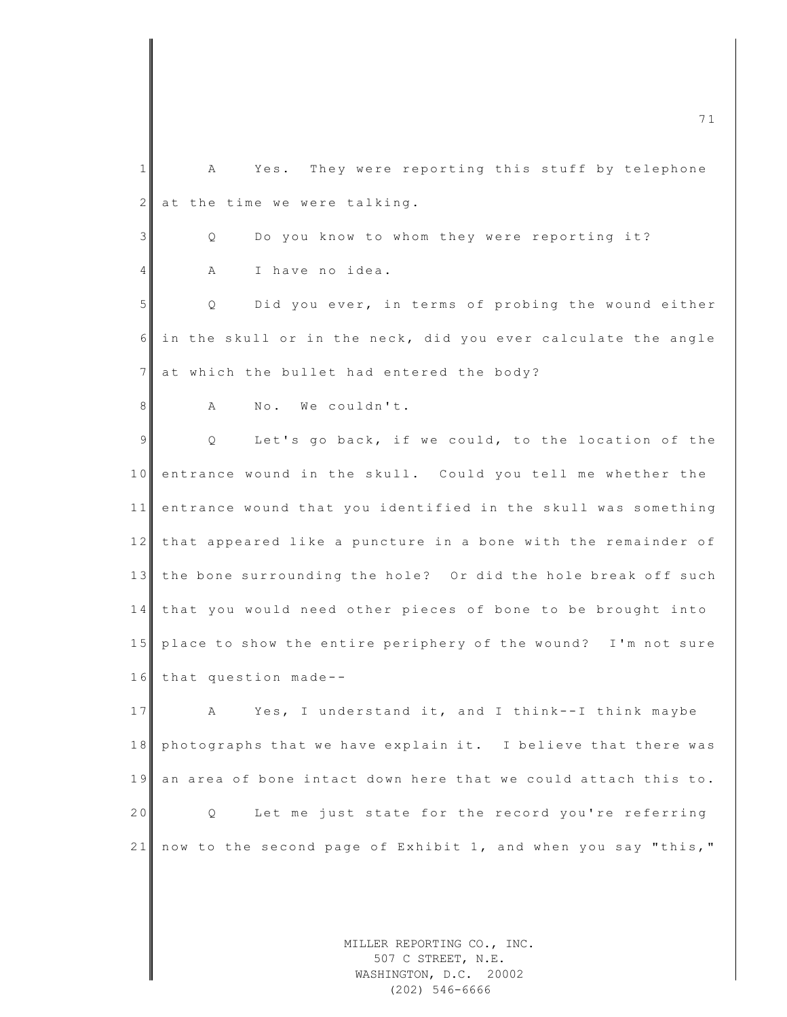1 A Yes. They were reporting this stuff by telephone  $2$  at the time we were talking. 3 | Q Do you know to whom they were reporting it? 4 A I have no idea. 5 Q Did you ever, in terms of probing the wound either  $6$  in the skull or in the neck, did you ever calculate the angle 7 at which the bullet had entered the body? 8 A No. We couldn't. 9 | Q Let's go back, if we could, to the location of the 10 entrance wound in the skull. Could you tell me whether the 11 entrance wound that you identified in the skull was something 12 that appeared like a puncture in a bone with the remainder of 13 the bone surrounding the hole? Or did the hole break off such 14 that you would need other pieces of bone to be brought into 15 place to show the entire periphery of the wound? I'm not sure 16 that question made--17 A Yes, I understand it, and I think--I think maybe 18 photographs that we have explain it. I believe that there was 19 an area of bone intact down here that we could attach this to. 20 Q Let me just state for the record you're referring 21 now to the second page of Exhibit 1, and when you say "this,"

> MILLER REPORTING CO., INC. 507 C STREET, N.E. WASHINGTON, D.C. 20002 (202) 546-6666

m c  $\overline{a}$  1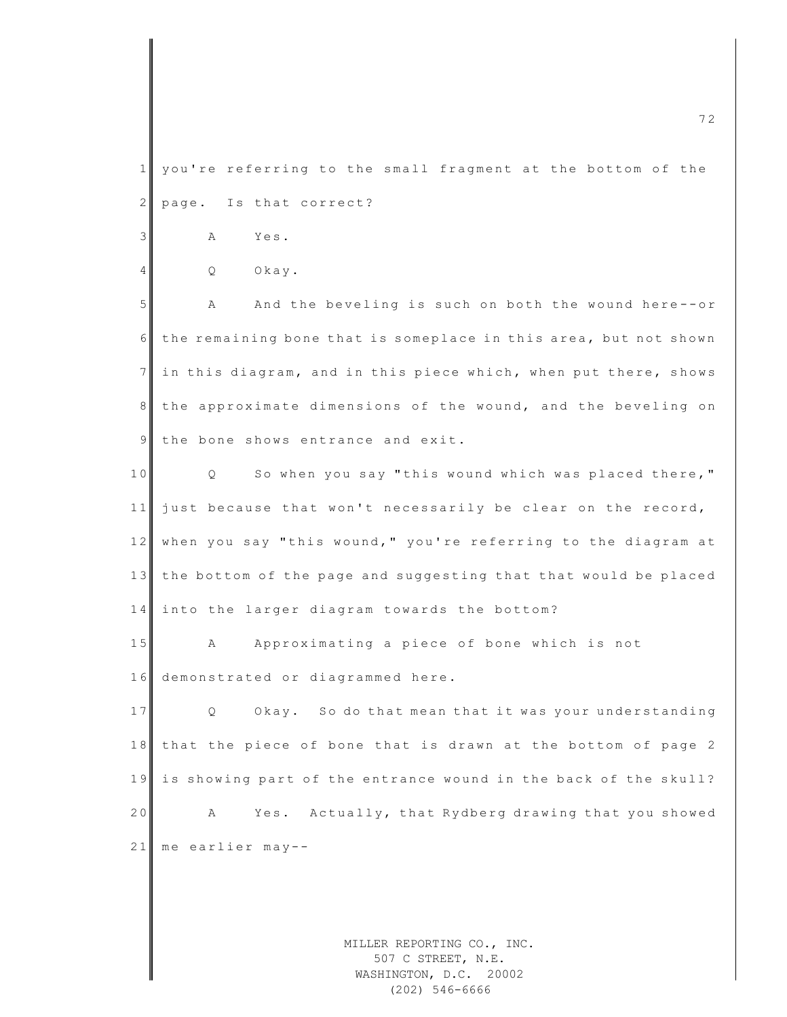1 you're referring to the small fragment at the bottom of the  $2$  page. Is that correct?

3 A Yes.

4 Q Okay.

5 A And the beveling is such on both the wound here--or 6 the remaining bone that is someplace in this area, but not shown  $7$  in this diagram, and in this piece which, when put there, shows 8 the approximate dimensions of the wound, and the beveling on 9 the bone shows entrance and exit.

10 Q So when you say "this wound which was placed there,"  $11$  just because that won't necessarily be clear on the record, 12 when you say "this wound," you're referring to the diagram at 13 the bottom of the page and suggesting that that would be placed 14 into the larger diagram towards the bottom?

15 A Approximating a piece of bone which is not 16 demonstrated or diagrammed here.

17 Q Okay. So do that mean that it was your understanding 18 that the piece of bone that is drawn at the bottom of page 2 19 is showing part of the entrance wound in the back of the skull? 20 A Yes. Actually, that Rydberg drawing that you showed 21 me earlier may--

> MILLER REPORTING CO., INC. 507 C STREET, N.E. WASHINGTON, D.C. 20002 (202) 546-6666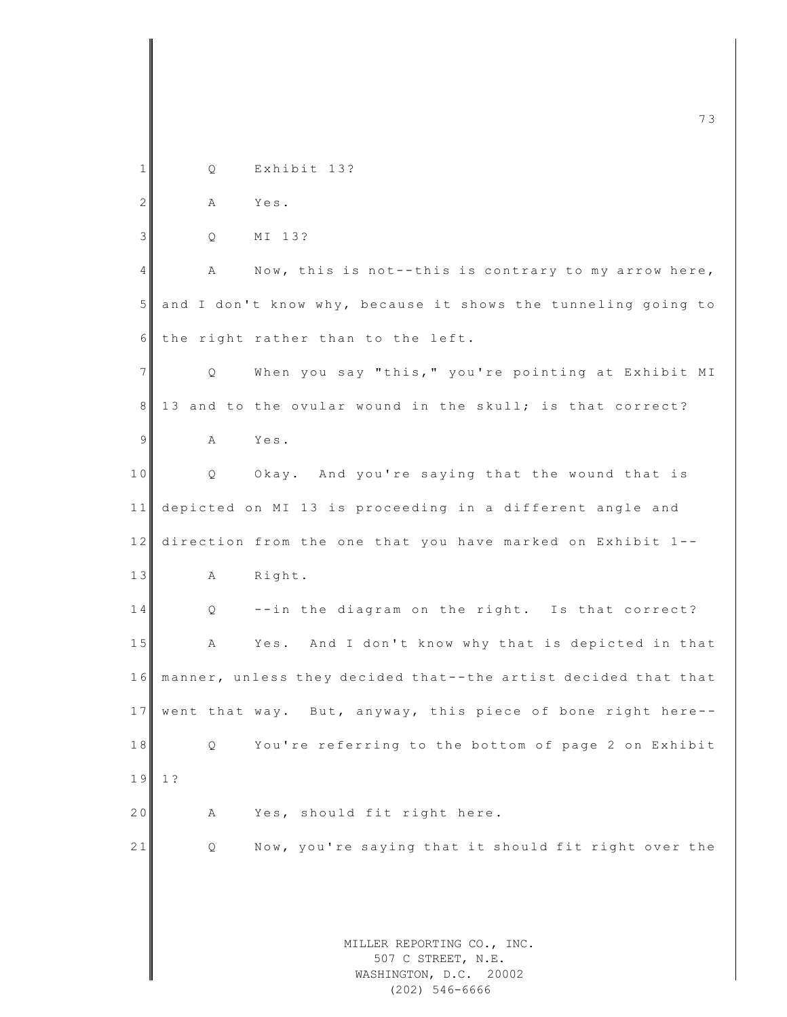|                |    | 73                                                                         |
|----------------|----|----------------------------------------------------------------------------|
| 1              | Q. | Exhibit 13?                                                                |
| $\mathbf{2}$   | Α  | Yes.                                                                       |
| $\mathfrak{Z}$ | Q  | MI 13?                                                                     |
| 4              | Α  | Now, this is not--this is contrary to my arrow here,                       |
| $5\phantom{.}$ |    | and I don't know why, because it shows the tunneling going to              |
| 6              |    | the right rather than to the left.                                         |
| $7\phantom{.}$ | Q  | When you say "this," you're pointing at Exhibit MI                         |
| 8              |    | 13 and to the ovular wound in the skull; is that correct?                  |
| 9              | Α  | Yes.                                                                       |
| 10             | Q. | Okay. And you're saying that the wound that is                             |
| 11             |    | depicted on MI 13 is proceeding in a different angle and                   |
| 12             |    | direction from the one that you have marked on Exhibit 1--                 |
| 13             | A  | Right.                                                                     |
| 14             | Q  | --in the diagram on the right. Is that correct?                            |
| $1\,5$         | Α  | Yes. And I don't know why that is depicted in that                         |
| 16             |    | manner, unless they decided that--the artist decided that that             |
| 17             |    | went that way. But, anyway, this piece of bone right here--                |
| 18             | Q. | You're referring to the bottom of page 2 on Exhibit                        |
| 19             | 1? |                                                                            |
| 20             | Α  | Yes, should fit right here.                                                |
| 21             | Q  | Now, you're saying that it should fit right over the                       |
|                |    |                                                                            |
|                |    |                                                                            |
|                |    | MILLER REPORTING CO., INC.<br>507 C STREET, N.E.<br>WASHINGTON, D.C. 20002 |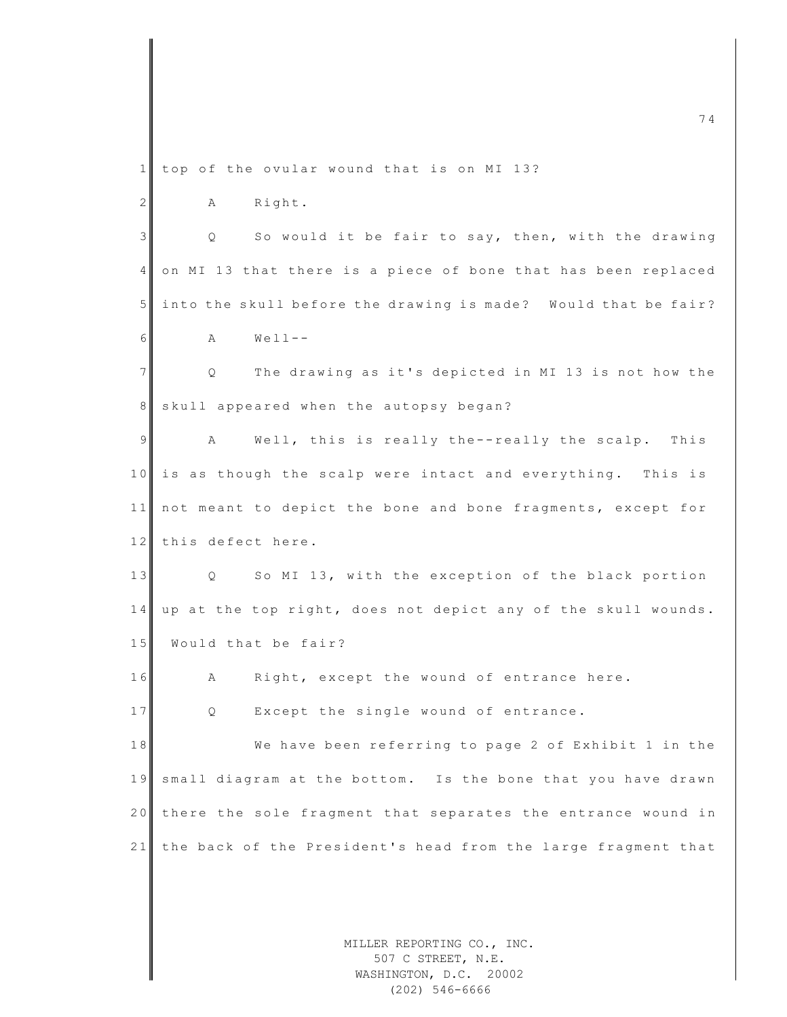m c  $74$ 1 top of the ovular wound that is on MI 13? 2 A Right. 3 Q So would it be fair to say, then, with the drawing 4 on MI 13 that there is a piece of bone that has been replaced 5 into the skull before the drawing is made? Would that be fair?  $6$  A Well--7 | Q The drawing as it's depicted in MI 13 is not how the 8 skull appeared when the autopsy began? 9 A Well, this is really the--really the scalp. This 10 is as though the scalp were intact and everything. This is 11 not meant to depict the bone and bone fragments, except for 12 this defect here. 13 Q So MI 13, with the exception of the black portion 14 up at the top right, does not depict any of the skull wounds. 15 Would that be fair? 16 A Right, except the wound of entrance here. 17 Q Except the single wound of entrance. 18 We have been referring to page 2 of Exhibit 1 in the 19 small diagram at the bottom. Is the bone that you have drawn 20 there the sole fragment that separates the entrance wound in 21 the back of the President's head from the large fragment that

> MILLER REPORTING CO., INC. 507 C STREET, N.E. WASHINGTON, D.C. 20002 (202) 546-6666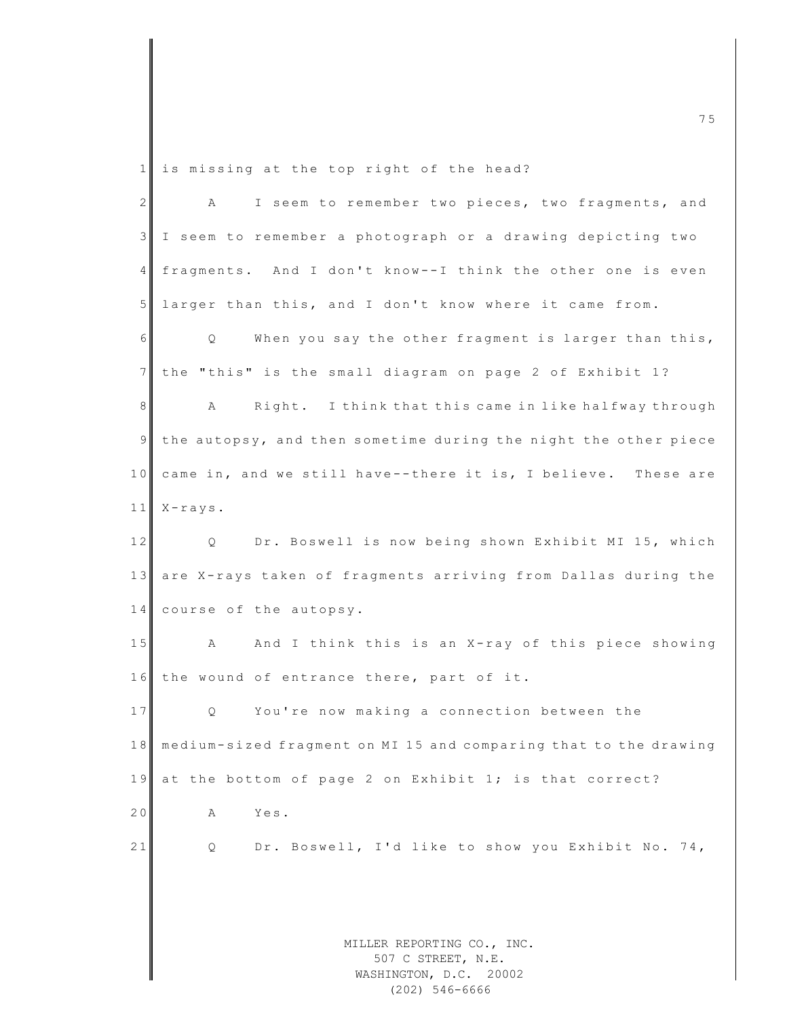1 is missing at the top right of the head?

| $2 \mid$ | I seem to remember two pieces, two fragments, and<br>Α                   |
|----------|--------------------------------------------------------------------------|
| 3        | I seem to remember a photograph or a drawing depicting two               |
| 4        | fragments. And I don't know--I think the other one is even               |
| 5        | larger than this, and I don't know where it came from.                   |
| 6        | When you say the other fragment is larger than this,<br>Q                |
| 7        | the "this" is the small diagram on page 2 of Exhibit 1?                  |
| $\,8\,$  | A<br>Right. I think that this came in like halfway through               |
| 9        | the autopsy, and then sometime during the night the other piece          |
| 10       | came in, and we still have--there it is, I believe. These are            |
| 11       | $X - r a y s$ .                                                          |
| 12       | Dr. Boswell is now being shown Exhibit MI 15, which<br>$Q \qquad \qquad$ |
| 13       | are X-rays taken of fragments arriving from Dallas during the            |
| 14       | course of the autopsy.                                                   |
| 15       | And I think this is an X-ray of this piece showing<br>А                  |
| 16       | the wound of entrance there, part of it.                                 |
| 17       | You're now making a connection between the<br>$Q \qquad \qquad$          |
| 18       | medium-sized fragment on MI 15 and comparing that to the drawing         |
| 19       | at the bottom of page 2 on Exhibit 1; is that correct?                   |
| 20       | Yes.<br>А                                                                |
| 21       | Dr. Boswell, I'd like to show you Exhibit No. 74,<br>Q                   |
|          |                                                                          |
|          |                                                                          |
|          | MILLER REPORTING CO., INC.                                               |
|          | 507 C STREET, N.E.<br>WASHINGTON, D.C. 20002                             |
|          |                                                                          |

(202) 546-6666

m c  $\overline{a}$  5  $\overline{a}$  5  $\overline{a}$  5  $\overline{a}$  5  $\overline{a}$  5  $\overline{a}$  5  $\overline{a}$  5  $\overline{a}$  5  $\overline{a}$  5  $\overline{a}$  5  $\overline{a}$  5  $\overline{a}$  5  $\overline{a}$  5  $\overline{a}$  5  $\overline{a}$  5  $\overline{a}$  5  $\overline{a}$  5  $\overline{a}$  5  $\overline{a}$  5  $\overline{a}$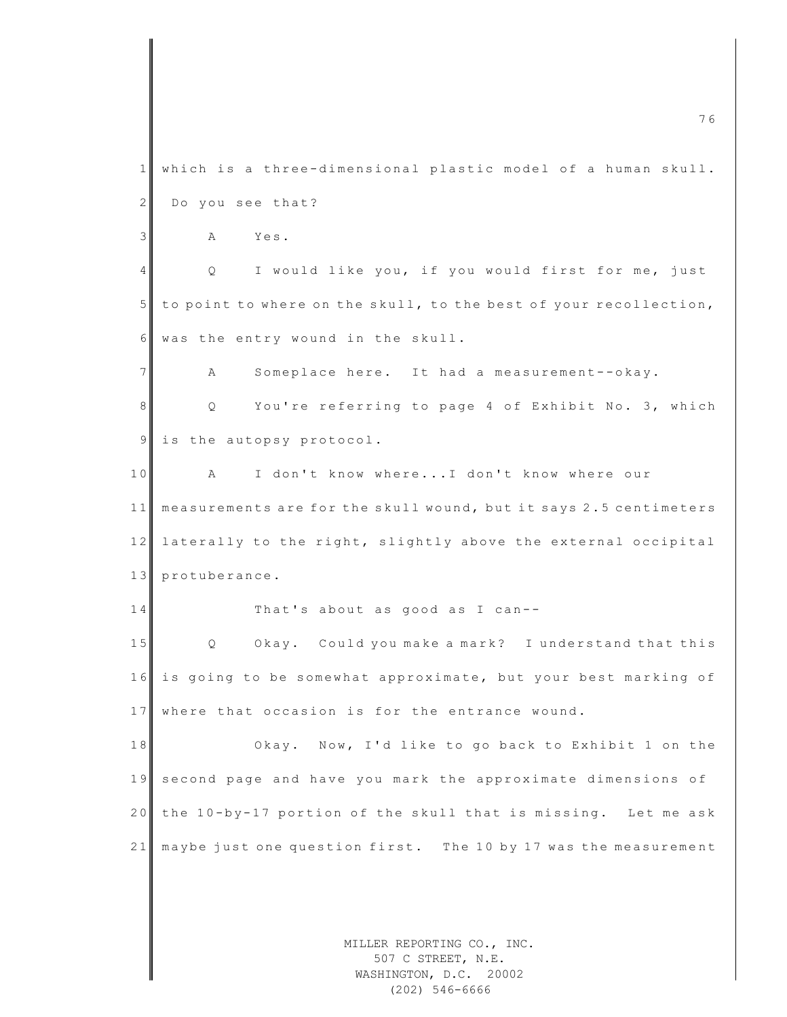MILLER REPORTING CO., INC. m c  $\overline{a}$  6  $\overline{a}$  6  $\overline{a}$  6  $\overline{a}$  6  $\overline{a}$  6  $\overline{a}$  6  $\overline{a}$  6  $\overline{a}$  6  $\overline{a}$  6  $\overline{a}$  6  $\overline{a}$  6  $\overline{a}$  6  $\overline{a}$  6  $\overline{a}$  6  $\overline{a}$  6  $\overline{a}$  6  $\overline{a}$  6  $\overline{a}$  6  $\overline{a}$  6  $\overline{a}$ 1 which is a three-dimensional plastic model of a human skull. 2 Do you see that? 3 A Yes. 4 Q I would like you, if you would first for me, just 5 to point to where on the skull, to the best of your recollection, 6 was the entry wound in the skull. 7 A Someplace here. It had a measurement--okay. 8 Q You're referring to page 4 of Exhibit No. 3, which 9 is the autopsy protocol. 10 A I don't know where...I don't know where our 11 measurements are for the skull wound, but it says 2.5 centimeters 12 laterally to the right, slightly above the external occipital 13 protuberance.  $14$  That's about as good as I can--15 Q Okay. Could you make a mark? I understand that this 16 is going to be somewhat approximate, but your best marking of 17 where that occasion is for the entrance wound. 18 Okay. Now, I'd like to go back to Exhibit 1 on the 19 second page and have you mark the approximate dimensions of 20 the 10-by-17 portion of the skull that is missing. Let me ask 21 may be just one question first. The 10 by 17 was the measurement

507 C STREET, N.E. WASHINGTON, D.C. 20002 (202) 546-6666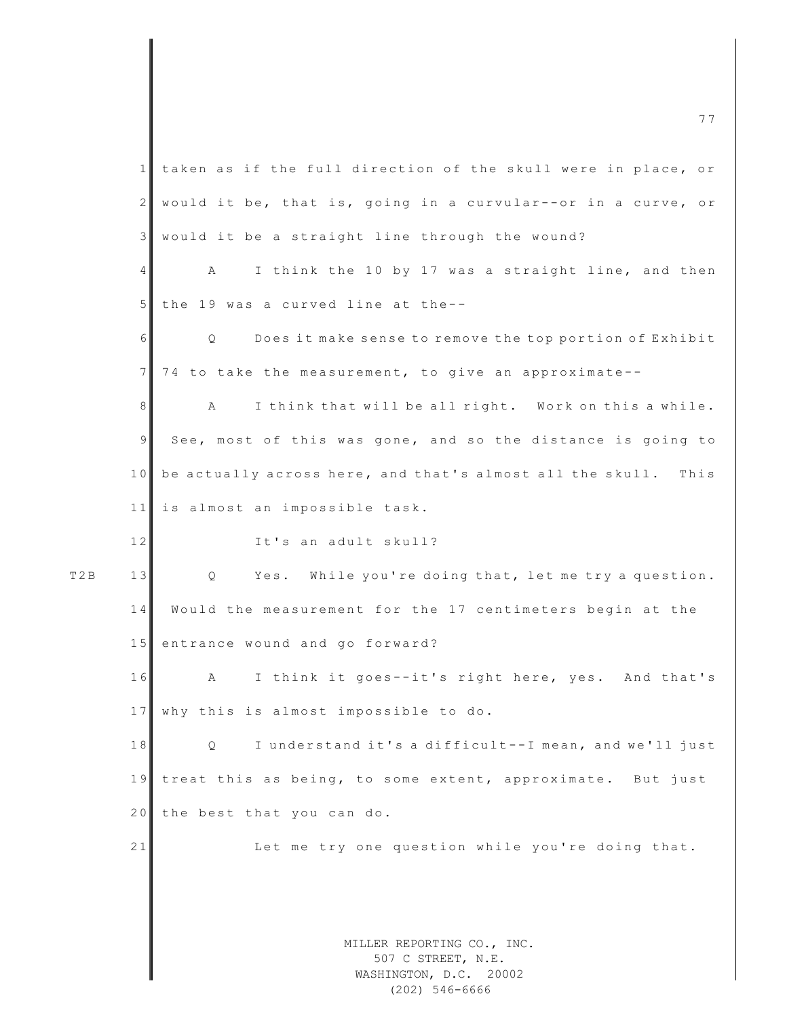|                  | taken as if the full direction of the skull were in place, or<br>$\mathbf{1}$  |
|------------------|--------------------------------------------------------------------------------|
|                  | $\overline{2}$<br>would it be, that is, going in a curvular--or in a curve, or |
|                  | $\mathcal{E}$<br>would it be a straight line through the wound?                |
|                  | I think the 10 by 17 was a straight line, and then<br>$\overline{4}$<br>Α      |
|                  | 5 <sup>1</sup><br>the 19 was a curved line at the--                            |
|                  | $\epsilon$<br>Does it make sense to remove the top portion of Exhibit<br>Q.    |
|                  | 7 <sup>1</sup><br>74 to take the measurement, to give an approximate--         |
|                  | 8<br>I think that will be all right. Work on this a while.<br>А                |
|                  | $\mathfrak{g}$<br>See, most of this was gone, and so the distance is going to  |
|                  | 10<br>be actually across here, and that's almost all the skull.<br>This        |
|                  | 11<br>is almost an impossible task.                                            |
|                  | 12<br>It's an adult skull?                                                     |
| T <sub>2</sub> B | 13<br>Yes. While you're doing that, let me try a question.<br>Q                |
|                  | 14<br>Would the measurement for the 17 centimeters begin at the                |
|                  | 15<br>entrance wound and go forward?                                           |
|                  | 16<br>I think it goes--it's right here, yes. And that's<br>$\mathbf{A}$        |
|                  | 17 why this is almost impossible to do.                                        |
|                  | 18<br>I understand it's a difficult--I mean, and we'll just<br>Q.              |
|                  | treat this as being, to some extent, approximate. But just<br>19               |
|                  | 20<br>the best that you can do.                                                |
|                  | 21<br>Let me try one question while you're doing that.                         |
|                  |                                                                                |
|                  |                                                                                |
|                  | MILLER REPORTING CO., INC.<br>507 C STREET, N.E.<br>WASHINGTON, D.C. 20002     |

m c  $\blacksquare$  . The contract of the contract of the contract of the contract of the contract of the contract of the contract of the contract of the contract of the contract of the contract of the contract of the contract of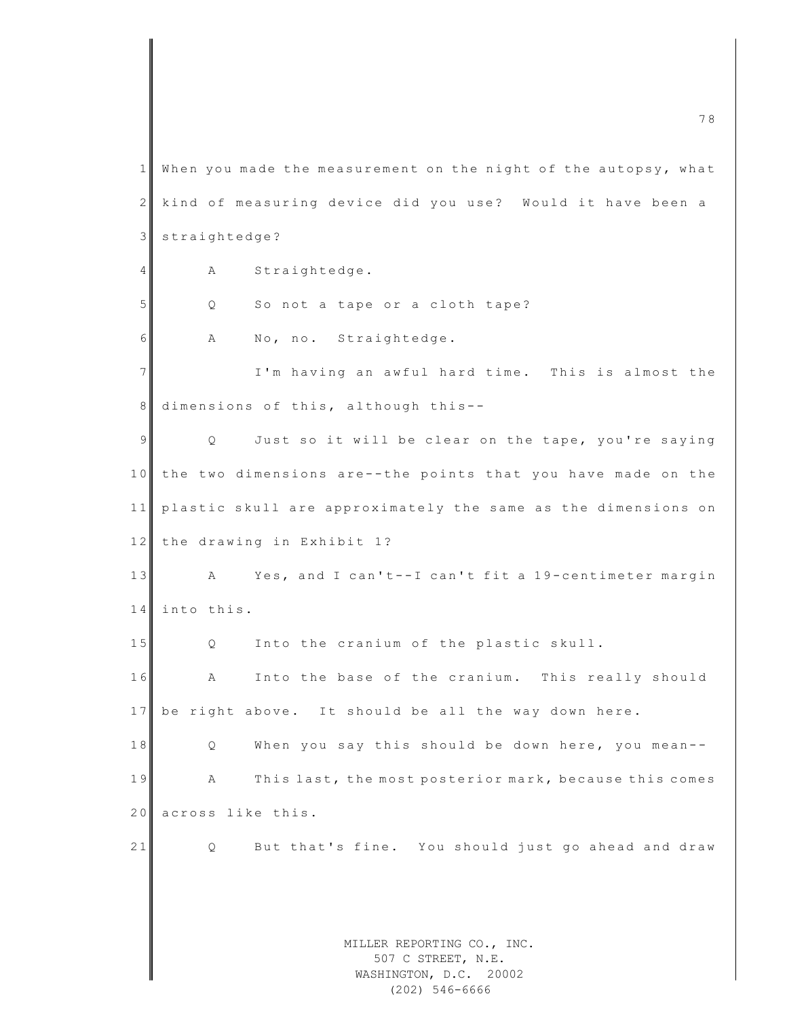MILLER REPORTING CO., INC. 507 C STREET, N.E. WASHINGTON, D.C. 20002 m c  $\overline{a}$  8  $\overline{a}$  8  $\overline{a}$  8  $\overline{a}$  8  $\overline{a}$  8  $\overline{a}$  8  $\overline{a}$  8  $\overline{a}$  8  $\overline{a}$  8  $\overline{a}$  8  $\overline{a}$  8  $\overline{a}$  8  $\overline{a}$  8  $\overline{a}$  8  $\overline{a}$  8  $\overline{a}$  8  $\overline{a}$  8  $\overline{a}$  8  $\overline{a}$  8  $\overline{a}$  $1$  When you made the measurement on the night of the autopsy, what 2 kind of measuring device did you use? Would it have been a 3 straightedge? 4 A Straightedge. 5 Q So not a tape or a cloth tape? 6 A No, no. Straightedge. 7 I'm having an awful hard time. This is almost the 8 dimensions of this, although this-- $9 \parallel$  Q Just so it will be clear on the tape, you're saying 10 the two dimensions are--the points that you have made on the 11 plastic skull are approximately the same as the dimensions on 12 the drawing in Exhibit 1? 13 A Yes, and I can't--I can't fit a 19-centimeter margin 14 into this. 15 Q Into the cranium of the plastic skull. 16 A Into the base of the cranium. This really should 17 be right above. It should be all the way down here. 18 Q When you say this should be down here, you mean--19 A This last, the most posterior mark, because this comes 20 across like this. 21 Q But that's fine. You should just go ahead and draw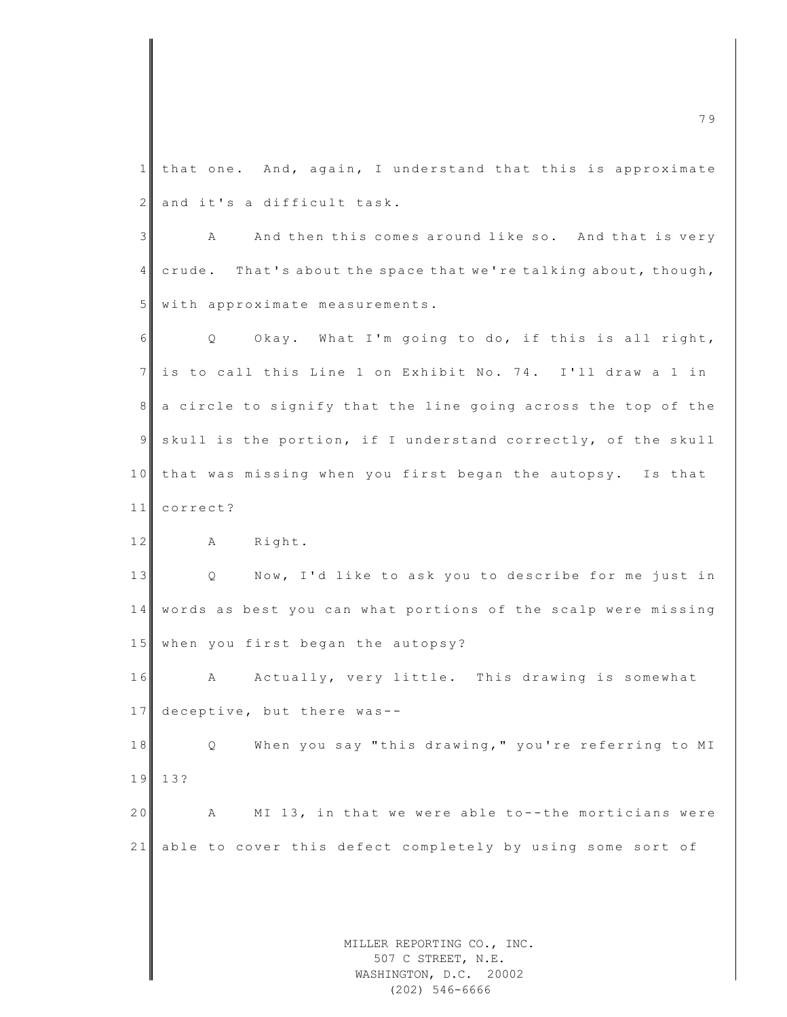1 that one. And, again, I understand that this is approximate 2 and it's a difficult task.

3 A And then this comes around like so. And that is very 4 crude. That's about the space that we're talking about, though, 5 with approximate measurements.

 $6$  Q Okay. What I'm going to do, if this is all right, 7 is to call this Line 1 on Exhibit No. 74. I'll draw a 1 in 8 a circle to signify that the line going across the top of the 9 skull is the portion, if I understand correctly, of the skull 10 that was missing when you first began the autopsy. Is that 11 correct?

12 A Right.

13 | Q Now, I'd like to ask you to describe for me just in 14 words as best you can what portions of the scalp were missing 15 when you first began the autopsy?

16 A Actually, very little. This drawing is somewhat 17 deceptive, but there was--

18 Q When you say "this drawing," you're referring to MI 1 9 13?

20 A MI 13, in that we were able to--the morticians were 21 able to cover this defect completely by using some sort of

> MILLER REPORTING CO., INC. 507 C STREET, N.E. WASHINGTON, D.C. 20002 (202) 546-6666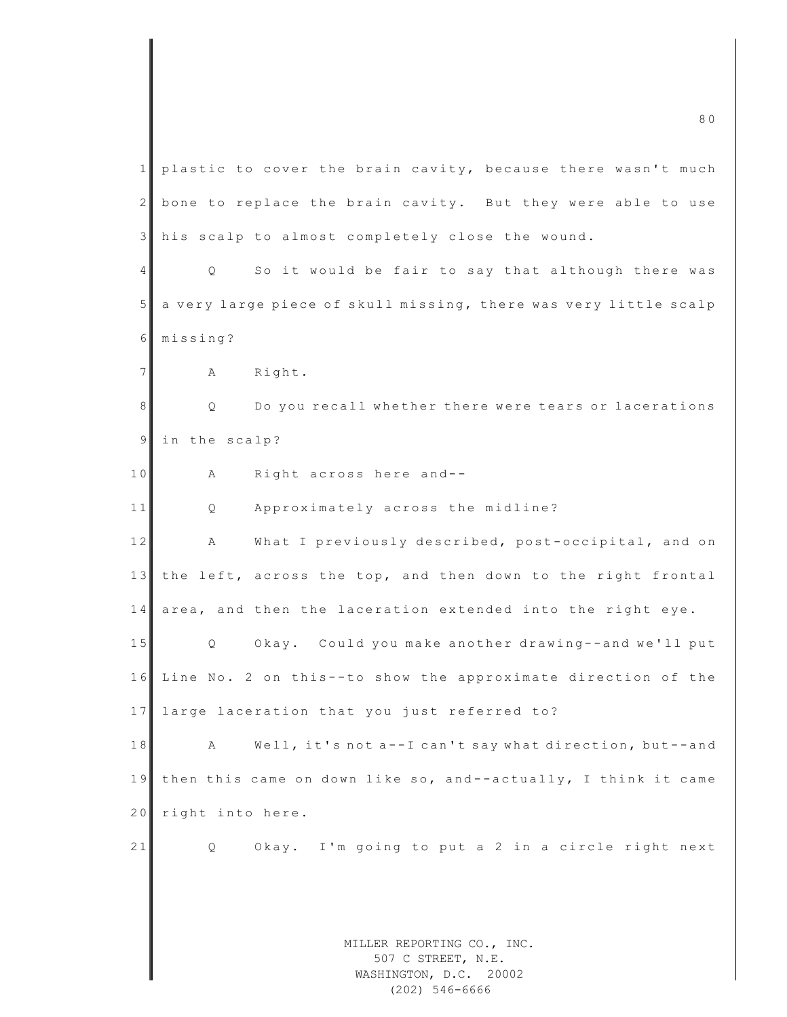MILLER REPORTING CO., INC. 507 C STREET, N.E. WASHINGTON, D.C. 20002 m c 8 0  $\sim$  8 0  $\sim$  8 0  $\sim$  8 0  $\sim$  8 0  $\sim$  8 0  $\sim$  8 0  $\sim$  8 0  $\sim$  8 0  $\sim$  8 0  $\sim$  8 0  $\sim$  8 0  $\sim$  8 0  $\sim$  8 0  $\sim$  8 0  $\sim$  8 0  $\sim$  8 0  $\sim$  8 0  $\sim$  8 0  $\sim$  8 0  $\sim$  8 0  $\sim$  8 0  $\sim$  8 0  $\sim$  8 0  $\sim$  8 1 plastic to cover the brain cavity, because there wasn't much  $2$  bone to replace the brain cavity. But they were able to use 3 his scalp to almost completely close the wound. 4 Q So it would be fair to say that although there was 5 a very large piece of skull missing, there was very little scalp 6 missing? 7 A Right. 8 || Q Do you recall whether there were tears or lacerations 9 in the scalp? 10 A Right across here and--11 Q Approximately across the midline? 12 A What I previously described, post-occipital, and on 13 the left, across the top, and then down to the right frontal 14 area, and then the laceration extended into the right eye. 15 Q Okay. Could you make another drawing--and we'll put 16 Line No. 2 on this--to show the approximate direction of the 17 large laceration that you just referred to? 18 A Well, it's not a--I can't say what direction, but--and 19 then this came on down like so, and--actually, I think it came 20 right into here. 21 Q Okay. I'm going to put a 2 in a circle right next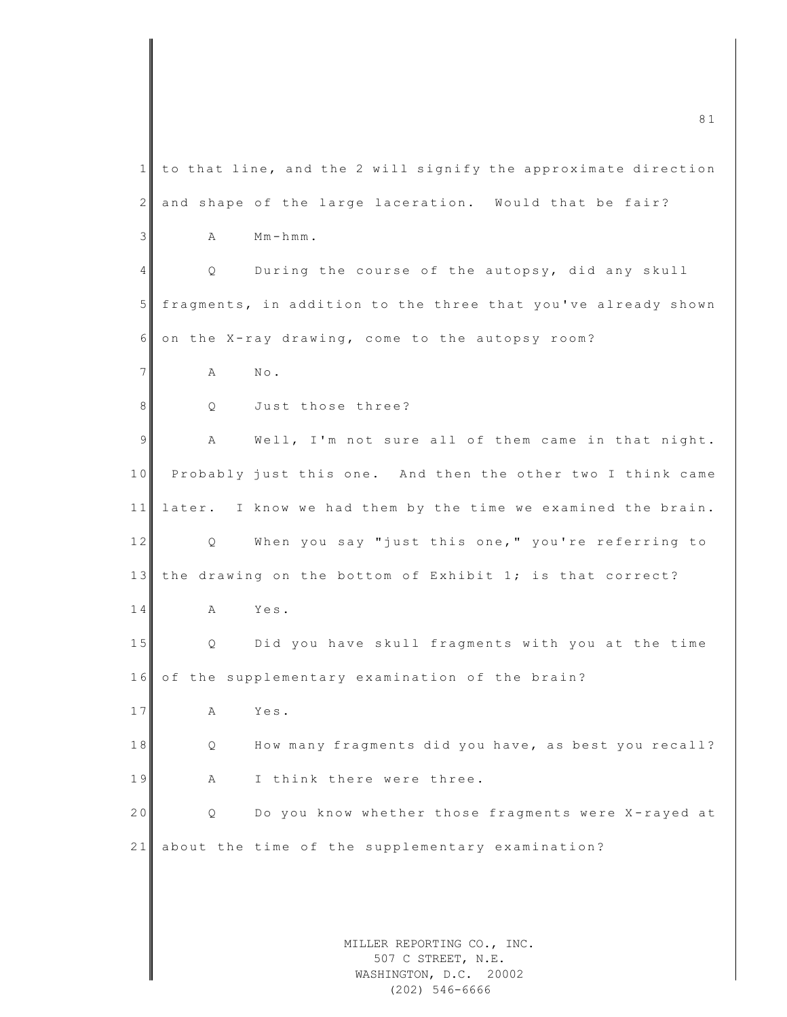MILLER REPORTING CO., INC. 507 C STREET, N.E.  $1$  to that line, and the 2 will signify the approximate direction 2 and shape of the large laceration. Would that be fair?  $3$  A M m-hmm. 4 Q During the course of the autopsy, did any skull  $5$  fragments, in addition to the three that you've already shown  $6$  on the X-ray drawing, come to the autopsy room? 7 **A** No. 8 Q Just those three? 9 A Well, I'm not sure all of them came in that night. 10 Probably just this one. And then the other two I think came 11 later. I know we had them by the time we examined the brain. 12 Q When you say "just this one," you're referring to 13 the drawing on the bottom of Exhibit 1; is that correct? 14 A Yes. 15 Q Did you have skull fragments with you at the time  $16$  of the supplementary examination of the brain? 17 A Yes. 18 Q How many fragments did you have, as best you recall? 19 A I think there were three. 20 Q Do you know whether those fragments were X-rayed at 21 about the time of the supplementary examination?

m c 8 1  $\overline{81}$ 

WASHINGTON, D.C. 20002 (202) 546-6666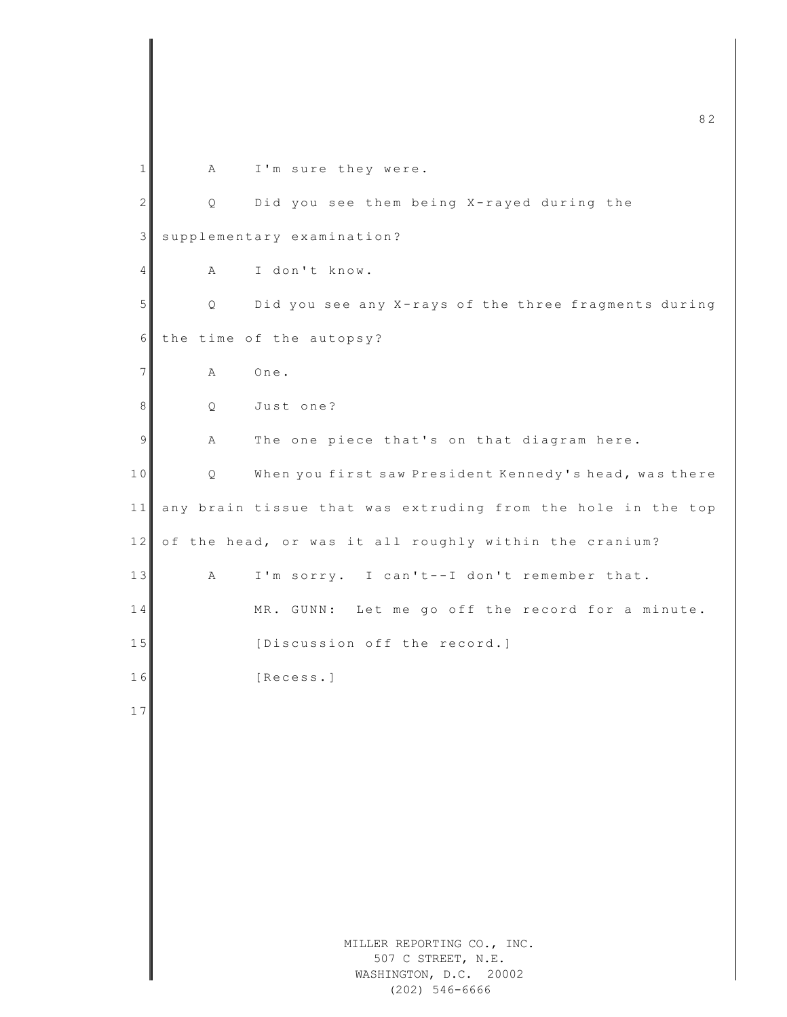|              |   | 82                                                                            |
|--------------|---|-------------------------------------------------------------------------------|
| 1            | Α | I'm sure they were.                                                           |
| $\mathbf{2}$ | Q | Did you see them being X-rayed during the                                     |
| 3            |   | supplementary examination?                                                    |
| 4            | Α | I don't know.                                                                 |
| 5            | Q | Did you see any X-rays of the three fragments during                          |
| 6            |   | the time of the autopsy?                                                      |
| 7            | Α | One.                                                                          |
| 8            | Q | Just one?                                                                     |
| 9            | Α | The one piece that's on that diagram here.                                    |
| 10           | Q | When you first saw President Kennedy's head, was there                        |
| 11           |   | any brain tissue that was extruding from the hole in the top                  |
| $12$         |   | of the head, or was it all roughly within the cranium?                        |
| 13           | Α | I'm sorry. I can't--I don't remember that.                                    |
| 14           |   | Let me go off the record for a minute.<br>MR. GUNN:                           |
| 15           |   | [Discussion off the record.]                                                  |
| 16           |   | [Recess.]                                                                     |
| 17           |   |                                                                               |
|              |   |                                                                               |
|              |   |                                                                               |
|              |   |                                                                               |
|              |   |                                                                               |
|              |   |                                                                               |
|              |   |                                                                               |
|              |   | MILLER REPORTING CO., INC.<br>507 C STREET, N.E.<br>WASHINGTON, D.C.<br>20002 |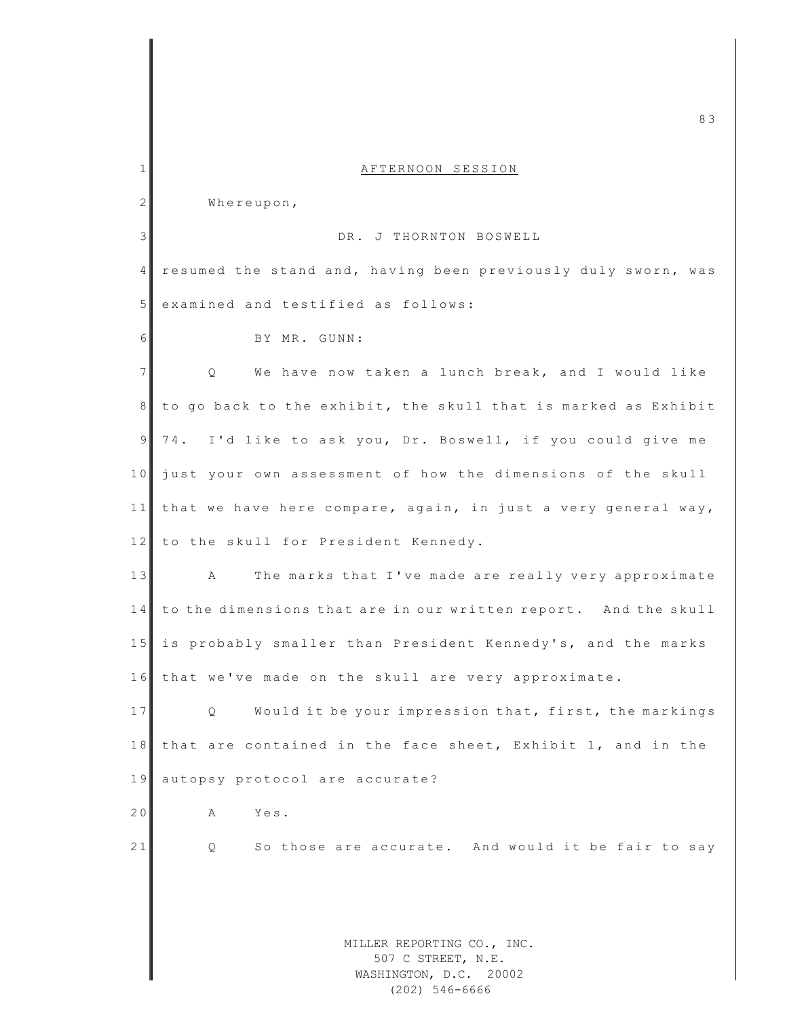|                | 83                                                                         |
|----------------|----------------------------------------------------------------------------|
| 1              | AFTERNOON SESSION                                                          |
| $\mathbf{2}$   | Whereupon,                                                                 |
| $\mathfrak{Z}$ | DR. J THORNTON BOSWELL                                                     |
| 4              | resumed the stand and, having been previously duly sworn, was              |
| 5              | examined and testified as follows:                                         |
| 6              | BY MR. GUNN:                                                               |
| $\overline{7}$ | $Q_{\cdot}$<br>We have now taken a lunch break, and I would like           |
| 8              | to go back to the exhibit, the skull that is marked as Exhibit             |
| 9              | I'd like to ask you, Dr. Boswell, if you could give me<br>74.              |
| 10             | just your own assessment of how the dimensions of the skull                |
| 11             | that we have here compare, again, in just a very general way,              |
| 12             | to the skull for President Kennedy.                                        |
| 13             | The marks that I've made are really very approximate<br>Α                  |
| 14             | to the dimensions that are in our written report. And the skull            |
| 15             | is probably smaller than President Kennedy's, and the marks                |
|                | 16 that we've made on the skull are very approximate.                      |
| 17             | Would it be your impression that, first, the markings<br>Q.                |
| 18             | that are contained in the face sheet, Exhibit 1, and in the                |
| 19             | autopsy protocol are accurate?                                             |
| 20             | Yes.<br>Α                                                                  |
| 21             | So those are accurate. And would it be fair to say<br>Q.                   |
|                |                                                                            |
|                |                                                                            |
|                | MILLER REPORTING CO., INC.<br>507 C STREET, N.E.<br>WASHINGTON, D.C. 20002 |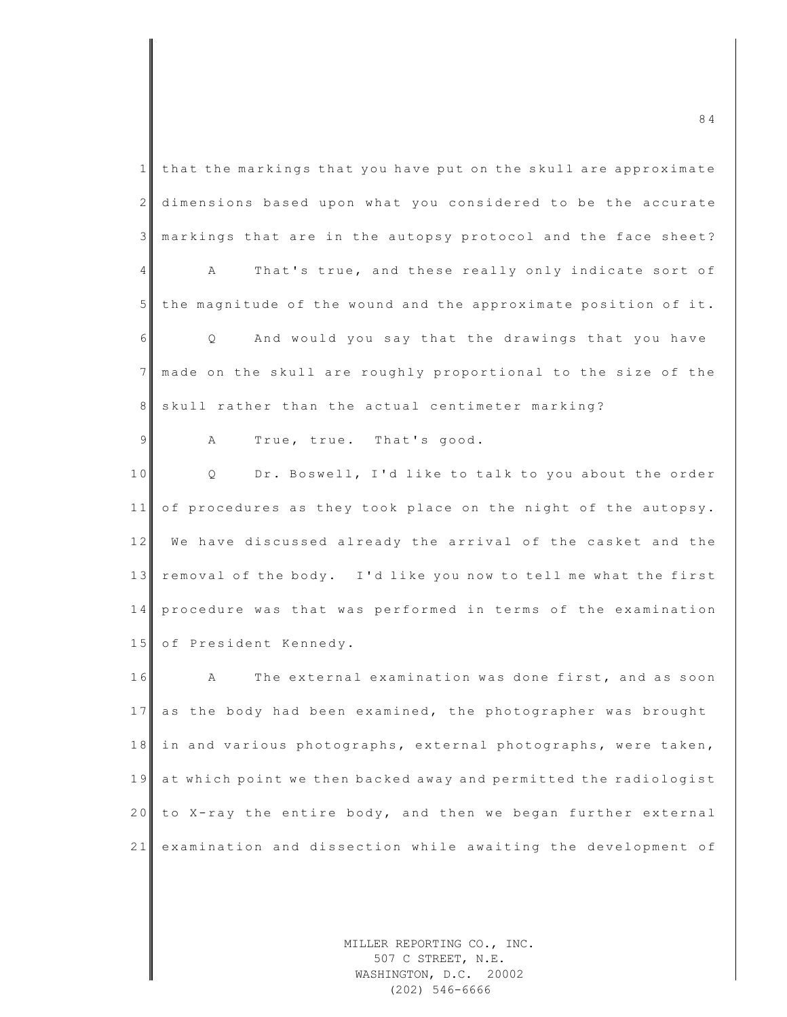$1$  that the markings that you have put on the skull are approximate 2 dimensions based upon what you considered to be the accurate 3 markings that are in the autopsy protocol and the face sheet? 4 A That's true, and these really only indicate sort of  $5$  the magnitude of the wound and the approximate position of it. 6 | Q And would you say that the drawings that you have 7 made on the skull are roughly proportional to the size of the 8 skull rather than the actual centimeter marking? 9 A True, true. That's good. 10 Q Dr. Boswell, I'd like to talk to you about the order  $11$  of procedures as they took place on the night of the autopsy. 12 We have discussed already the arrival of the casket and the 13 removal of the body. I'd like you now to tell me what the first 14 procedure was that was performed in terms of the examination 15 of President Kennedy. 16 A The external examination was done first, and as soon 17 as the body had been examined, the photographer was brought 18 in and various photographs, external photographs, were taken, 19 at which point we then backed away and permitted the radiologist 20 to X-ray the entire body, and then we began further external 21 examination and dissection while awaiting the development of

> MILLER REPORTING CO., INC. 507 C STREET, N.E. WASHINGTON, D.C. 20002 (202) 546-6666

 $\overline{84}$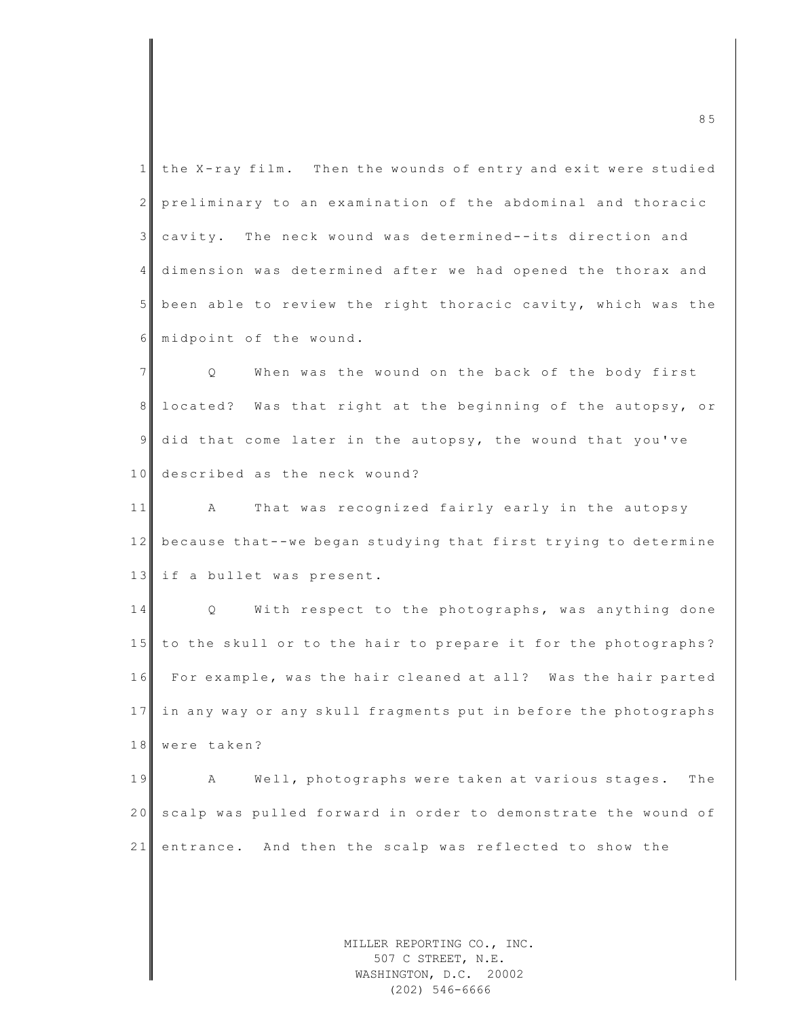|                 | 85                                                                         |
|-----------------|----------------------------------------------------------------------------|
| 1               | the X-ray film. Then the wounds of entry and exit were studied             |
| $\mathbf{2}$    | preliminary to an examination of the abdominal and thoracic                |
| $\mathfrak{Z}$  | cavity. The neck wound was determined--its direction and                   |
| $4\overline{ }$ | dimension was determined after we had opened the thorax and                |
| $5\phantom{.}$  | been able to review the right thoracic cavity, which was the               |
| 6               | midpoint of the wound.                                                     |
| $\overline{7}$  | When was the wound on the back of the body first<br>Q                      |
| 8 <sup>1</sup>  | located? Was that right at the beginning of the autopsy, or                |
| 9               | did that come later in the autopsy, the wound that you've                  |
| 10              | described as the neck wound?                                               |
| 11              | That was recognized fairly early in the autopsy<br>$\mathbf{A}$            |
| 12              | because that--we began studying that first trying to determine             |
| 13              | if a bullet was present.                                                   |
| 14              | With respect to the photographs, was anything done<br>Q                    |
| 15              | to the skull or to the hair to prepare it for the photographs?             |
| 16              | For example, was the hair cleaned at all? Was the hair parted              |
| 17              | in any way or any skull fragments put in before the photographs            |
| 18              | were taken?                                                                |
| 19              | Well, photographs were taken at various stages.<br>The<br>Α                |
| 20              | scalp was pulled forward in order to demonstrate the wound of              |
| 21              | entrance. And then the scalp was reflected to show the                     |
|                 |                                                                            |
|                 |                                                                            |
|                 | MILLER REPORTING CO., INC.<br>507 C STREET, N.E.<br>WASHINGTON, D.C. 20002 |

WASHINGTON, D.C. 20002 (202) 546-6666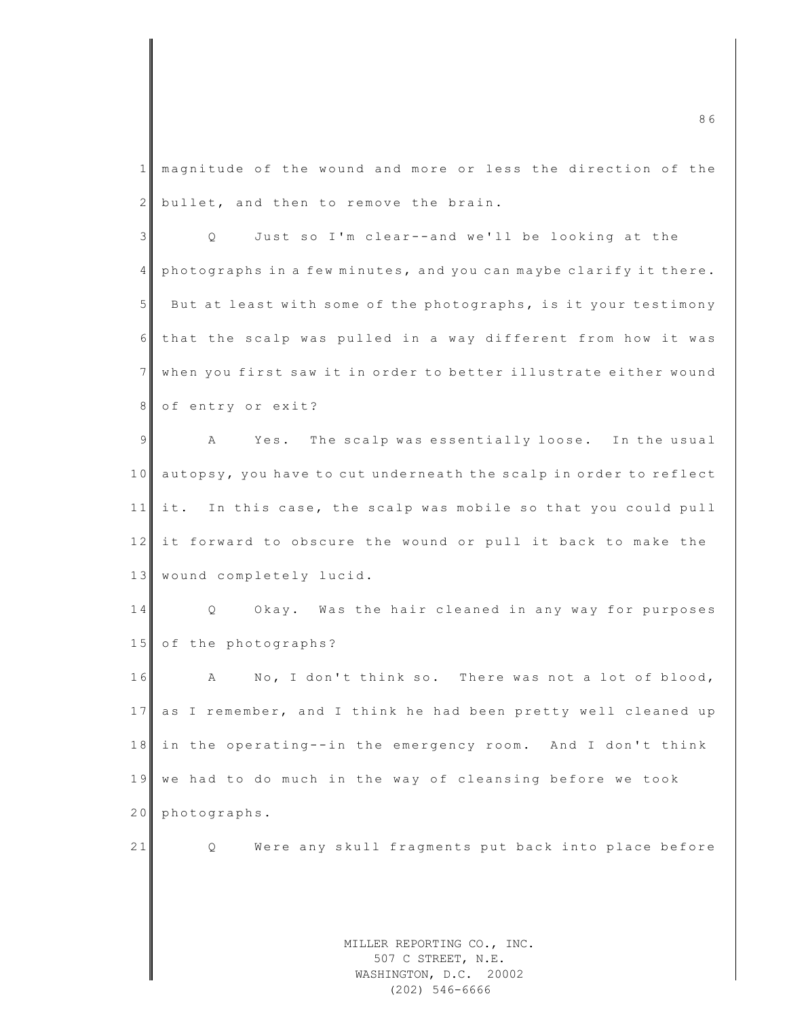1 magnitude of the wound and more or less the direction of the 2 bullet, and then to remove the brain.

3 | Q Just so I'm clear--and we'll be looking at the 4 ph o t o graphs in a few minutes, and you can may be clarify it there. 5 But at least with some of the photographs, is it your testimony 6 that the scalp was pulled in a way different from how it was 7 when you first saw it in order to better illustrate either wound 8 of entry or exit?

9 A Yes. The scalp was essentially loose. In the usual 10 autopsy, you have to cut underneath the scalp in order to reflect  $11$  it. In this case, the scalp was mobile so that you could pull 12 it forward to obscure the wound or pull it back to make the 13 wound completely lucid.

14 Q Okay. Was the hair cleaned in any way for purposes 15 of the photographs?

16 A No, I don't think so. There was not a lot of blood, 17 as I remember, and I think he had been pretty well cleaned up 18 in the operating--in the emergency room. And I don't think 19 we had to do much in the way of cleansing before we took 20 photographs.

21 Q Were any skull fragments put back into place before

MILLER REPORTING CO., INC. 507 C STREET, N.E. WASHINGTON, D.C. 20002 (202) 546-6666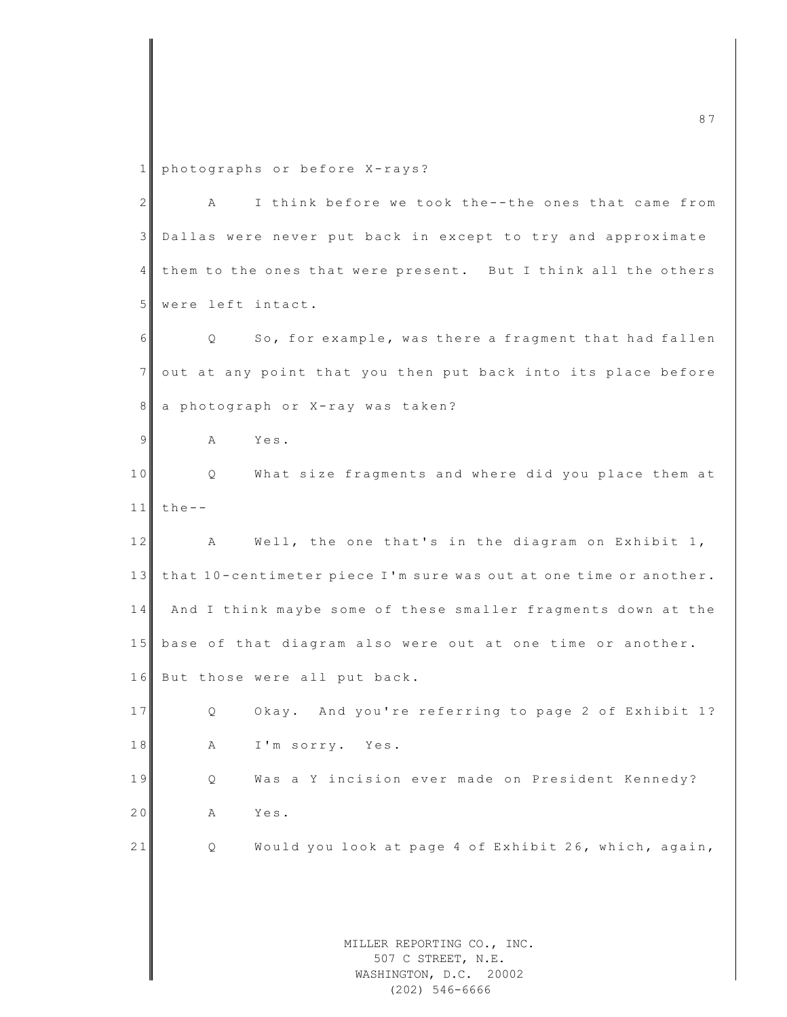1 photographs or before X-rays?

| $\mathbf{2}$ | Α                                                                          | I think before we took the--the ones that came from   |
|--------------|----------------------------------------------------------------------------|-------------------------------------------------------|
| 3            | Dallas were never put back in except to try and approximate                |                                                       |
| 4            | them to the ones that were present. But I think all the others             |                                                       |
| 5            | were left intact.                                                          |                                                       |
| 6            | Q                                                                          | So, for example, was there a fragment that had fallen |
| 7            | out at any point that you then put back into its place before              |                                                       |
| 8            | a photograph or X-ray was taken?                                           |                                                       |
| 9            | Yes.<br>Α                                                                  |                                                       |
| 10           | Q                                                                          | What size fragments and where did you place them at   |
| 11           | $the--$                                                                    |                                                       |
| 12           | $\mathbb A$                                                                | Well, the one that's in the diagram on Exhibit 1,     |
| 13           | that 10-centimeter piece I'm sure was out at one time or another.          |                                                       |
| 14           | And I think maybe some of these smaller fragments down at the              |                                                       |
| 15           | base of that diagram also were out at one time or another.                 |                                                       |
| 16           | But those were all put back.                                               |                                                       |
| 17           | Q                                                                          | Okay. And you're referring to page 2 of Exhibit 1?    |
| 18           | I'm sorry. Yes.<br>Α                                                       |                                                       |
| 19           | Q                                                                          | Was a Y incision ever made on President Kennedy?      |
| 20           | Yes.<br>Α                                                                  |                                                       |
| 21           | Q                                                                          | Would you look at page 4 of Exhibit 26, which, again, |
|              |                                                                            |                                                       |
|              |                                                                            |                                                       |
|              | MILLER REPORTING CO., INC.<br>507 C STREET, N.E.<br>WASHINGTON, D.C. 20002 |                                                       |

(202) 546-6666

m c 8  $7$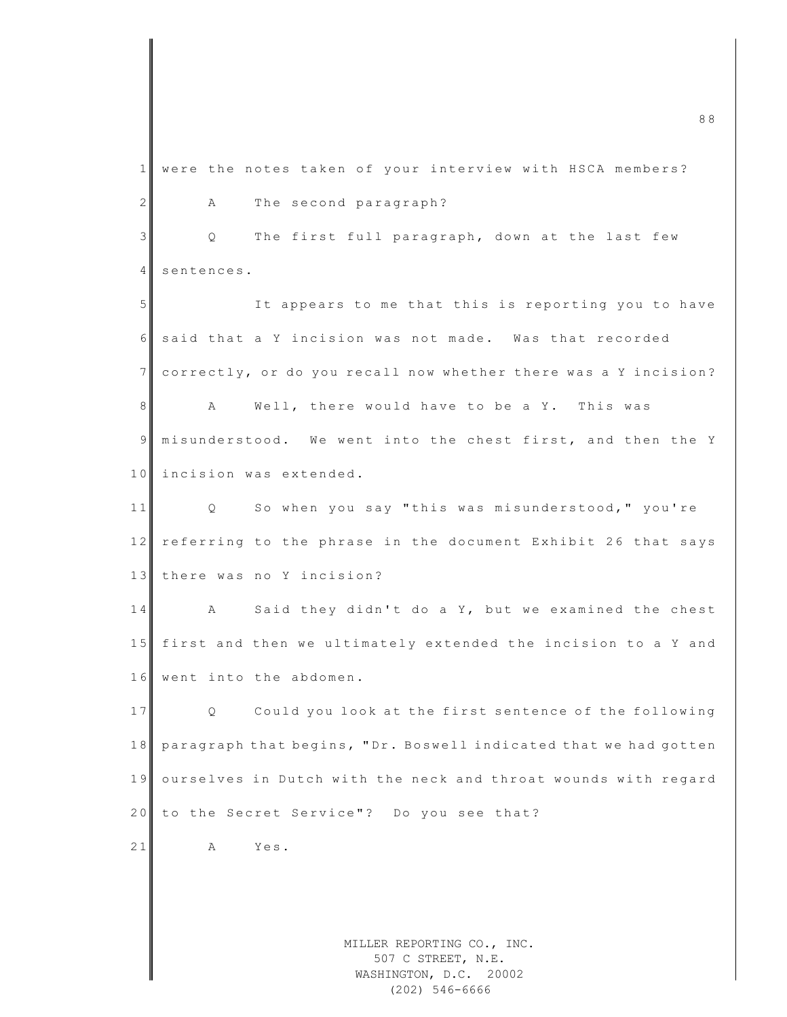MILLER REPORTING CO., INC. 507 C STREET, N.E. m c  $\sim$  8 8  $\,$  8  $\,$  8  $\,$  8  $\,$  8  $\,$  8  $\,$  8  $\,$  8  $\,$  8  $\,$  8  $\,$  8  $\,$  8  $\,$  8  $\,$  8  $\,$  8  $\,$  8  $\,$  8  $\,$  8  $\,$  8  $\,$  8  $\,$  8  $\,$  8  $\,$  8  $\,$  8  $\,$  8  $\,$  8  $\,$  8  $\,$  8  $\,$  8  $\,$  8  $\,$  1 were the notes taken of your interview with HSCA members? 2 A The second paragraph? 3 Q The first full paragraph, down at the last few 4 sentences. 5 It appears to me that this is reporting you to have 6 said that a Y incision was not made. Was that recorded 7 correctly, or do you recall now whether there was a Y incision? 8 A Well, there would have to be a Y. This was 9 misunderstood. We went into the chest first, and then the Y 10 incision was extended. 11 Q So when you say "this was misunderstood," you're 12 referring to the phrase in the document Exhibit 26 that says 13 there was no Y incision? 14 A Said they didn't do a Y, but we examined the chest 15 first and then we ultimately extended the incision to a Y and 16 went into the abdomen. 17 Q Could you look at the first sentence of the following 18 paragraph that begins, "Dr. Boswell indicated that we had gotten 19 ourselves in Dutch with the neck and throat wounds with regard 20 to the Secret Service"? Do you see that? 21 A Yes.

WASHINGTON, D.C. 20002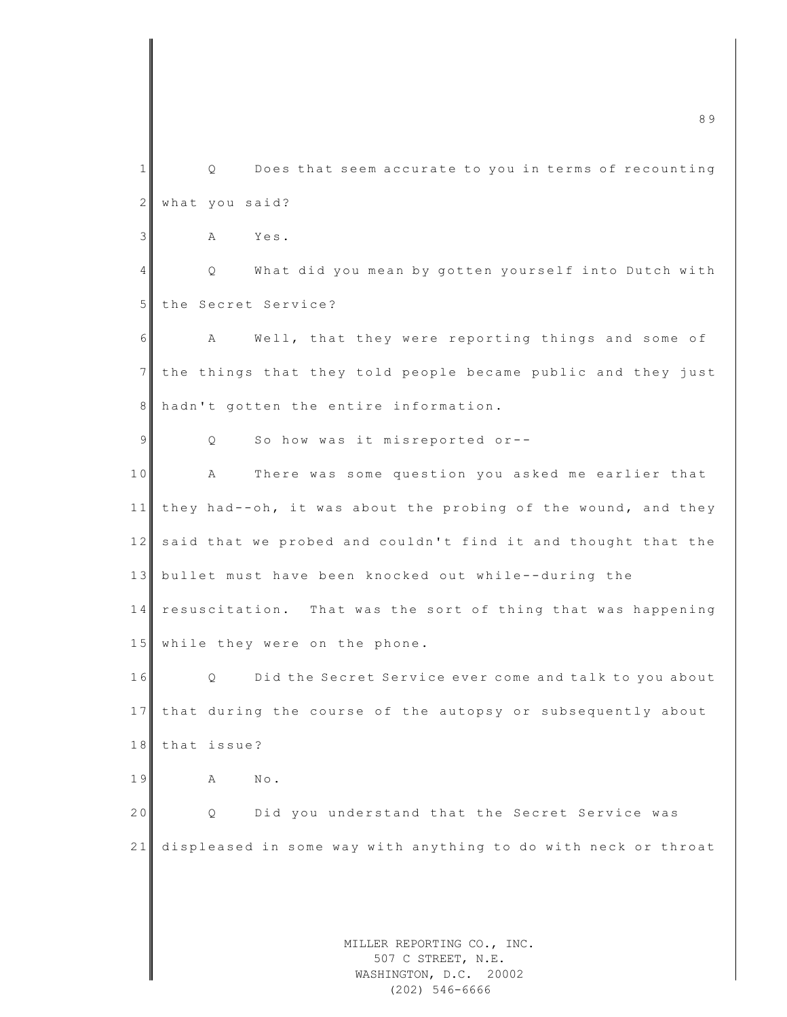MILLER REPORTING CO., INC. 507 C STREET, N.E. m c 8 9  $\sim$  8 9  $\sim$  8 9  $\sim$  8  $\sim$  8  $\sim$  8  $\sim$  8  $\sim$  8  $\sim$  8  $\sim$  8  $\sim$  8  $\sim$  8  $\sim$  8  $\sim$  8  $\sim$  8  $\sim$  8  $\sim$  8  $\sim$  8  $\sim$  8  $\sim$  8  $\sim$  8  $\sim$  8  $\sim$  8  $\sim$  8  $\sim$  8  $\sim$  8  $\sim$  8  $\sim$  8  $\sim$  8  $\sim$  8  $\sim$  8 1 || Q Does that seem accurate to you in terms of recounting 2 what you said? 3 A Yes. 4 Q What did you mean by gotten yourself into Dutch with 5 the Secret Service? 6 A Well, that they were reporting things and some of 7 the things that they told people became public and they just 8 hadn't gotten the entire information. 9 Q So how was it misreported or--10 A There was some question you asked me earlier that 11 they had--oh, it was about the probing of the wound, and they 12 said that we probed and couldn't find it and thought that the 13 bullet must have been knocked out while--during the  $14$  resuscitation. That was the sort of thing that was happening 15 while they were on the phone. 16 Q Did the Secret Service ever come and talk to you about 17 that during the course of the autopsy or subsequently about 18 that issue? 19 A No. 20 Q Did you understand that the Secret Service was 21 displeased in some way with anything to do with neck or throat

WASHINGTON, D.C. 20002 (202) 546-6666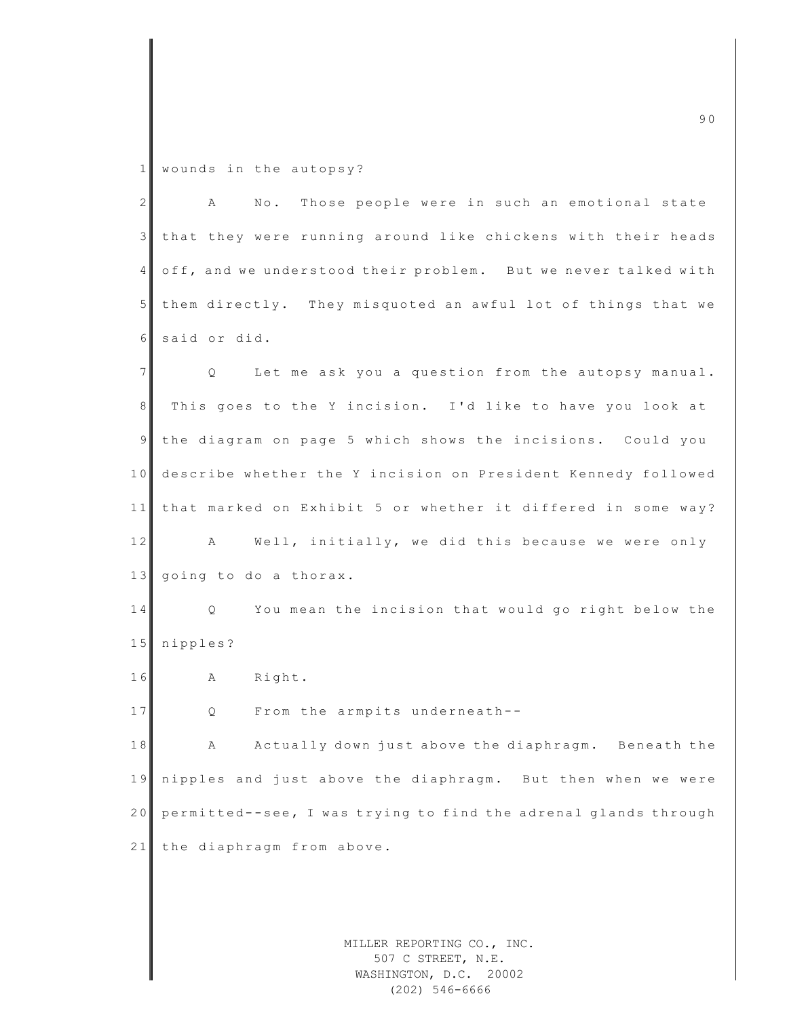1 wounds in the autopsy?

| $\overline{2}$ | No. Those people were in such an emotional state<br>A           |
|----------------|-----------------------------------------------------------------|
| $\mathcal{S}$  | that they were running around like chickens with their heads    |
| 4              | off, and we understood their problem. But we never talked with  |
| 5              | them directly. They misquoted an awful lot of things that we    |
| 6              | said or did.                                                    |
| $\overline{7}$ | Let me ask you a question from the autopsy manual.<br>Q         |
| 8              | This goes to the Y incision. I'd like to have you look at       |
| $\overline{9}$ | the diagram on page 5 which shows the incisions. Could you      |
| 10             | describe whether the Y incision on President Kennedy followed   |
| 11             | that marked on Exhibit 5 or whether it differed in some way?    |
| 12             | Well, initially, we did this because we were only<br>A          |
| 13             | going to do a thorax.                                           |
| 14             | You mean the incision that would go right below the<br>Q.       |
| 15             | nipples?                                                        |
| 16             | Right.<br>Α                                                     |
| 17             | From the armpits underneath--<br>Q                              |
| 18             | Actually down just above the diaphragm. Beneath the<br>А        |
| 19             | nipples and just above the diaphragm. But then when we were     |
| 20             | permitted--see, I was trying to find the adrenal glands through |
| 21             | the diaphragm from above.                                       |
|                |                                                                 |
|                |                                                                 |

MILLER REPORTING CO., INC. 507 C STREET, N.E. WASHINGTON, D.C. 20002 (202) 546-6666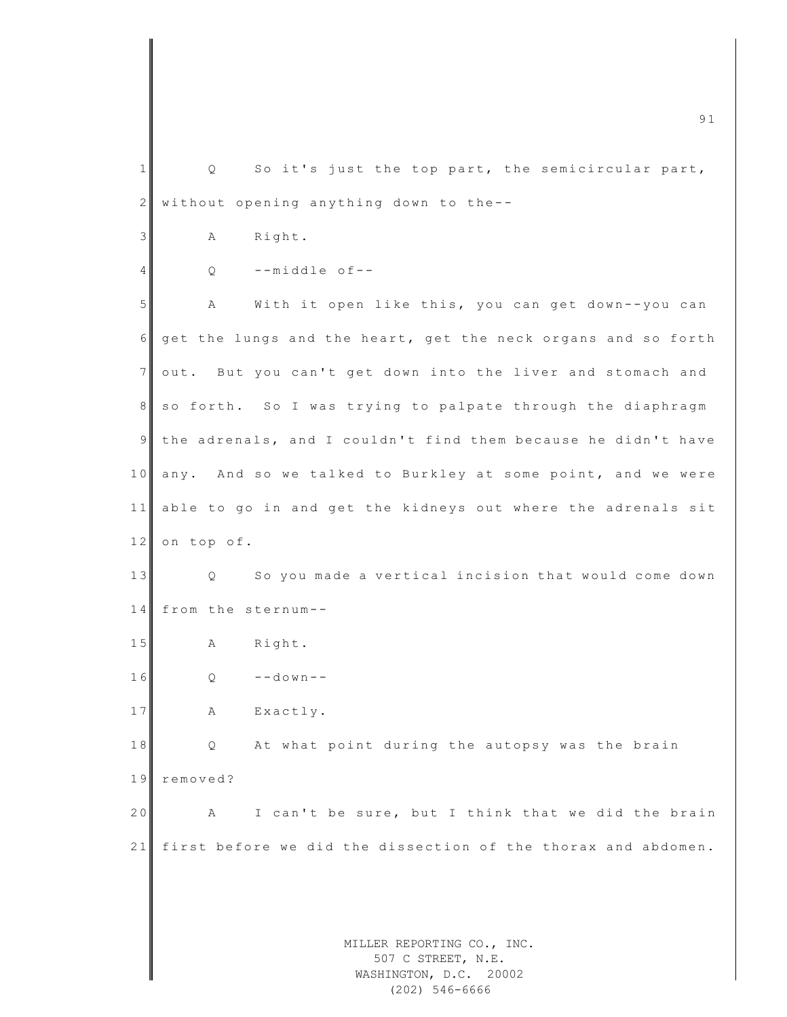MILLER REPORTING CO., INC. 507 C STREET, N.E. m c 91  $\overline{91}$  $1 \parallel$  Q So it's just the top part, the semicircular part,  $2$  without opening anything down to the--3 A Right.  $4$  Q --middle of--5 A With it open like this, you can get down--you can  $6$  get the lungs and the heart, get the neck organs and so forth 7 out. But you can't get down into the liver and stomach and 8 so forth. So I was trying to palpate through the diaphragm 9 the adrenals, and I couldn't find them because he didn't have 10 any. And so we talked to Burkley at some point, and we were 11 able to go in and get the kidneys out where the adrenals sit  $12$  on top of. 13 | Q So you made a vertical incision that would come down 14 from the sternum--15 A Right.  $16$  O  $-$  -down - -17 A Exactly. 18 Q At what point during the autopsy was the brain 19 removed? 20 A I can't be sure, but I think that we did the brain 21 first before we did the dissection of the thorax and abdomen.

WASHINGTON, D.C. 20002 (202) 546-6666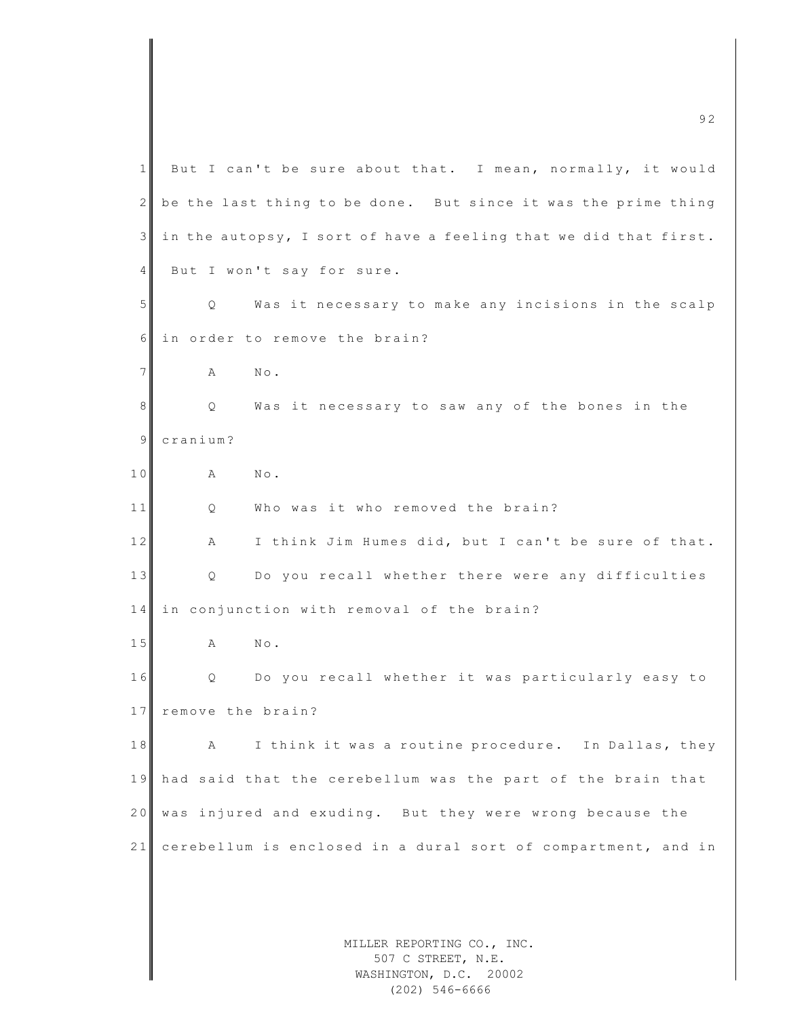MILLER REPORTING CO., INC. 507 C STREET, N.E. 1 But I can't be sure about that. I mean, normally, it would  $2 \parallel$  be the last thing to be done. But since it was the prime thing  $3$  in the autopsy, I sort of have a feeling that we did that first. 4 But I won't say for sure. 5 | Q Was it necessary to make any incisions in the scalp 6 in order to remove the brain? 7 **A** No. 8 Q Was it necessary to saw any of the bones in the 9 cranium? 10 A No. 11 O Who was it who removed the brain? 12 A I think Jim Humes did, but I can't be sure of that. 13 | Q Do you recall whether there were any difficulties 14 in conjunction with removal of the brain? 15 A No. 16 Q Do you recall whether it was particularly easy to 17 remove the brain? 18 A I think it was a routine procedure. In Dallas, they 19 had said that the cerebellum was the part of the brain that 20 was injured and exuding. But they were wrong because the 21 cerebellum is enclosed in a dural sort of compartment, and in

m c 9  $\alpha$  9  $\alpha$  9  $\alpha$  9  $\alpha$ 

WASHINGTON, D.C. 20002 (202) 546-6666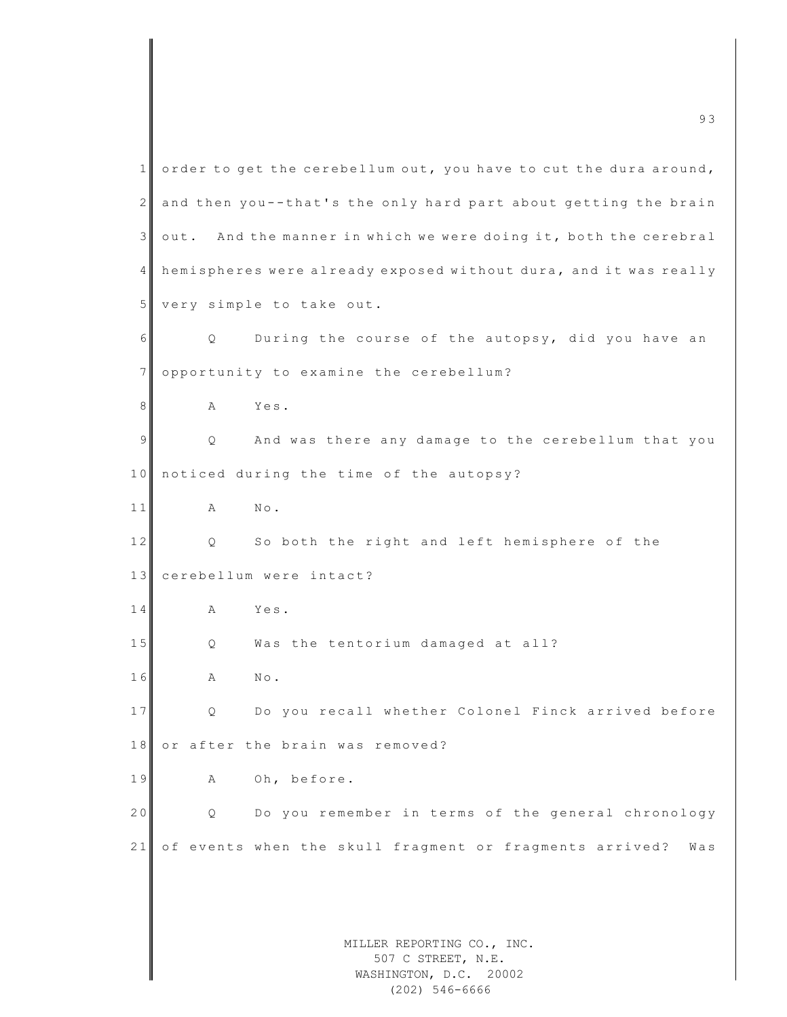|                | 93                                                                         |
|----------------|----------------------------------------------------------------------------|
| 1              | order to get the cerebellum out, you have to cut the dura around,          |
| $\mathbf{2}$   | and then you--that's the only hard part about getting the brain            |
| $\mathfrak{Z}$ | And the manner in which we were doing it, both the cerebral<br>out.        |
| 4              | hemispheres were already exposed without dura, and it was really           |
| 5              | very simple to take out.                                                   |
| 6              | During the course of the autopsy, did you have an<br>Q.                    |
| 7              | opportunity to examine the cerebellum?                                     |
| 8              | Yes.<br>Α                                                                  |
| 9              | And was there any damage to the cerebellum that you<br>Q                   |
| 10             | noticed during the time of the autopsy?                                    |
| 11             | $\mbox{N}\circ$ .<br>Α                                                     |
| 12             | So both the right and left hemisphere of the<br>Q                          |
| 13             | cerebellum were intact?                                                    |
| 14             | Yes.<br>Α                                                                  |
| 15             | Was the tentorium damaged at all?<br>Q                                     |
| 16             | $\mathbb{N}\circ$ .<br>Α                                                   |
| 17             | Do you recall whether Colonel Finck arrived before<br>$\circ$              |
| 18             | or after the brain was removed?                                            |
| 19             | Oh, before.<br>Α                                                           |
| 20             | Do you remember in terms of the general chronology<br>Q.                   |
| 21             | of events when the skull fragment or fragments arrived?<br>Was             |
|                |                                                                            |
|                |                                                                            |
|                | MILLER REPORTING CO., INC.<br>507 C STREET, N.E.<br>WASHINGTON, D.C. 20002 |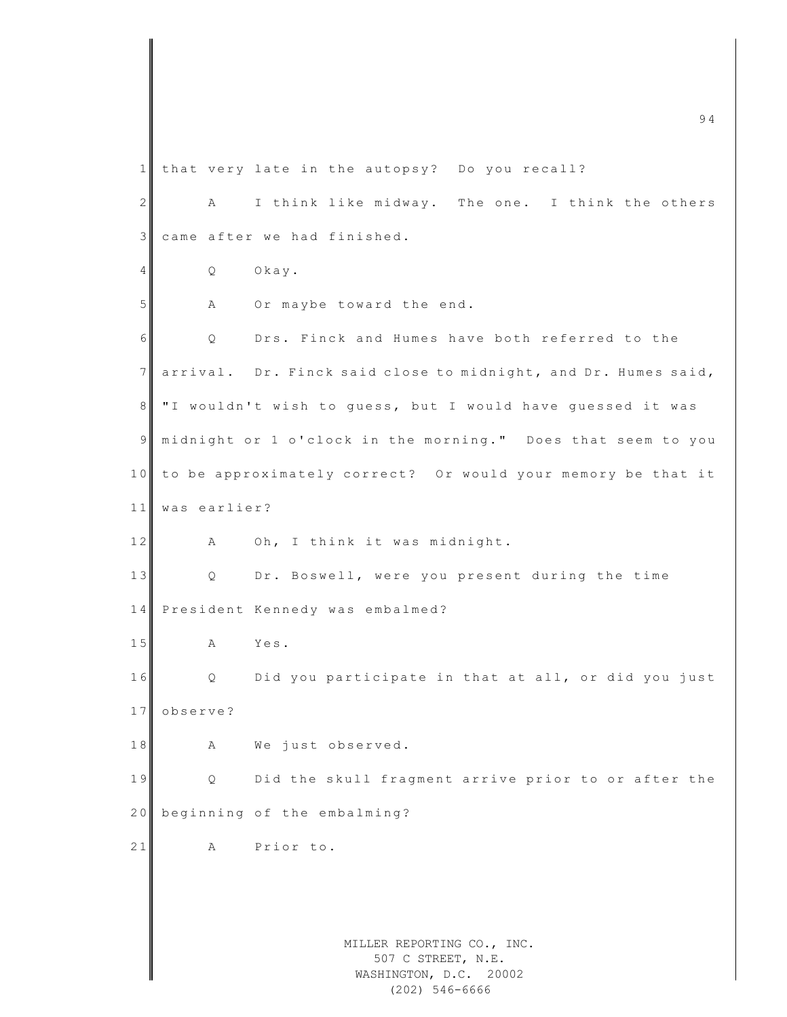MILLER REPORTING CO., INC. 507 C STREET, N.E. WASHINGTON, D.C. 20002  $\sim$  94 1 that very late in the autopsy? Do you recall? 2 A I think like midway. The one. I think the others 3 came after we had finished. 4 Q Okay. 5 A Or maybe toward the end. 6 | O Drs. Finck and Humes have both referred to the 7 arrival. Dr. Finck said close to midnight, and Dr. Humes said, 8 I "I wouldn't wish to guess, but I would have guessed it was 9| midnight or 1 o'clock in the morning." Does that seem to you 10 to be approximately correct? Or would your memory be that it 11 was earlier? 12 A Oh, I think it was midnight. 13 Q Dr. Boswell, were you present during the time 14 President Kennedy was embalmed? 15 A Yes. 16 Q Did you participate in that at all, or did you just 17 observe? 18 A We just observed. 19 | Q Did the skull fragment arrive prior to or after the 20 beginning of the embalming? 21 A Prior to.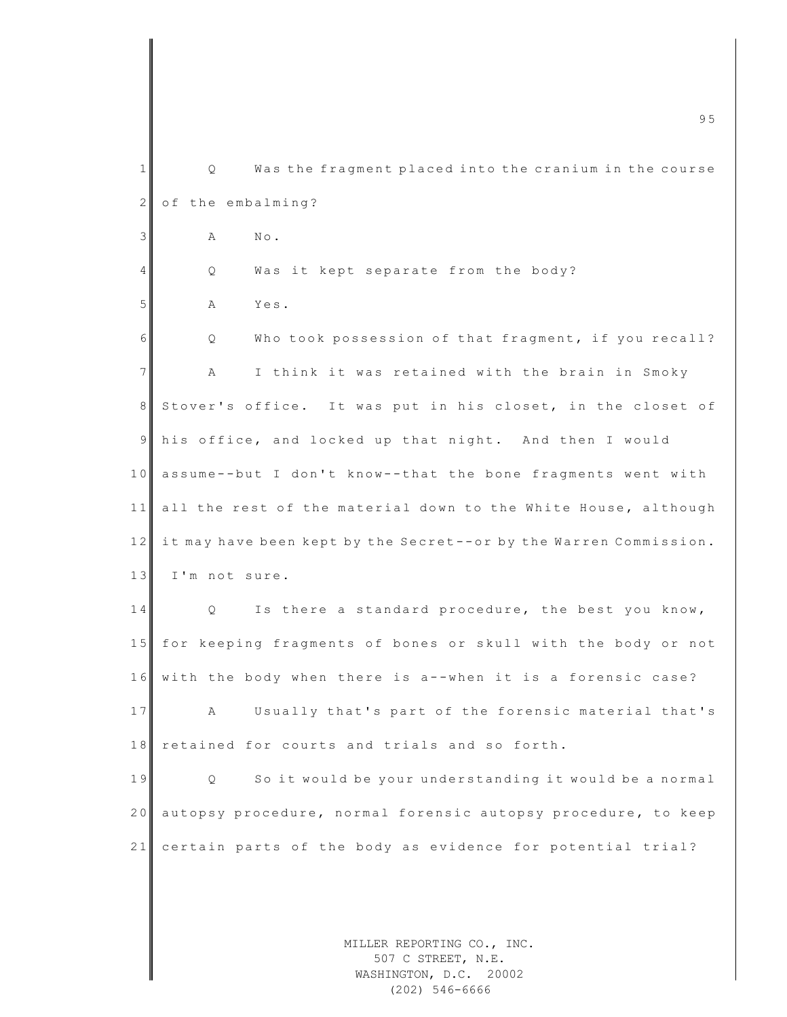|                 | 95                                                                         |
|-----------------|----------------------------------------------------------------------------|
| 1               | Q<br>Was the fragment placed into the cranium in the course                |
| $\mathbf{2}$    | of the embalming?                                                          |
| 3               | $\mathbb{N}\circ$ .<br>Α                                                   |
| $\overline{4}$  | Was it kept separate from the body?<br>Q                                   |
| 5               | Yes.<br>Α                                                                  |
| 6               | Who took possession of that fragment, if you recall?<br>Q                  |
| $7\phantom{.0}$ | I think it was retained with the brain in Smoky<br>Α                       |
| 8               | Stover's office. It was put in his closet, in the closet of                |
| 9               | his office, and locked up that night. And then I would                     |
| 10              | assume--but I don't know--that the bone fragments went with                |
| 11              | all the rest of the material down to the White House, although             |
| 12              | it may have been kept by the Secret--or by the Warren Commission.          |
| 13              | I'm not sure.                                                              |
| 14              | Is there a standard procedure, the best you know,<br>Q.                    |
| 15              | for keeping fragments of bones or skull with the body or not               |
| 16              | with the body when there is a--when it is a forensic case?                 |
| 17              | Usually that's part of the forensic material that's<br>А                   |
| 18              | retained for courts and trials and so forth.                               |
| 19              | So it would be your understanding it would be a normal<br>Q.               |
| 20              | autopsy procedure, normal forensic autopsy procedure, to keep              |
| 21              | certain parts of the body as evidence for potential trial?                 |
|                 |                                                                            |
|                 | MILLER REPORTING CO., INC.<br>507 C STREET, N.E.<br>WASHINGTON, D.C. 20002 |

WASHINGTON, D.C. 20002 (202) 546-6666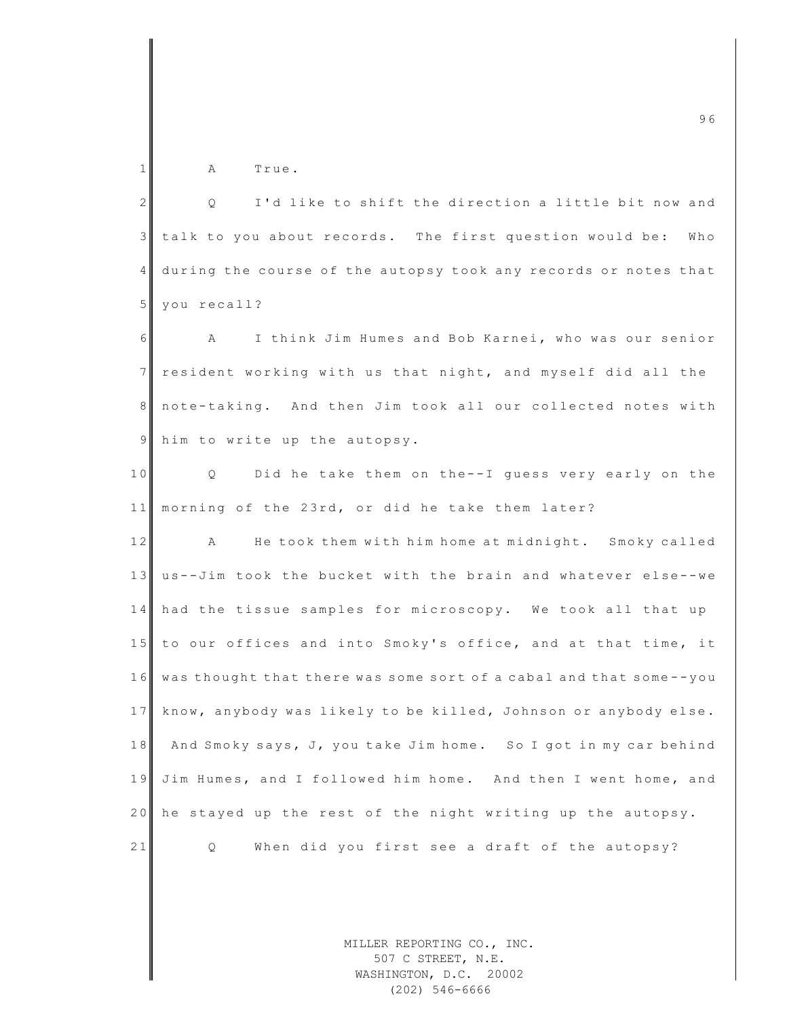1 A True.

| $\overline{2}$  | I'd like to shift the direction a little bit now and<br>Q.          |
|-----------------|---------------------------------------------------------------------|
| $\mathcal{E}$   | talk to you about records. The first question would be:<br>Who      |
| $\overline{4}$  | during the course of the autopsy took any records or notes that     |
| $5\phantom{.}$  | you recall?                                                         |
| 6               | I think Jim Humes and Bob Karnei, who was our senior<br>$\mathbb A$ |
| $7 \frac{1}{2}$ | resident working with us that night, and myself did all the         |
| 8               | note-taking. And then Jim took all our collected notes with         |
| $\overline{9}$  | him to write up the autopsy.                                        |
| 10              | Q Did he take them on the--I quess very early on the                |
| 11              | morning of the 23rd, or did he take them later?                     |
| 12              | He took them with him home at midnight. Smoky called<br>A           |
| 13              | us--Jim took the bucket with the brain and whatever else--we        |
| 14              | had the tissue samples for microscopy. We took all that up          |
| 15              | to our offices and into Smoky's office, and at that time, it        |
| 16              | was thought that there was some sort of a cabal and that some--you  |
| 17              | know, anybody was likely to be killed, Johnson or anybody else.     |
| 18              | And Smoky says, J, you take Jim home. So I got in my car behind     |
| 19              | Jim Humes, and I followed him home. And then I went home, and       |
| 20              | he stayed up the rest of the night writing up the autopsy.          |
| 21              | When did you first see a draft of the autopsy?<br>Q.                |
|                 |                                                                     |

MILLER REPORTING CO., INC. 507 C STREET, N.E. WASHINGTON, D.C. 20002 (202) 546-6666

m c 9 6  $\sim$  9 6  $\sim$  9 6  $\sim$  9 6  $\sim$  9 6  $\sim$  9 6  $\sim$  9 6  $\sim$  9 6  $\sim$  9 6  $\sim$  9 6  $\sim$  9 6  $\sim$  9 6  $\sim$  9 6  $\sim$  9 6  $\sim$  9 6  $\sim$  9 6  $\sim$  9  $\sim$  9 6  $\sim$  9  $\sim$  9  $\sim$  9  $\sim$  9  $\sim$  9  $\sim$  9  $\sim$  9  $\sim$  9  $\sim$  9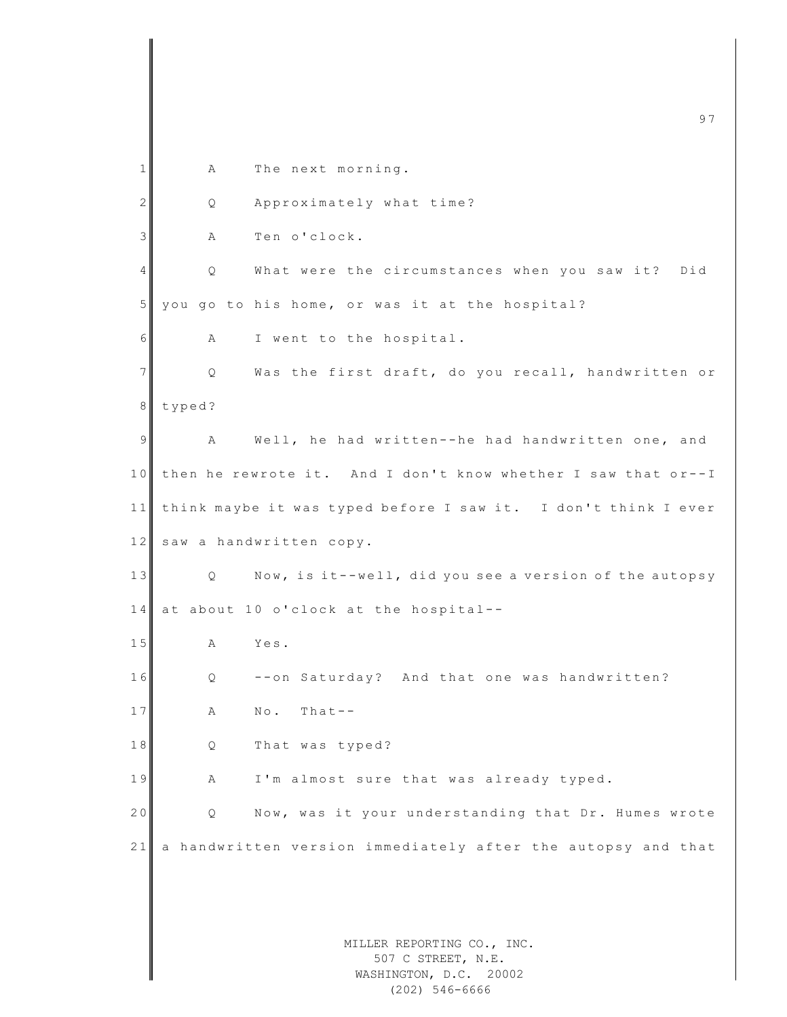|              | 97                                                                         |
|--------------|----------------------------------------------------------------------------|
| $\mathbf{1}$ | The next morning.<br>A                                                     |
| $\mathbf{2}$ | Approximately what time?<br>Q                                              |
| 3            | Ten o'clock.<br>Α                                                          |
| 4            | What were the circumstances when you saw it?<br>Did<br>Q                   |
| 5            | you go to his home, or was it at the hospital?                             |
| 6            | I went to the hospital.<br>Α                                               |
| 7            | Was the first draft, do you recall, handwritten or<br>Q                    |
| 8            | typed?                                                                     |
| 9            | Well, he had written--he had handwritten one, and<br>Α                     |
| 10           | then he rewrote it. And I don't know whether I saw that or--I              |
| 11           | think maybe it was typed before I saw it. I don't think I ever             |
| 12           | saw a handwritten copy.                                                    |
| 13           | Now, is it--well, did you see a version of the autopsy<br>Q.               |
| 14           | at about 10 o'clock at the hospital--                                      |
| 15           | Yes.<br>Α                                                                  |
| 16           | --on Saturday? And that one was handwritten?<br>Q                          |
| 17           | $Theta - -$<br>$\mathbb{N} \circ$ .<br>Α                                   |
| 18           | That was typed?<br>Q                                                       |
| 19           | I'm almost sure that was already typed.<br>Α                               |
| 20           | Now, was it your understanding that Dr. Humes wrote<br>Q                   |
| 21           | a handwritten version immediately after the autopsy and that               |
|              |                                                                            |
|              |                                                                            |
|              | MILLER REPORTING CO., INC.<br>507 C STREET, N.E.<br>WASHINGTON, D.C. 20002 |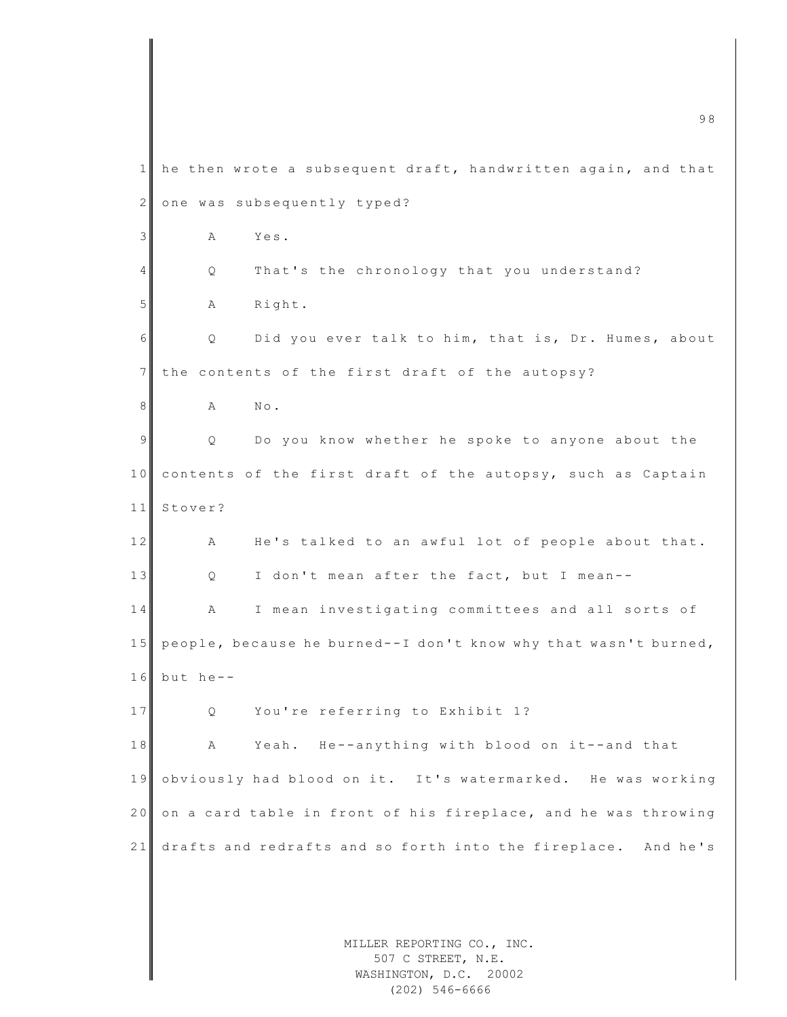|                | 98                                                                         |  |  |
|----------------|----------------------------------------------------------------------------|--|--|
| 1              | he then wrote a subsequent draft, handwritten again, and that              |  |  |
| $\mathbf{2}$   | one was subsequently typed?                                                |  |  |
| $\mathfrak{Z}$ | Yes.<br>Α                                                                  |  |  |
| 4              | That's the chronology that you understand?<br>Q                            |  |  |
| 5              | Right.<br>А                                                                |  |  |
| 6              | Did you ever talk to him, that is, Dr. Humes, about<br>Q.                  |  |  |
| $7\phantom{.}$ | the contents of the first draft of the autopsy?                            |  |  |
| 8              | $\mathbb{N}\circ$ .<br>Α                                                   |  |  |
| 9              | Do you know whether he spoke to anyone about the<br>Q                      |  |  |
| 10             | contents of the first draft of the autopsy, such as Captain                |  |  |
| 11             | Stover?                                                                    |  |  |
| 12             | He's talked to an awful lot of people about that.<br>Α                     |  |  |
| 13             | I don't mean after the fact, but I mean--<br>Q.                            |  |  |
| 14             | I mean investigating committees and all sorts of<br>Α                      |  |  |
| 15             | people, because he burned--I don't know why that wasn't burned,            |  |  |
| 16             | but he--                                                                   |  |  |
| 17             | You're referring to Exhibit 1?<br>Q.                                       |  |  |
| 18             | Yeah. He--anything with blood on it--and that<br>Α                         |  |  |
| 19             | obviously had blood on it. It's watermarked. He was working                |  |  |
| 20             | on a card table in front of his fireplace, and he was throwing             |  |  |
| 21             | drafts and redrafts and so forth into the fireplace. And he's              |  |  |
|                |                                                                            |  |  |
|                |                                                                            |  |  |
|                | MILLER REPORTING CO., INC.<br>507 C STREET, N.E.<br>WASHINGTON, D.C. 20002 |  |  |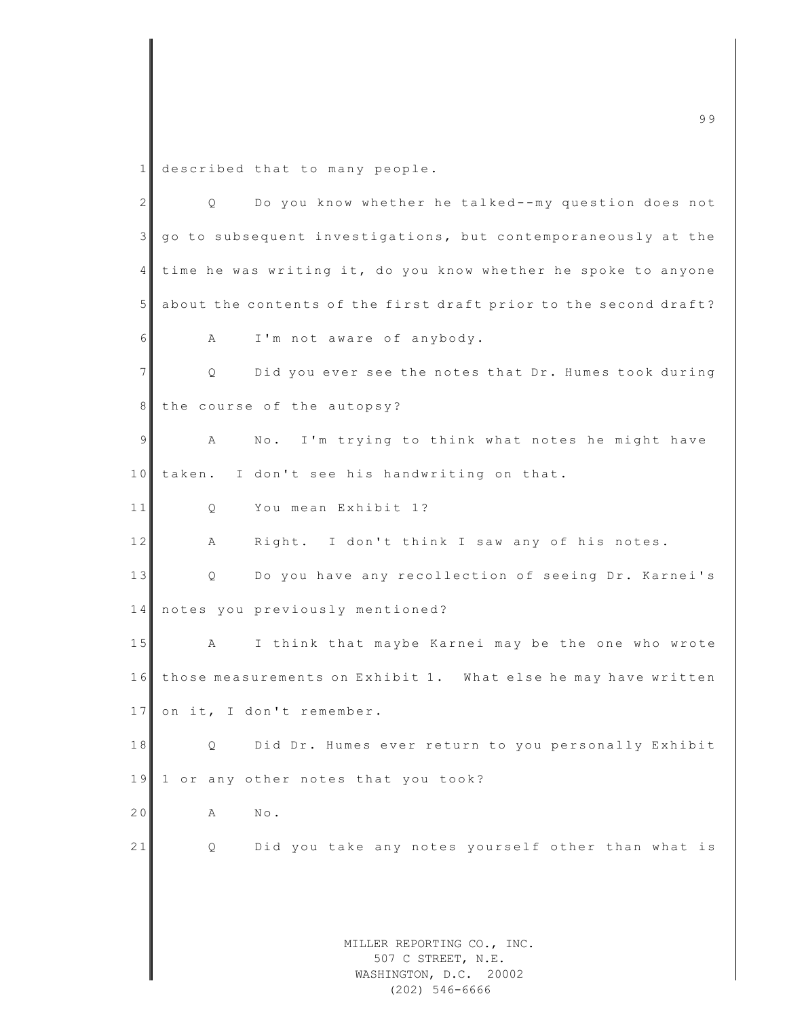1 described that to many people.

| $\overline{2}$ | Do you know whether he talked--my question does not<br>Q         |
|----------------|------------------------------------------------------------------|
| 3              | go to subsequent investigations, but contemporaneously at the    |
| 4              | time he was writing it, do you know whether he spoke to anyone   |
| 5              | about the contents of the first draft prior to the second draft? |
| 6              | I'm not aware of anybody.<br>Α                                   |
| 7              | Q<br>Did you ever see the notes that Dr. Humes took during       |
| 8              | the course of the autopsy?                                       |
| 9              | No. I'm trying to think what notes he might have<br>A            |
| 10             | taken. I don't see his handwriting on that.                      |
| 11             | You mean Exhibit 1?<br>Q                                         |
| 12             | Right. I don't think I saw any of his notes.<br>Α                |
| 13             | Do you have any recollection of seeing Dr. Karnei's<br>Q         |
| 14             | notes you previously mentioned?                                  |
| 15             | I think that maybe Karnei may be the one who wrote<br>A          |
| 16             | those measurements on Exhibit 1. What else he may have written   |
| 17             | on it, I don't remember.                                         |
| 18             | Did Dr. Humes ever return to you personally Exhibit<br>Q         |
| 19             | 1 or any other notes that you took?                              |
| 20             | $N \circ$ .<br>A                                                 |
| 21             | Did you take any notes yourself other than what is<br>Q.         |
|                |                                                                  |
|                |                                                                  |
|                | MILLER REPORTING CO., INC.                                       |
|                | 507 C STREET, N.E.<br>WASHINGTON, D.C. 20002                     |
|                | $(202)$ 546-6666                                                 |

m c 9 9  $\overline{9}$  9 9  $\overline{9}$  9 9  $\overline{9}$  9 9  $\overline{9}$  9 9  $\overline{9}$  9 9  $\overline{9}$  9  $\overline{9}$  9  $\overline{9}$  9  $\overline{9}$  9  $\overline{9}$  9  $\overline{9}$  9  $\overline{9}$  9  $\overline{9}$  9  $\overline{9}$  9  $\overline{9}$  9  $\overline{9}$  9  $\overline{9}$  9  $\overline{9}$  9  $\overline{$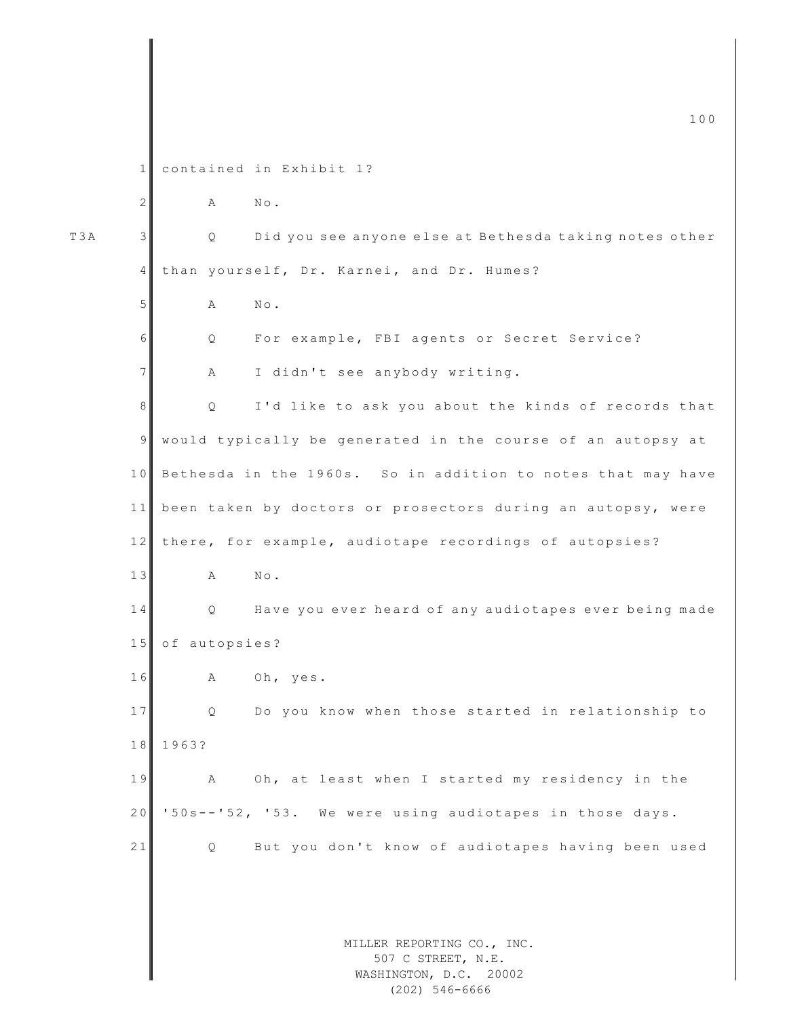MILLER REPORTING CO., INC. 507 C STREET, N.E. WASHINGTON, D.C. 20002 1 contained in Exhibit 1? 2 A No. T3A 3 || Q Did you see anyone else at Bethesda taking notes other 4 than yourself, Dr. Karnei, and Dr. Humes? 5 A No. 6 Q For example, FBI agents or Secret Service? 7 A I didn't see anybody writing. 8 | Q I'd like to ask you about the kinds of records that 9 would typically be generated in the course of an autopsy at 10 Bethesda in the 1960s. So in addition to notes that may have 11 been taken by doctors or prosectors during an autopsy, were 12 there, for example, audiotape recordings of autopsies? 13 A No. 14 Q Have you ever heard of any audiotapes ever being made 15 of autopsies? 16 A Oh, yes. 17 Q Do you know when those started in relationship to 1 8 1963? 19 A Oh, at least when I started my residency in the 20 '50s - - '52, '53. We were using audiotapes in those days. 21 Q But you don't know of audiotapes having been used

(202) 546-6666

 $\overline{100}$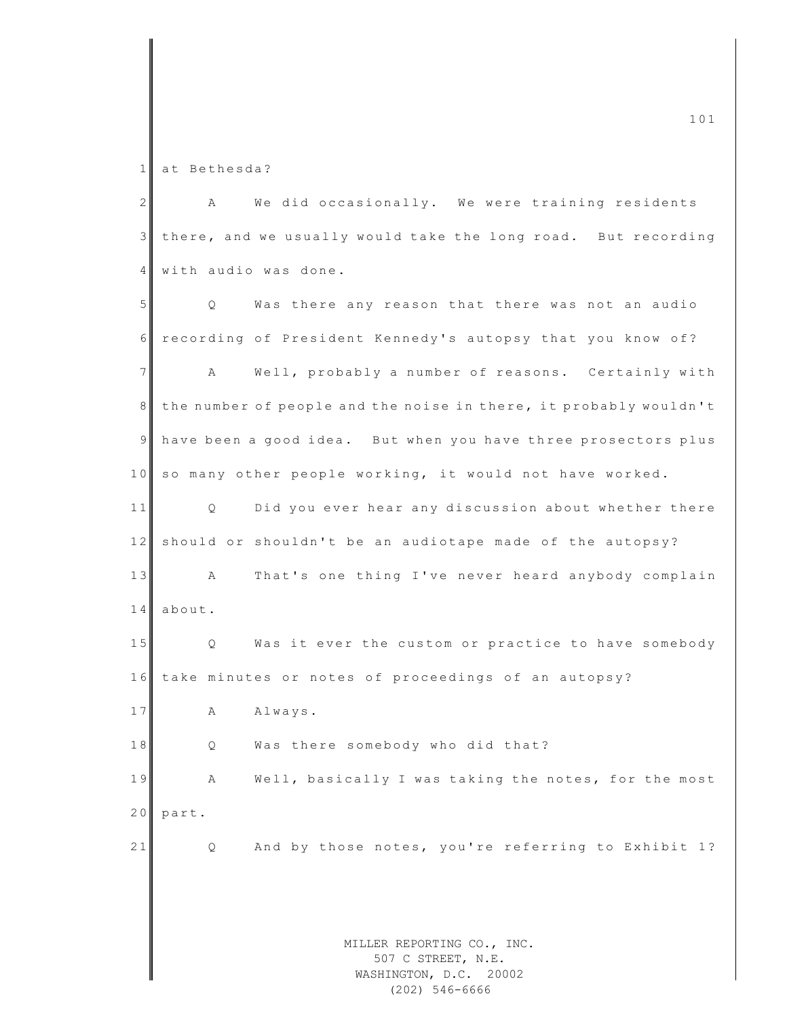1 at Bethesda?

2 A We did occasionally. We were training residents 3 there, and we usually would take the long road. But recording 4 with audio was done.

MILLER REPORTING CO., INC. 507 C STREET, N.E. WASHINGTON, D.C. 20002 5 Q Was there any reason that there was not an audio 6 recording of President Kennedy's autopsy that you know of? 7 A Well, probably a number of reasons. Certainly with 8 the number of people and the noise in there, it probably wouldn't 9 have been a good idea. But when you have three prosectors plus 10 so many other people working, it would not have worked. 11 Q Did you ever hear any discussion about whether there 12 should or shouldn't be an audiotape made of the autopsy? 13 A That's one thing I've never heard anybody complain 14 about. 15 Q Was it ever the custom or practice to have somebody 16 take minutes or notes of proceedings of an autopsy? 17 A Always. 18 Q Was there somebody who did that? 19 A Well, basically I was taking the notes, for the most 20 part. 21 Q And by those notes, you're referring to Exhibit 1?

(202) 546-6666

 $\frac{101}{101}$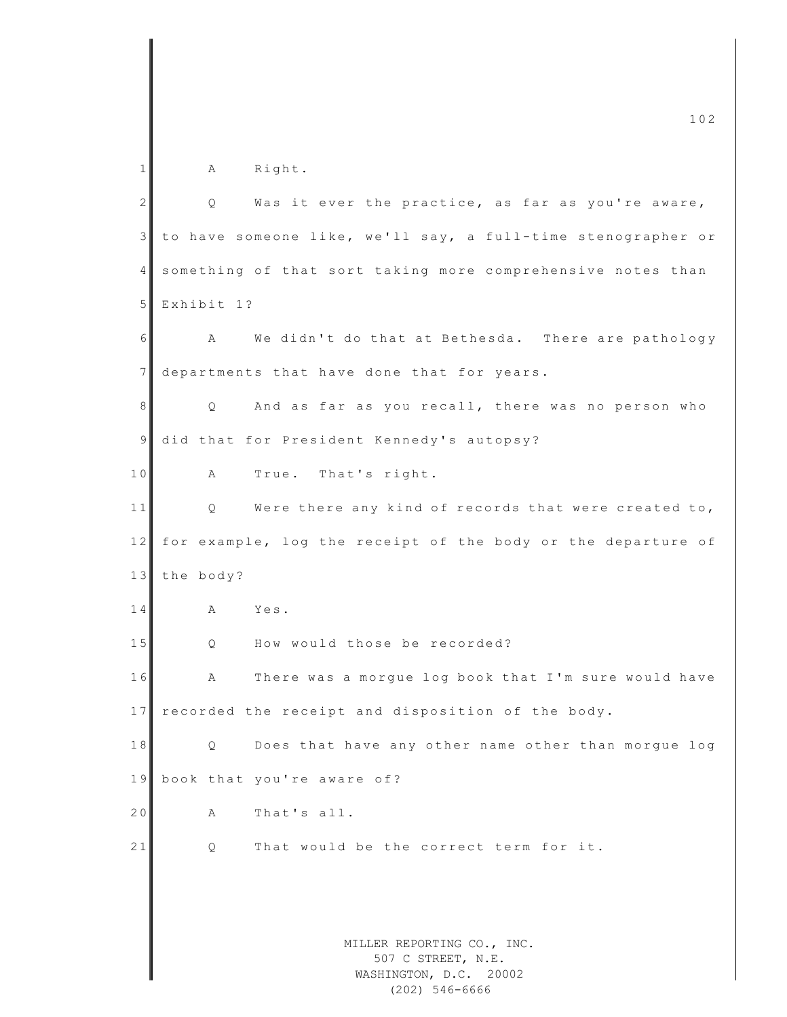MILLER REPORTING CO., INC. 507 C STREET, N.E. WASHINGTON, D.C. 20002  $\frac{102}{202}$ 1 A Right. 2 | Q Was it ever the practice, as far as you're aware, 3 to have someone like, we'll say, a full - time stenographer or 4 something of that sort taking more comprehensive notes than 5 Exhibit 1? 6 A We didn't do that at Bethesda. There are pathology 7 departments that have done that for years. 8 Q And as far as you recall, there was no person who 9 did that for President Kennedy's autopsy? 10 A True. That's right. 11 Q Were there any kind of records that were created to, 12 for example, log the receipt of the body or the departure of 13 the body? 14 A Yes. 15 Q How would those be recorded? 16 A There was a morque log book that I'm sure would have 17 recorded the receipt and disposition of the body. 18 Q Does that have any other name other than morgue log 19 book that you're aware of? 20 A That's all. 21 O That would be the correct term for it.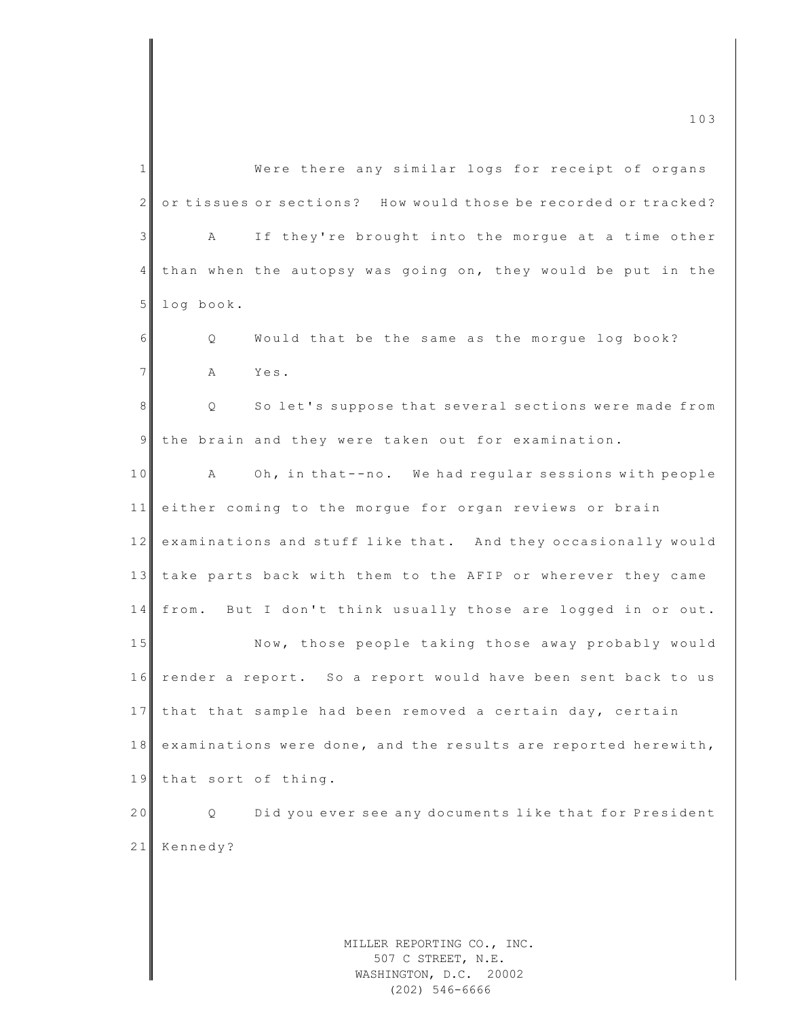MILLER REPORTING CO., INC. 507 C STREET, N.E. WASHINGTON, D.C. 20002 1 Were there any similar logs for receipt of organs 2 or tissues or sections? How would those be recorded or tracked? 3 A If they're brought into the morgue at a time other 4 than when the autopsy was going on, they would be put in the 5 log book. 6 | Q Would that be the same as the morgue log book? 7 A Yes. 8 || Q So let's suppose that several sections were made from 9 the brain and they were taken out for examination. 10 A Oh, in that--no. We had regular sessions with people 11 either coming to the morgue for organ reviews or brain 12 examinations and stuff like that. And they occasionally would 13 take parts back with them to the AFIP or wherever they came 14 from. But I don't think usually those are logged in or out. 15 Now, those people taking those away probably would 16 render a report. So a report would have been sent back to us 17 that that sample had been removed a certain day, certain 18 examinations were done, and the results are reported herewith, 19 that sort of thing. 20 Q Did you ever see any documents like that for President 21 Kennedy?

 $\frac{103}{103}$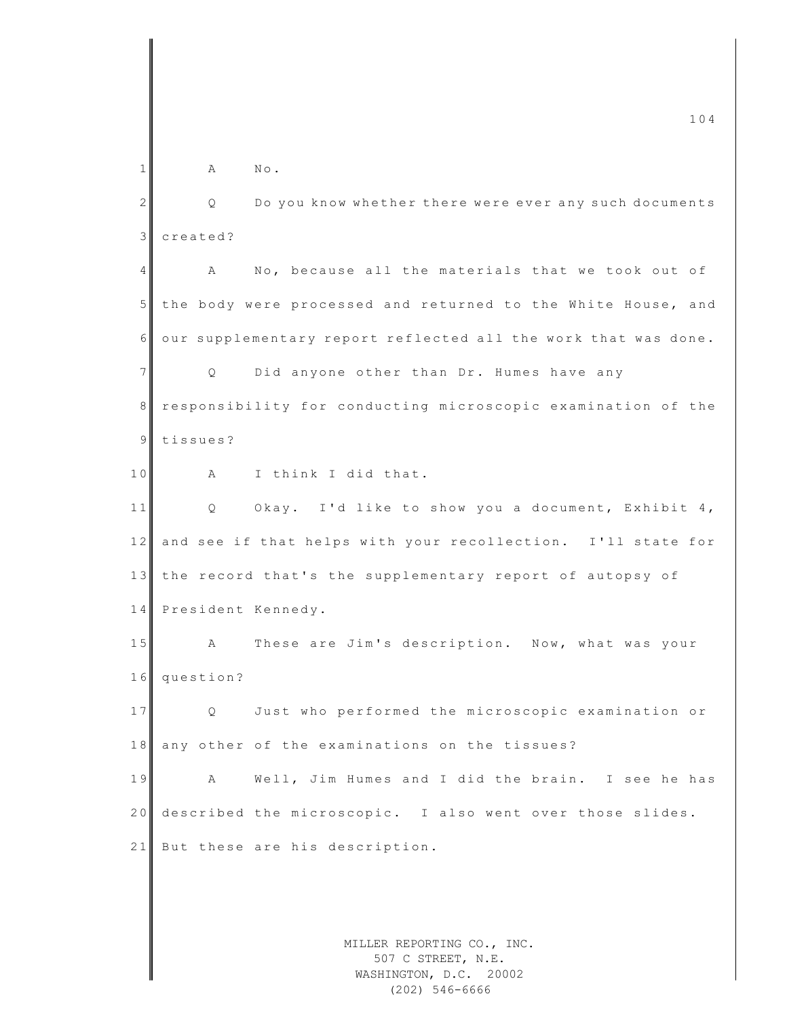MILLER REPORTING CO., INC.  $\frac{104}{104}$  $1$  A No. 2 Q Do you know whether there were ever any such documents 3 created? 4 A No, because all the materials that we took out of 5 the body were processed and returned to the White House, and 6 our supplementary report reflected all the work that was done. 7 | Q Did anyone other than Dr. Humes have any 8 responsibility for conducting microscopic examination of the 9 tissues? 10 A I think I did that. 11 Q Okay. I'd like to show you a document, Exhibit 4, 12 and see if that helps with your recollection. I'll state for 13 the record that's the supplementary report of autopsy of 14 President Kennedy. 15 A These are Jim's description. Now, what was your 16 question? 17 Q Just who performed the microscopic examination or 18 any other of the examinations on the tissues? 19 A Well, Jim Humes and I did the brain. I see he has 20 described the microscopic. I also went over those slides. 21 But these are his description.

507 C STREET, N.E. WASHINGTON, D.C. 20002 (202) 546-6666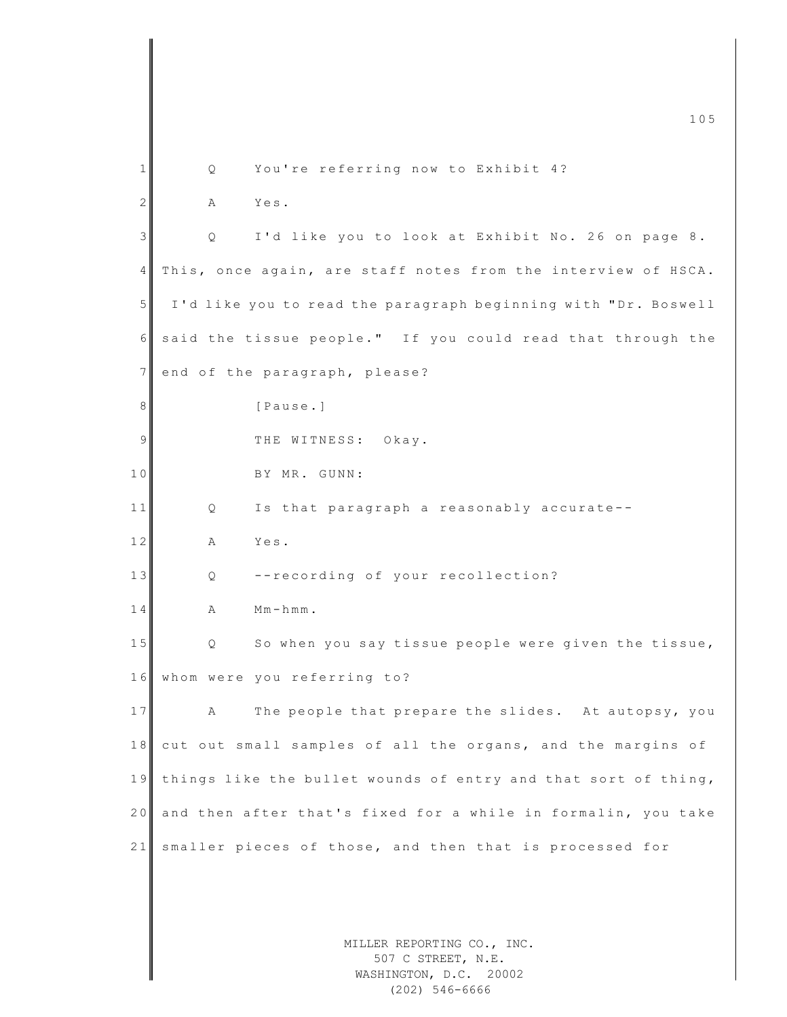|                |                                                                |                                                               | 105 |  |  |
|----------------|----------------------------------------------------------------|---------------------------------------------------------------|-----|--|--|
| 1              | Q.                                                             | You're referring now to Exhibit 4?                            |     |  |  |
| $\mathbf{2}$   | Α                                                              | Yes.                                                          |     |  |  |
|                |                                                                |                                                               |     |  |  |
| 3              | Q                                                              | I'd like you to look at Exhibit No. 26 on page 8.             |     |  |  |
| $\overline{4}$ | This, once again, are staff notes from the interview of HSCA.  |                                                               |     |  |  |
| 5              | I'd like you to read the paragraph beginning with "Dr. Boswell |                                                               |     |  |  |
| 6              |                                                                | said the tissue people." If you could read that through the   |     |  |  |
| $7\phantom{.}$ |                                                                | end of the paragraph, please?                                 |     |  |  |
| 8              |                                                                | [Pause.]                                                      |     |  |  |
| 9              |                                                                | THE WITNESS: Okay.                                            |     |  |  |
| 10             |                                                                | BY MR. GUNN:                                                  |     |  |  |
| 11             | Q                                                              | Is that paragraph a reasonably accurate--                     |     |  |  |
| 12             | Α                                                              | Yes.                                                          |     |  |  |
| 13             | Q                                                              | --recording of your recollection?                             |     |  |  |
| 14             | Α                                                              | $Mm-hmm$ .                                                    |     |  |  |
| 15             | Q                                                              | So when you say tissue people were given the tissue,          |     |  |  |
|                |                                                                | 16 whom were you referring to?                                |     |  |  |
| 17             |                                                                |                                                               |     |  |  |
|                | А                                                              | The people that prepare the slides. At autopsy, you           |     |  |  |
| 18             |                                                                | cut out small samples of all the organs, and the margins of   |     |  |  |
| 19             | things like the bullet wounds of entry and that sort of thing, |                                                               |     |  |  |
| 20             |                                                                | and then after that's fixed for a while in formalin, you take |     |  |  |
| 21             |                                                                | smaller pieces of those, and then that is processed for       |     |  |  |
|                |                                                                |                                                               |     |  |  |
|                |                                                                |                                                               |     |  |  |
|                |                                                                | MILLER REPORTING CO., INC.<br>507 C STREET, N.E.              |     |  |  |
|                |                                                                | WASHINGTON, D.C. 20002                                        |     |  |  |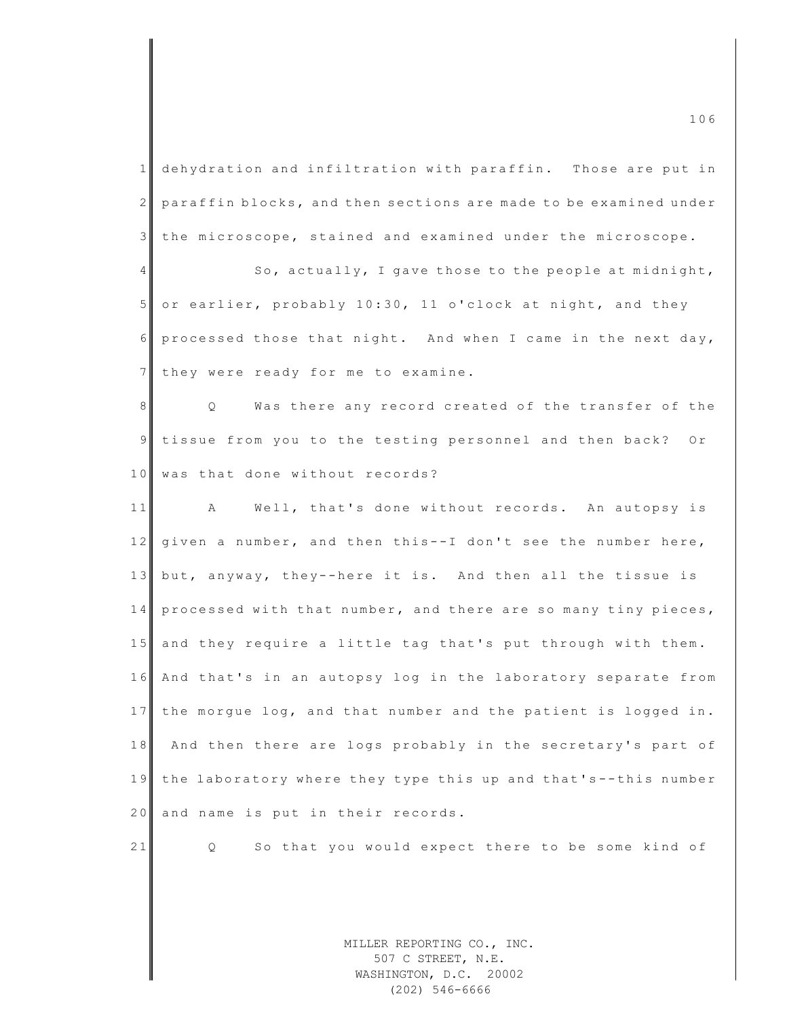1 dehydration and infiltration with paraffin. Those are put in 2 paraffin blocks, and then sections are made to be examined under 3 the microscope, stained and examined under the microscope.

 $\frac{4}{4}$  So, actually, I gave those to the people at midnight, 5 or earlier, probably 10:30, 11 o'clock at night, and they  $6$  processed those that night. And when I came in the next day, 7 they were ready for me to examine.

8 Q Was there any record created of the transfer of the 9 tissue from you to the testing personnel and then back? Or 10 was that done without records?

11 A Well, that's done without records. An autopsy is 12 given a number, and then this--I don't see the number here, 13 but, anyway, they--here it is. And then all the tissue is 14 processed with that number, and there are so many tiny pieces, 15 and they require a little tag that's put through with them. 16 And that's in an autopsy log in the laboratory separate from 17 the morgue log, and that number and the patient is logged in. 18 And then there are logs probably in the secretary's part of 19 the laboratory where they type this up and that's--this number 20 and name is put in their records.

21 Q So that you would expect there to be some kind of

MILLER REPORTING CO., INC. 507 C STREET, N.E. WASHINGTON, D.C. 20002 (202) 546-6666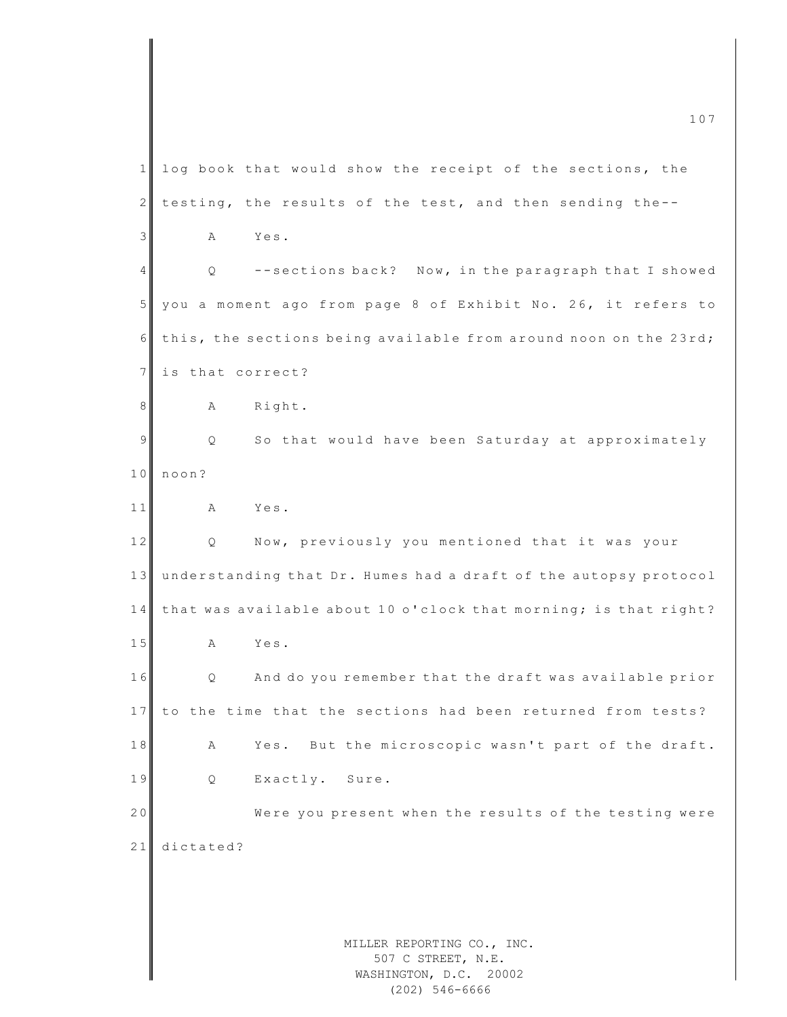MILLER REPORTING CO., INC. 507 C STREET, N.E. WASHINGTON, D.C. 20002  $\frac{107}{107}$ 1 log book that would show the receipt of the sections, the  $2$  testing, the results of the test, and then sending the--3 A Yes. 4 Q -- sections back? Now, in the paragraph that I showed 5 you a moment ago from page 8 of Exhibit No. 26, it refers to  $6$  this, the sections being available from around noon on the 23rd; 7 is that correct? 8 A Right. 9 | Q So that would have been Saturday at approximately 10 noon? 11 A Yes. 12 Q Now, previously you mentioned that it was your 13 understanding that Dr. Humes had a draft of the autopsy protocol 14 that was available about 10 o'clock that morning; is that right? 15 A Yes. 16 Q And do you remember that the draft was available prior 17 to the time that the sections had been returned from tests? 18 A Yes. But the microscopic wasn't part of the draft. 19 Q Exactly. Sure. 20 Were you present when the results of the testing were 21 dictated?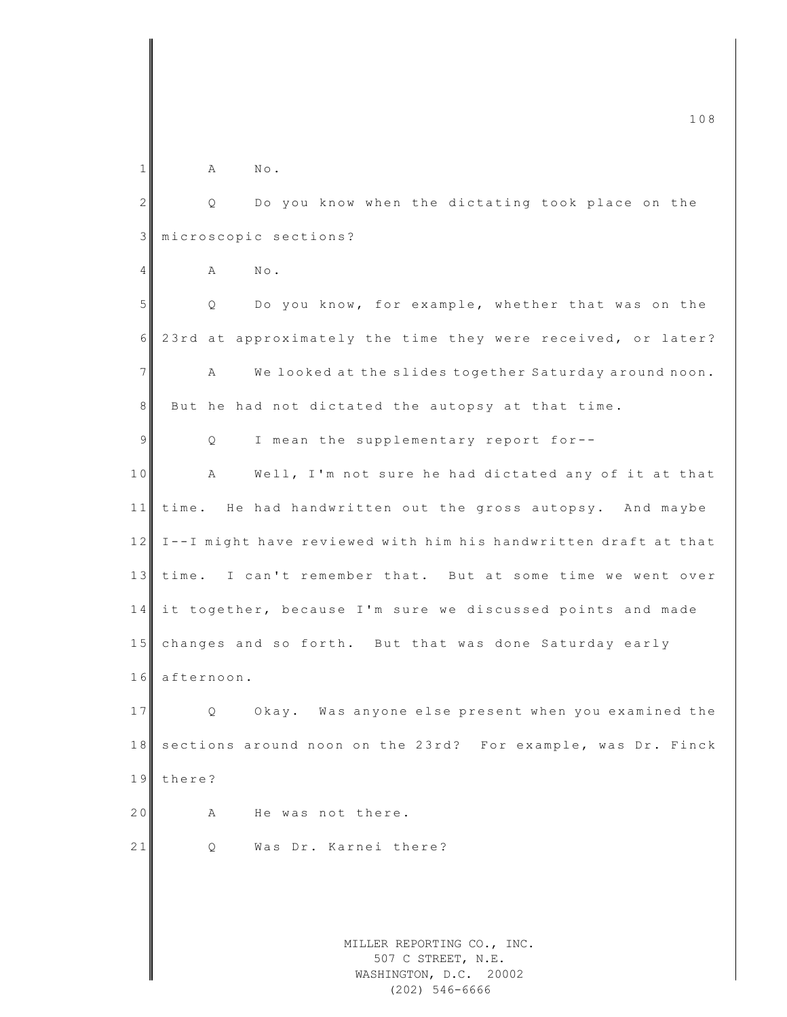|             | 108                                                             |  |  |
|-------------|-----------------------------------------------------------------|--|--|
| 1           | Α<br>$\mathbb{N}\circ$ .                                        |  |  |
|             |                                                                 |  |  |
| 2           | Do you know when the dictating took place on the<br>Q           |  |  |
| $\mathsf 3$ | microscopic sections?                                           |  |  |
| 4           | $N \circ$ .<br>Α                                                |  |  |
| 5           | Do you know, for example, whether that was on the<br>Q.         |  |  |
| 6           | 23rd at approximately the time they were received, or later?    |  |  |
| 7           | We looked at the slides together Saturday around noon.<br>Α     |  |  |
| 8           | But he had not dictated the autopsy at that time.               |  |  |
| 9           | I mean the supplementary report for--<br>Q                      |  |  |
| 10          | Well, I'm not sure he had dictated any of it at that<br>A       |  |  |
| 11          | time. He had handwritten out the gross autopsy. And maybe       |  |  |
| 12          | I--I might have reviewed with him his handwritten draft at that |  |  |
| 13          | time. I can't remember that. But at some time we went over      |  |  |
| 14          | it together, because I'm sure we discussed points and made      |  |  |
| 15          | changes and so forth. But that was done Saturday early          |  |  |
| 16          | afternoon.                                                      |  |  |
| 17          | Okay. Was anyone else present when you examined the<br>$\circ$  |  |  |
| 18          | sections around noon on the 23rd? For example, was Dr. Finck    |  |  |
| 19          | there?                                                          |  |  |
| 20          | He was not there.<br>Α                                          |  |  |
| 21          | Was Dr. Karnei there?<br>Q                                      |  |  |
|             |                                                                 |  |  |
|             |                                                                 |  |  |
|             | MILLER REPORTING CO., INC.                                      |  |  |
|             | 507 C STREET, N.E.<br>WASHINGTON, D.C. 20002                    |  |  |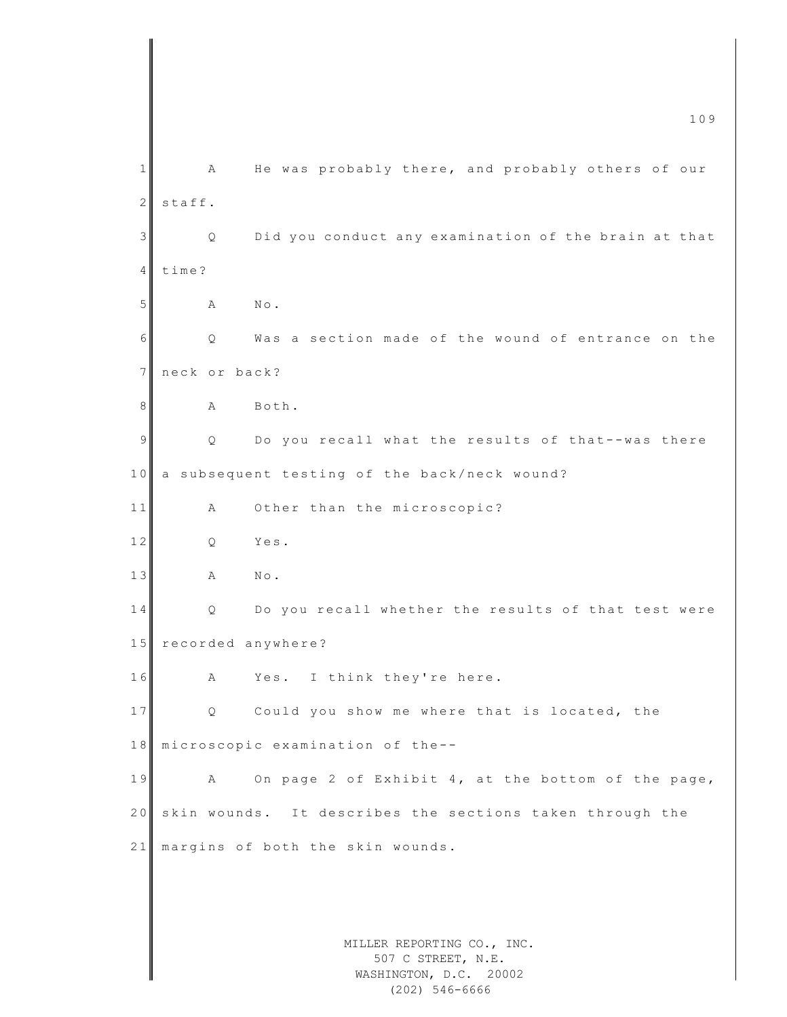|                | 109                                                                        |
|----------------|----------------------------------------------------------------------------|
| $\mathbf 1$    | He was probably there, and probably others of our<br>Α                     |
| $\mathbf{2}$   | staff.                                                                     |
| 3              | Did you conduct any examination of the brain at that<br>Q                  |
| 4              | time?                                                                      |
| 5              | $N \circ$ .                                                                |
|                | Α                                                                          |
| 6              | Was a section made of the wound of entrance on the<br>Q                    |
| $\overline{7}$ | neck or back?                                                              |
| 8              | Both.<br>Α                                                                 |
| 9              | Do you recall what the results of that--was there<br>Q                     |
| 10             | a subsequent testing of the back/neck wound?                               |
| 11             | Other than the microscopic?<br>Α                                           |
| 12             | Yes.<br>Q                                                                  |
| 13             | Α<br>$\mathbb{N}\circ$ .                                                   |
| 14             | Do you recall whether the results of that test were<br>Q                   |
| 15             | recorded anywhere?                                                         |
| 16             | Yes. I think they're here.<br>Α                                            |
| 17             | Could you show me where that is located, the<br>Q                          |
| 18             | microscopic examination of the--                                           |
| 19             | On page 2 of Exhibit 4, at the bottom of the page,<br>А                    |
| 20             | skin wounds. It describes the sections taken through the                   |
| 21             | margins of both the skin wounds.                                           |
|                |                                                                            |
|                |                                                                            |
|                | MILLER REPORTING CO., INC.<br>507 C STREET, N.E.<br>WASHINGTON, D.C. 20002 |

(202) 546-6666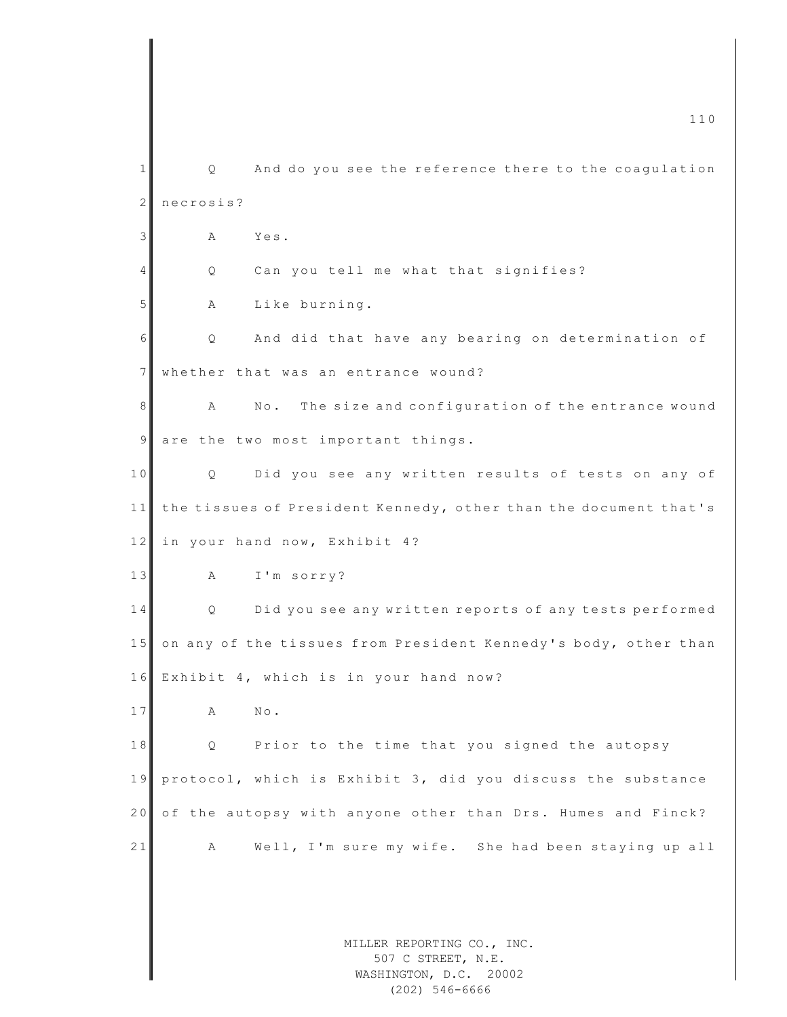MILLER REPORTING CO., INC. 507 C STREET, N.E. WASHINGTON, D.C. 20002 m c 110  $\sim$  110  $\sim$  110  $\sim$  $1 \parallel$  Q and do you see the reference there to the coaqulation 2 necrosis? 3 A Yes. 4 Q Can you tell me what that signifies? 5 A Like burning. 6 Q And did that have any bearing on determination of 7 whether that was an entrance wound? 8 A No. The size and configuration of the entrance wound  $9$  are the two most important things. 10 Q Did you see any written results of tests on any of 11 the tissues of President Kennedy, other than the document that's 12 in your hand now, Exhibit 4? 13 A I'm sorry? 14 Q Did you see any written reports of any tests performed 15 on any of the tissues from President Kennedy's body, other than 16 Exhibit 4, which is in your hand now? 17 A No. 18 Q Prior to the time that you signed the autopsy 19 protocol, which is Exhibit 3, did you discuss the substance 20 of the autopsy with anyone other than Drs. Humes and Finck? 21 A Well, I'm sure my wife. She had been staying up all

(202) 546-6666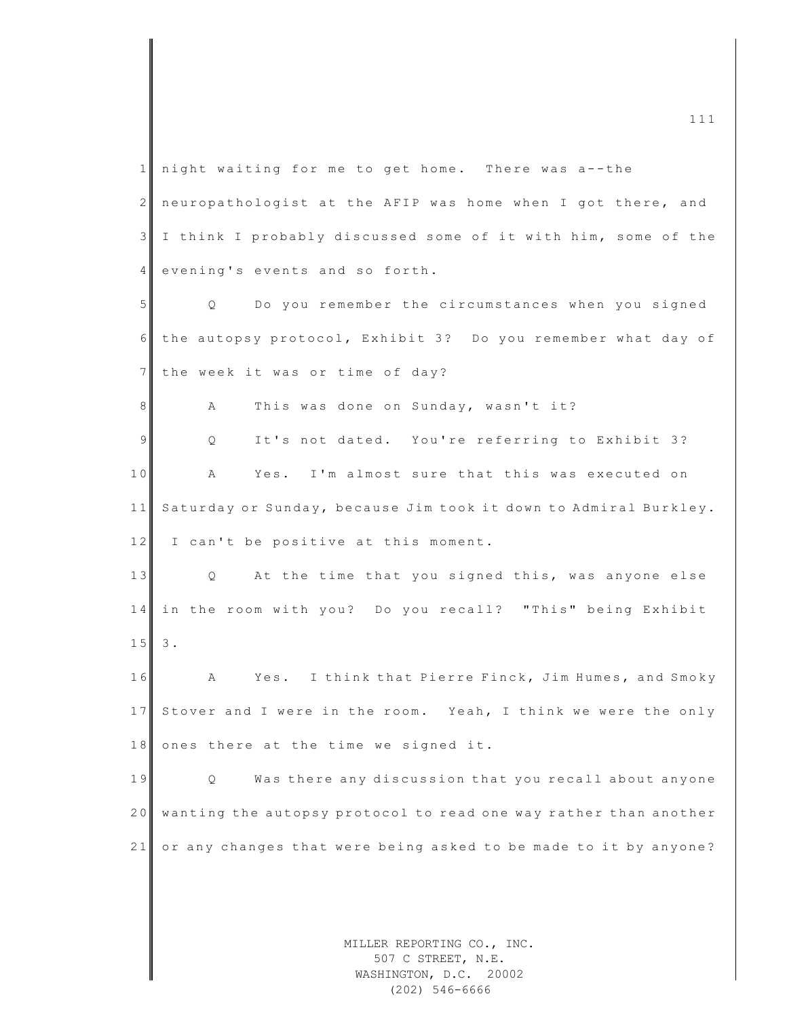MILLER REPORTING CO., INC. 1 night waiting for me to get home. There was a--the 2 neuropathologist at the AFIP was home when I got there, and 3 I think I probably discussed some of it with him, some of the 4 evening's events and so forth. 5 Q Do you remember the circumstances when you signed 6 the autopsy protocol, Exhibit 3? Do you remember what day of 7 the week it was or time of day? 8 A This was done on Sunday, wasn't it? 9 | Q It's not dated. You're referring to Exhibit 3? 10 A Yes. I'm almost sure that this was executed on 11 Saturday or Sunday, because Jim took it down to Admiral Burkley.  $12$  I can't be positive at this moment. 13 Q At the time that you signed this, was anyone else 14 in the room with you? Do you recall? "This" being Exhibit  $15 \, | \, 3.$ 16 A Yes. I think that Pierre Finck, Jim Humes, and Smoky 17 Stover and I were in the room. Yeah, I think we were the only  $18$  ones there at the time we signed it. 19 | Q Was there any discussion that you recall about anyone 20 wanting the autopsy protocol to read one way rather than another 21 or any changes that were being asked to be made to it by anyone?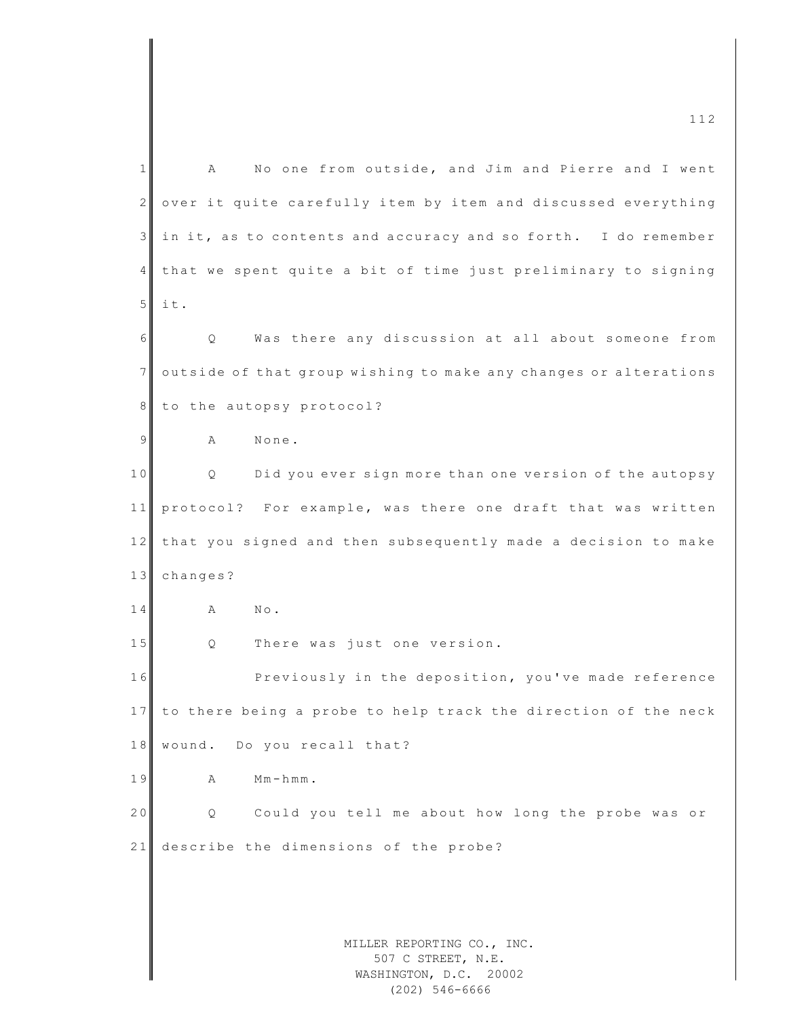MILLER REPORTING CO., INC. 507 C STREET, N.E. WASHINGTON, D.C. 20002 1 A No one from outside, and Jim and Pierre and I went 2 over it quite carefully item by item and discussed everything  $3$  in it, as to contents and accuracy and so forth. I do remember 4 that we spent quite a bit of time just preliminary to signing  $5$  it. 6 Q Was there any discussion at all about someone from 7 outside of that group wishing to make any changes or alterations 8 to the autopsy protocol? 9 A None. 10 Q Did you ever sign more than one version of the autopsy 11 protocol? For example, was there one draft that was written 12 that you signed and then subsequently made a decision to make 13 changes? 14 A No. 15 Q There was just one version. 16 Previously in the deposition, you've made reference 17 to there being a probe to help track the direction of the neck 18 wound. Do you recall that? 19 A Mm-hmm. 20 Q Could you tell me about how long the probe was or 21 describe the dimensions of the probe?

(202) 546-6666

 $\frac{112}{2}$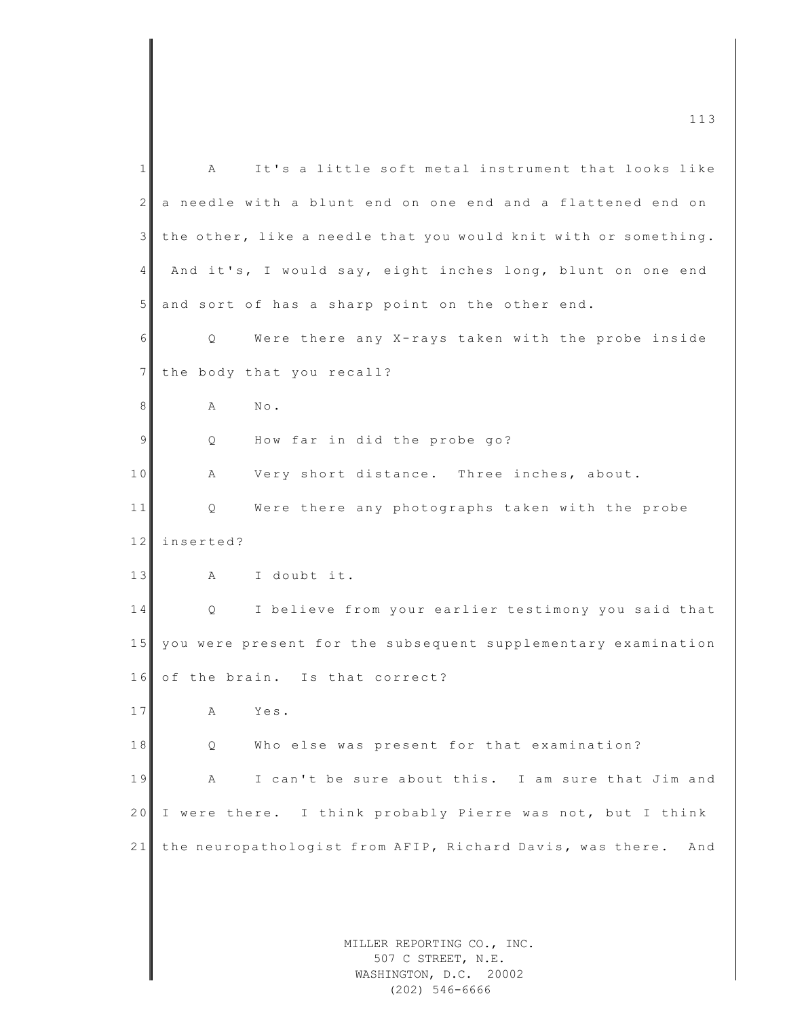| 1  | It's a little soft metal instrument that looks like<br>Α         |
|----|------------------------------------------------------------------|
| 2  | a needle with a blunt end on one end and a flattened end on      |
| 3  | the other, like a needle that you would knit with or something.  |
| 4  | And it's, I would say, eight inches long, blunt on one end       |
| 5  | and sort of has a sharp point on the other end.                  |
| 6  | Were there any X-rays taken with the probe inside<br>Q           |
| 7  | the body that you recall?                                        |
| 8  | $\mathbb{N}\circ$ .<br>Α                                         |
| 9  | How far in did the probe go?<br>Q                                |
| 10 | Very short distance. Three inches, about.<br>Α                   |
| 11 | Were there any photographs taken with the probe<br>Q             |
| 12 | inserted?                                                        |
| 13 | I doubt it.<br>Α                                                 |
| 14 | I believe from your earlier testimony you said that<br>Q         |
| 15 | you were present for the subsequent supplementary examination    |
| 16 | of the brain. Is that correct?                                   |
| 17 | Α<br>Yes.                                                        |
| 18 | Who else was present for that examination?<br>Q.                 |
| 19 | I can't be sure about this. I am sure that Jim and<br>Α          |
| 20 | I were there. I think probably Pierre was not, but I think       |
| 21 | the neuropathologist from AFIP, Richard Davis, was there.<br>And |
|    |                                                                  |
|    |                                                                  |
|    | MILLER REPORTING CO., INC.                                       |
|    | 507 C STREET, N.E.                                               |
|    | WASHINGTON, D.C. 20002                                           |

(202) 546-6666

m c 113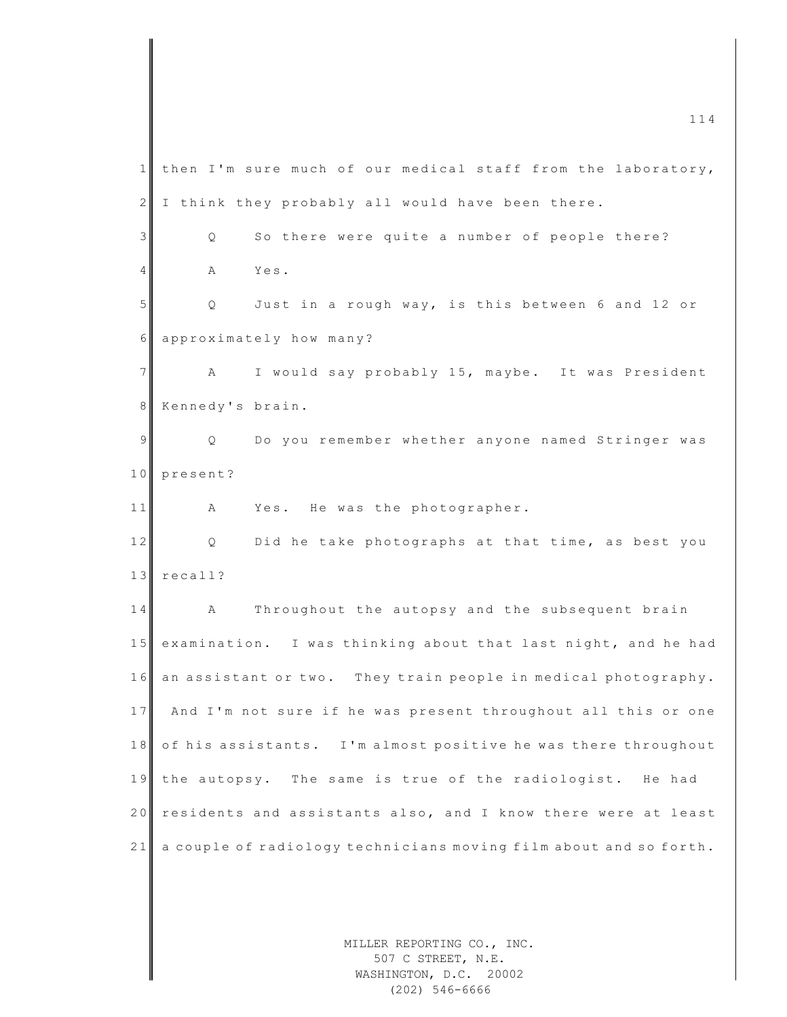MILLER REPORTING CO., INC.  $\frac{114}{114}$ 1 then I'm sure much of our medical staff from the laboratory,  $2$  I think they probably all would have been there. 3 | Q So there were quite a number of people there? 4 A Yes. 5 Q Just in a rough way, is this between 6 and 12 or 6 approximately how many? 7 | A I would say probably 15, maybe. It was President 8 Kennedy's brain. 9 | Q Do you remember whether anyone named Stringer was 10 present? 11 A Yes. He was the photographer. 12 Q Did he take photographs at that time, as best you 13 recall? 14 A Throughout the autopsy and the subsequent brain 15 examination. I was thinking about that last night, and he had 16 an assistant or two. They train people in medical photography. 17 And I'm not sure if he was present throughout all this or one 18 of his assistants. I'm almost positive he was there throughout 19 the autopsy. The same is true of the radiologist. He had 20 residents and assistants also, and I know there were at least 21 a couple of radiology technicians moving film about and so forth.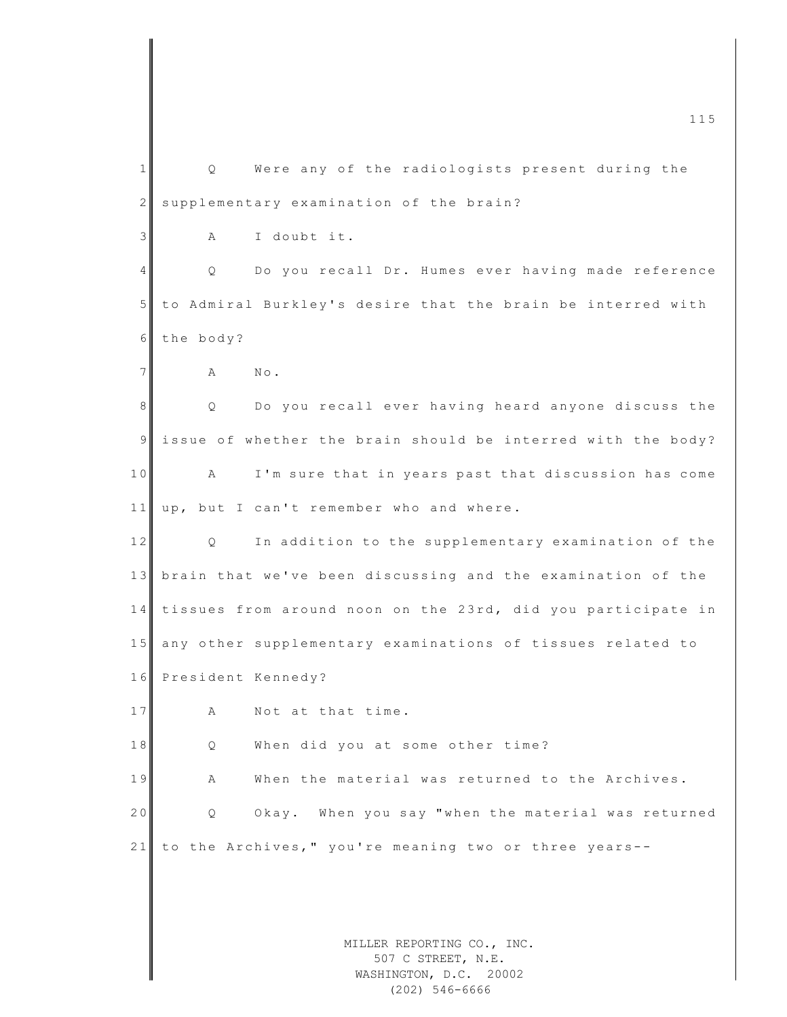MILLER REPORTING CO., INC. m c 115 1 Q Were any of the radiologists present during the 2 supplementary examination of the brain? 3 A I doubt it. 4 Q Do you recall Dr. Humes ever having made reference 5 to Admiral Burkley's desire that the brain be interred with 6 the body? 7 **A** No. 8 Q Do you recall ever having heard anyone discuss the 9 issue of whether the brain should be interred with the body? 10 A I'm sure that in years past that discussion has come 11 up, but I can't remember who and where. 12 Q In addition to the supplementary examination of the 13 brain that we've been discussing and the examination of the 1 4 tissues from around noon on the 23rd, did you participate in 15 any other supplementary examinations of tissues related to 16 President Kennedy? 17 A Not at that time. 18 Q When did you at some other time? 19 A When the material was returned to the Archives. 20 Q Okay. When you say "when the material was returned  $21$  to the Archives," you're meaning two or three years--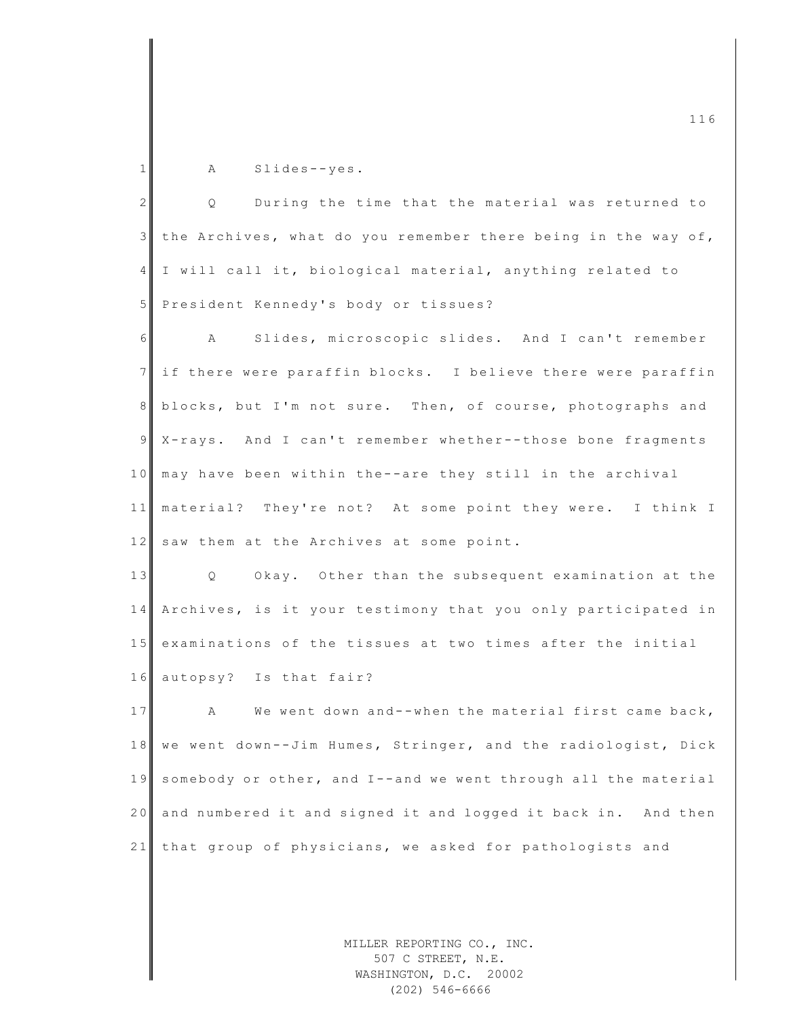1 A Slides--yes.

| $\mathbf{2}$   | Q<br>During the time that the material was returned to           |
|----------------|------------------------------------------------------------------|
| $\mathcal{E}$  | the Archives, what do you remember there being in the way of,    |
| $\overline{4}$ | I will call it, biological material, anything related to         |
| 5              | President Kennedy's body or tissues?                             |
| 6              | Slides, microscopic slides. And I can't remember<br>$\mathbf{A}$ |
| 7 <sup>1</sup> | if there were paraffin blocks. I believe there were paraffin     |
| 8              | blocks, but I'm not sure. Then, of course, photographs and       |
| $\overline{9}$ | X-rays. And I can't remember whether--those bone fragments       |
| 10             | may have been within the--are they still in the archival         |
| 11             | material? They're not? At some point they were. I think I        |
| 12             | saw them at the Archives at some point.                          |
| 13             | Q Okay. Other than the subsequent examination at the             |
| 14             | Archives, is it your testimony that you only participated in     |
| 15             | examinations of the tissues at two times after the initial       |
| 16             | autopsy? Is that fair?                                           |
| 17             | A We went down and--when the material first came back,           |
| 18             | we went down--Jim Humes, Stringer, and the radiologist, Dick     |
| 19             | somebody or other, and I--and we went through all the material   |
| 20             | and numbered it and signed it and logged it back in. And then    |
| 21             | that group of physicians, we asked for pathologists and          |
|                |                                                                  |

MILLER REPORTING CO., INC. 507 C STREET, N.E. WASHINGTON, D.C. 20002 (202) 546-6666

 $\frac{116}{116}$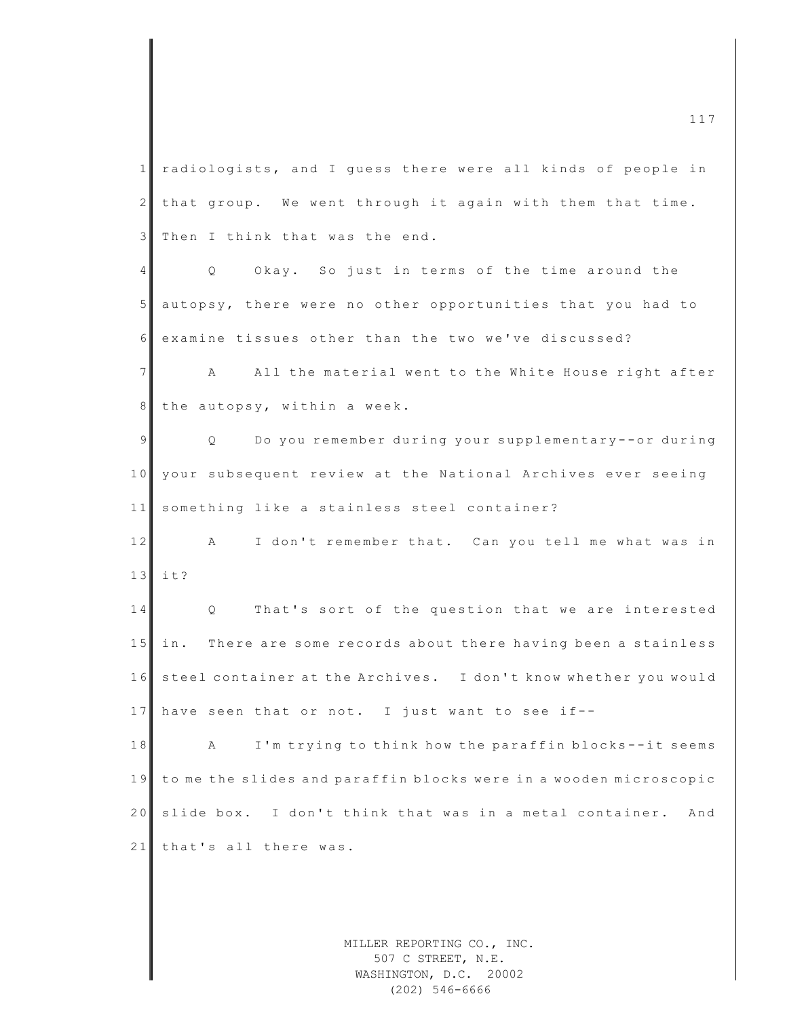1 radiologists, and I guess there were all kinds of people in  $2$  that group. We went through it again with them that time. 3 Then I think that was the end. 4 Q Okay. So just in terms of the time around the 5 autopsy, there were no other opportunities that you had to 6 examine tissues other than the two we've discussed? 7 A All the material went to the White House right after 8 the autopsy, within a week. 9 | Q Do you remember during your supplementary--or during 10 your subsequent review at the National Archives ever seeing 11 something like a stainless steel container? 12 A I don't remember that. Can you tell me what was in  $13$  it? 14 Q That's sort of the question that we are interested 15 in. There are some records about there having been a stainless 16 steel container at the Archives. I don't know whether you would 17 have seen that or not. I just want to see if--18 A I'm trying to think how the paraffin blocks--it seems 19 to me the slides and paraffin blocks were in a wooden microscopic 20 slide box. I don't think that was in a metal container. And 21 that's all there was.

> MILLER REPORTING CO., INC. 507 C STREET, N.E. WASHINGTON, D.C. 20002 (202) 546-6666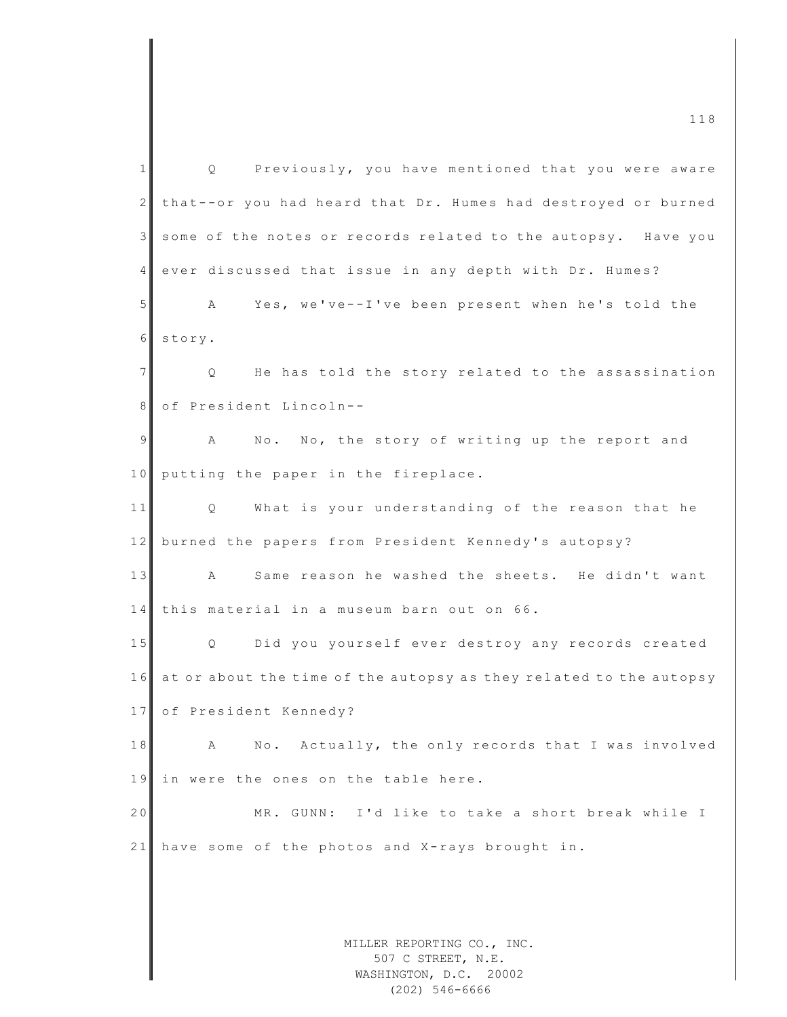| $\mathbf{1}$   | Previously, you have mentioned that you were aware<br>Q                    |
|----------------|----------------------------------------------------------------------------|
| $\mathbf{2}$   | that--or you had heard that Dr. Humes had destroyed or burned              |
| 3              | some of the notes or records related to the autopsy. Have you              |
| 4              | ever discussed that issue in any depth with Dr. Humes?                     |
| 5              | Yes, we've--I've been present when he's told the<br>А                      |
| 6              | story.                                                                     |
| $\overline{7}$ | He has told the story related to the assassination<br>Q.                   |
| 8              | of President Lincoln--                                                     |
| 9              | No. No, the story of writing up the report and<br>A                        |
| 10             | putting the paper in the fireplace.                                        |
| 11             | What is your understanding of the reason that he<br>Q                      |
| 12             | burned the papers from President Kennedy's autopsy?                        |
| 13             | Same reason he washed the sheets. He didn't want<br>$\mathbb A$            |
| 14             | this material in a museum barn out on 66.                                  |
| 15             | Q Did you yourself ever destroy any records created                        |
| 16             | at or about the time of the autopsy as they related to the autopsy         |
|                | 17 of President Kennedy?                                                   |
| 18             | No. Actually, the only records that I was involved<br>Α                    |
| 19             | in were the ones on the table here.                                        |
| 20             | MR. GUNN: I'd like to take a short break while I                           |
| 21             | have some of the photos and X-rays brought in.                             |
|                |                                                                            |
|                |                                                                            |
|                | MILLER REPORTING CO., INC.<br>507 C STREET, N.E.<br>WASHINGTON, D.C. 20002 |

(202) 546-6666

m c  $118$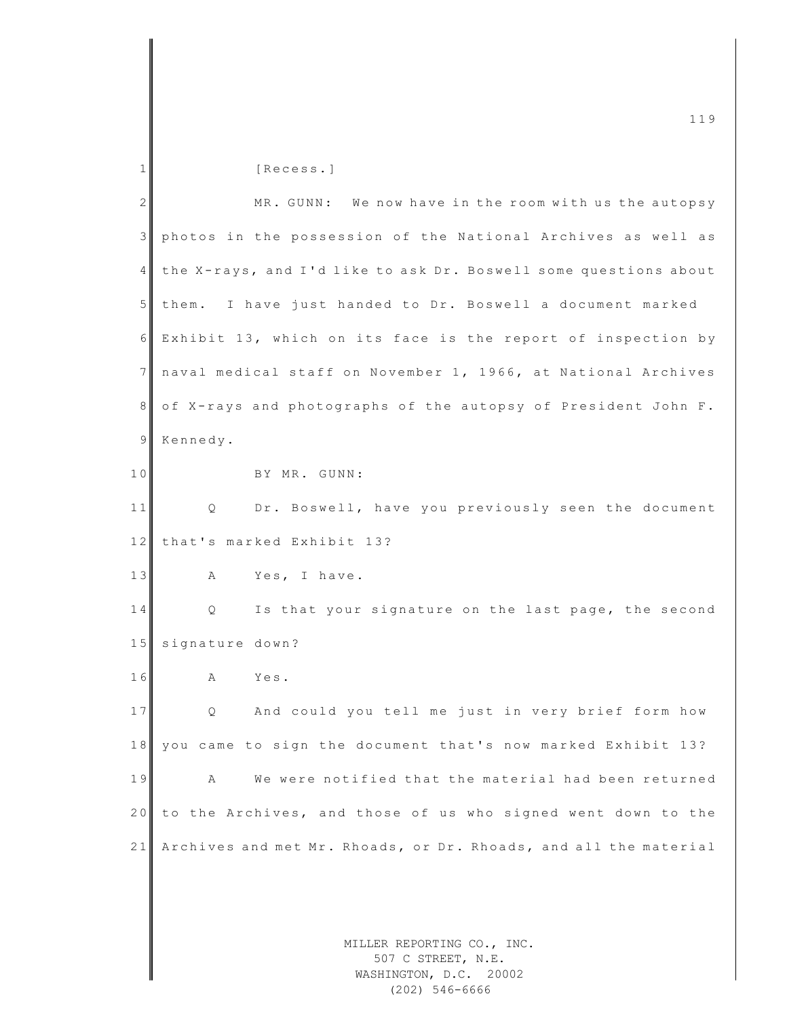| 1              | [Recess.]                                                                  |
|----------------|----------------------------------------------------------------------------|
| $\overline{2}$ | MR. GUNN: We now have in the room with us the autopsy                      |
| 3              | photos in the possession of the National Archives as well as               |
| 4              | the X-rays, and I'd like to ask Dr. Boswell some questions about           |
| 5              | them. I have just handed to Dr. Boswell a document marked                  |
| 6              | Exhibit 13, which on its face is the report of inspection by               |
| 7              | naval medical staff on November 1, 1966, at National Archives              |
| 8              | of X-rays and photographs of the autopsy of President John F.              |
| 9              | Kennedy.                                                                   |
| 10             | BY MR. GUNN:                                                               |
| 11             | Dr. Boswell, have you previously seen the document<br>Q                    |
| 12             | that's marked Exhibit 13?                                                  |
| 13             | Yes, I have.<br>Α                                                          |
| 14             | Is that your signature on the last page, the second<br>Q                   |
| 15             | signature down?                                                            |
| 16             | Yes.<br>A                                                                  |
| 17             | And could you tell me just in very brief form how<br>Q                     |
| 18             | you came to sign the document that's now marked Exhibit 13?                |
| 19             | We were notified that the material had been returned<br>Α                  |
| 20             | to the Archives, and those of us who signed went down to the               |
| 21             | Archives and met Mr. Rhoads, or Dr. Rhoads, and all the material           |
|                |                                                                            |
|                |                                                                            |
|                | MILLER REPORTING CO., INC.<br>507 C STREET, N.E.<br>WASHINGTON, D.C. 20002 |

m c  $\frac{119}{2}$ 

WASHINGTON, D.C. 20002 (202) 546-6666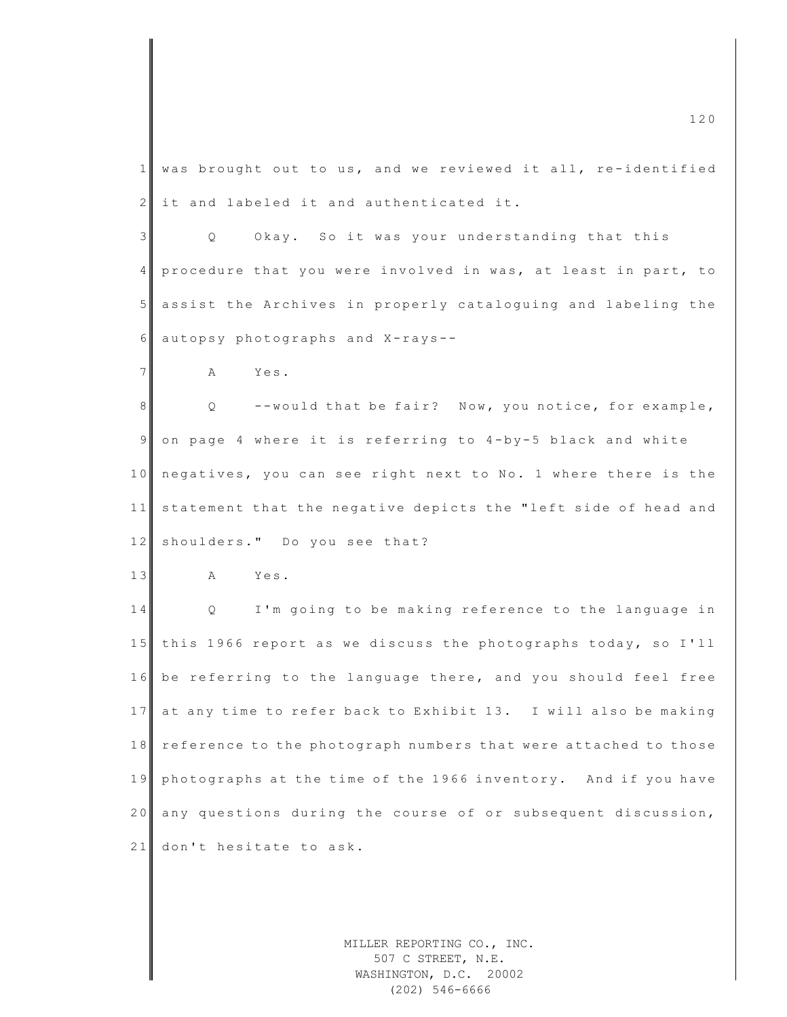| $\mathbf{1}$   | was brought out to us, and we reviewed it all, re-identified             |
|----------------|--------------------------------------------------------------------------|
| $\overline{2}$ | it and labeled it and authenticated it.                                  |
| 3              | Okay. So it was your understanding that this<br>Q.                       |
| $\overline{4}$ | procedure that you were involved in was, at least in part, to            |
| $5\phantom{.}$ | assist the Archives in properly cataloguing and labeling the             |
| 6              | autopsy photographs and X-rays--                                         |
| $7\phantom{.}$ | A<br>Yes.                                                                |
| 8              | --would that be fair? Now, you notice, for example,<br>$Q \qquad \qquad$ |
| $\overline{9}$ | on page 4 where it is referring to 4-by-5 black and white                |
| 10             | negatives, you can see right next to No. 1 where there is the            |
| 11             | statement that the negative depicts the "left side of head and           |
| 12             | shoulders." Do you see that?                                             |
| 13             | Yes.<br>A                                                                |
| 14             | I'm going to be making reference to the language in<br>Q                 |
| 15             | this 1966 report as we discuss the photographs today, so I'll            |
| 16             | be referring to the language there, and you should feel free             |
| 17             | at any time to refer back to Exhibit 13. I will also be making           |
| 18             | reference to the photograph numbers that were attached to those          |
| 19             | photographs at the time of the 1966 inventory. And if you have           |
| 20             | any questions during the course of or subsequent discussion,             |
| 21             | don't hesitate to ask.                                                   |
|                |                                                                          |

MILLER REPORTING CO., INC. 507 C STREET, N.E. WASHINGTON, D.C. 20002 (202) 546-6666

 $\frac{120}{20}$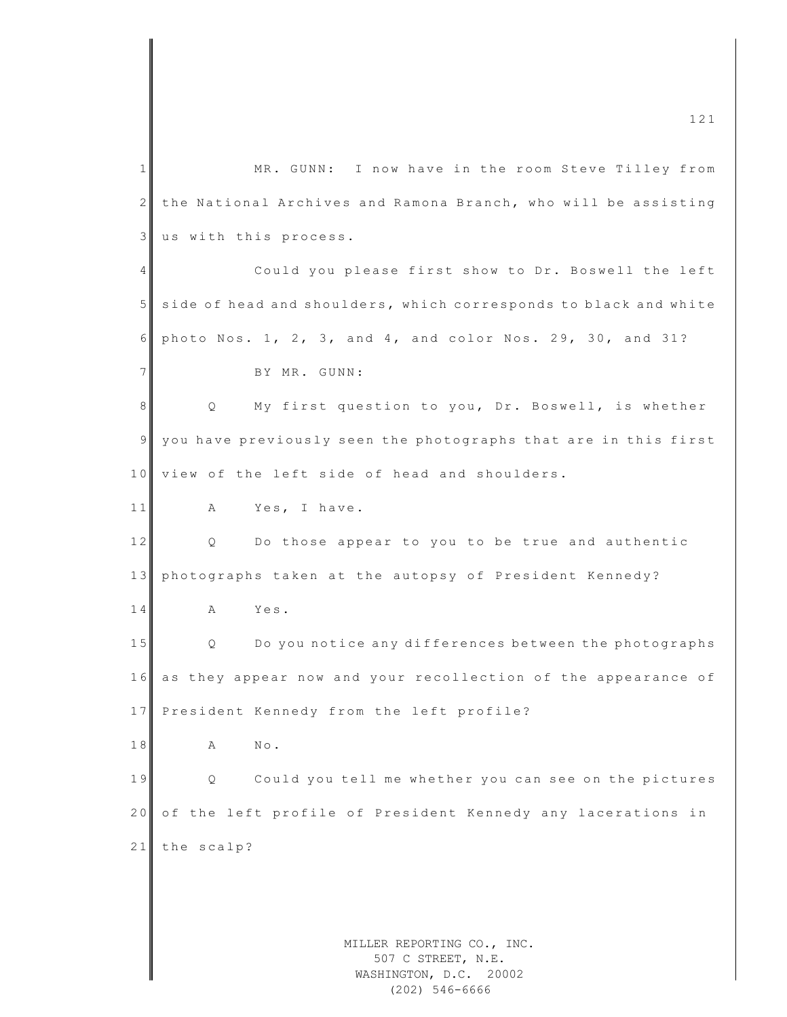MILLER REPORTING CO., INC. 1 MR. GUNN: I now have in the room Steve Tilley from 2 the National Archives and Ramona Branch, who will be assisting 3 us with this process. 4 Could you please first show to Dr. Boswell the left 5 side of head and shoulders, which corresponds to black and white 6 photo Nos. 1, 2, 3, and 4, and color Nos. 29, 30, and 31? 7 BY MR. GUNN: 8 Q My first question to you, Dr. Boswell, is whether 9 you have previously seen the photographs that are in this first 10 view of the left side of head and shoulders. 11 A Yes, I have. 12 Q Do those appear to you to be true and authentic 13 photographs taken at the autopsy of President Kennedy? 14 A Yes. 15 Q Do you notice any differences between the photographs 16 as they appear now and your recollection of the appearance of 17 President Kennedy from the left profile? 18 A No. 19 | Q Could you tell me whether you can see on the pictures 20 of the left profile of President Kennedy any lacerations in 21 the scalp?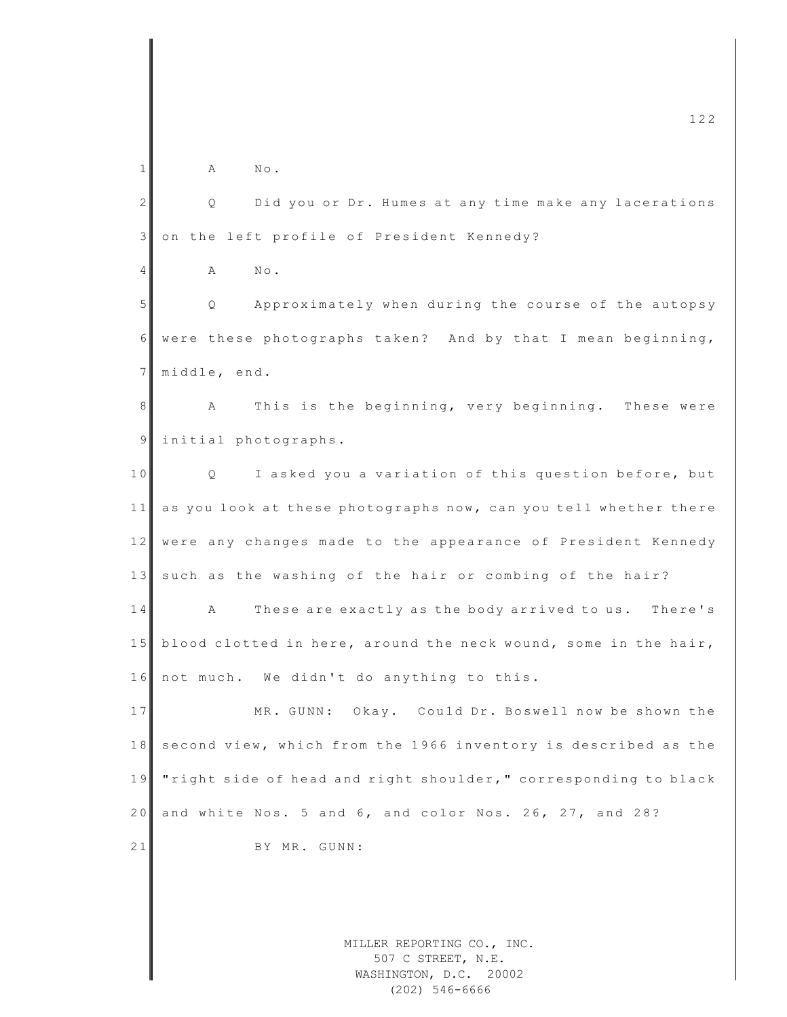MILLER REPORTING CO., INC. 507 C STREET, N.E.  $\frac{122}{2}$  $1$  A No. 2 | Q Did you or Dr. Humes at any time make any lacerations 3 on the left profile of President Kennedy? 4 A No. 5 Q Approximately when during the course of the autopsy 6 were these photographs taken? And by that I mean beginning, 7 middle, end. 8 A This is the beginning, very beginning. These were 9 initial photographs. 10 Q I asked you a variation of this question before, but  $11$  as you look at these photographs now, can you tell whether there 12 were any changes made to the appearance of President Kennedy 13 such as the washing of the hair or combing of the hair? 14 A These are exactly as the body arrived to us. There's 15 blood clotted in here, around the neck wound, some in the hair, 16 not much. We didn't do anything to this. 17 MR. GUNN: Okay. Could Dr. Boswell now be shown the 18 second view, which from the 1966 inventory is described as the 19 " right side of head and right shoulder, " corresponding to black 20 and white Nos. 5 and  $6$ , and color Nos. 26, 27, and 28? 21 BY MR. GUNN:

WASHINGTON, D.C. 20002 (202) 546-6666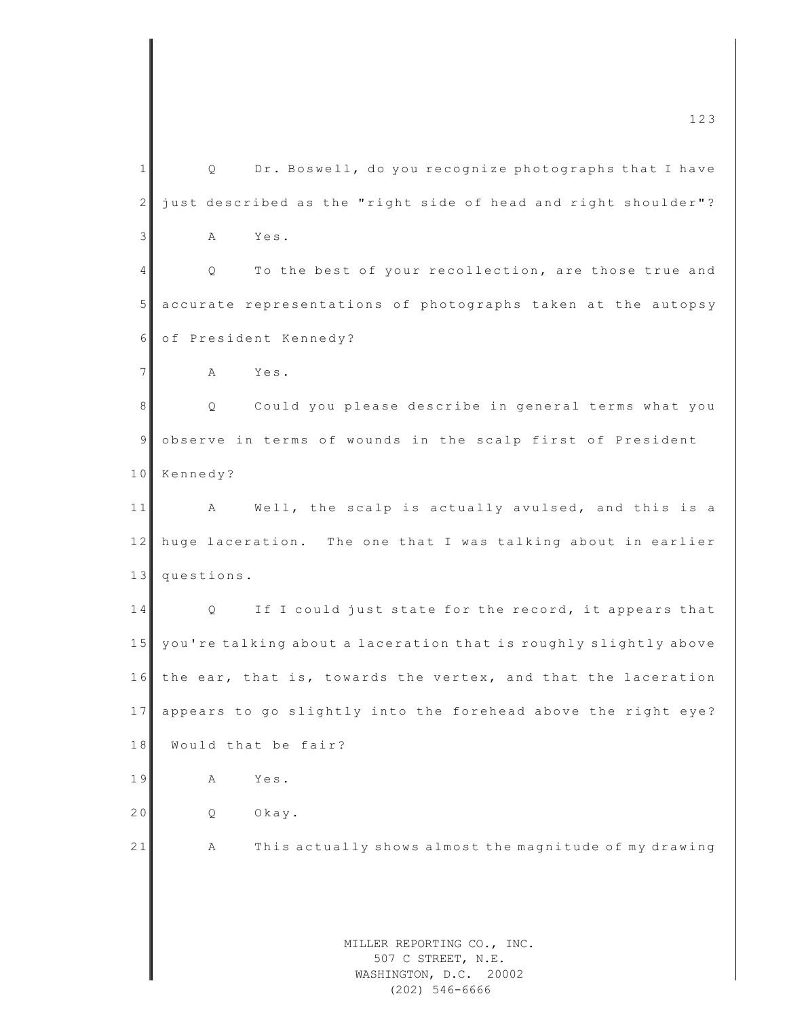MILLER REPORTING CO., INC. 507 C STREET, N.E. WASHINGTON, D.C. 20002 1 | Q Dr. Boswell, do you recognize photographs that I have  $2 \parallel$  just described as the "right side of head and right shoulder"? 3 A Yes. 4 Q To the best of your recollection, are those true and 5 accurate representations of photographs taken at the autopsy 6 of President Kennedy? 7 A Yes. 8 | Q Could you please describe in general terms what you 9 observe in terms of wounds in the scalp first of President 10 Kennedy? 11 A Well, the scalp is actually avulsed, and this is a 12 huge laceration. The one that I was talking about in earlier 13 questions. 14 Q If I could just state for the record, it appears that 15 you're talking about a laceration that is roughly slightly above 16 the ear, that is, towards the vertex, and that the laceration 17 appears to go slightly into the forehead above the right eye? 18 Would that be fair? 19 A Yes. 20 Q Okay. 21 A This actually shows almost the magnitude of my drawing

(202) 546-6666

 $\frac{123}{2}$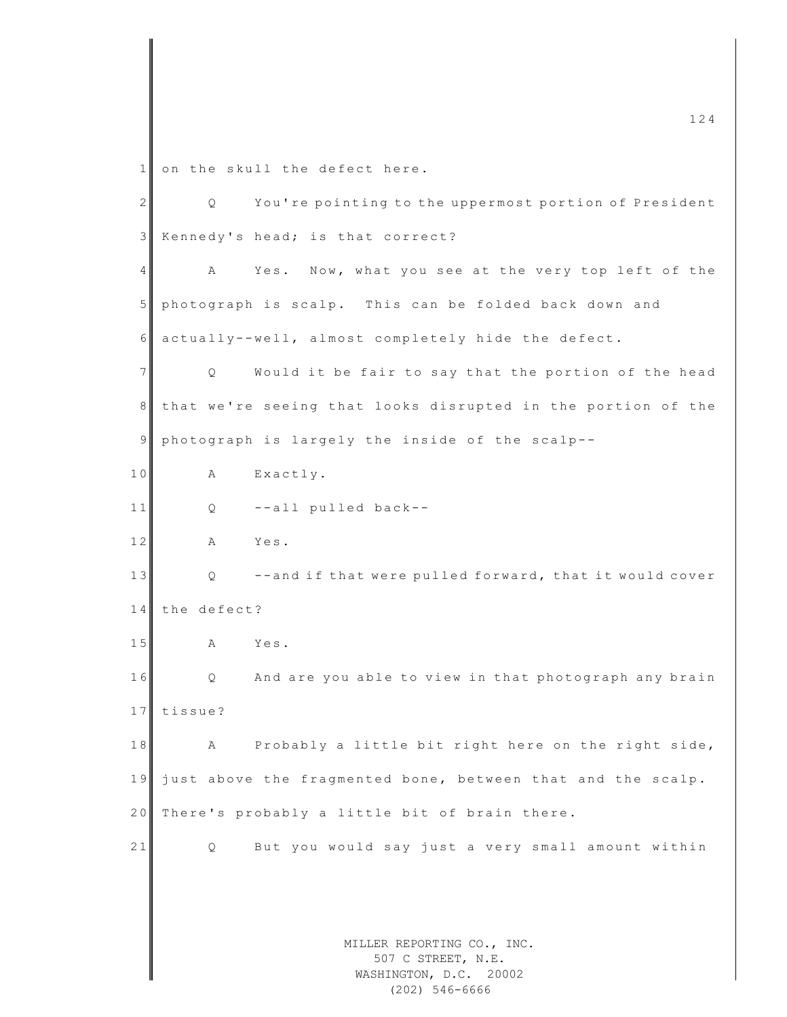1 on the skull the defect here.

MILLER REPORTING CO., INC. 507 C STREET, N.E. 2 Q You're pointing to the uppermost portion of President 3 Kennedy's head; is that correct? 4 A Yes. Now, what you see at the very top left of the 5 photograph is scalp. This can be folded back down and 6 actually--well, almost completely hide the defect. 7 | Q Would it be fair to say that the portion of the head 8 that we're seeing that looks disrupted in the portion of the 9 photograph is largely the inside of the scalp--10 A Exactly.  $11$  Q  $-$ all pulled back--12 A Yes. 13 | Q --and if that were pulled forward, that it would cover 14 the defect? 15 A Yes. 16 Q And are you able to view in that photograph any brain 17 tissue? 18 A Probably a little bit right here on the right side, 19 just above the fragmented bone, between that and the scalp. 20 There's probably a little bit of brain there. 21 Q But you would say just a very small amount within

WASHINGTON, D.C. 20002 (202) 546-6666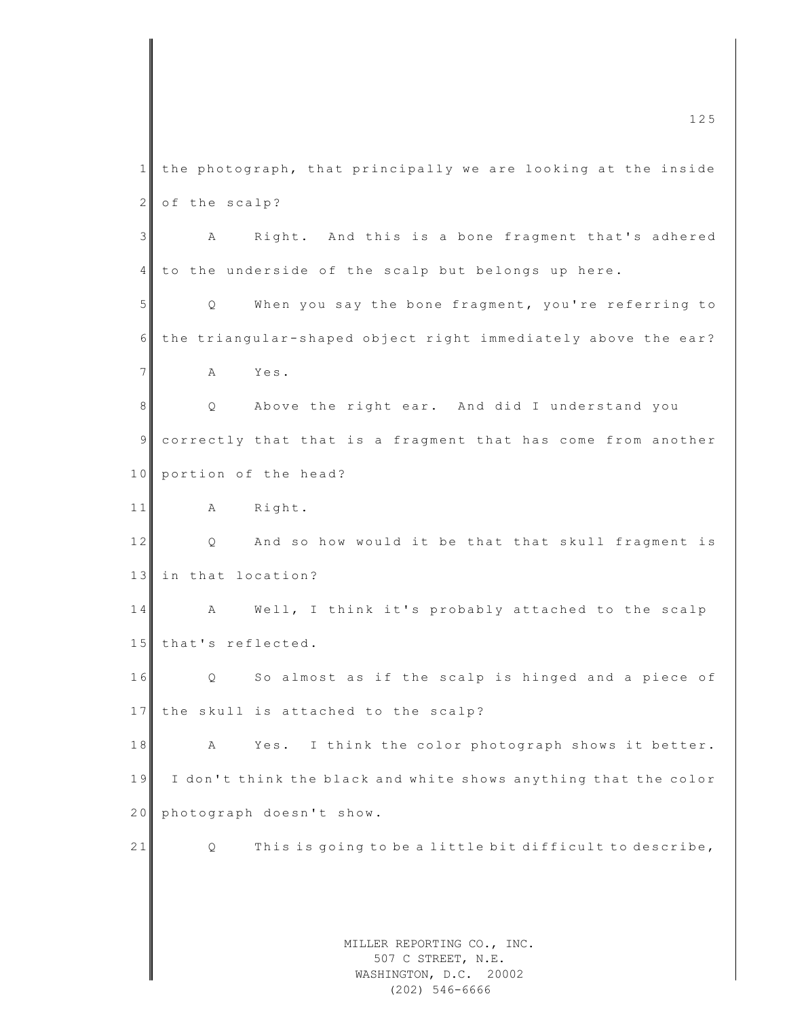MILLER REPORTING CO., INC. 507 C STREET, N.E. WASHINGTON, D.C. 20002 1 the photograph, that principally we are looking at the inside 2 of the scalp? 3 A Right. And this is a bone fragment that's adhered  $4$  to the underside of the scalp but belongs up here. 5 Q When you say the bone fragment, you're referring to 6 the triangular-shaped object right immediately above the ear? 7 A Yes. 8 || Q Above the right ear. And did I understand you 9 correctly that that is a fragment that has come from another 10 portion of the head? 11 A Right. 12 Q And so how would it be that that skull fragment is 13 in that location? 14 A Well, I think it's probably attached to the scalp 15 that's reflected. 16 Q So almost as if the scalp is hinged and a piece of 17 the skull is attached to the scalp? 18 A Yes. I think the color photograph shows it better. 19 I don't think the black and white shows anything that the color 20 photograph doesn't show. 21  $\Box$  Q This is going to be a little bit difficult to describe,

(202) 546-6666

 $\frac{125}{25}$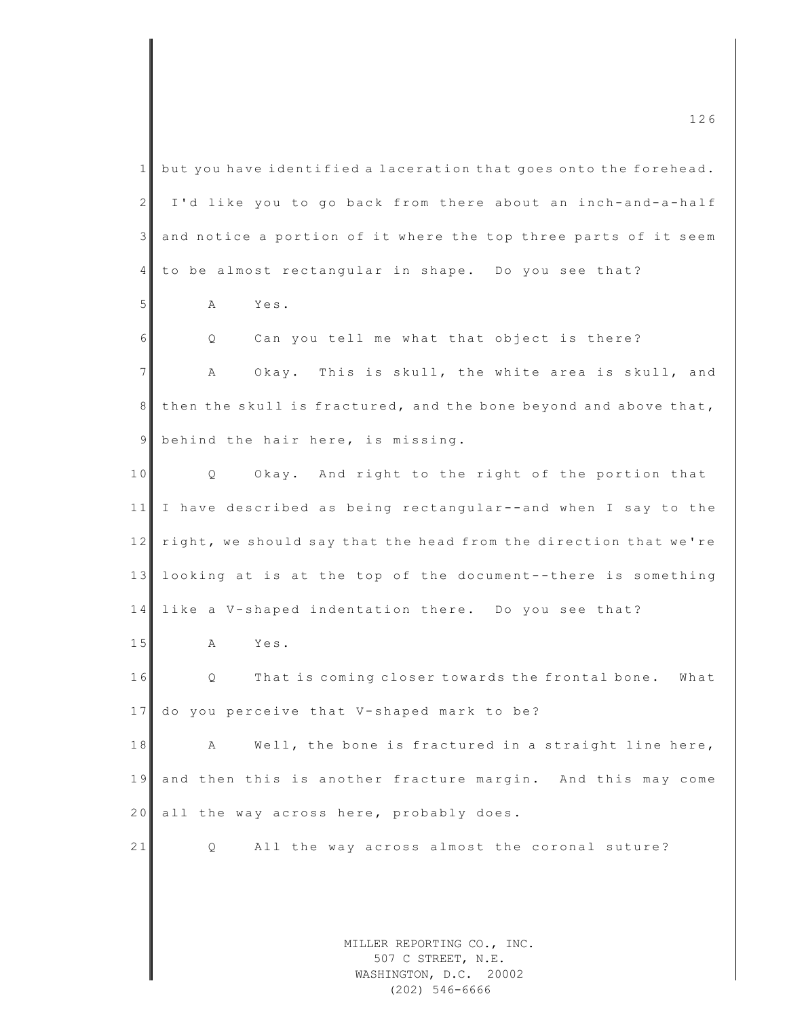| $\mathbf{1}$   | but you have identified a laceration that goes onto the forehead.          |
|----------------|----------------------------------------------------------------------------|
| 2              | I'd like you to go back from there about an inch-and-a-half                |
| $\mathfrak{Z}$ | and notice a portion of it where the top three parts of it seem            |
| $\overline{4}$ | to be almost rectangular in shape. Do you see that?                        |
| 5              | Α<br>Yes.                                                                  |
| 6              | Can you tell me what that object is there?<br>Q                            |
| $7\phantom{.}$ | Α<br>Okay. This is skull, the white area is skull, and                     |
| 8              | then the skull is fractured, and the bone beyond and above that,           |
| $\overline{9}$ | behind the hair here, is missing.                                          |
| 10             | Okay. And right to the right of the portion that<br>Q                      |
| 11             | I have described as being rectangular--and when I say to the               |
| 12             | right, we should say that the head from the direction that we're           |
| 13             | looking at is at the top of the document--there is something               |
| 14             | like a V-shaped indentation there. Do you see that?                        |
| 15             | Α<br>Yes.                                                                  |
| 16             | That is coming closer towards the frontal bone.<br>Q<br>What               |
| 17             | do you perceive that V-shaped mark to be?                                  |
| $1\;8$         | Well, the bone is fractured in a straight line here,<br>Α                  |
| 19             | and then this is another fracture margin. And this may come                |
| 20             | all the way across here, probably does.                                    |
| 21             | All the way across almost the coronal suture?<br>Q                         |
|                |                                                                            |
|                |                                                                            |
|                | MILLER REPORTING CO., INC.<br>507 C STREET, N.E.<br>WASHINGTON, D.C. 20002 |

 $\frac{126}{20}$ 

WASHINGTON, D.C. 20002 (202) 546-6666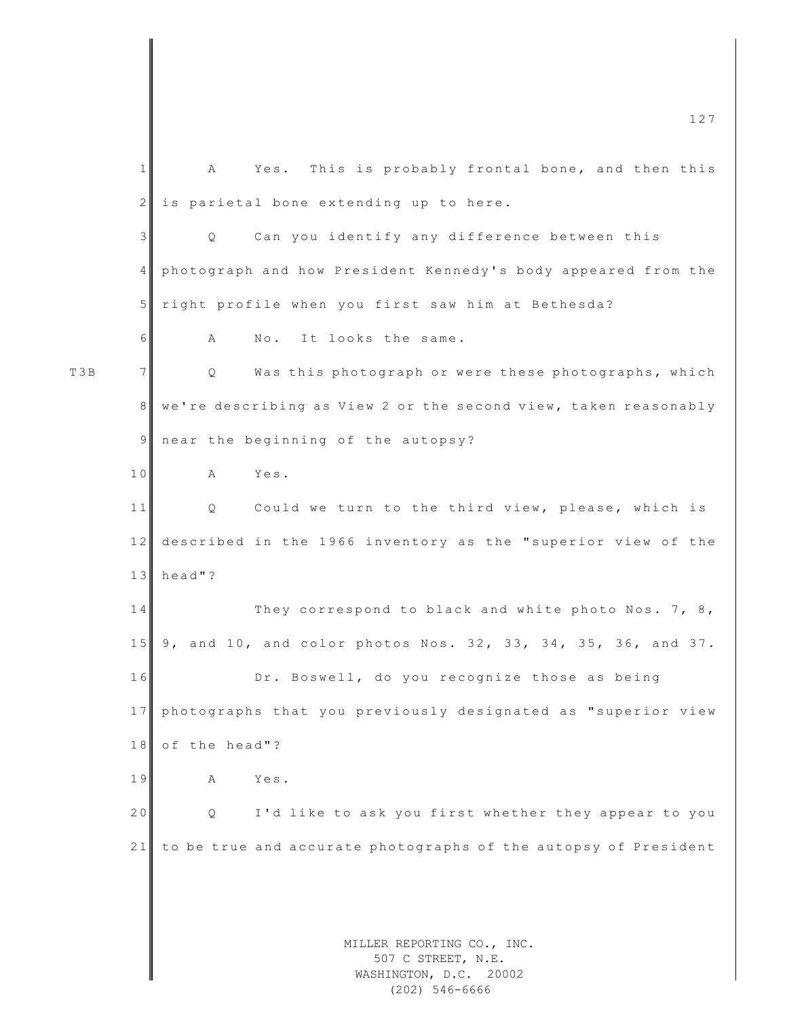MILLER REPORTING CO., INC. 507 C STREET, N.E. WASHINGTON, D.C. 20002  $\frac{127}{27}$ 1 A Yes. This is probably frontal bone, and then this 2 is parietal bone extending up to here. 3 | Q Can you identify any difference between this 4 photograph and how President Kennedy's body appeared from the 5 right profile when you first saw him at Bethesda? 6 A No. It looks the same. T3B 7 | Q Was this photograph or were these photographs, which 8 we're describing as View 2 or the second view, taken reasonably 9 near the beginning of the autopsy? 10 A Yes. 11 Q Could we turn to the third view, please, which is 12 described in the 1966 inventory as the "superior view of the 13 head"? 14 They correspond to black and white photo Nos. 7, 8, 15 9, and 10, and color photos Nos. 32, 33, 34, 35, 36, and 37. 16 Dr. Boswell, do you recognize those as being 17 photographs that you previously designated as "superior view 18 of the head"? 19 A Yes. 20 Q I'd like to ask you first whether they appear to you 21 to be true and accurate photographs of the autopsy of President

(202) 546-6666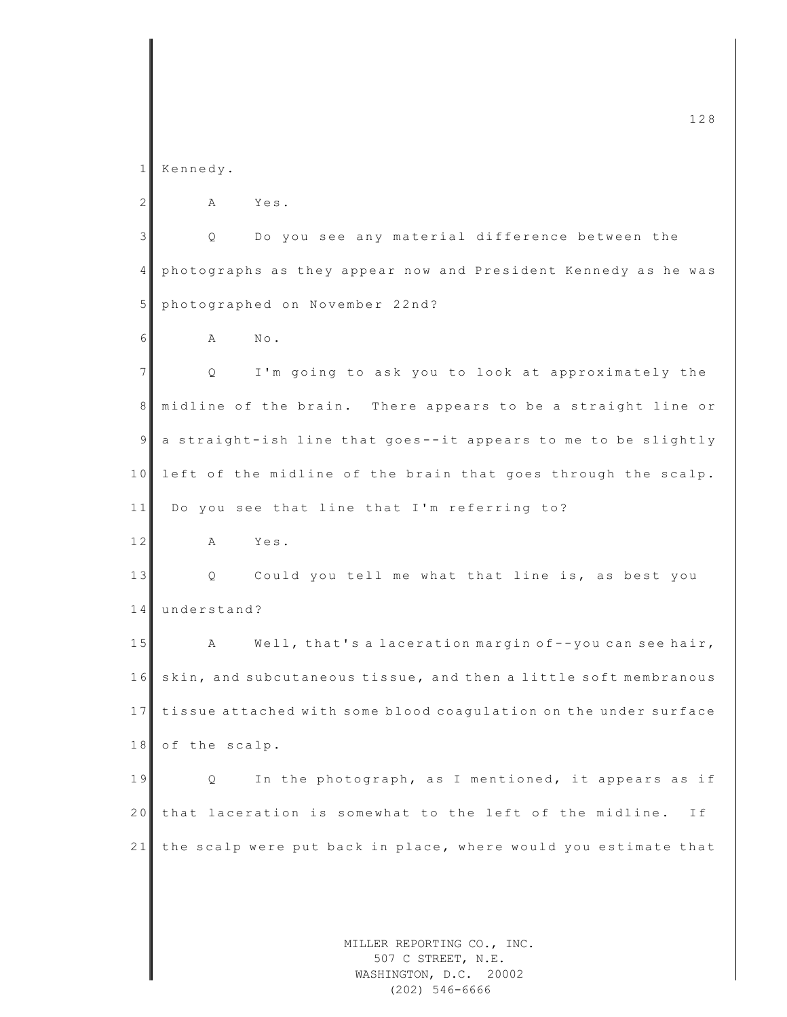1 Kennedy.

2 A Yes. 3 | Q Do you see any material difference between the 4 ph ot o graphs as they appear now and President Kennedy as he was 5 photographed on November 22nd? 6 A No. 7 Q I'm going to ask you to look at approximately the 8 midline of the brain. There appears to be a straight line or  $9 \parallel a$  straight-ish line that goes--it appears to me to be slightly 10 left of the midline of the brain that goes through the scalp. 11 Do you see that line that I'm referring to? 12 A Yes. 13 Q Could you tell me what that line is, as best you 14 understand? 15 A Well, that's a laceration margin of --you can see hair, 16 skin, and subcutaneous tissue, and then a little soft membranous 17 tissue attached with some blood coaqulation on the under surface 18 of the scalp. 19 Q In the photograph, as I mentioned, it appears as if 20 that laceration is somewhat to the left of the midline. If 21 the scalp were put back in place, where would you estimate that

> MILLER REPORTING CO., INC. 507 C STREET, N.E. WASHINGTON, D.C. 20002 (202) 546-6666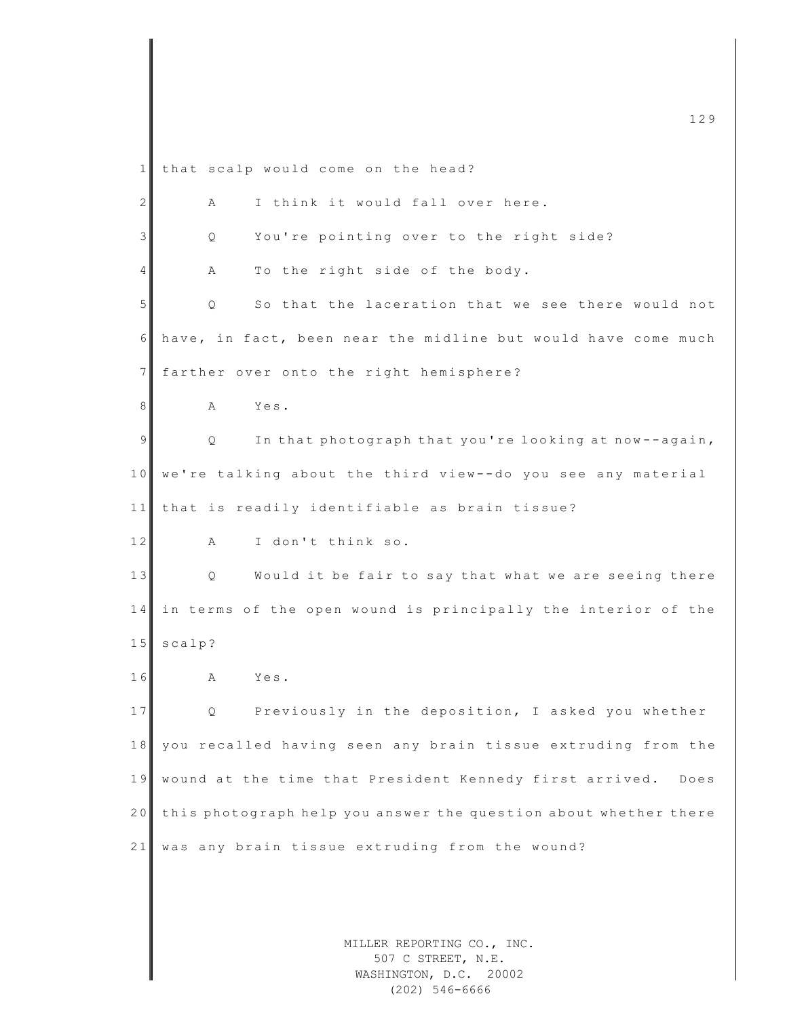MILLER REPORTING CO., INC. m c  $129$ 1 that scalp would come on the head?  $2$   $\parallel$  A I think it would fall over here. 3 Q You're pointing over to the right side?  $4$  A To the right side of the body. 5 Q So that the laceration that we see there would not  $6$  have, in fact, been near the midline but would have come much 7 farther over onto the right hemisphere? 8 A Yes. 9 | Q In that photograph that you're looking at now--again, 10 we're talking about the third view--do you see any material  $11$  that is readily identifiable as brain tissue? 12 A I don't think so. 13 | Q Would it be fair to say that what we are seeing there 14 in terms of the open wound is principally the interior of the 15 scalp? 16 A Yes. 17 Q Previously in the deposition, I asked you whether 18 you recalled having seen any brain tissue extruding from the 19 wound at the time that President Kennedy first arrived. Does 20 this photograph help you answer the question about whether there 21 was any brain tissue extruding from the wound?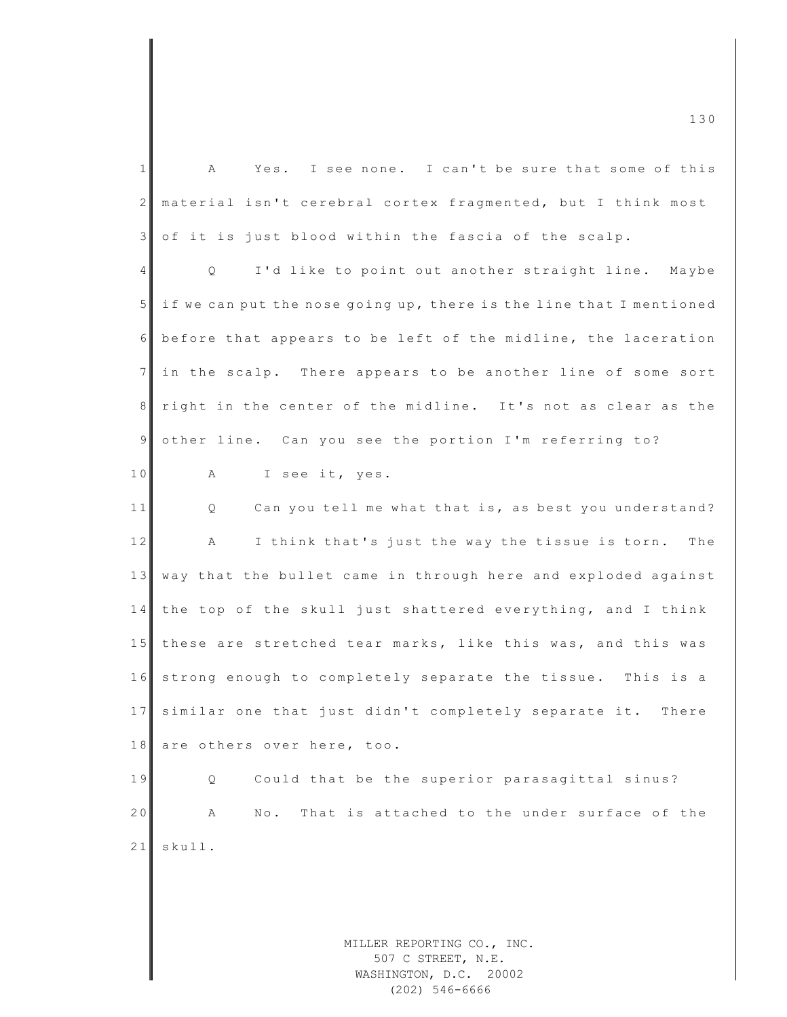MILLER REPORTING CO., INC.  $1$  A Yes. I see none. I can't be sure that some of this 2 material isn't cerebral cortex fragmented, but I think most 3 of it is just blood within the fascia of the scalp. 4 Q I'd like to point out another straight line. Maybe  $5$  if we can put the nose going up, there is the line that I mentioned 6 before that appears to be left of the midline, the laceration 7 in the scalp. There appears to be another line of some sort 8 right in the center of the midline. It's not as clear as the 9 other line. Can you see the portion I'm referring to? 10 A I see it, yes. 11 Q Can you tell me what that is, as best you understand? 12 A I think that's just the way the tissue is torn. The 13 way that the bullet came in through here and exploded against 14 the top of the skull just shattered everything, and I think 15 these are stretched tear marks, like this was, and this was 16 strong enough to completely separate the tissue. This is a 17 similar one that just didn't completely separate it. There 18 are others over here, too. 19 Q Could that be the superior parasagittal sinus? 20 A No. That is attached to the under surface of the 21 skull.

> 507 C STREET, N.E. WASHINGTON, D.C. 20002 (202) 546-6666

m c  $\frac{130}{2}$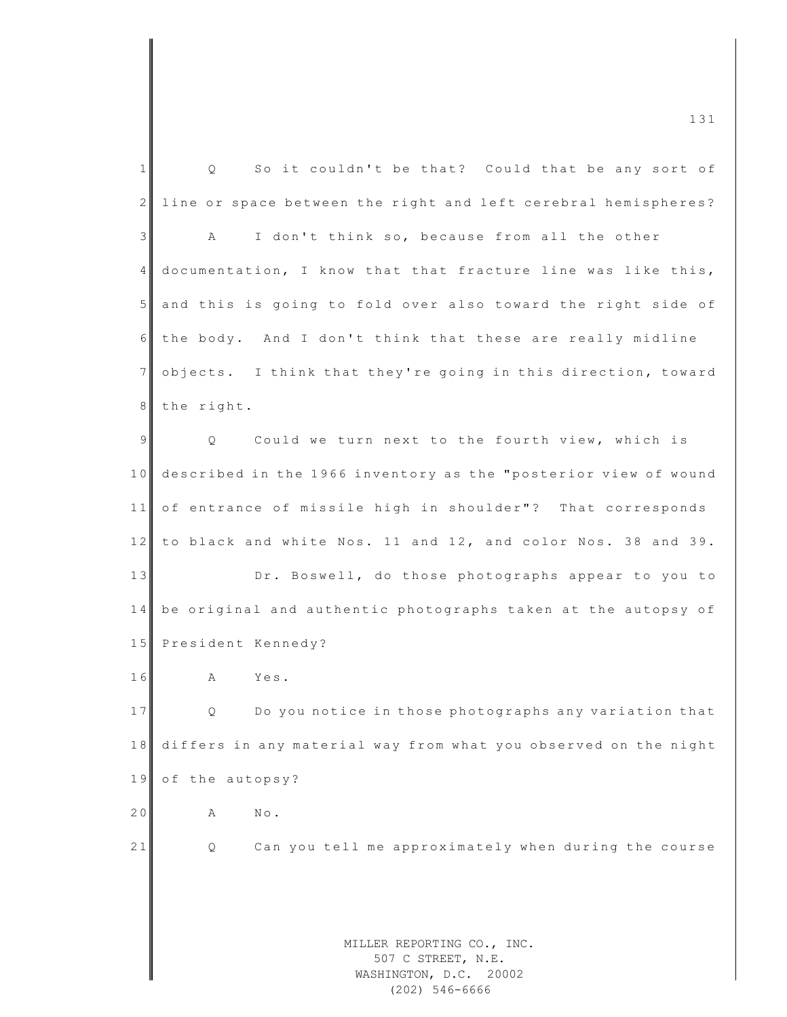|                 | 131                                                              |
|-----------------|------------------------------------------------------------------|
| $\mathbf{1}$    | So it couldn't be that? Could that be any sort of<br>Q.          |
| $\mathbf{2}$    | line or space between the right and left cerebral hemispheres?   |
| 3               | I don't think so, because from all the other<br>Α                |
| $4\overline{ }$ | documentation, I know that that fracture line was like this,     |
| 5 <sup>1</sup>  | and this is going to fold over also toward the right side of     |
| 6               | the body. And I don't think that these are really midline        |
| $\overline{7}$  | objects. I think that they're going in this direction, toward    |
| 8               | the right.                                                       |
| $\mathfrak{g}$  | Could we turn next to the fourth view, which is<br>Q.            |
| 10              | described in the 1966 inventory as the "posterior view of wound  |
| 11              | of entrance of missile high in shoulder"? That corresponds       |
| 12              | to black and white Nos. 11 and 12, and color Nos. 38 and 39.     |
| 13              | Dr. Boswell, do those photographs appear to you to               |
| 14              | be original and authentic photographs taken at the autopsy of    |
| 15              | President Kennedy?                                               |
| 16              | Yes.<br>А                                                        |
| 17              | Do you notice in those photographs any variation that<br>$\circ$ |
| 18              | differs in any material way from what you observed on the night  |
| 19              | of the autopsy?                                                  |
| 20              | $\mathbb{N}\circ$ .<br>Α                                         |
| 21              | Can you tell me approximately when during the course<br>Q        |
|                 |                                                                  |
|                 |                                                                  |
|                 | MILLER REPORTING CO., INC.<br>507 C STREET, N.E.                 |
|                 | WASHINGTON, D.C. 20002                                           |

(202) 546-6666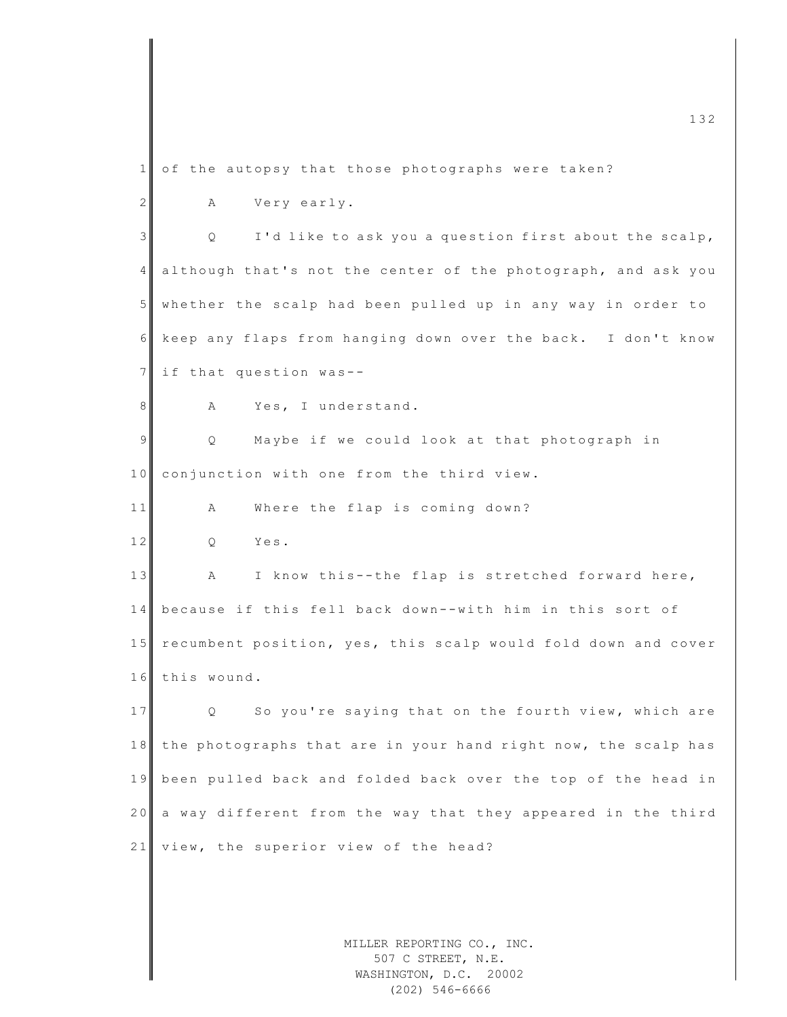MILLER REPORTING CO., INC.  $1$  of the autopsy that those photographs were taken? 2 A Very early. 3 | Q I'd like to ask you a question first about the scalp, 4 although that's not the center of the photograph, and ask you 5 whether the scalp had been pulled up in any way in order to 6 keep any flaps from hanging down over the back. I don't know  $7$  if that question was--8 A Yes, I understand. 9 | Q Maybe if we could look at that photograph in 10 conjunction with one from the third view. 11 A Where the flap is coming down? 12 Q Yes. 13 A I know this--the flap is stretched forward here, 14 because if this fell back down--with him in this sort of 15 recumbent position, yes, this scalp would fold down and cover 16 this wound. 17 Q So you're saying that on the fourth view, which are 18 the photographs that are in your hand right now, the scalp has 19 been pulled back and folded back over the top of the head in 20 a way different from the way that they appeared in the third  $21$  view, the superior view of the head?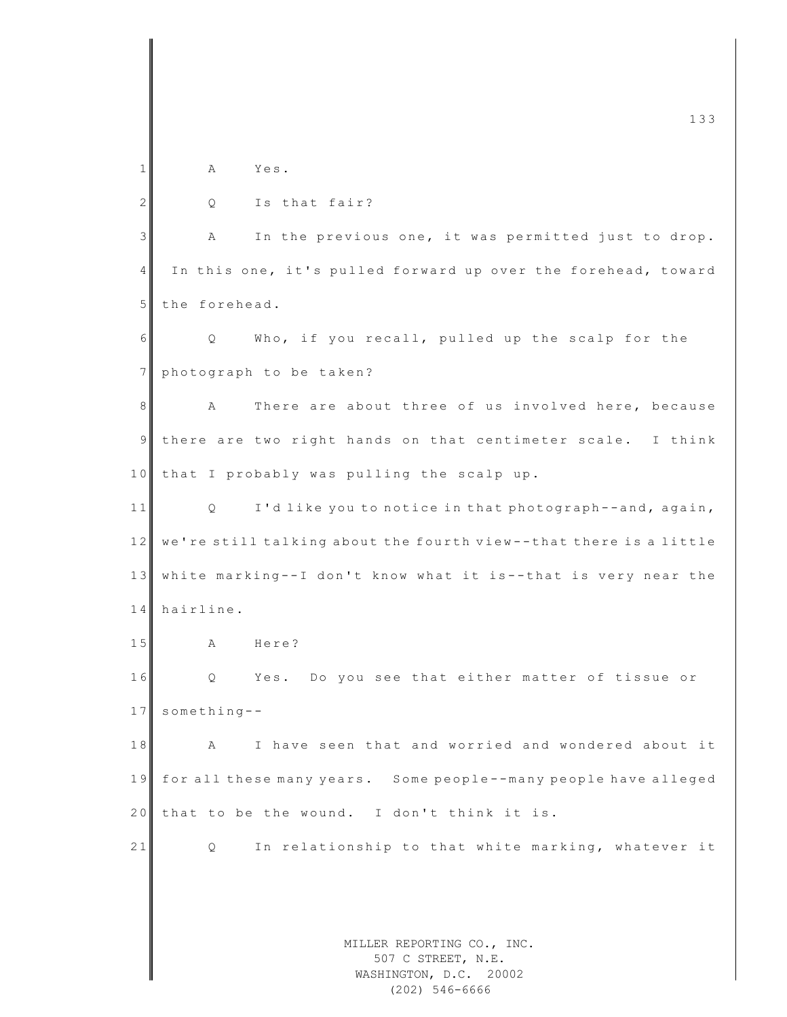MILLER REPORTING CO., INC. 507 C STREET, N.E. m c  $\frac{1}{3}$  133 1 A Yes.  $2$  Q Is that fair? 3 A In the previous one, it was permitted just to drop. 4 In this one, it's pulled forward up over the forehead, toward 5 the forehead. 6 Q Who, if you recall, pulled up the scalp for the 7 photograph to be taken? 8 A There are about three of us involved here, because 9 there are two right hands on that centimeter scale. I think 10 that I probably was pulling the scalp up. 11 Q I'd like you to notice in that photograph--and, again, 12 we're still talking about the fourth view--that there is a little 13 white marking--I don't know what it is--that is very near the 14 hairline. 15 A Here? 16 Q Yes. Do you see that either matter of tissue or 17 something--18 A I have seen that and worried and wondered about it 19 for all these many years. Some people--many people have alleged  $20$  that to be the wound. I don't think it is. 21 Q In relationship to that white marking, whatever it

WASHINGTON, D.C. 20002 (202) 546-6666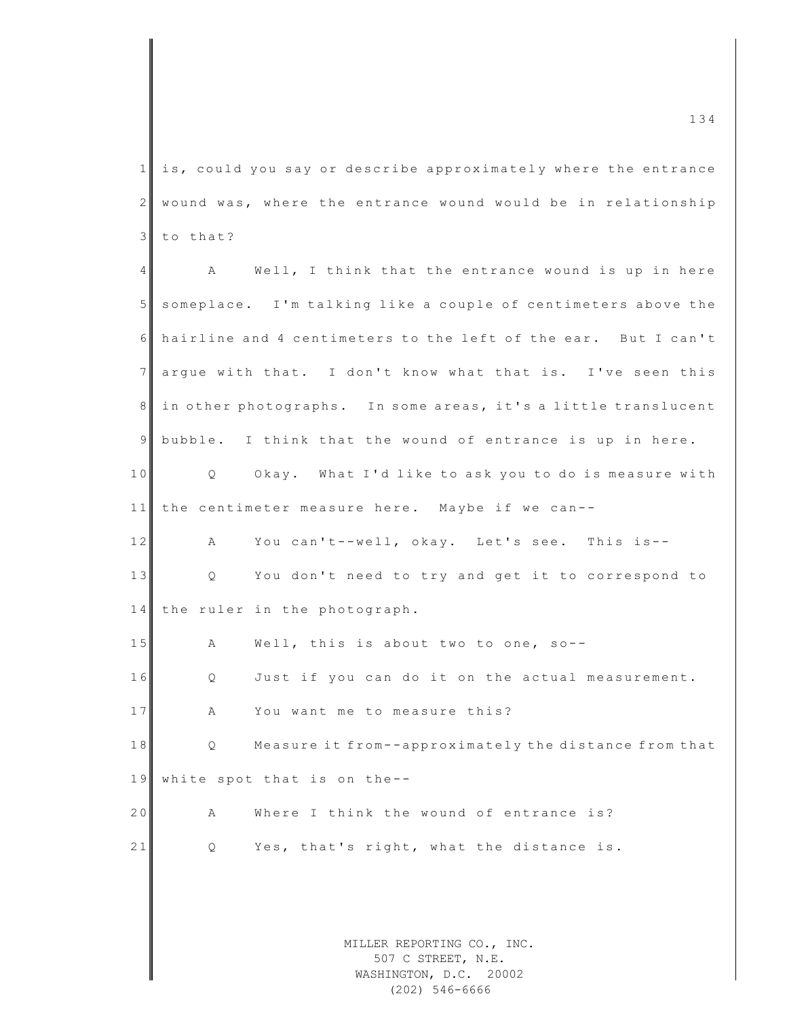$1$  is, could you say or describe approximately where the entrance 2 wound was, where the entrance wound would be in relationship  $3$  to that?

MILLER REPORTING CO., INC. 507 C STREET, N.E. 4 A Well, I think that the entrance wound is up in here 5 someplace. I'm talking like a couple of centimeters above the 6 hairline and 4 centimeters to the left of the ear. But I can't 7 argue with that. I don't know what that is. I've seen this 8 in other photographs. In some areas, it's a little translucent 9 bubble. I think that the wound of entrance is up in here. 10 Q Okay. What I'd like to ask you to do is measure with 11 the centimeter measure here. Maybe if we can--12 A You can't--well, okay. Let's see. This is--13 Q You don't need to try and get it to correspond to 14 the ruler in the photograph. 15 A Well, this is about two to one, so--16 Q Just if you can do it on the actual measurement. 17 A You want me to measure this? 18 Q Measure it from--approximately the distance from that 19 white spot that is on the--20 A Where I think the wound of entrance is? 21 Q Yes, that's right, what the distance is.

WASHINGTON, D.C. 20002 (202) 546-6666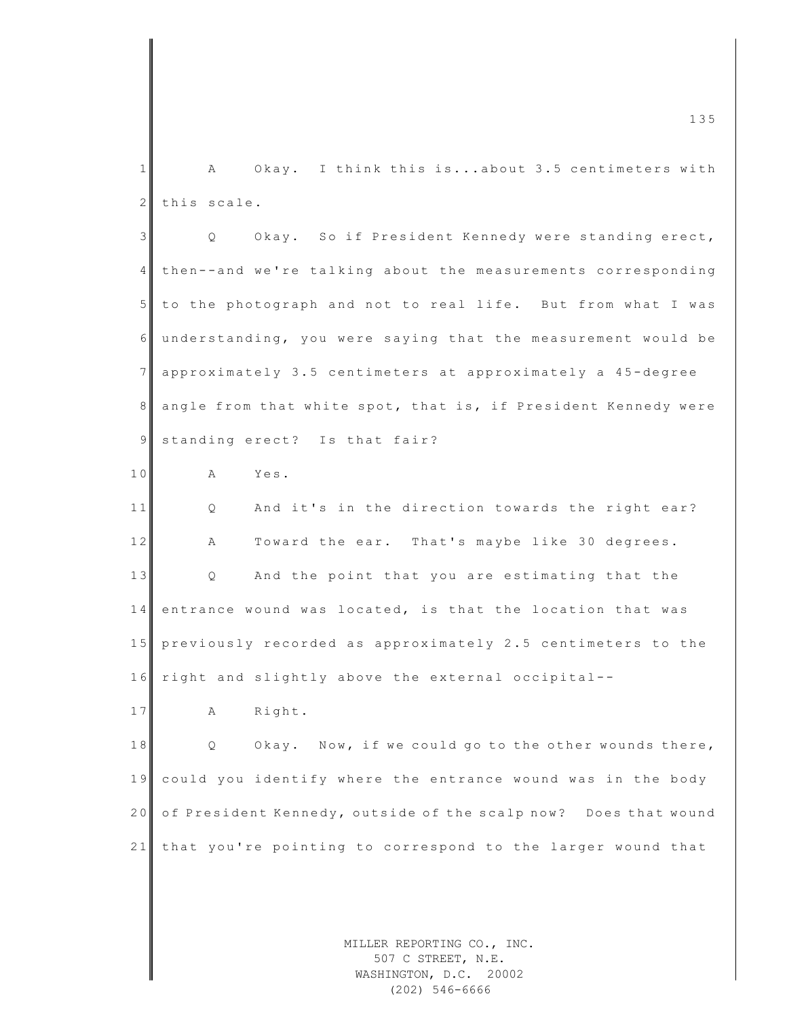| 1              | Okay. I think this isabout 3.5 centimeters with<br>A            |
|----------------|-----------------------------------------------------------------|
| $\mathbf{2}$   | this scale.                                                     |
| 3              | Okay. So if President Kennedy were standing erect,<br>Q         |
| $\overline{4}$ | then--and we're talking about the measurements corresponding    |
| 5 <sup>5</sup> | to the photograph and not to real life. But from what I was     |
| 6              | understanding, you were saying that the measurement would be    |
| 7              | approximately 3.5 centimeters at approximately a 45-degree      |
| 8              | angle from that white spot, that is, if President Kennedy were  |
| $\overline{9}$ | standing erect? Is that fair?                                   |
| 10             | Yes.<br>Α                                                       |
| 11             | And it's in the direction towards the right ear?<br>Q           |
| 12             | Toward the ear. That's maybe like 30 degrees.<br>Α              |
| 13             | And the point that you are estimating that the<br>Q             |
| 14             | entrance wound was located, is that the location that was       |
| 15             | previously recorded as approximately 2.5 centimeters to the     |
| 16             | right and slightly above the external occipital--               |
| 17             | Right.<br>Α                                                     |
| $1\;8$         | Now, if we could go to the other wounds there,<br>Okay.<br>Q    |
| 19             | could you identify where the entrance wound was in the body     |
| 20             | of President Kennedy, outside of the scalp now? Does that wound |
| 21             | that you're pointing to correspond to the larger wound that     |
|                |                                                                 |
|                |                                                                 |
|                | MILLER REPORTING CO., INC.                                      |

m c  $\frac{1}{35}$  and  $\frac{135}{35}$  and  $\frac{135}{35}$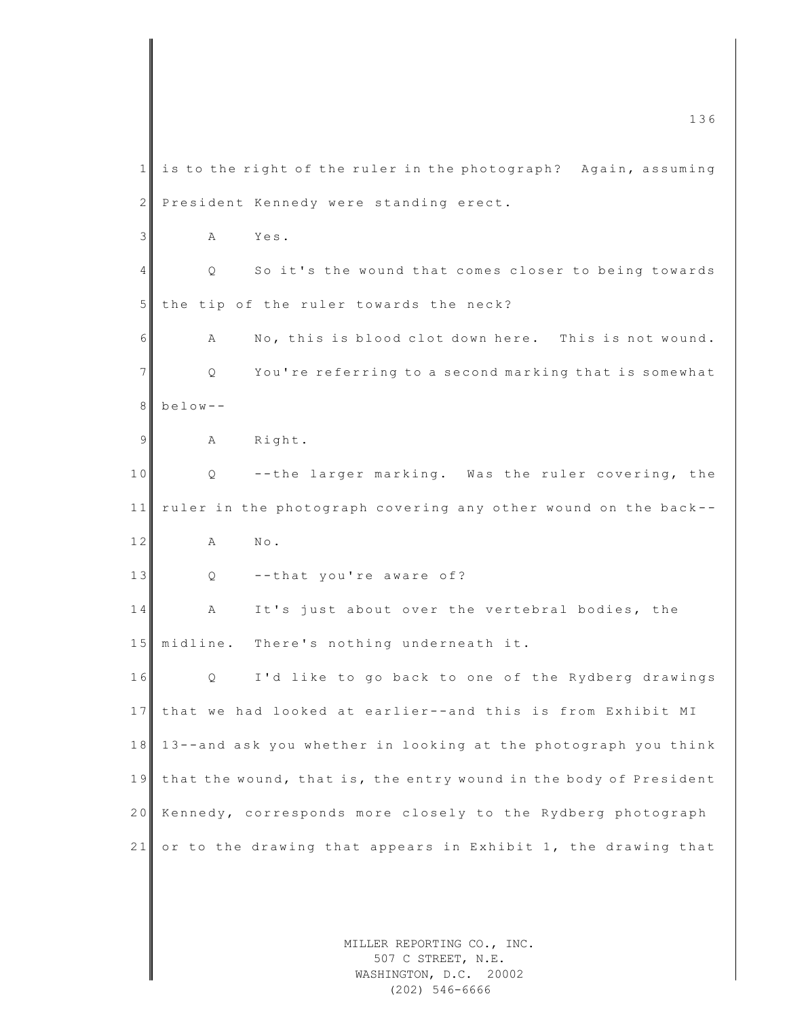MILLER REPORTING CO., INC. 507 C STREET, N.E. WASHINGTON, D.C. 20002 m c 136  $1$  is to the right of the ruler in the photograph? Again, assuming 2 President Kennedy were standing erect. 3 A Yes. 4 | Q So it's the wound that comes closer to being towards 5 the tip of the ruler towards the neck? 6 A No, this is blood clot down here. This is not wound. 7 | Q You're referring to a second marking that is somewhat 8 below - - 9 A Right. 10 Q --the larger marking. Was the ruler covering, the 11 ruler in the photograph covering any other wound on the back--12 A No. 13 Q --that you're aware of? 14 A It's just about over the vertebral bodies, the 15 midline. There's nothing underneath it. 16 Q I'd like to go back to one of the Rydberg drawings 17 that we had looked at earlier--and this is from Exhibit MI 18 13 -- and ask you whether in looking at the photograph you think 19 that the wound, that is, the entry wound in the body of President 20 Kennedy, corresponds more closely to the Rydberg photograph 21 or to the drawing that appears in Exhibit 1, the drawing that

(202) 546-6666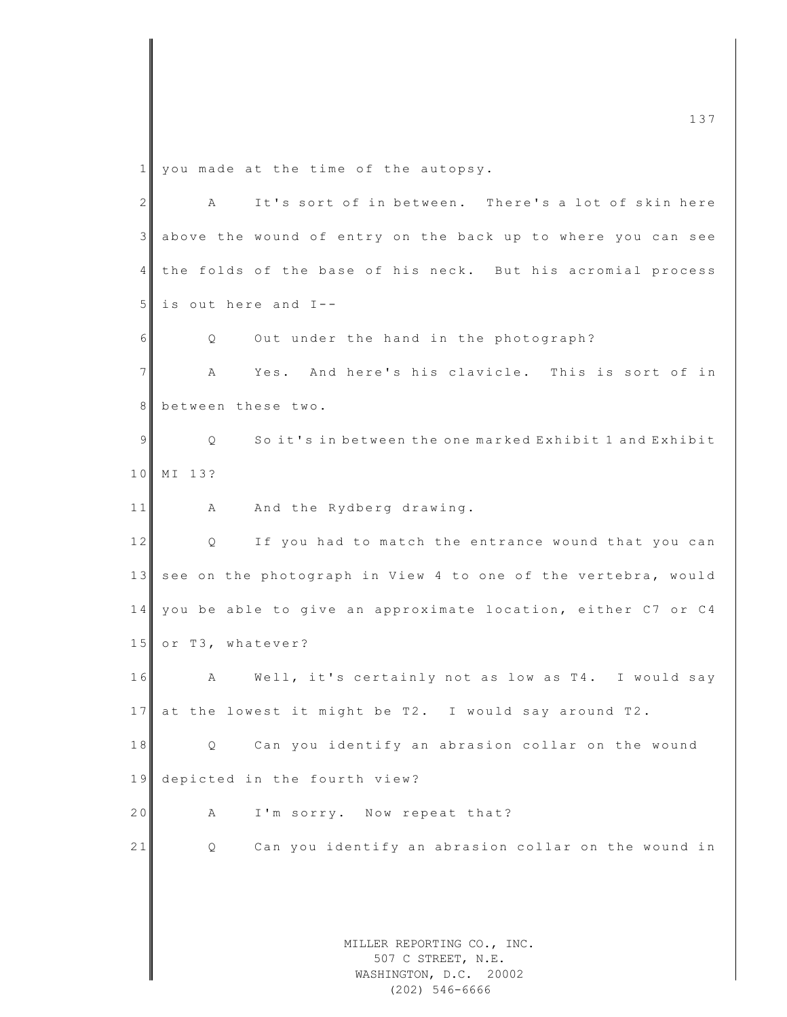1 you made at the time of the autopsy.

| $\mathbf{2}$ | It's sort of in between. There's a lot of skin here<br>A      |  |
|--------------|---------------------------------------------------------------|--|
| 3            | above the wound of entry on the back up to where you can see  |  |
| 4            | the folds of the base of his neck. But his acromial process   |  |
| 5            | is out here and I--                                           |  |
| 6            | Out under the hand in the photograph?<br>Q                    |  |
| 7            | Yes. And here's his clavicle. This is sort of in<br>Α         |  |
| 8            | between these two.                                            |  |
| 9            | So it's in between the one marked Exhibit 1 and Exhibit<br>Q  |  |
| 10           | MI 13?                                                        |  |
| 11           | And the Rydberg drawing.<br>A                                 |  |
| 12           | If you had to match the entrance wound that you can<br>Q      |  |
| 13           | see on the photograph in View 4 to one of the vertebra, would |  |
| 14           | you be able to give an approximate location, either C7 or C4  |  |
| 15           | or T3, whatever?                                              |  |
| 16           | A<br>Well, it's certainly not as low as T4. I would say       |  |
| 17           | at the lowest it might be T2. I would say around T2.          |  |
| 18           | Can you identify an abrasion collar on the wound<br>Q         |  |
| 19           | depicted in the fourth view?                                  |  |
| 20           | I'm sorry. Now repeat that?<br>Α                              |  |
| 21           | Can you identify an abrasion collar on the wound in<br>Q.     |  |
|              |                                                               |  |
|              |                                                               |  |
|              | MILLER REPORTING CO., INC.<br>507 C STREET, N.E.              |  |
|              | WASHINGTON, D.C. 20002                                        |  |

(202) 546-6666

m c  $\frac{137}{2}$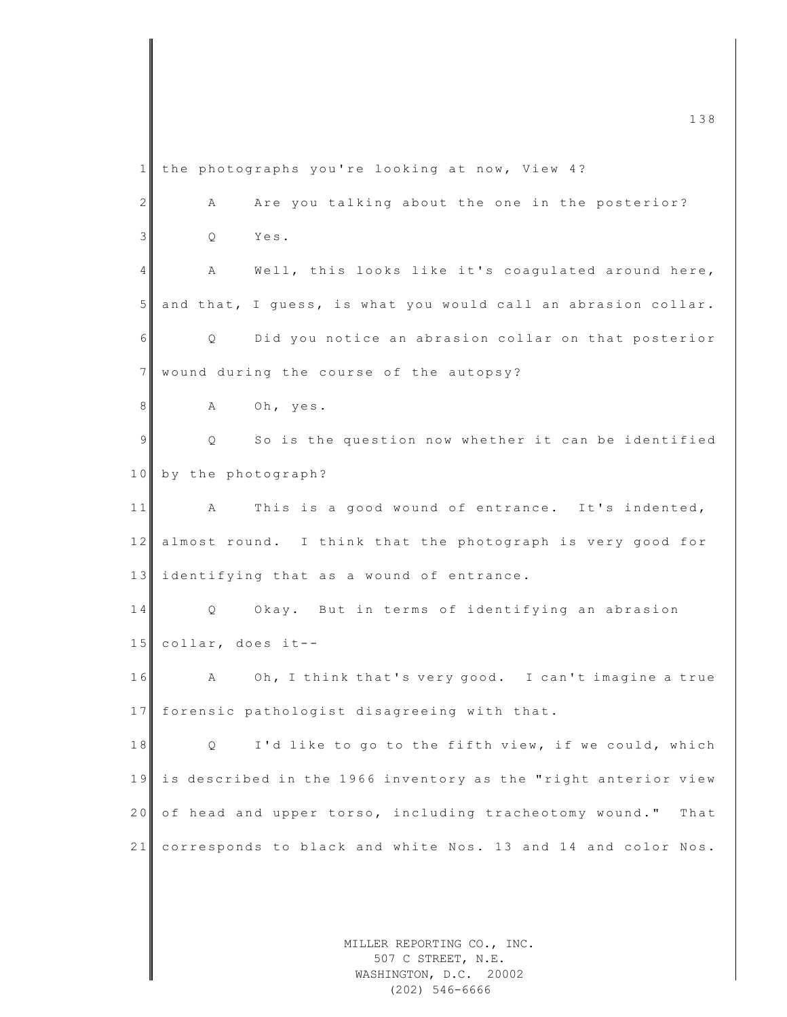MILLER REPORTING CO., INC. m c  $\frac{1}{38}$  and  $\frac{1}{38}$  and  $\frac{1}{38}$  and  $\frac{1}{38}$  and  $\frac{1}{38}$  and  $\frac{1}{38}$  and  $\frac{1}{38}$  and  $\frac{1}{38}$  and  $\frac{1}{38}$  and  $\frac{1}{38}$  and  $\frac{1}{38}$  and  $\frac{1}{38}$  and  $\frac{1}{38}$  and  $\frac{1}{38}$  and  $\frac{1}{3$ 1 the photographs you're looking at now, View 4? 2 A Are you talking about the one in the posterior? 3 Q Yes. 4 A Well, this looks like it's coagulated around here,  $5$  and that, I guess, is what you would call an abrasion collar. 6 | Q Did you notice an abrasion collar on that posterior 7 wound during the course of the autopsy? 8 A Oh, yes. 9 | Q So is the question now whether it can be identified 10 by the photograph? 11 A This is a good wound of entrance. It's indented, 12 almost round. I think that the photograph is very good for 13 | identifying that as a wound of entrance. 14 Q Okay. But in terms of identifying an abrasion 15 collar, does it--16 A Oh, I think that's very good. I can't imagine a true 17 forensic pathologist disagreeing with that. 18 Q I'd like to go to the fifth view, if we could, which 19 is described in the 1966 inventory as the "right anterior view  $20$  of head and upper torso, including tracheotomy wound." That 21 corresponds to black and white Nos. 13 and 14 and color Nos.

507 C STREET, N.E. WASHINGTON, D.C. 20002

(202) 546-6666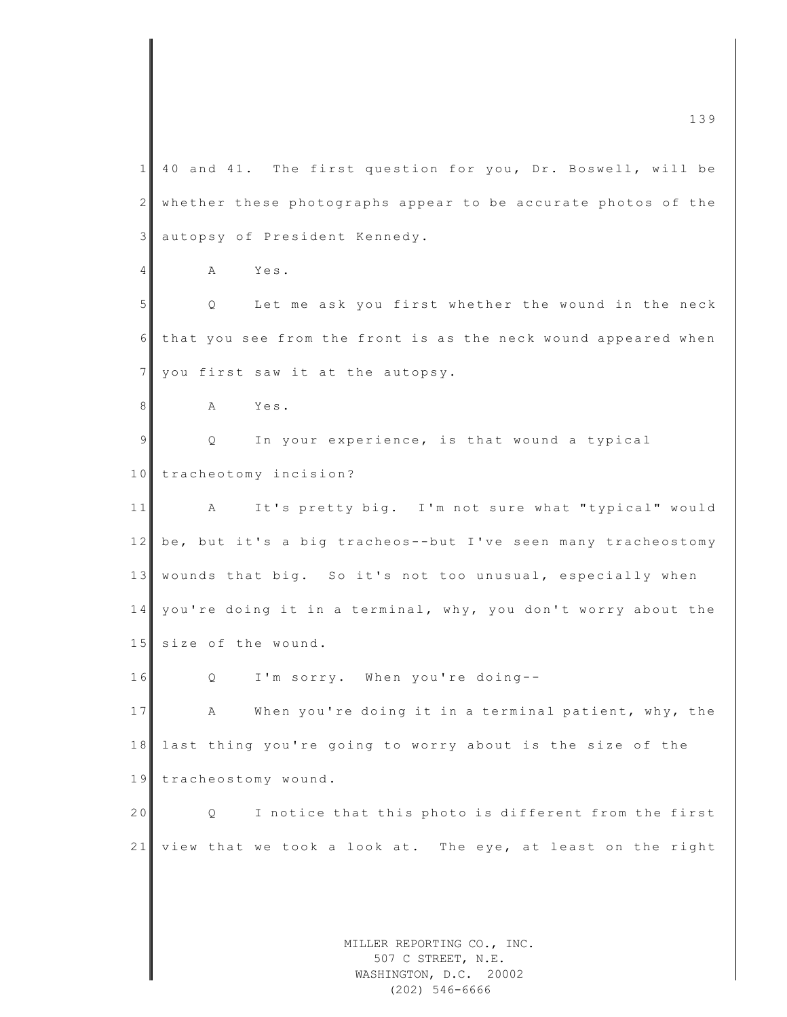MILLER REPORTING CO., INC. m c  $\frac{1}{3}$  and  $\frac{1}{3}$  and  $\frac{1}{3}$  and  $\frac{1}{3}$  and  $\frac{1}{3}$  and  $\frac{1}{3}$  and  $\frac{1}{3}$  and  $\frac{1}{3}$  and  $\frac{1}{3}$  and  $\frac{1}{3}$  and  $\frac{1}{3}$  and  $\frac{1}{3}$  and  $\frac{1}{3}$  and  $\frac{1}{3}$  and  $\frac{1}{3}$  and  $\frac{1}{3$ 1 40 and 41. The first question for you, Dr. Boswell, will be 2 whether these photographs appear to be accurate photos of the 3 autopsy of President Kennedy. 4 A Yes. 5 Q Let me ask you first whether the wound in the neck  $6$  that you see from the front is as the neck wound appeared when 7 you first saw it at the autopsy. 8 A Yes. 9 9 Q In your experience, is that wound a typical 10 tracheotomy incision? 11 A It's pretty big. I'm not sure what "typical" would 12 be, but it's a big tracheos--but I've seen many tracheostomy 13 wounds that big. So it's not too unusual, especially when  $14$  you're doing it in a terminal, why, you don't worry about the 15 size of the wound. 16 Q I'm sorry. When you're doing--17 A When you're doing it in a terminal patient, why, the 18 last thing you're going to worry about is the size of the 19 tracheostomy wound. 20 Q I notice that this photo is different from the first 21 view that we took a look at. The eye, at least on the right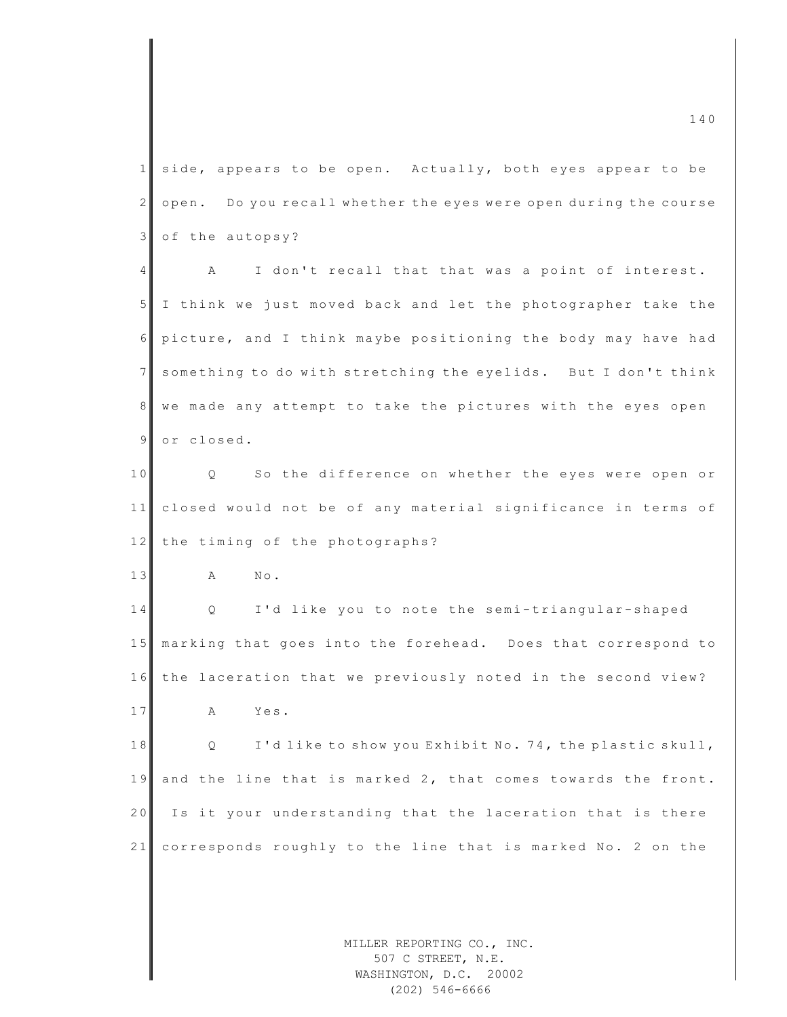$\frac{140}{140}$ 1 side, appears to be open. Actually, both eyes appear to be  $2 \parallel$  open. Do you recall whether the eyes were open during the course 3 of the autopsy? 4 A I don't recall that that was a point of interest. 5 I think we just moved back and let the photographer take the 6 pic ture, and I think maybe positioning the body may have had 7 something to do with stretching the eyelids. But I don't think 8 we made any attempt to take the pictures with the eyes open 9 or closed. 10 Q So the difference on whether the eyes were open or 11 closed would not be of any material significance in terms of 12 the timing of the photographs? 13 A No. 14 Q I'd like you to note the semi-triangular-shaped 15 marking that goes into the forehead. Does that correspond to 16 the laceration that we previously noted in the second view? 17 A Yes. 18 Q I'd like to show you Exhibit No. 74, the plastic skull, 19 and the line that is marked 2, that comes towards the front. 20 Is it your understanding that the laceration that is there 21 corresponds roughly to the line that is marked No. 2 on the

MILLER REPORTING CO., INC. 507 C STREET, N.E. WASHINGTON, D.C. 20002 (202) 546-6666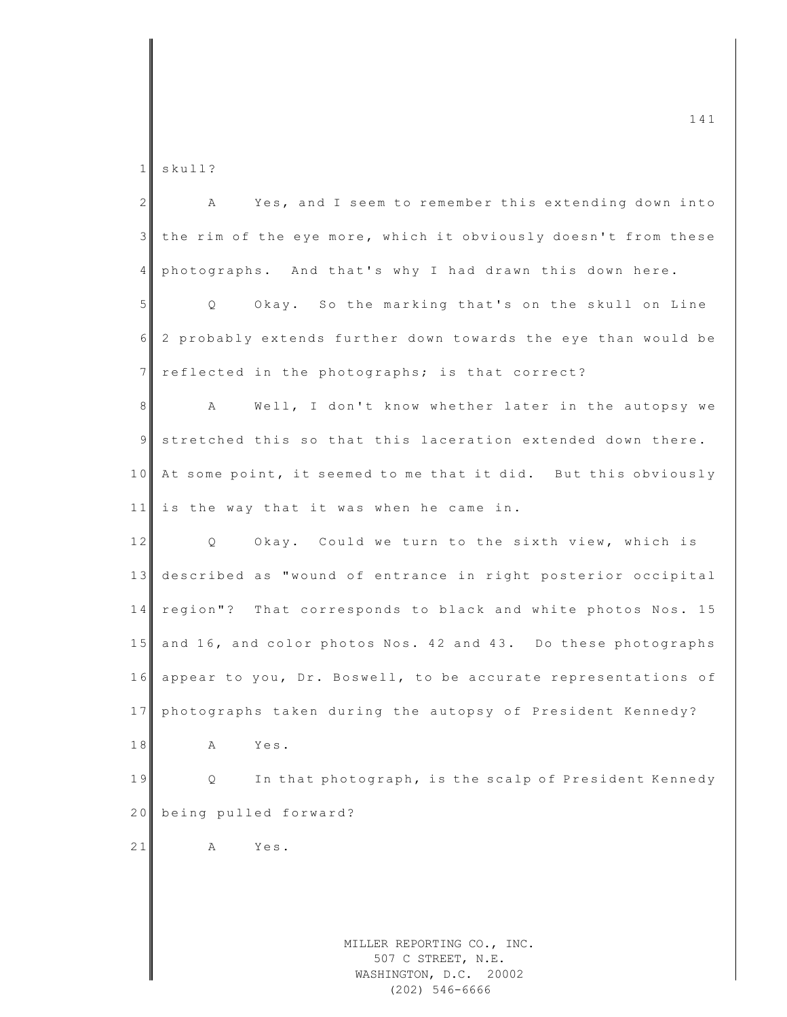1 skull?

| 2 <sup>1</sup> | Yes, and I seem to remember this extending down into<br>A                                      |
|----------------|------------------------------------------------------------------------------------------------|
| 3 <sup>1</sup> | the rim of the eye more, which it obviously doesn't from these                                 |
| 4 <sub>1</sub> | photographs. And that's why I had drawn this down here.                                        |
| 5 <sub>1</sub> | Okay. So the marking that's on the skull on Line<br>$Q \qquad \qquad$                          |
| 6              | 2 probably extends further down towards the eye than would be                                  |
| 7 <sup>1</sup> | reflected in the photographs; is that correct?                                                 |
| 8 <sup>1</sup> | Well, I don't know whether later in the autopsy we<br>A                                        |
| 9 <sub>l</sub> | stretched this so that this laceration extended down there.                                    |
|                | 10 At some point, it seemed to me that it did. But this obviously                              |
| 11             | is the way that it was when he came in.                                                        |
| 12             | Q Okay. Could we turn to the sixth view, which is                                              |
| 13             | described as "wound of entrance in right posterior occipital                                   |
| 14             | region"? That corresponds to black and white photos Nos. 15                                    |
|                | 15 and 16, and color photos Nos. 42 and 43. Do these photographs                               |
|                | 16 appear to you, Dr. Boswell, to be accurate representations of                               |
| 17             | photographs taken during the autopsy of President Kennedy?                                     |
| 18             | Yes.<br>A                                                                                      |
| 19             | In that photograph, is the scalp of President Kennedy<br>Q.                                    |
| 20             | being pulled forward?                                                                          |
| 21             | Α<br>Yes.                                                                                      |
|                |                                                                                                |
|                |                                                                                                |
|                | MILLER REPORTING CO., INC.<br>507 C STREET, N.E.<br>WASHINGTON, D.C. 20002<br>$(202)$ 546-6666 |

 $\frac{141}{141}$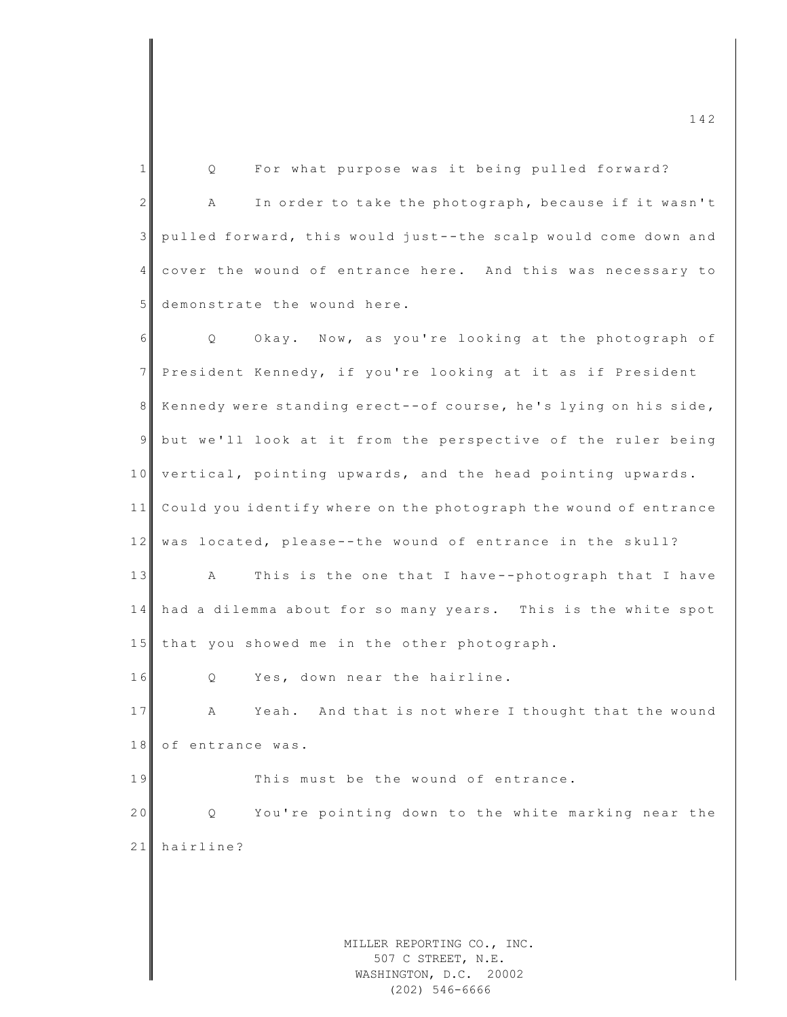MILLER REPORTING CO., INC.  $\frac{142}{142}$ 1 | Q For what purpose was it being pulled forward? 2 A In order to take the photograph, because if it wasn't 3 pulled forward, this would just--the scalp would come down and 4 cover the wound of entrance here. And this was necessary to 5 demonstrate the wound here. 6 Q Okay. Now, as you're looking at the photograph of 7 President Kennedy, if you're looking at it as if President 8 Kennedy were standing erect--of course, he's lying on his side, 9 but we'll look at it from the perspective of the ruler being 10 vertical, pointing upwards, and the head pointing upwards. 11 Could you identify where on the photograph the wound of entrance 12 was located, please--the wound of entrance in the skull? 13 A This is the one that I have--photograph that I have 14 had a dilemma about for so many years. This is the white spot 15 that you showed me in the other photograph.  $16$  Q Yes, down near the hairline. 17 A Yeah. And that is not where I thought that the wound 18 of entrance was. 19 This must be the wound of entrance. 20 Q You're pointing down to the white marking near the 21 hairline?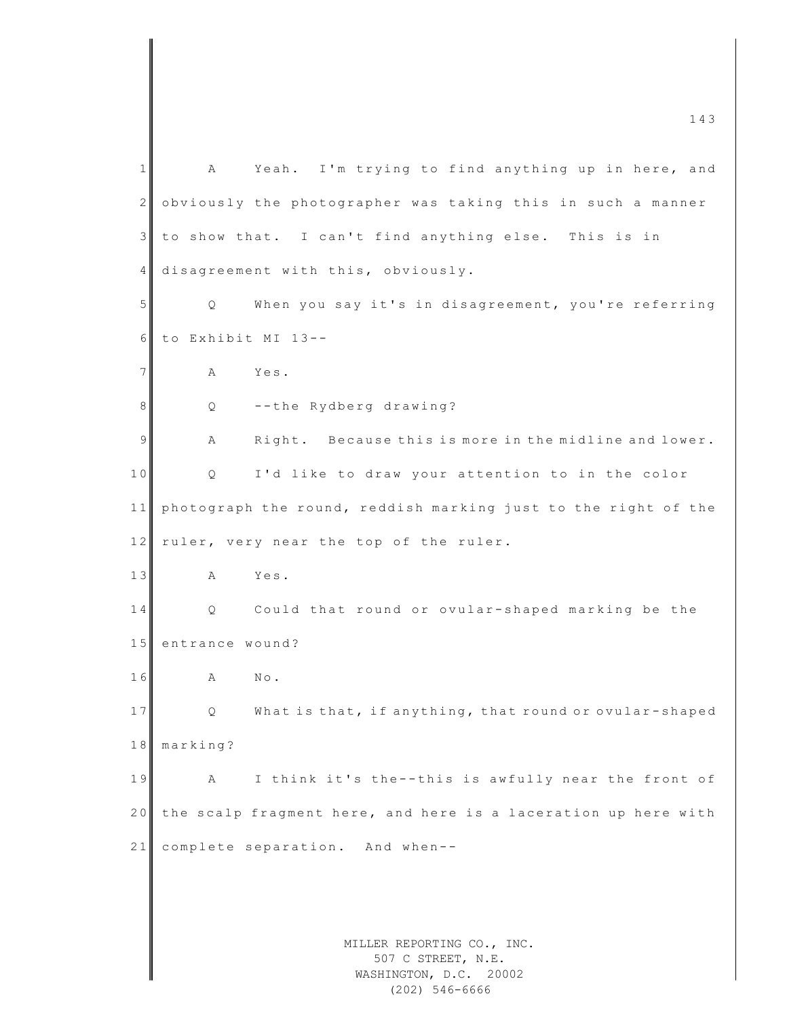MILLER REPORTING CO., INC. 507 C STREET, N.E. WASHINGTON, D.C. 20002 1 A Yeah. I'm trying to find anything up in here, and 2 obviously the photographer was taking this in such a manner 3 to show that. I can't find anything else. This is in 4 disagreement with this, obviously. 5 Q When you say it's in disagreement, you're referring  $6$  to Exhibit MI 13--7 A Yes. 8 Q --the Rydberg drawing? 9 A Right. Because this is more in the midline and lower. 10 Q I'd like to draw your attention to in the color  $11$  ph o to graph the round, reddish marking just to the right of the 12 ruler, very near the top of the ruler. 13 A Yes. 14 Q Could that round or ovular-shaped marking be the 15 entrance wound? 16 A No. 17 Q What is that, if anything, that round or ovular-shaped 18 marking? 19 A I think it's the--this is awfully near the front of 20 the scalp fragment here, and here is a laceration up here with  $21$  complete separation. And when--

(202) 546-6666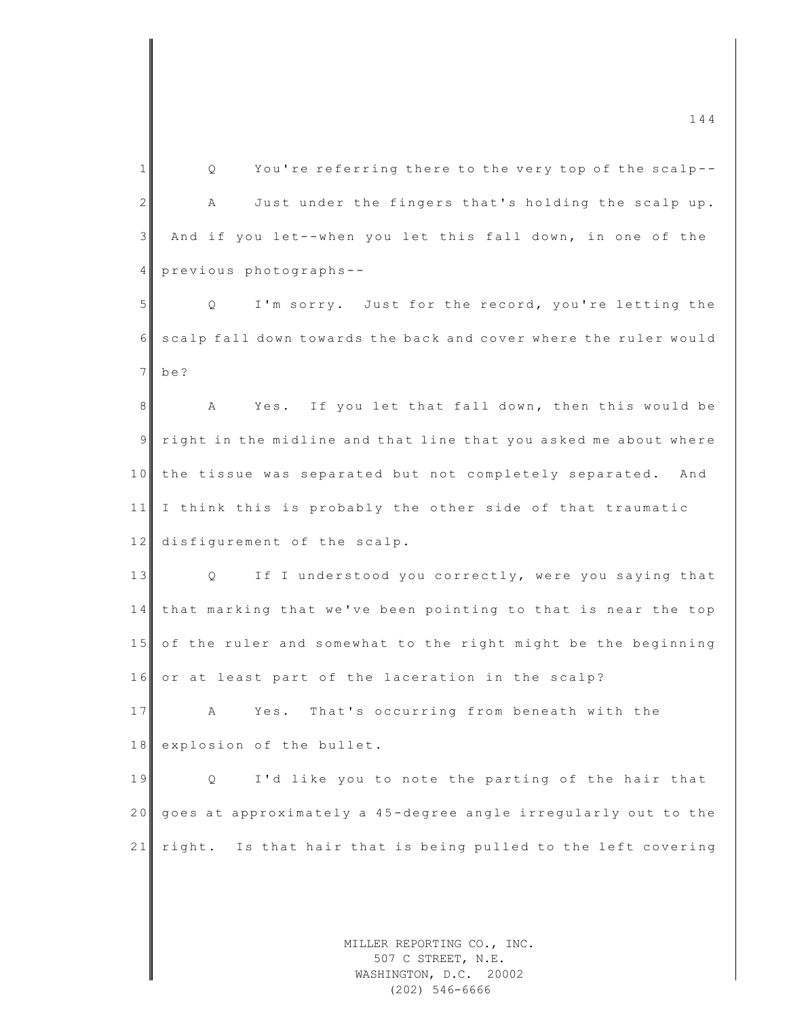MILLER REPORTING CO., INC. 1 Q You're referring there to the very top of the scalp--2 A Just under the fingers that's holding the scalp up. 3 And if you let--when you let this fall down, in one of the 4 previous photographs--5 | Q I'm sorry. Just for the record, you're letting the 6 scalp fall down towards the back and cover where the ruler would 7 be? 8 A Yes. If you let that fall down, then this would be  $9$  right in the midline and that line that you asked me about where 10 the tissue was separated but not completely separated. And 11 I think this is probably the other side of that traumatic 12 disfigurement of the scalp. 13 Q If I understood you correctly, were you saying that 14 that marking that we've been pointing to that is near the top 15 of the ruler and somewhat to the right might be the beginning 16 or at least part of the laceration in the scalp? 17 A Yes. That's occurring from beneath with the 18 explosion of the bullet. 19 **Q** I'd like you to note the parting of the hair that 20 goes at approximately a 45-degree angle irregularly out to the 21 right. Is that hair that is being pulled to the left covering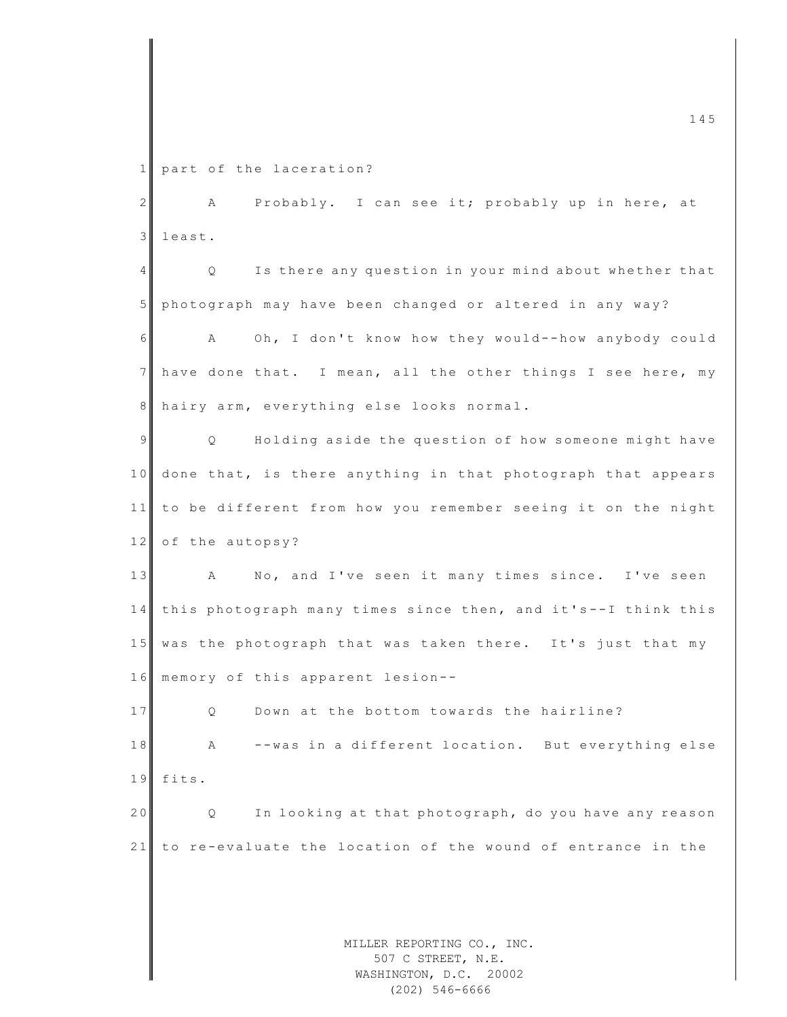1 part of the laceration?

2 | A Probably. I can see it; probably up in here, at 3 least.

4 Q Is there any question in your mind about whether that 5 photograph may have been changed or altered in any way? 6 A Oh, I don't know how they would--how anybody could 7 have done that. I mean, all the other things I see here, my 8 hairy arm, everything else looks normal.

9 | Q Holding aside the question of how someone might have 10 done that, is there anything in that photograph that appears 11 to be different from how you remember seeing it on the night 12 of the autopsy?

13 A No, and I've seen it many times since. I've seen 14 this photograph many times since then, and it's--I think this 15 was the photograph that was taken there. It's just that my 16 memory of this apparent lesion--

17 Q Down at the bottom towards the hairline? 18 A --was in a different location. But everything else 19 fits.

20 Q In looking at that photograph, do you have any reason 21 to re-evaluate the location of the wound of entrance in the

> MILLER REPORTING CO., INC. 507 C STREET, N.E. WASHINGTON, D.C. 20002 (202) 546-6666

 $\frac{145}{145}$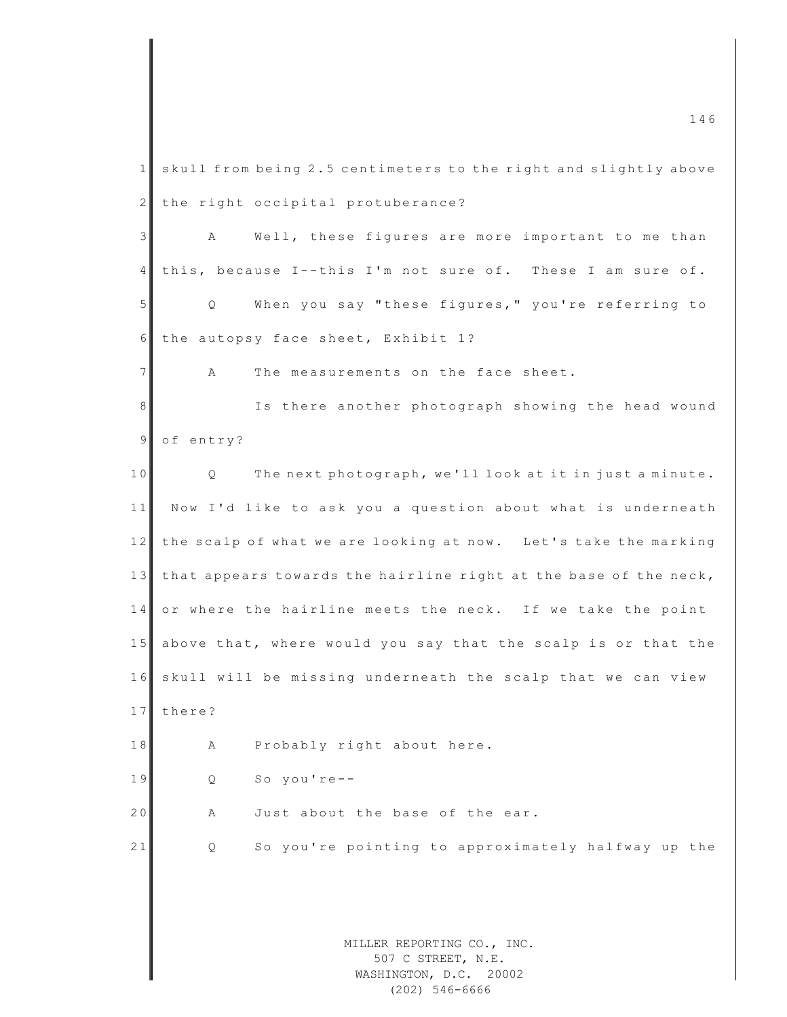MILLER REPORTING CO., INC. 507 C STREET, N.E. WASHINGTON, D.C. 20002  $\frac{146}{146}$ 1 skull from being 2.5 centimeters to the right and slightly above 2 the right occipital protuberance? 3 A Well, these figures are more important to me than 4 this, because I--this I'm not sure of. These I am sure of. 5 Q When you say "these figures," you're referring to 6 the autopsy face sheet, Exhibit 1? 7 A The measurements on the face sheet. 8 Is there another photograph showing the head wound 9 of entry? 10 Q The next photograph, we'll look at it in just a minute. 11 Now I'd like to ask you a question about what is underneath 12 the scalp of what we are looking at now. Let's take the marking 13 that appears towards the hairline right at the base of the neck, 14 or where the hairline meets the neck. If we take the point 15 above that, where would you say that the scalp is or that the 16 skull will be missing underneath the scalp that we can view 17 there? 18 A Probably right about here. 19 Q So you're-- $20$   $\parallel$  A Just about the base of the ear. 21 Q So you're pointing to approximately halfway up the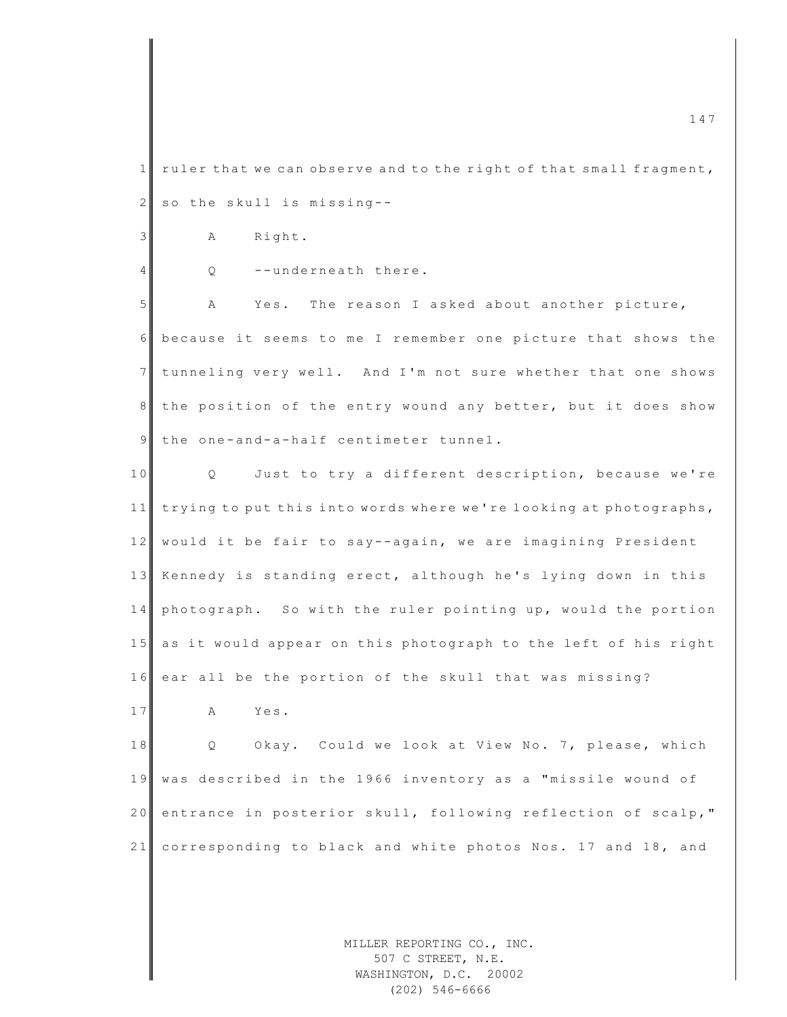1 ruler that we can observe and to the right of that small fragment, 2 so the skull is missing--

3 A Right.

4 Q --underneath there.

5 A Yes. The reason I asked about another picture, 6 because it seems to me I remember one picture that shows the 7 tunneling very well. And I'm not sure whether that one shows 8 the position of the entry wound any better, but it does show 9 the one-and-a-half centimeter tunnel.

10 Q Just to try a different description, because we're 11 trying to put this into words where we're looking at photographs, 12 would it be fair to say--again, we are imagining President 13 Kennedy is standing erect, although he's lying down in this  $14$  photograph. So with the ruler pointing up, would the portion 15 as it would appear on this photograph to the left of his right 16 ear all be the portion of the skull that was missing?

17 A Yes.

18 Q Okay. Could we look at View No. 7, please, which 19 was described in the 1966 inventory as a "missile wound of 20 entrance in posterior skull, following reflection of scalp," 21 corresponding to black and white photos Nos. 17 and 18, and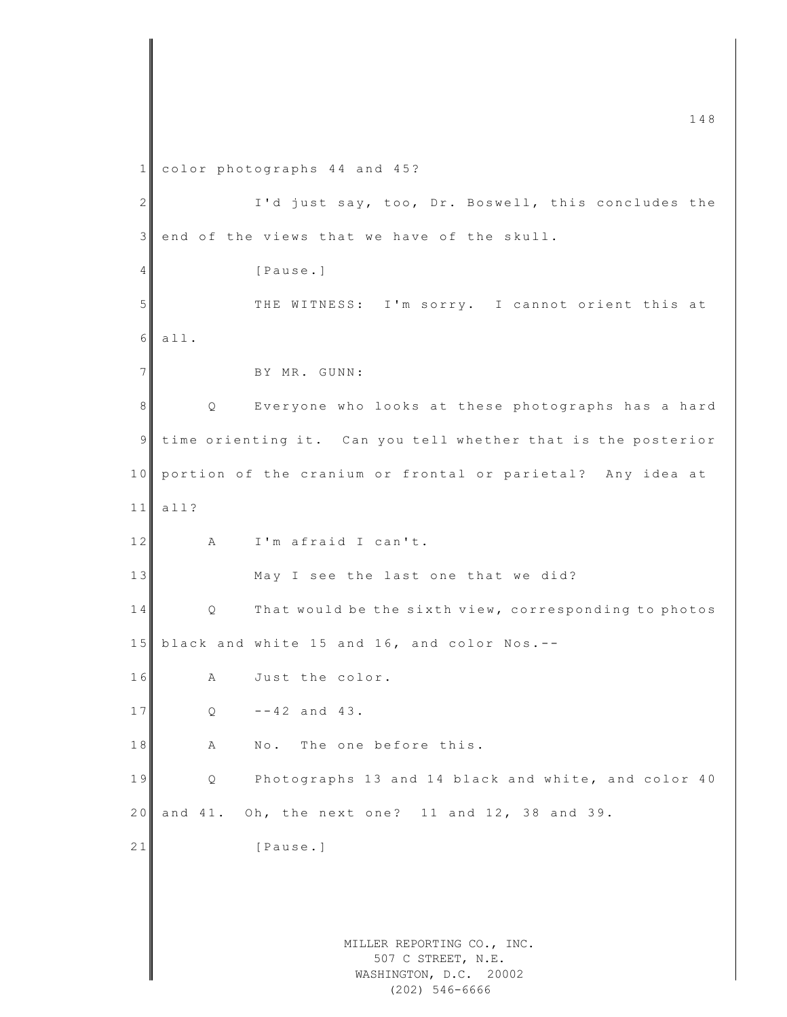1 color photographs 44 and 45?

MILLER REPORTING CO., INC. 2 I'd just say, too, Dr. Boswell, this concludes the 3 end of the views that we have of the skull. 4 [Pause.] 5 THE WITNESS: I'm sorry. I cannot orient this at 6 all. 7 BY MR. GUNN: 8 || Q Everyone who looks at these photographs has a hard 9 time orienting it. Can you tell whether that is the posterior 10 portion of the cranium or frontal or parietal? Any idea at  $11$  all? 12 A I'm afraid I can't. 13 May I see the last one that we did? 14 Q That would be the sixth view, corresponding to photos 15 black and white 15 and 16, and color Nos.  $--$ 16 A Just the color.  $17$  Q  $-42$  and  $43$ . 18 A No. The one before this. 19 Q Photographs 13 and 14 black and white, and color 40 2 0 and 41. Oh, the next one? 11 and 12, 38 and 39. 21 [Pause.]

507 C STREET, N.E. WASHINGTON, D.C. 20002 (202) 546-6666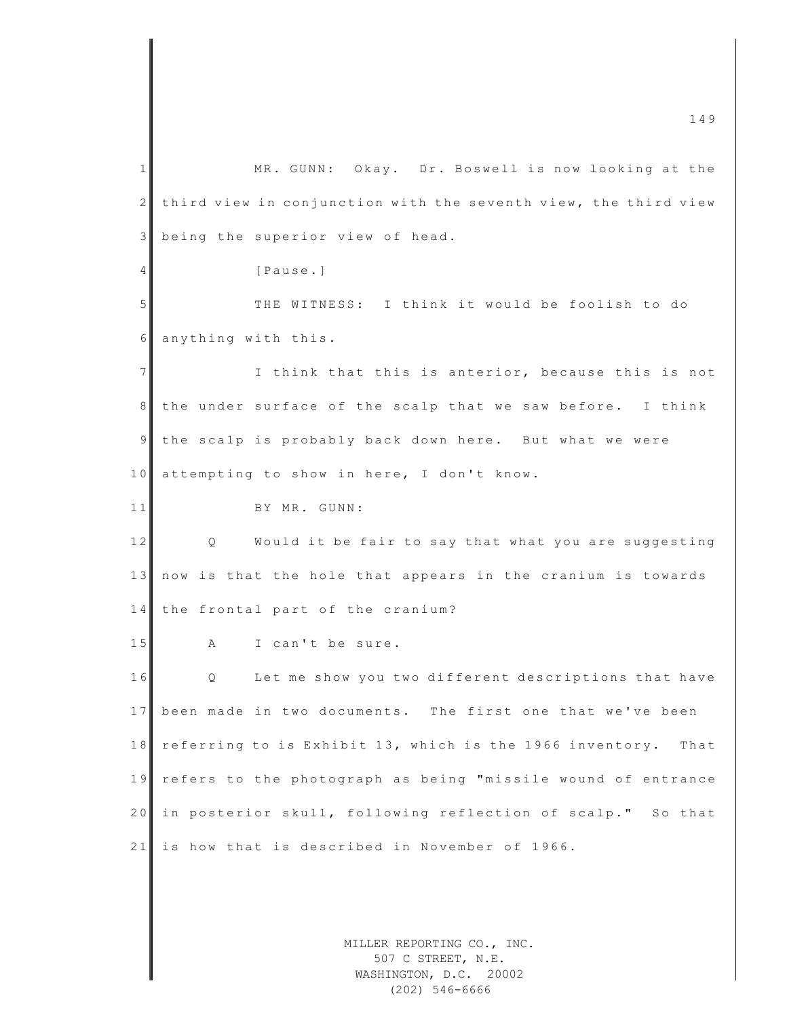1 MR. GUNN: Okay. Dr. Boswell is now looking at the  $2$  third view in conjunction with the seventh view, the third view 3 being the superior view of head. 4 **Pause.** 5 THE WITNESS: I think it would be foolish to do 6 anything with this. 7 I think that this is anterior, because this is not 8 the under surface of the scalp that we saw before. I think 9 the scalp is probably back down here. But what we were 10 attempting to show in here, I don't know. 11 BY MR. GUNN: 12 Q Would it be fair to say that what you are suggesting 13 now is that the hole that appears in the cranium is towards 14 the frontal part of the cranium? 15 A I can't be sure. 16 Q Let me show you two different descriptions that have 17 been made in two documents. The first one that we've been 18 referring to is Exhibit 13, which is the 1966 inventory. That 19 refers to the photograph as being "missile wound of entrance 20 in posterior skull, following reflection of scalp." So that  $21$  is how that is described in November of 1966.

> MILLER REPORTING CO., INC. 507 C STREET, N.E. WASHINGTON, D.C. 20002 (202) 546-6666

 $\frac{149}{149}$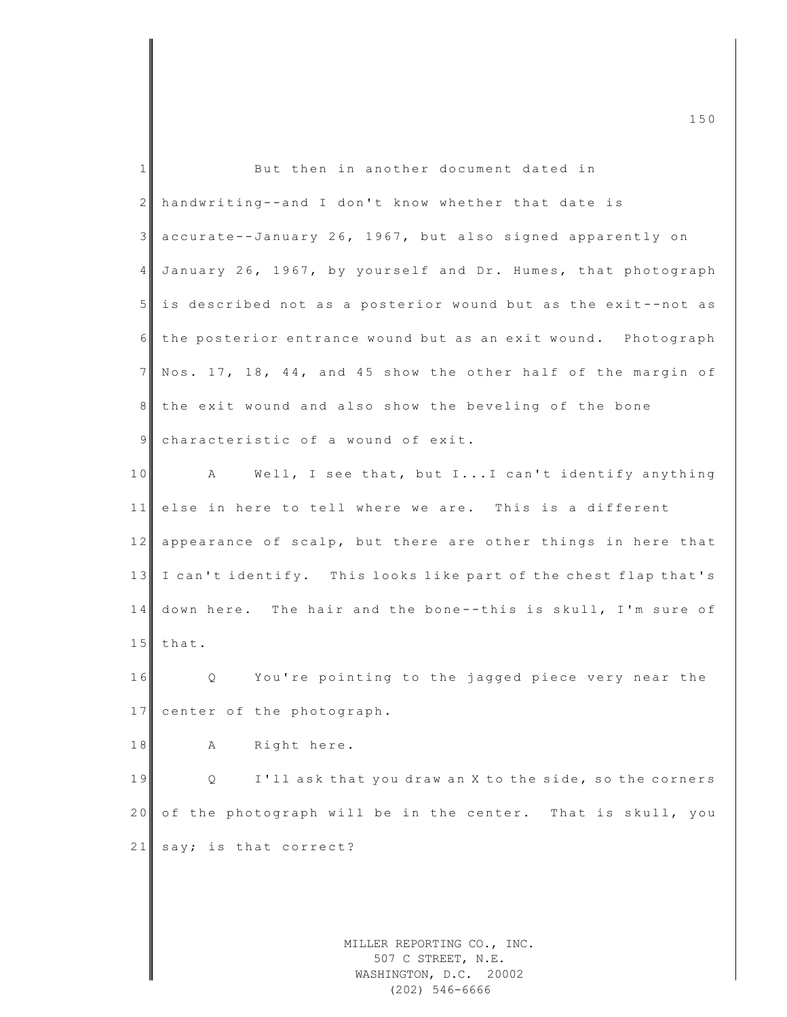| $\mathbf{1}$   | But then in another document dated in                           |
|----------------|-----------------------------------------------------------------|
| $\mathbf{2}$   | handwriting--and I don't know whether that date is              |
| 3              | accurate--January 26, 1967, but also signed apparently on       |
| $\overline{4}$ | January 26, 1967, by yourself and Dr. Humes, that photograph    |
| 5 <sup>1</sup> | is described not as a posterior wound but as the exit--not as   |
| 6              | the posterior entrance wound but as an exit wound. Photograph   |
| $7\phantom{.}$ | Nos. 17, 18, 44, and 45 show the other half of the margin of    |
| 8 <sup>1</sup> | the exit wound and also show the beveling of the bone           |
| $\overline{9}$ | characteristic of a wound of exit.                              |
| 10             | A Well, I see that, but II can't identify anything              |
| 11             | else in here to tell where we are. This is a different          |
| 12             | appearance of scalp, but there are other things in here that    |
| 13             | I can't identify. This looks like part of the chest flap that's |
| 14             | down here. The hair and the bone--this is skull, I'm sure of    |
| 15             | that.                                                           |
| 16             | You're pointing to the jagged piece very near the<br>Q          |
| 17             | center of the photograph.                                       |
| 18             | Right here.<br>Α                                                |
| 19             | I'll ask that you draw an X to the side, so the corners<br>Q    |
| 20             | of the photograph will be in the center. That is skull, you     |
| 21             | say; is that correct?                                           |
|                |                                                                 |
|                |                                                                 |
|                | MILLER REPORTING CO., INC.                                      |

 $\blacksquare$  150

507 C STREET, N.E. WASHINGTON, D.C. 20002 (202) 546-6666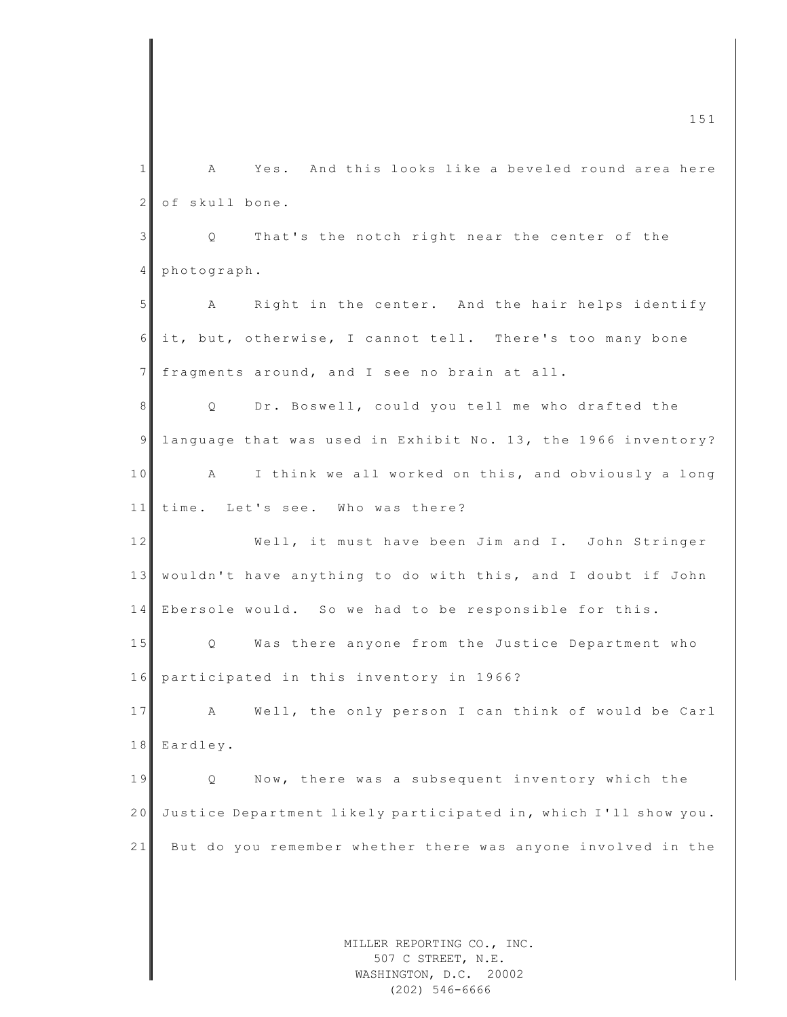MILLER REPORTING CO., INC. 507 C STREET, N.E.  $\blacksquare$  151 1 A Yes. And this looks like a beveled round area here 2 of skull bone. 3 | Q That's the notch right near the center of the 4 photograph. 5 A Right in the center. And the hair helps identify 6 it, but, otherwise, I cannot tell. There's too many bone 7 fragments around, and I see no brain at all. 8 || Q Dr. Boswell, could you tell me who drafted the 9 language that was used in Exhibit No. 13, the 1966 inventory? 10 A I think we all worked on this, and obviously a long 11 time. Let's see. Who was there? 12 Well, it must have been Jim and I. John Stringer 13 wouldn't have anything to do with this, and I doubt if John 14 Ebersole would. So we had to be responsible for this. 15 Q Was there anyone from the Justice Department who 16 participated in this inventory in 1966? 17 A Well, the only person I can think of would be Carl 18 Eardley. 19 Q Now, there was a subsequent inventory which the 20 Justice Department likely participated in, which I'll show you. 21 But do you remember whether there was anyone involved in the

WASHINGTON, D.C. 20002 (202) 546-6666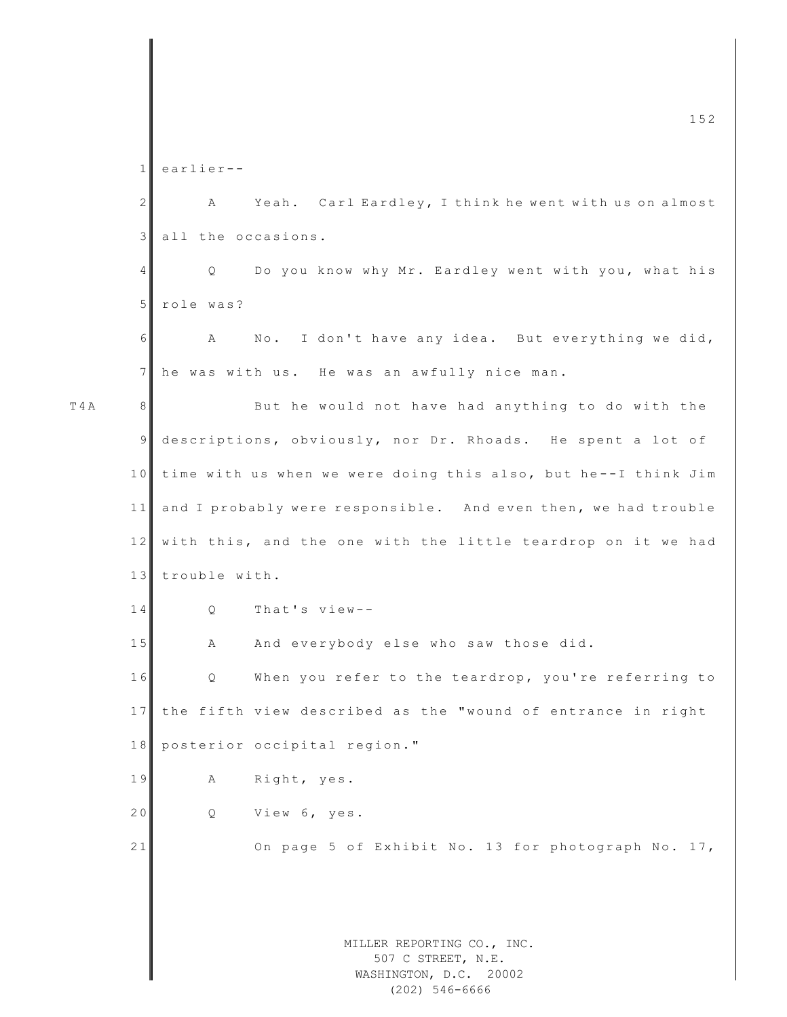MILLER REPORTING CO., INC. 507 C STREET, N.E. WASHINGTON, D.C. 20002  $\frac{152}{2}$ 1 earlier - - 2 A Yeah. Carl Eardley, I think he went with us on almost 3 all the occasions. 4 Q Do you know why Mr. Eardley went with you, what his 5 role was?  $6$  A No. I don't have any idea. But everything we did,  $7$  he was with us. He was an awfully nice man. T4A 8 8 But he would not have had anything to do with the 9 descriptions, obviously, nor Dr. Rhoads. He spent a lot of 10 time with us when we were doing this also, but he--I think Jim 11 and I probably were responsible. And even then, we had trouble 12 with this, and the one with the little teardrop on it we had 13 trouble with. 14 Q That's view--15 A And everybody else who saw those did. 16 Q When you refer to the teardrop, you're referring to 17 the fifth view described as the "wound of entrance in right 18 posterior occipital region." 19 A Right, yes. 20 Q View 6, yes. 21 On page 5 of Exhibit No. 13 for photograph No. 17,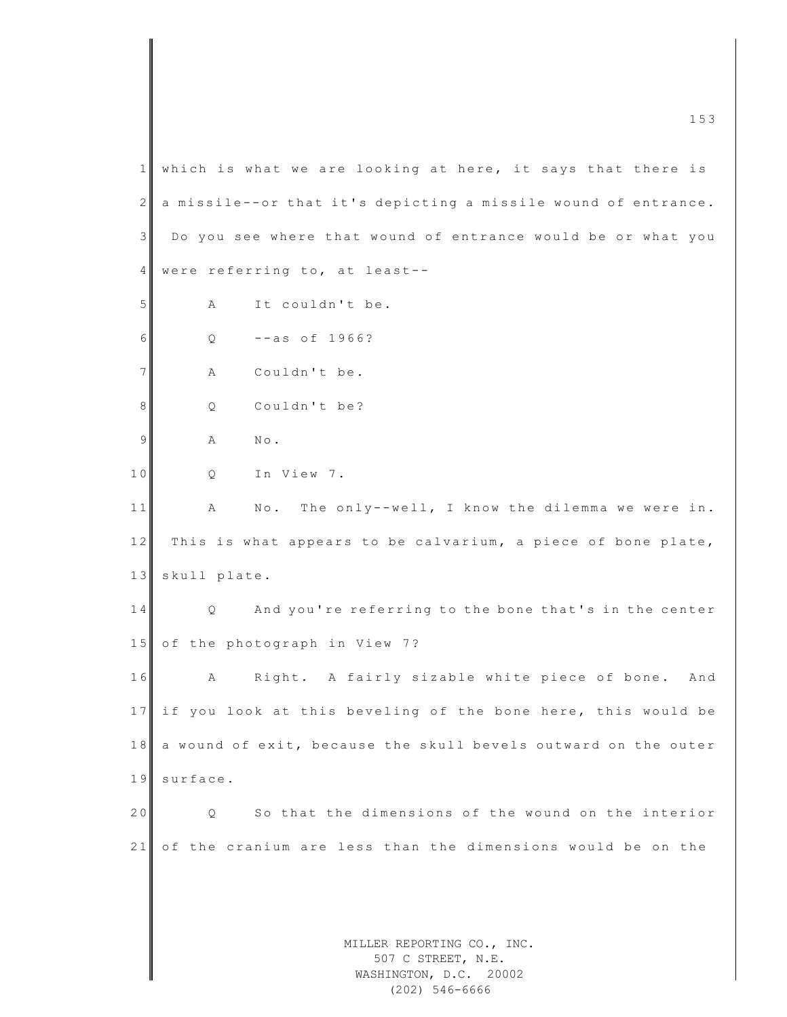MILLER REPORTING CO., INC. 507 C STREET, N.E. WASHINGTON, D.C. 20002  $1$  which is what we are looking at here, it says that there is  $2 \parallel a$  missile -- or that it's depicting a missile wound of entrance.  $3$  Do you see where that wound of entrance would be or what you 4 were referring to, at least--5 A It couldn't be.  $6$  O  $-$ as of 1966? 7 A Couldn't be. 8 Q Couldn't be? 9 A No. 10 Q In View 7. 11 A No. The only--well, I know the dilemma we were in. 12 This is what appears to be calvarium, a piece of bone plate, 13 skull plate. 14 Q And you're referring to the bone that's in the center 15 of the photograph in View 7? 16 A Right. A fairly sizable white piece of bone. And 17 if you look at this beveling of the bone here, this would be 18 a wound of exit, because the skull bevels outward on the outer 19 surface. 20 Q So that the dimensions of the wound on the interior 21 of the cranium are less than the dimensions would be on the

(202) 546-6666

m c  $\frac{1}{3}$  153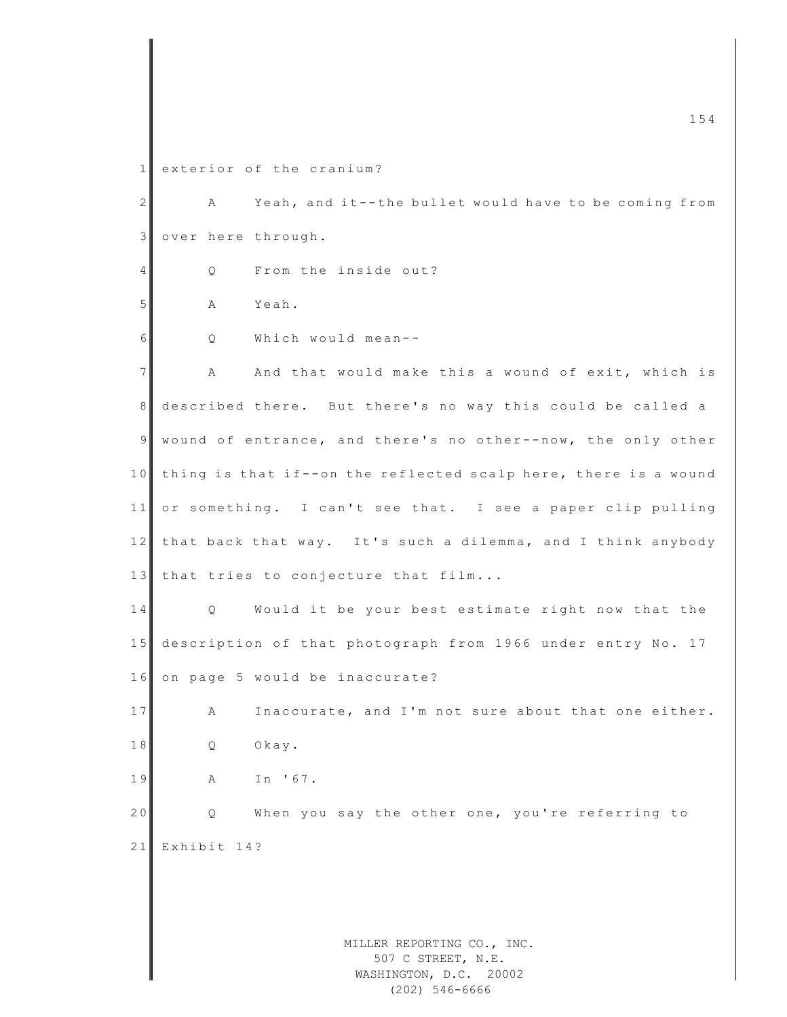1 exterior of the cranium?

2 A Yeah, and it--the bullet would have to be coming from 3 over here through. 4 Q From the inside out? 5 A Yeah.  $6$  O Which would mean--7 A And that would make this a wound of exit, which is 8 described there. But there's no way this could be called a 9 wound of entrance, and there's no other--now, the only other 10 thing is that if--on the reflected scalp here, there is a wound 11 or something. I can't see that. I see a paper clip pulling 12 that back that way. It's such a dilemma, and I think anybody 13 that tries to conjecture that film... 14 Q Would it be your best estimate right now that the 15 description of that photograph from 1966 under entry No. 17 16 on page 5 would be inaccurate? 17 A Inaccurate, and I'm not sure about that one either. 18 Q Okay. 19 A In '67. 20 Q When you say the other one, you're referring to 21 Exhibit 14?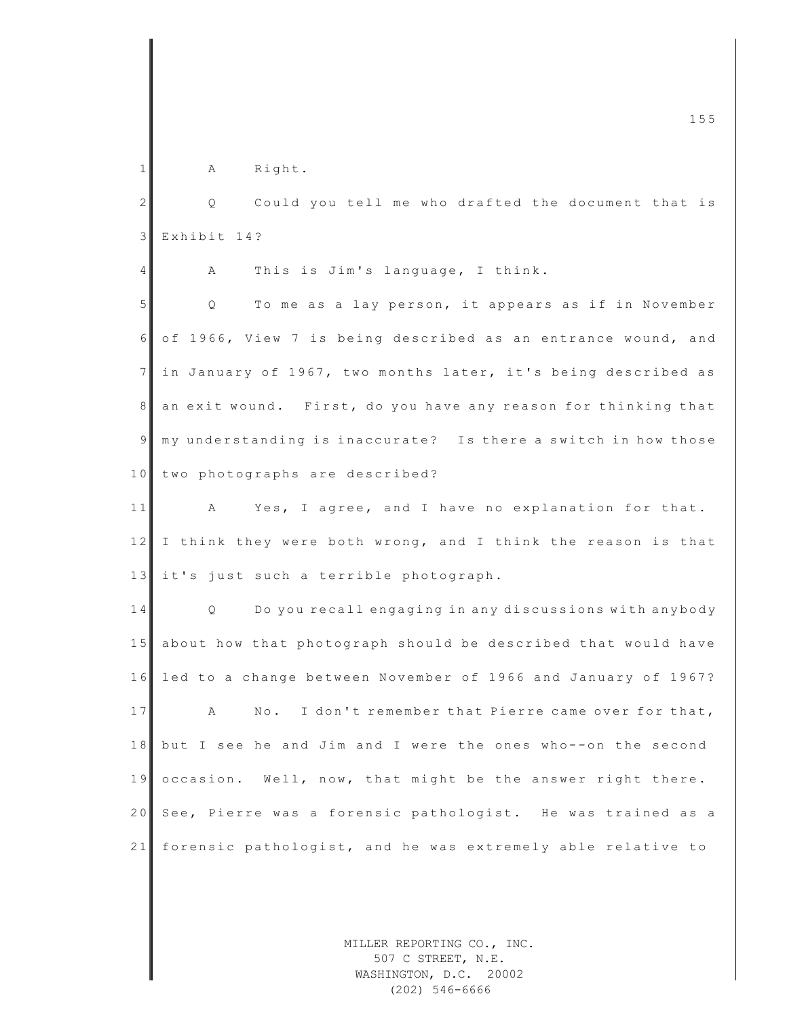1 A Right.

2 Q Could you tell me who drafted the document that is 3 Exhibit 14?  $4 \parallel$  A This is Jim's language, I think. 5 | Q To me as a lay person, it appears as if in November 6 of 1966, View 7 is being described as an entrance wound, and  $7$  in January of 1967, two months later, it's being described as 8 an exit wound. First, do you have any reason for thinking that  $9 \parallel m$  y understanding is inaccurate? Is there a switch in how those 10 two photographs are described? 11 A Yes, I agree, and I have no explanation for that. 12 I think they were both wrong, and I think the reason is that

14 Q Do you recall engaging in any discussions with any body 15 about how that photograph should be described that would have 16 led to a change between November of 1966 and January of 1967? 17 A No. I don't remember that Pierre came over for that, 18 but I see he and Jim and I were the ones who--on the second 19 occasion. Well, now, that might be the answer right there. 20 See, Pierre was a forensic pathologist. He was trained as a 21 forensic pathologist, and he was extremely able relative to

13 it's just such a terrible photograph.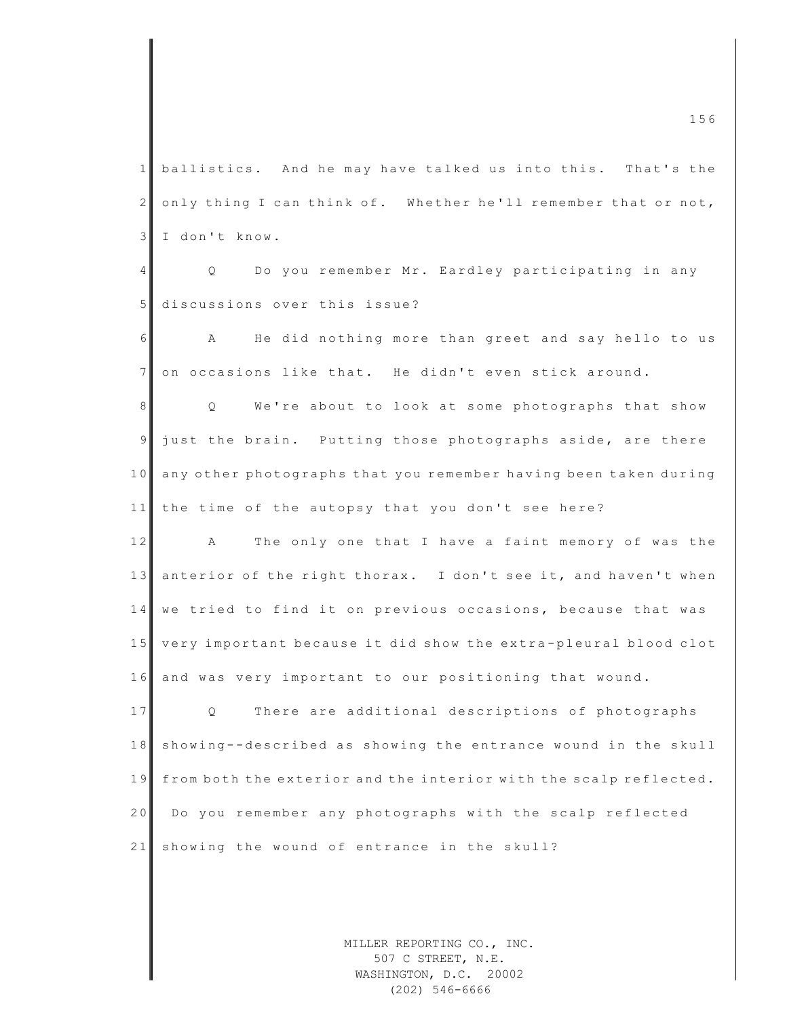$\frac{156}{156}$ 1 ballistics. And he may have talked us into this. That's the  $2 \parallel$  only thing I can think of. Whether he'll remember that or not, 3 I don't know. 4 Q Do you remember Mr. Eardley participating in any 5 discussions over this issue? 6 A He did nothing more than greet and say hello to us 7 on occasions like that. He didn't even stick around. 8 || Q We're about to look at some photographs that show 9 just the brain. Putting those photographs aside, are there 10 any other photographs that you remember having been taken during 11 the time of the autopsy that you don't see here? 12 A The only one that I have a faint memory of was the 13 anterior of the right thorax. I don't see it, and haven't when 14 we tried to find it on previous occasions, because that was 15 very important because it did show the extra-pleural blood clot 16 and was very important to our positioning that wound. 17 Q There are additional descriptions of photographs 18 showing--described as showing the entrance wound in the skull 19 from both the exterior and the interior with the scalp reflected. 20 Do you remember any photographs with the scalp reflected 21 showing the wound of entrance in the skull?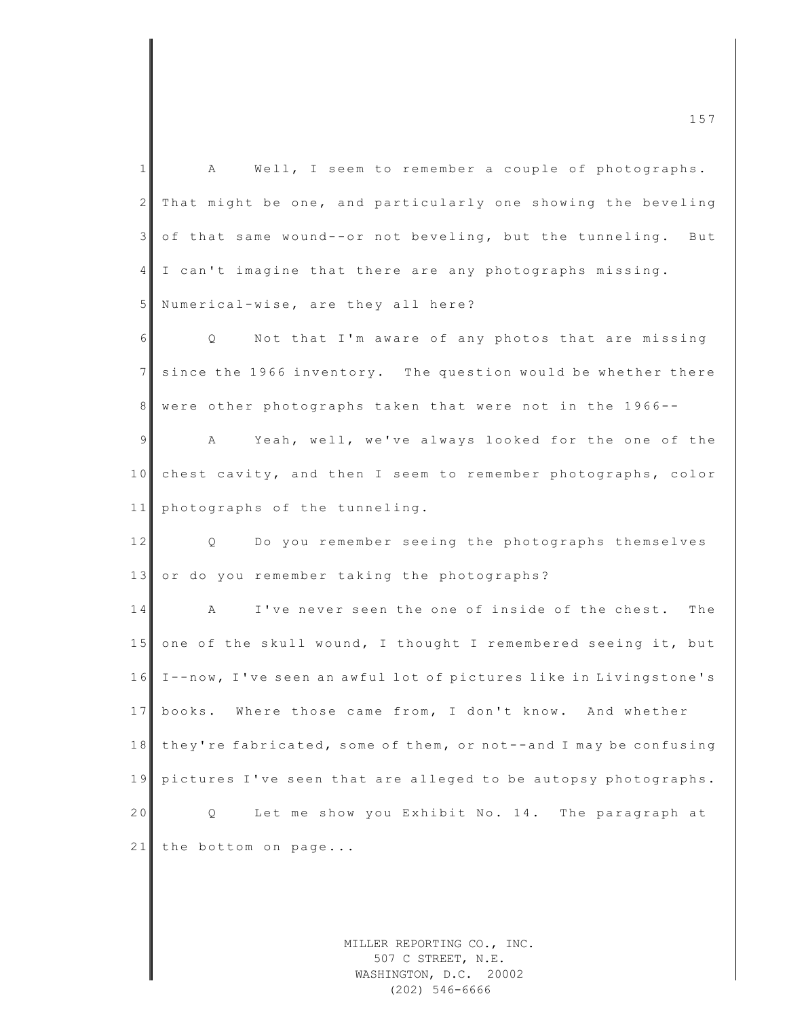| $\mathbf{1}$    | Well, I seem to remember a couple of photographs.<br>A              |
|-----------------|---------------------------------------------------------------------|
| $\mathbf{2}$    | That might be one, and particularly one showing the beveling        |
| 3 <sup>1</sup>  | of that same wound--or not beveling, but the tunneling.<br>But      |
| $4\overline{ }$ | I can't imagine that there are any photographs missing.             |
| 5               | Numerical-wise, are they all here?                                  |
| 6               | Q Not that I'm aware of any photos that are missing                 |
| $7\phantom{.}$  | since the 1966 inventory. The question would be whether there       |
| 8               | were other photographs taken that were not in the 1966--            |
| $\overline{9}$  | Yeah, well, we've always looked for the one of the<br>A             |
| 10              | chest cavity, and then I seem to remember photographs, color        |
| 11              | photographs of the tunneling.                                       |
| 12              | Q Do you remember seeing the photographs themselves                 |
| 13              | or do you remember taking the photographs?                          |
| 14              | I've never seen the one of inside of the chest. The<br>$\mathbf{A}$ |
| 15              | one of the skull wound, I thought I remembered seeing it, but       |
| 16              | I--now, I've seen an awful lot of pictures like in Livingstone's    |
| 17              | books. Where those came from, I don't know. And whether             |
| 18              | they're fabricated, some of them, or not--and I may be confusing    |
| 19              | pictures I've seen that are alleged to be autopsy photographs.      |
| 20              | Let me show you Exhibit No. 14. The paragraph at<br>Q               |
| 21              | the bottom on page                                                  |
|                 |                                                                     |
|                 |                                                                     |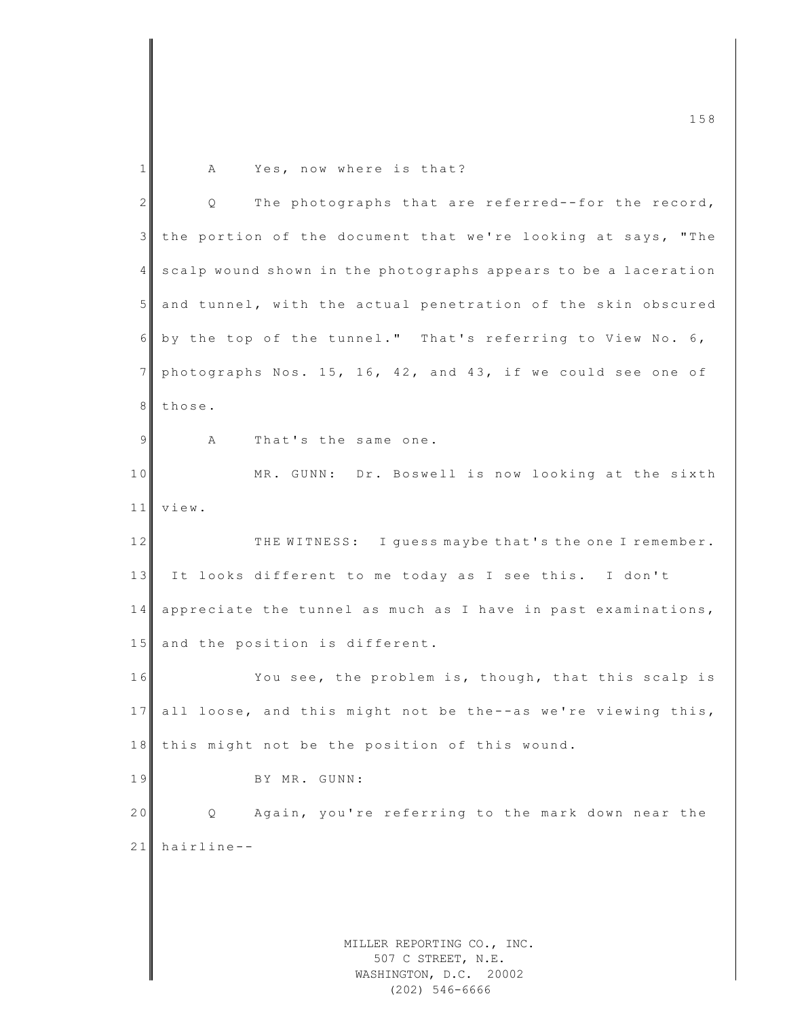MILLER REPORTING CO., INC. m c  $\frac{1}{3}$  158 1 A Yes, now where is that? 2 Q The photographs that are referred--for the record, 3 the portion of the document that we're looking at says, "The 4 scalp wound shown in the photographs appears to be a laceration 5 and tunnel, with the actual penetration of the skin obscured 6 by the top of the tunnel." That's referring to View No. 6, 7 photographs Nos. 15, 16, 42, and 43, if we could see one of 8 those. 9 A That's the same one. 10 MR. GUNN: Dr. Boswell is now looking at the sixth 11 view. 12 THE WITNESS: I quess maybe that's the one I remember. 13 It looks different to me today as I see this. I don't 14 appreciate the tunnel as much as I have in past examinations, 15 and the position is different. 16 You see, the problem is, though, that this scalp is 17 all loose, and this might not be the--as we're viewing this, 18 this might not be the position of this wound. 19 BY MR. GUNN: 20 Q Again, you're referring to the mark down near the  $21$  hairline --

507 C STREET, N.E. WASHINGTON, D.C. 20002 (202) 546-6666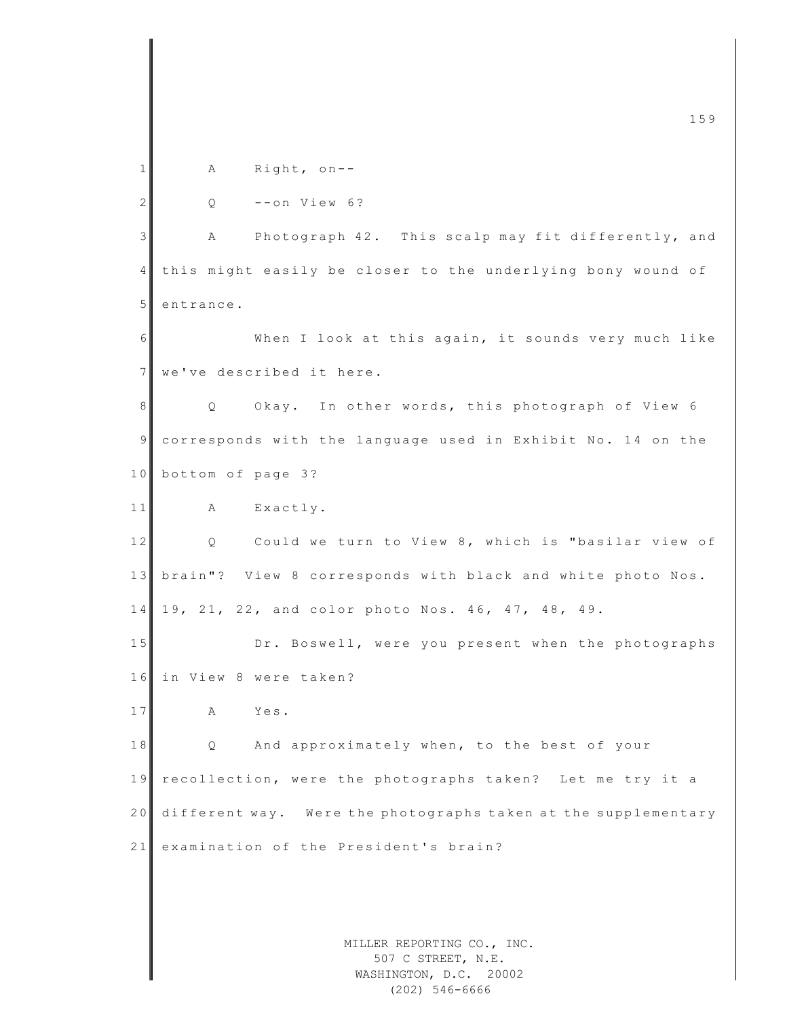|              | 159                                                            |
|--------------|----------------------------------------------------------------|
| 1            | Right, $on--$<br>Α                                             |
| $\mathbf{2}$ | $--on$ View 6?<br>Q                                            |
| 3            | Photograph 42. This scalp may fit differently, and<br>Α        |
| 4            | this might easily be closer to the underlying bony wound of    |
| 5            | entrance.                                                      |
|              |                                                                |
| 6            | When I look at this again, it sounds very much like            |
| 7            | we've described it here.                                       |
| 8            | Okay. In other words, this photograph of View 6<br>Q           |
| 9            | corresponds with the language used in Exhibit No. 14 on the    |
| 10           | bottom of page 3?                                              |
| 11           | Exactly.<br>А                                                  |
| $1\,2$       | Could we turn to View 8, which is "basilar view of<br>Q        |
| 13           | brain"? View 8 corresponds with black and white photo Nos.     |
| 14           | 19, 21, 22, and color photo Nos. 46, 47, 48, 49.               |
| 15           | Dr. Boswell, were you present when the photographs             |
| 16           | in View 8 were taken?                                          |
| 17           | Yes.<br>Α                                                      |
| 18           | And approximately when, to the best of your<br>Q               |
| 19           | recollection, were the photographs taken? Let me try it a      |
| 20           | different way. Were the photographs taken at the supplementary |
| 21           | examination of the President's brain?                          |
|              |                                                                |
|              |                                                                |
|              | MILLER REPORTING CO., INC.                                     |
|              | 507 C STREET, N.E.<br>WASHINGTON, D.C. 20002                   |

WASHINGTON, D.C. 20002 (202) 546-6666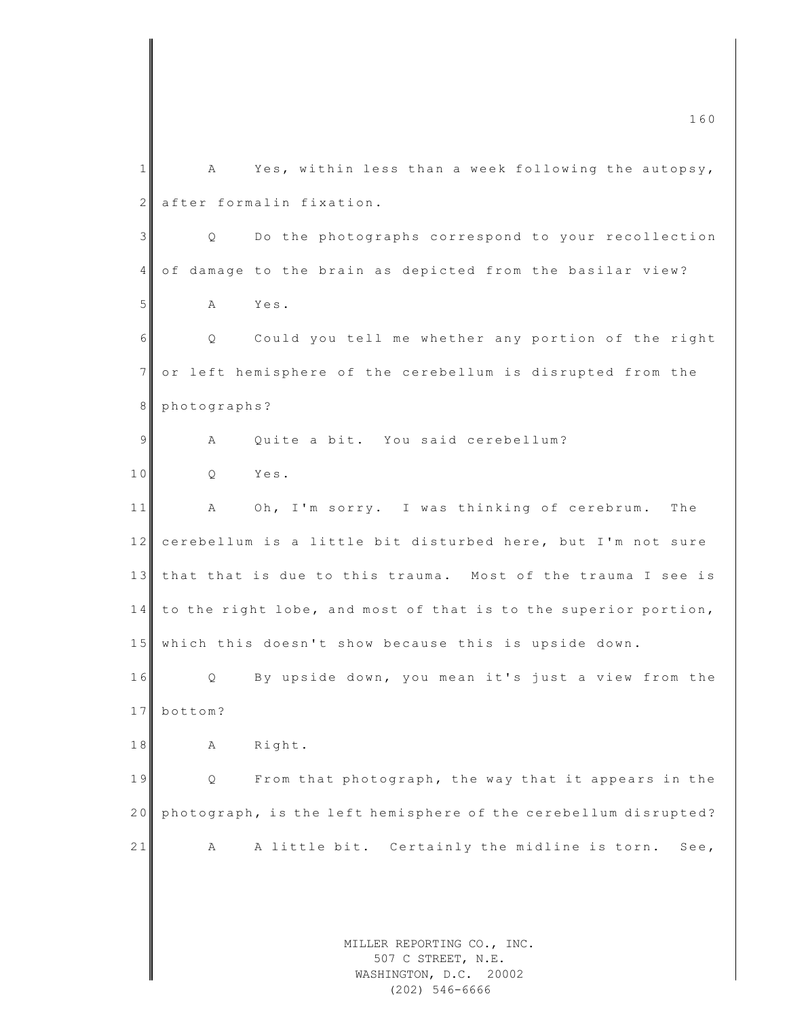MILLER REPORTING CO., INC. 507 C STREET, N.E. WASHINGTON, D.C. 20002 m c  $160$  $1 \parallel$  A Yes, within less than a week following the autopsy, 2 after formalin fixation. 3 Q Do the photographs correspond to your recollection 4 of damage to the brain as depicted from the basilar view? 5 A Yes. 6 Q Could you tell me whether any portion of the right 7 or left hemisphere of the cerebellum is disrupted from the 8 photographs? 9 A Quite a bit. You said cerebellum? 10 Q Yes. 11 A Oh, I'm sorry. I was thinking of cerebrum. The 12 cerebellum is a little bit disturbed here, but I'm not sure 13 that that is due to this trauma. Most of the trauma I see is 14 to the right lobe, and most of that is to the superior portion, 15 which this doesn't show because this is upside down. 16 Q By upside down, you mean it's just a view from the 17 bottom? 18 A Right. 19 Q From that photograph, the way that it appears in the 20 ph o to graph, is the left hemisphere of the cerebellum disrupted? 21 A A little bit. Certainly the midline is torn. See,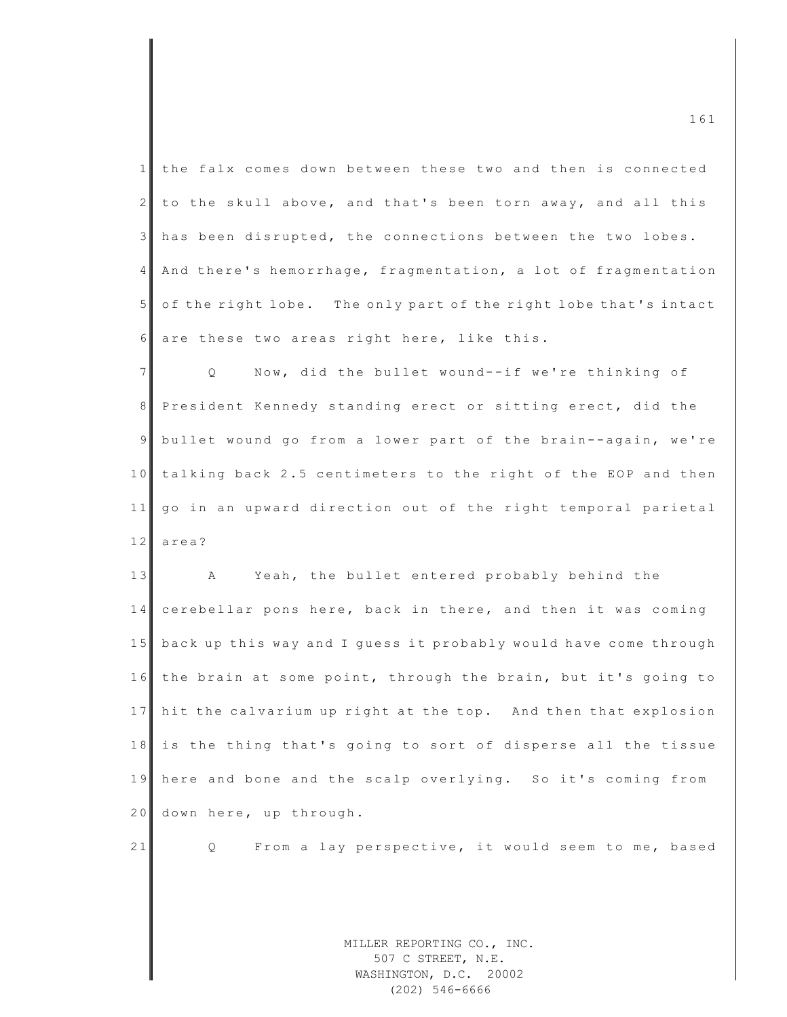| 1              | the falx comes down between these two and then is connected                |
|----------------|----------------------------------------------------------------------------|
| $\overline{2}$ | to the skull above, and that's been torn away, and all this                |
| $\mathcal{S}$  | has been disrupted, the connections between the two lobes.                 |
| $\overline{4}$ | And there's hemorrhage, fragmentation, a lot of fragmentation              |
| 5 <sup>1</sup> | of the right lobe. The only part of the right lobe that's intact           |
| 6              | are these two areas right here, like this.                                 |
| $\overline{7}$ | Now, did the bullet wound--if we're thinking of<br>$Q \qquad \qquad$       |
| 8              | President Kennedy standing erect or sitting erect, did the                 |
| 9              | bullet wound go from a lower part of the brain--again, we're               |
| 10             | talking back 2.5 centimeters to the right of the EOP and then              |
| 11             | go in an upward direction out of the right temporal parietal               |
| 12             | area?                                                                      |
| 13             | Yeah, the bullet entered probably behind the<br>A                          |
| 14             | cerebellar pons here, back in there, and then it was coming                |
| 15             | back up this way and I guess it probably would have come through           |
| 16             | the brain at some point, through the brain, but it's going to              |
| 17             | hit the calvarium up right at the top. And then that explosion             |
| 18             | is the thing that's going to sort of disperse all the tissue               |
| 19             | here and bone and the scalp overlying. So it's coming from                 |
| 20             | down here, up through.                                                     |
| 21             | From a lay perspective, it would seem to me, based<br>Q                    |
|                |                                                                            |
|                |                                                                            |
|                | MILLER REPORTING CO., INC.<br>507 C STREET, N.E.<br>WASHINGTON, D.C. 20002 |

 $\blacksquare$  161

WASHINGTON, D.C. 20002 (202) 546-6666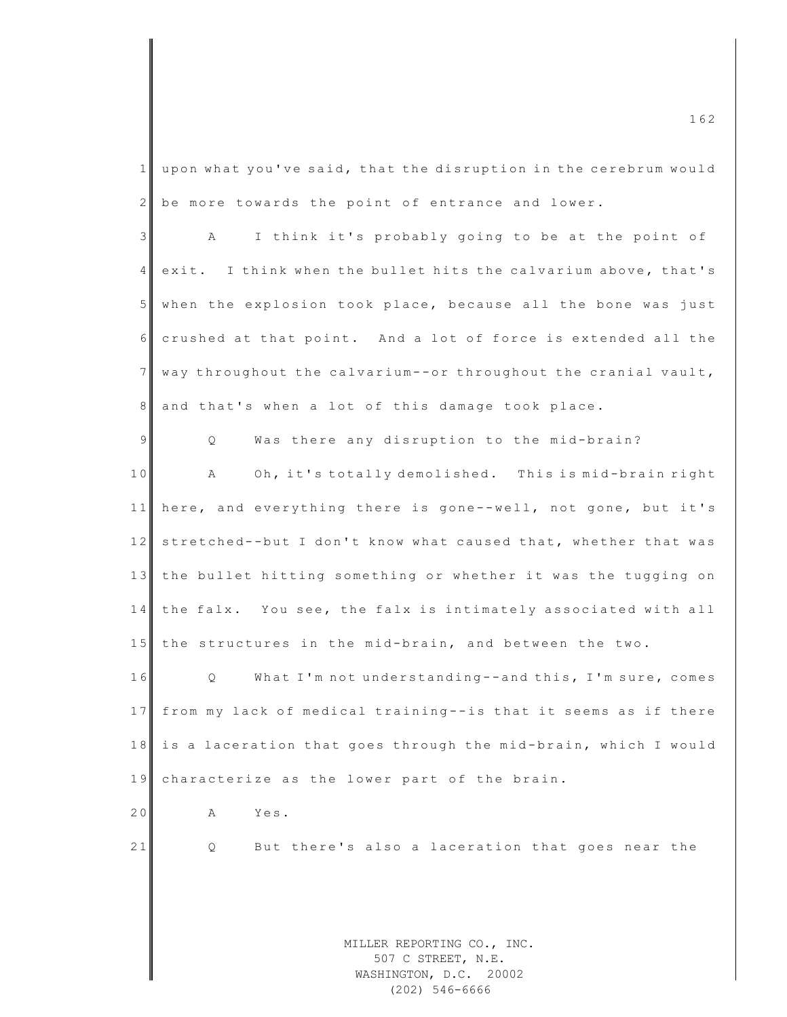$1$  upon what you've said, that the disruption in the cerebrum would  $2 \parallel$  be more towards the point of entrance and lower.

3 A I think it's probably going to be at the point of 4 exit. I think when the bullet hits the calvarium above, that's 5 when the explosion took place, because all the bone was just 6 crushed at that point. And a lot of force is extended all the  $7$  way throughout the calvarium--or throughout the cranial vault, 8 and that's when a lot of this damage took place.

9 | Q Was there any disruption to the mid-brain?

10 A Oh, it's totally demolished. This is mid-brain right 11 here, and everything there is gone--well, not gone, but it's 12 stretched--but I don't know what caused that, whether that was 13 the bullet hitting something or whether it was the tugging on 14 the falx. You see, the falx is intimately associated with all 15 the structures in the mid-brain, and between the two.

16 Q What I'm not understanding--and this, I'm sure, comes 17 from my lack of medical training--is that it seems as if there 18 is a laceration that goes through the mid-brain, which I would 19 characterize as the lower part of the brain.

20 A Yes.

21 Q But there's also a laceration that goes near the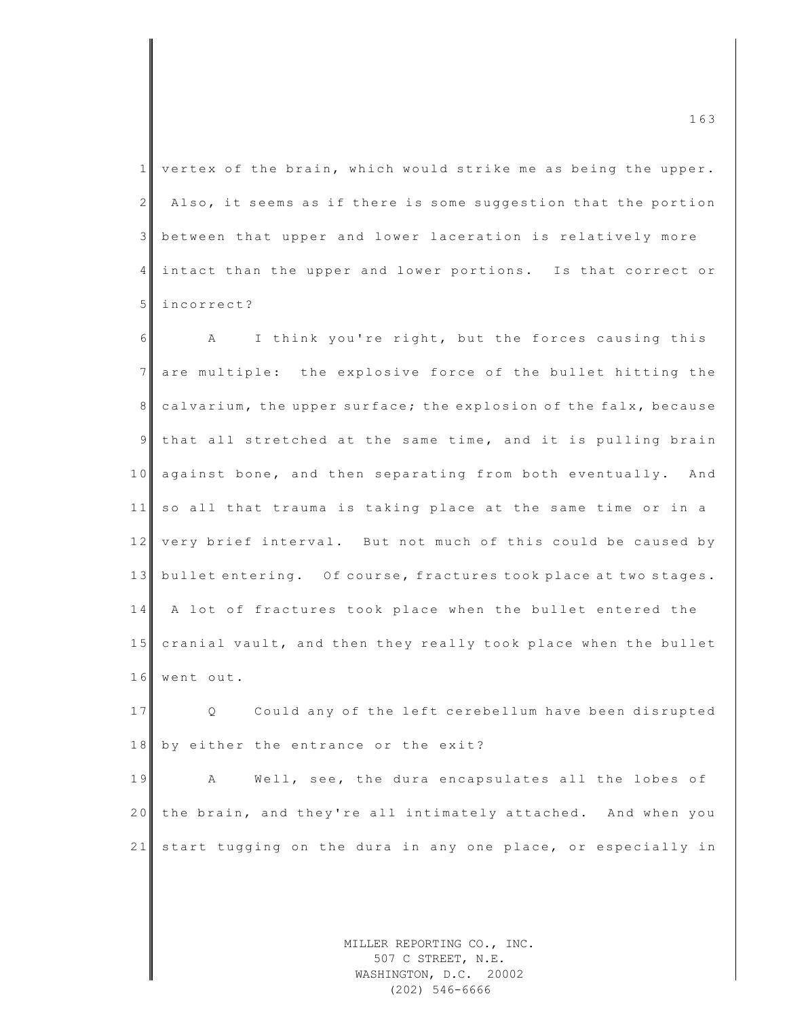$1$  vertex of the brain, which would strike me as being the upper.  $2$  Also, it seems as if there is some suggestion that the portion 3 between that upper and lower laceration is relatively more 4 intact than the upper and lower portions. Is that correct or 5 incorrect?

6 A I think you're right, but the forces causing this 7 are multiple: the explosive force of the bullet hitting the 8 calvarium, the upper surface; the explosion of the falx, because 9 that all stretched at the same time, and it is pulling brain 10 against bone, and then separating from both eventually. And 11 so all that trauma is taking place at the same time or in a 12 very brief interval. But not much of this could be caused by 13 bullet entering. Of course, fractures took place at two stages. 14 A lot of fractures took place when the bullet entered the 15 cranial vault, and then they really took place when the bullet 16 went out.

17 Q Could any of the left cerebellum have been disrupted 18 by either the entrance or the exit?

19 A Well, see, the dura encapsulates all the lobes of 20 the brain, and they're all intimately attached. And when you 21 start tugging on the dura in any one place, or especially in

> MILLER REPORTING CO., INC. 507 C STREET, N.E. WASHINGTON, D.C. 20002 (202) 546-6666

m c  $163$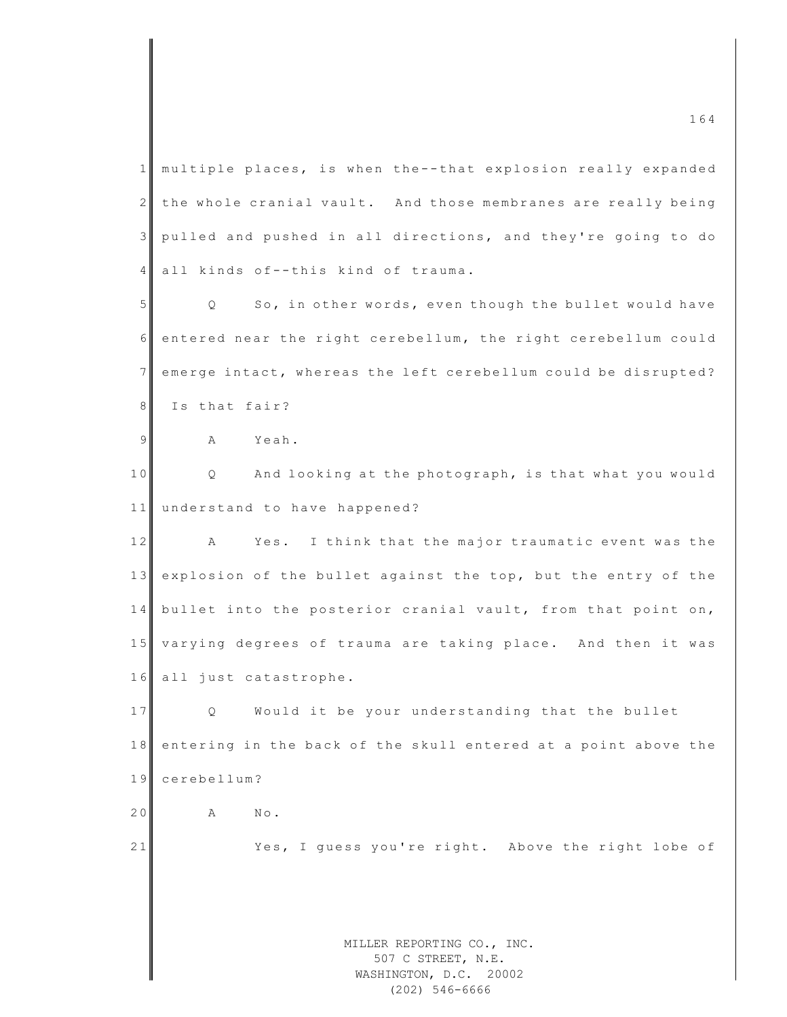MILLER REPORTING CO., INC. 507 C STREET, N.E. WASHINGTON, D.C. 20002 1 multiple places, is when the--that explosion really expanded  $2$  the whole cranial vault. And those membranes are really being 3 pulled and pushed in all directions, and they're going to do 4 all kinds of--this kind of trauma. 5 | Q So, in other words, even though the bullet would have 6 entered near the right cerebellum, the right cerebellum could 7 emerge intact, whereas the left cerebellum could be disrupted? 8 Is that fair? 9 A Yeah. 10 Q And looking at the photograph, is that what you would 11 understand to have happened? 12 A Yes. I think that the major traumatic event was the 13 explosion of the bullet against the top, but the entry of the 14 bullet into the posterior cranial vault, from that point on, 15 varying degrees of trauma are taking place. And then it was 16 all just catastrophe. 17 Q Would it be your understanding that the bullet 18 entering in the back of the skull entered at a point above the 19 cerebellum? 20 A No. 21 Yes, I quess you're right. Above the right lobe of

(202) 546-6666

 $\frac{164}{164}$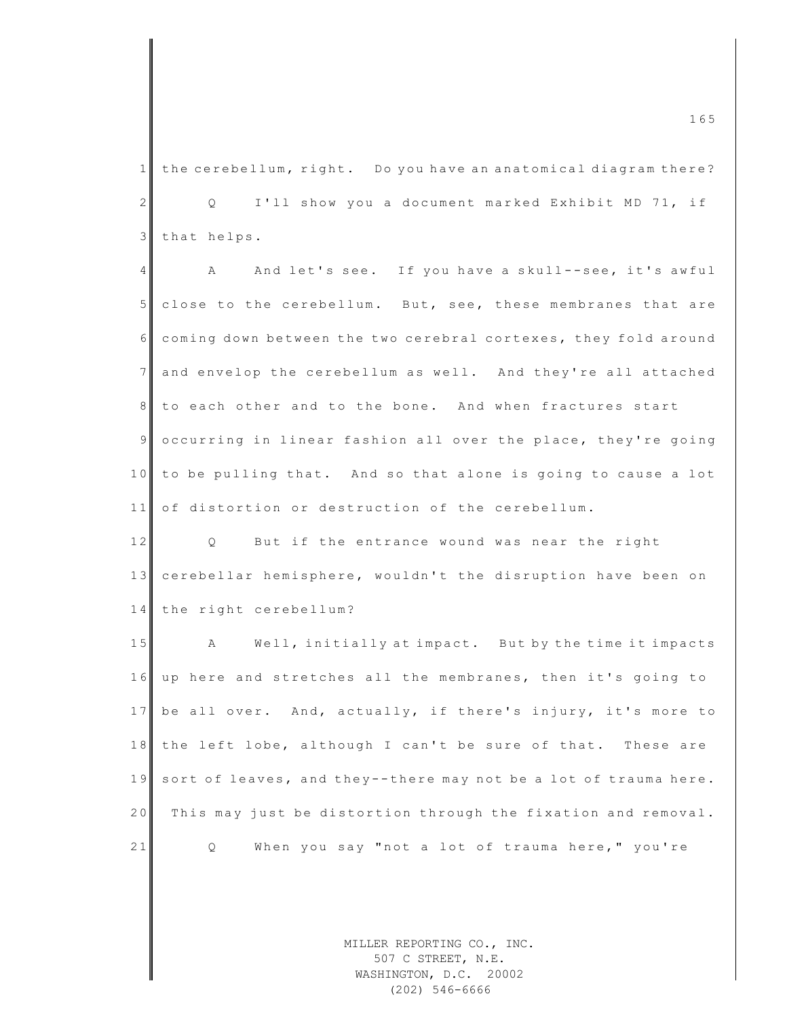$1$  the cerebellum, right. Do you have an anatomical diagram there? 2 Q I'll show you a document marked Exhibit MD 71, if 3 that helps.

4 A And let's see. If you have a skull--see, it's awful 5 close to the cerebellum. But, see, these membranes that are 6 coming down between the two cerebral cortexes, they fold around 7 and envelop the cerebellum as well. And they're all attached 8 to each other and to the bone. And when fractures start 9 occurring in linear fashion all over the place, they're going 10 to be pulling that. And so that alone is going to cause a lot 11 of distortion or destruction of the cerebellum.

12 Q But if the entrance wound was near the right 13 cerebellar hemisphere, wouldn't the disruption have been on 14 the right cerebellum?

15 A Well, initially at impact. But by the time it impacts 16 up here and stretches all the membranes, then it's going to 17 be all over. And, actually, if there's injury, it's more to 18 the left lobe, although I can't be sure of that. These are 19 sort of leaves, and they--there may not be a lot of trauma here. 20 This may just be distortion through the fixation and removal. 21 Q When you say "not a lot of trauma here," you're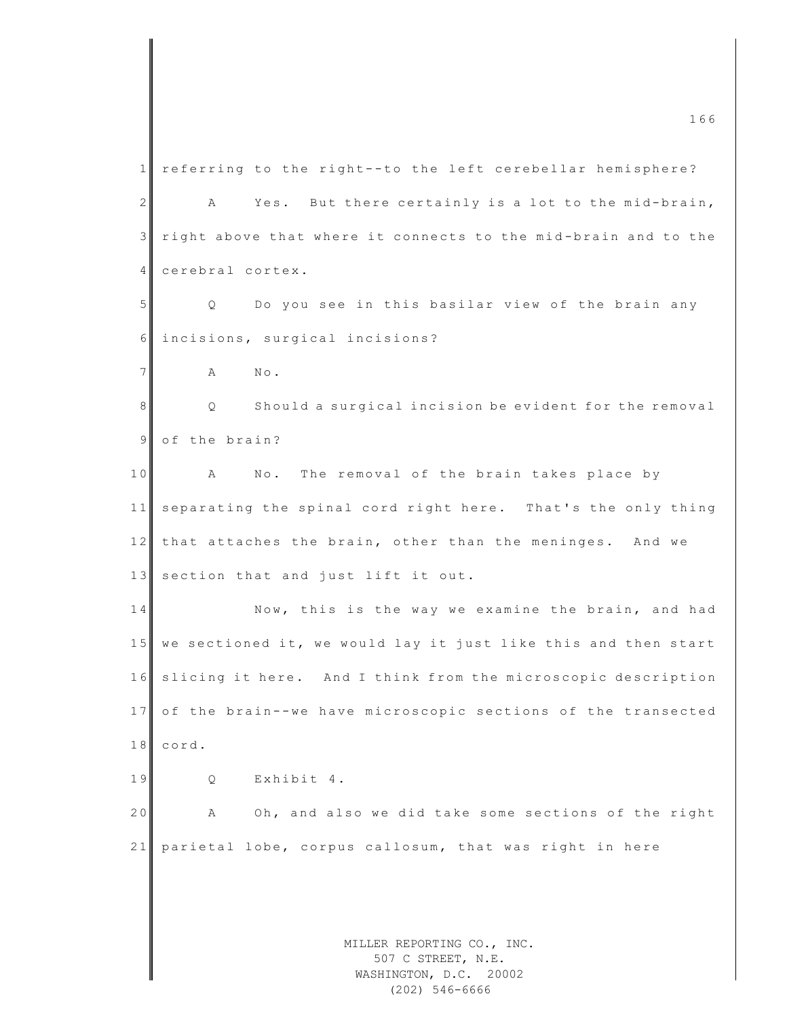MILLER REPORTING CO., INC. 507 C STREET, N.E. WASHINGTON, D.C. 20002 1 referring to the right--to the left cerebellar hemisphere? 2 A Yes. But there certainly is a lot to the mid-brain,  $3$  right above that where it connects to the mid-brain and to the 4 cerebral cortex. 5 Q Do you see in this basilar view of the brain any 6 incisions, surgical incisions? 7 **A** No. 8 Q Should a surgical incision be evident for the removal 9 of the brain? 10 A No. The removal of the brain takes place by 11 separating the spinal cord right here. That's the only thing  $12$  that attaches the brain, other than the meninges. And we 13 section that and just lift it out. 14 Now, this is the way we examine the brain, and had 15 we sectioned it, we would lay it just like this and then start 16 slicing it here. And I think from the microscopic description 17 of the brain--we have microscopic sections of the transected 18 cord. 19 Q Exhibit 4. 20 A Oh, and also we did take some sections of the right 21 parietal lobe, corpus callosum, that was right in here

(202) 546-6666

m c  $166$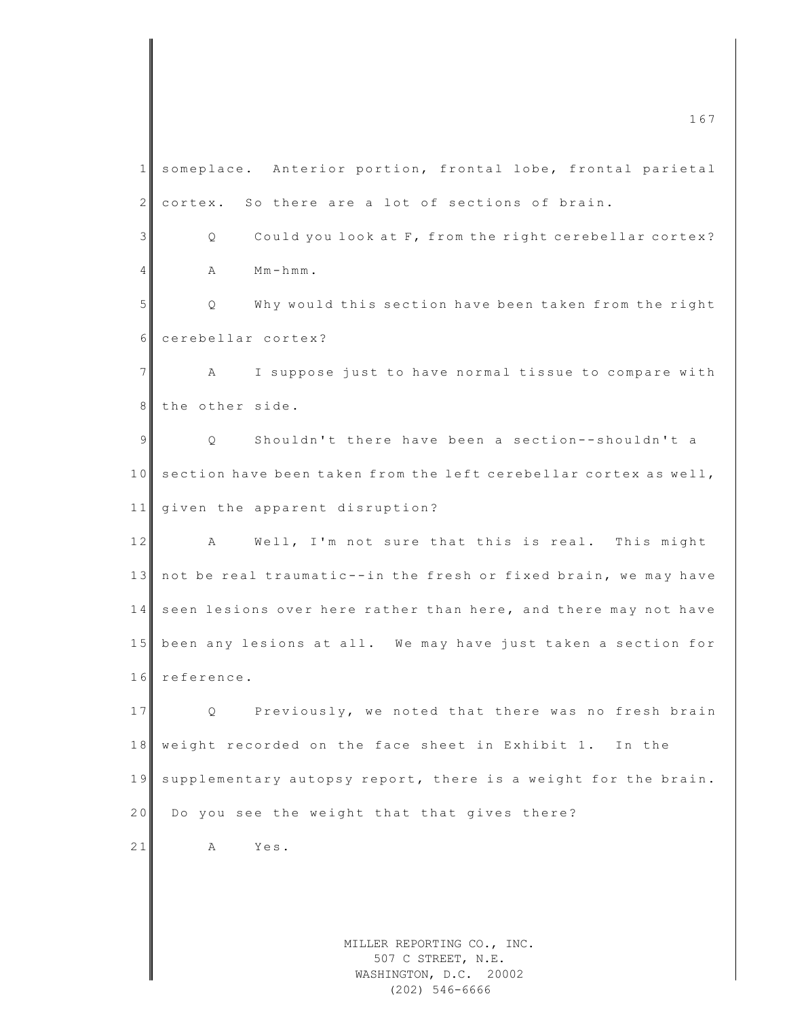MILLER REPORTING CO., INC. 507 C STREET, N.E.  $\frac{167}{167}$ 1 someplace. Anterior portion, frontal lobe, frontal parietal  $2 \parallel$  cortex. So there are a lot of sections of brain. 3 Q Could you look at F, from the right cerebellar cortex?  $4$  A M m-hmm. 5 Q Why would this section have been taken from the right 6 cerebellar cortex? 7 A I suppose just to have normal tissue to compare with 8 the other side. 9 | Q Shouldn't there have been a section--shouldn't a 10 section have been taken from the left cerebellar cortex as well, 11 given the apparent disruption? 12 A Well, I'm not sure that this is real. This might 13 not be real traumatic--in the fresh or fixed brain, we may have 14 seen lesions over here rather than here, and there may not have 15 been any lesions at all. We may have just taken a section for 16 reference. 17 Q Previously, we noted that there was no fresh brain 18 weight recorded on the face sheet in Exhibit 1. In the 19 supplementary autopsy report, there is a weight for the brain. 20 Do you see the weight that that gives there? 21 A Yes.

> WASHINGTON, D.C. 20002 (202) 546-6666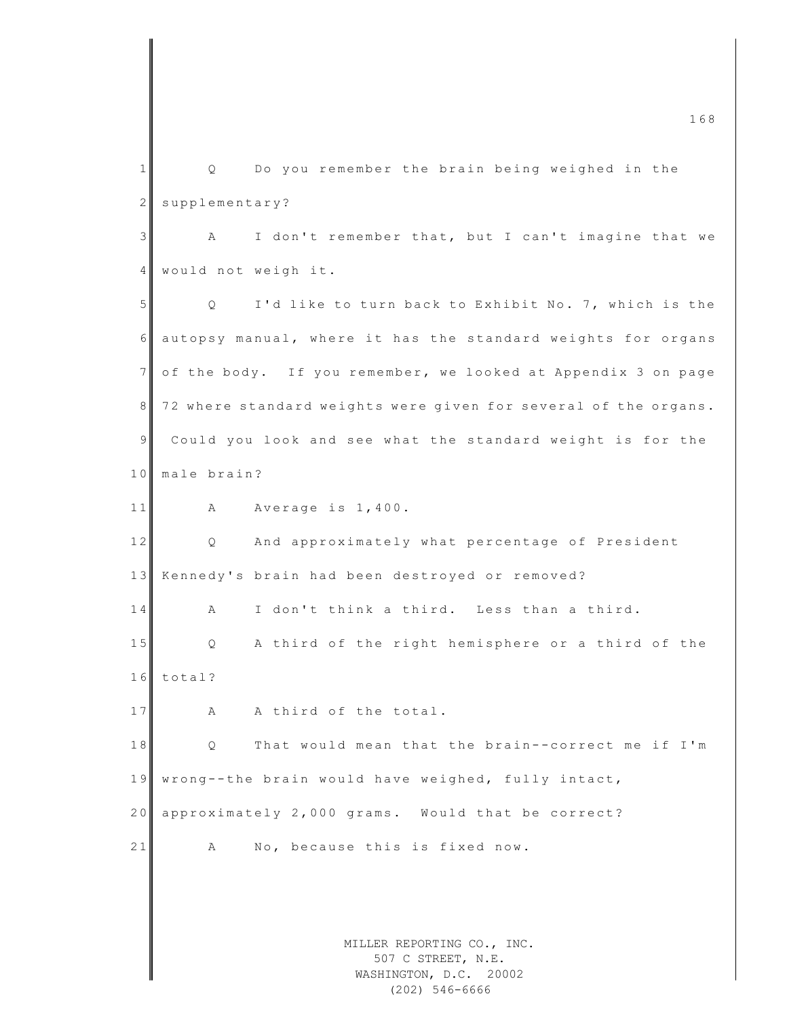MILLER REPORTING CO., INC. 507 C STREET, N.E. WASHINGTON, D.C. 20002 m c  $168$ 1 | Q Do you remember the brain being weighed in the 2 supplementary? 3 A I don't remember that, but I can't imagine that we 4 would not weigh it. 5 | Q I'd like to turn back to Exhibit No. 7, which is the 6 autopsy manual, where it has the standard weights for organs 7 of the body. If you remember, we looked at Appendix 3 on page 8 72 where standard weights were given for several of the organs. 9 Could you look and see what the standard weight is for the 10 male brain? 11 A Average is 1,400. 12 Q And approximately what percentage of President 13 Kennedy's brain had been destroyed or removed? 14 A I don't think a third. Less than a third. 15 Q A third of the right hemisphere or a third of the 16 total? 17 A A third of the total. 18 Q That would mean that the brain--correct me if I'm 19 wrong--the brain would have weighed, fully intact, 20 approximately 2,000 grams. Would that be correct? 21 A No, because this is fixed now.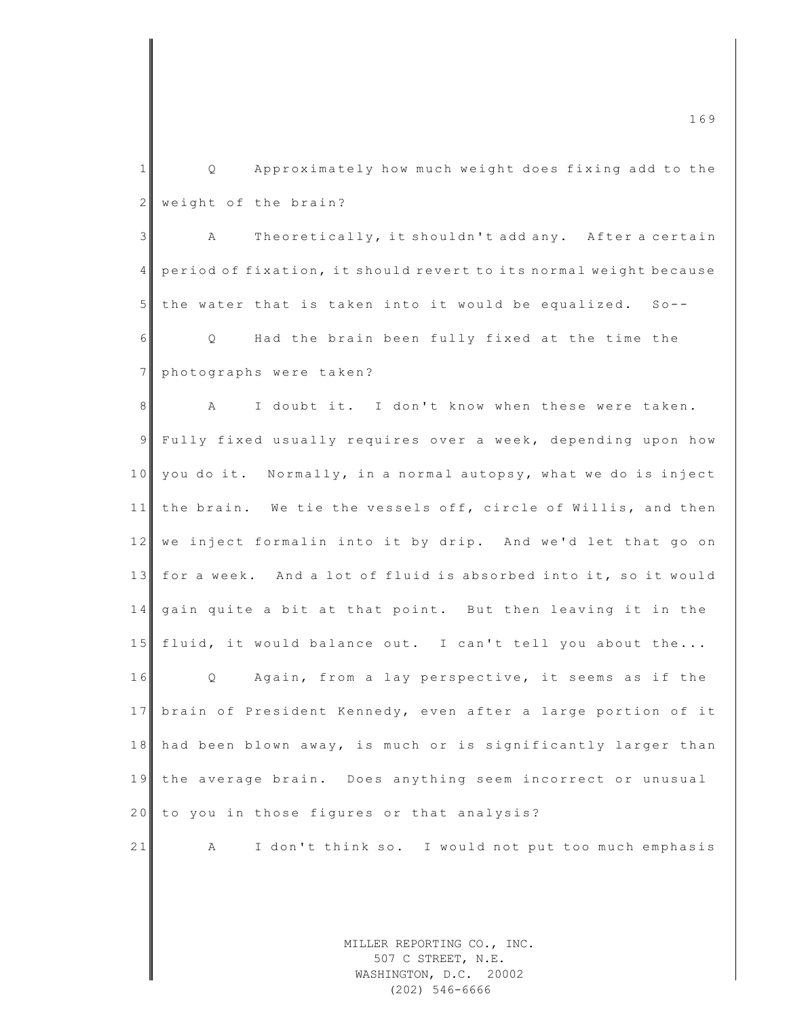1 || Q Approximately how much weight does fixing add to the  $2$  weight of the brain? 3 A Theoretically, it shouldn't add any. After a certain 4 period of fixation, it should revert to its normal weight because  $5$  the water that is taken into it would be equalized. So--6 | Q Had the brain been fully fixed at the time the 7 photographs were taken? 8 A I doubt it. I don't know when these were taken. 9 Fully fixed usually requires over a week, depending upon how 10 you do it. Normally, in a normal autopsy, what we do is inject 11 the brain. We tie the vessels off, circle of Willis, and then 12 we inject formalin into it by drip. And we'd let that go on 13 for a week. And a lot of fluid is absorbed into it, so it would 14 gain quite a bit at that point. But then leaving it in the 15 fluid, it would balance out. I can't tell you about the... 16 Q Again, from a lay perspective, it seems as if the 17 brain of President Kennedy, even after a large portion of it 18 had been blown away, is much or is significantly larger than 19 the average brain. Does anything seem incorrect or unusual 20 to you in those figures or that analysis? 21 A I don't think so. I would not put too much emphasis

> MILLER REPORTING CO., INC. 507 C STREET, N.E. WASHINGTON, D.C. 20002 (202) 546-6666

m c  $169$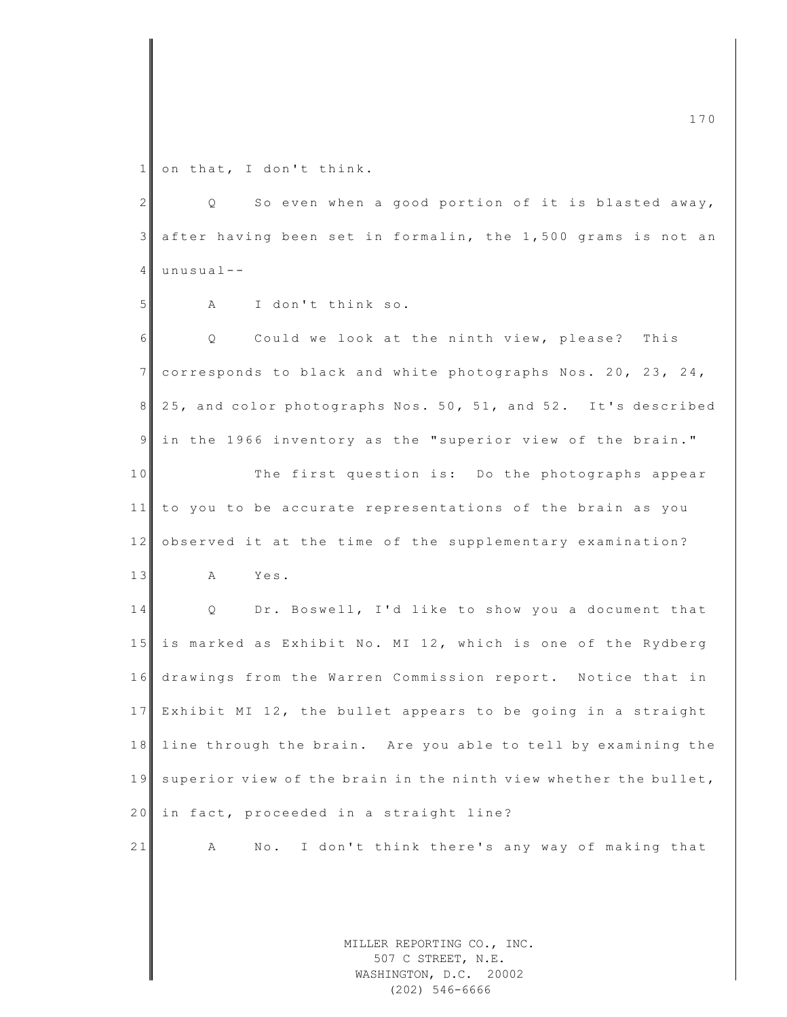1 on that, I don't think.

| $\overline{c}$ | So even when a good portion of it is blasted away,<br>Q                    |
|----------------|----------------------------------------------------------------------------|
| 3              | after having been set in formalin, the 1,500 grams is not an               |
| 4              | $unusual--$                                                                |
| 5              | I don't think so.<br>Α                                                     |
| 6              | Could we look at the ninth view, please? This<br>Q                         |
| $\overline{7}$ | corresponds to black and white photographs Nos. 20, 23, 24,                |
| 8              | 25, and color photographs Nos. 50, 51, and 52. It's described              |
| 9              | in the 1966 inventory as the "superior view of the brain."                 |
| 10             | The first question is: Do the photographs appear                           |
| 11             | to you to be accurate representations of the brain as you                  |
| 12             | observed it at the time of the supplementary examination?                  |
| 13             | Yes.<br>A                                                                  |
| 14             | Dr. Boswell, I'd like to show you a document that<br>Q                     |
| 15             | is marked as Exhibit No. MI 12, which is one of the Rydberg                |
| 16             | drawings from the Warren Commission report. Notice that in                 |
| 17             | Exhibit MI 12, the bullet appears to be going in a straight                |
| $1\,8$         | line through the brain. Are you able to tell by examining the              |
| 19             | superior view of the brain in the ninth view whether the bullet,           |
| 20             | in fact, proceeded in a straight line?                                     |
| 21             | I don't think there's any way of making that<br>No.<br>А                   |
|                |                                                                            |
|                |                                                                            |
|                | MILLER REPORTING CO., INC.<br>507 C STREET, N.E.<br>WASHINGTON, D.C. 20002 |

(202) 546-6666

m c  $\frac{170}{170}$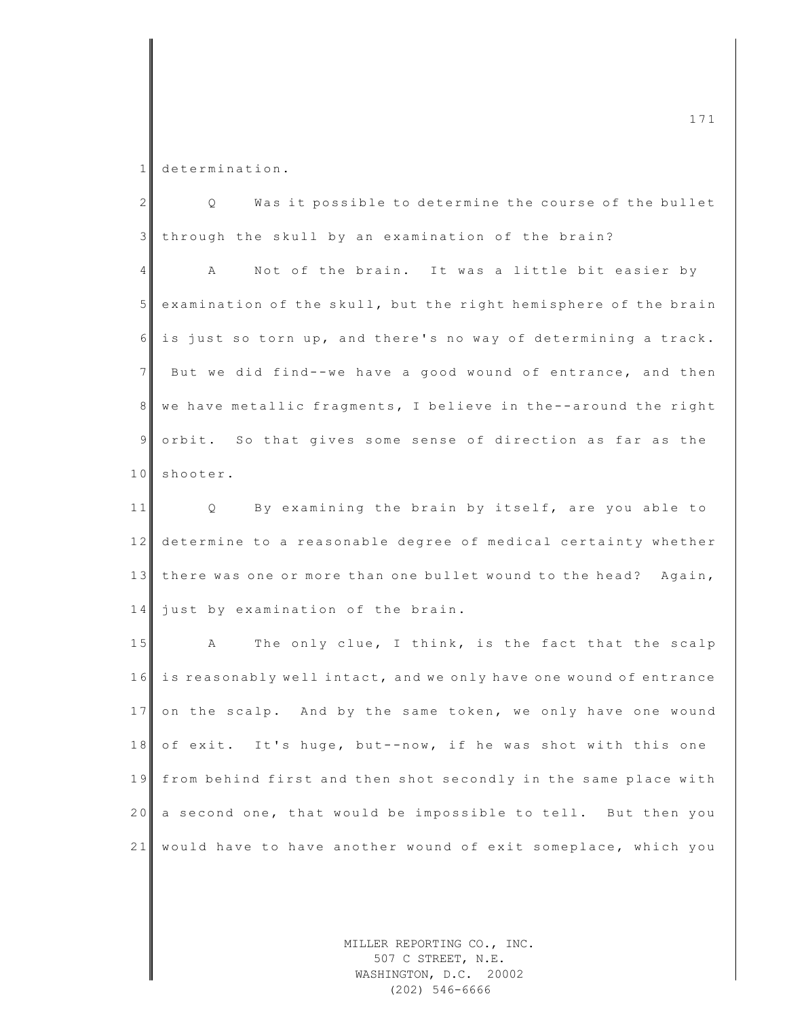1 determination.

| $\overline{2}$  | Was it possible to determine the course of the bullet<br>Q        |
|-----------------|-------------------------------------------------------------------|
| $\mathcal{E}$   | through the skull by an examination of the brain?                 |
| $\overline{4}$  | Not of the brain. It was a little bit easier by<br>A              |
| $5\phantom{.}$  | examination of the skull, but the right hemisphere of the brain   |
| 6               | is just so torn up, and there's no way of determining a track.    |
| $7\overline{ }$ | But we did find--we have a good wound of entrance, and then       |
| $\,8\,$         | we have metallic fragments, I believe in the--around the right    |
| $\overline{9}$  | orbit. So that gives some sense of direction as far as the        |
| 10              | shooter.                                                          |
| 11              | By examining the brain by itself, are you able to<br>Q            |
| 12              | determine to a reasonable degree of medical certainty whether     |
| 13              | there was one or more than one bullet wound to the head? Again,   |
| 14              | just by examination of the brain.                                 |
| 15              | The only clue, I think, is the fact that the scalp<br>A           |
| 16              | is reasonably well intact, and we only have one wound of entrance |
| 17              | on the scalp. And by the same token, we only have one wound       |
| 18              | of exit. It's huge, but--now, if he was shot with this one        |
| 19              | from behind first and then shot secondly in the same place with   |
| 20              | a second one, that would be impossible to tell. But then you      |
| 21              | would have to have another wound of exit someplace, which you     |
|                 |                                                                   |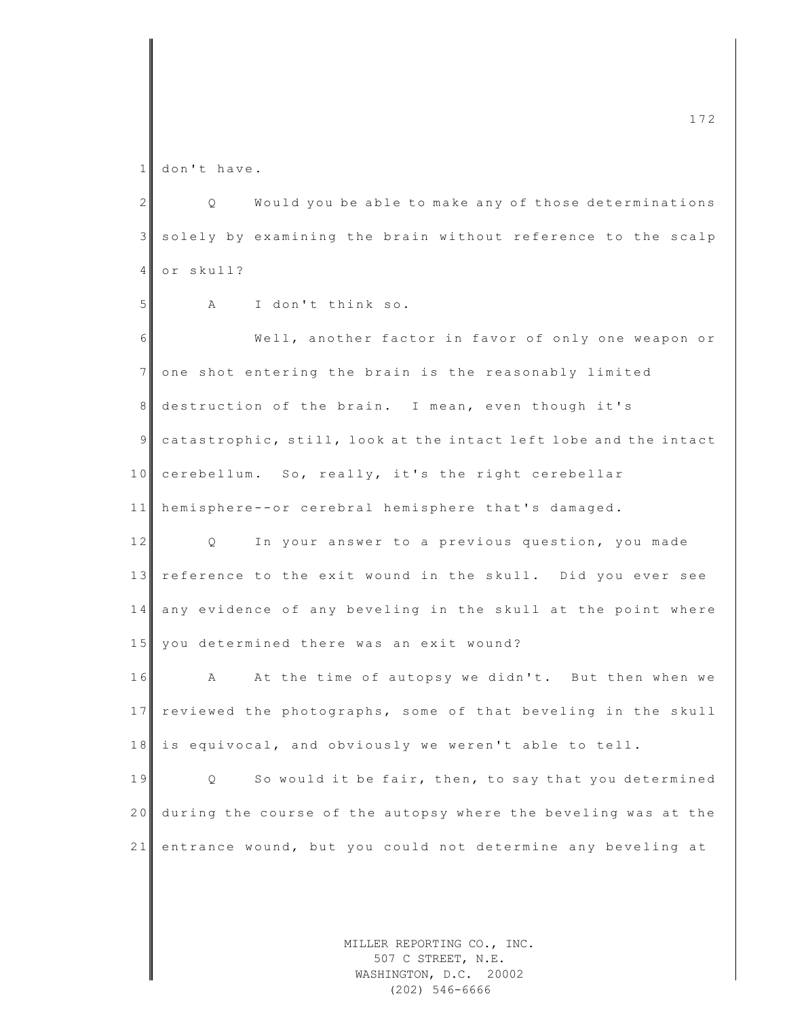1 don't have.

2 | Q Would you be able to make any of those determinations 3 solely by examining the brain without reference to the scalp 4 or skull? 5 A I don't think so. 6 Well, another factor in favor of only one weapon or 7 one shot entering the brain is the reasonably limited 8 destruction of the brain. I mean, even though it's 9 catastrophic, still, look at the intact left lobe and the intact 10 cerebellum. So, really, it's the right cerebellar 11 hemisphere--or cerebral hemisphere that's damaged. 12 Q In your answer to a previous question, you made 13 reference to the exit wound in the skull. Did you ever see 14 any evidence of any beveling in the skull at the point where 15 you determined there was an exit wound? 16 A At the time of autopsy we didn't. But then when we 17 reviewed the photographs, some of that beveling in the skull 18 is equivocal, and obviously we weren't able to tell. 19 Q So would it be fair, then, to say that you determined 20 during the course of the autopsy where the beveling was at the 21 entrance wound, but you could not determine any beveling at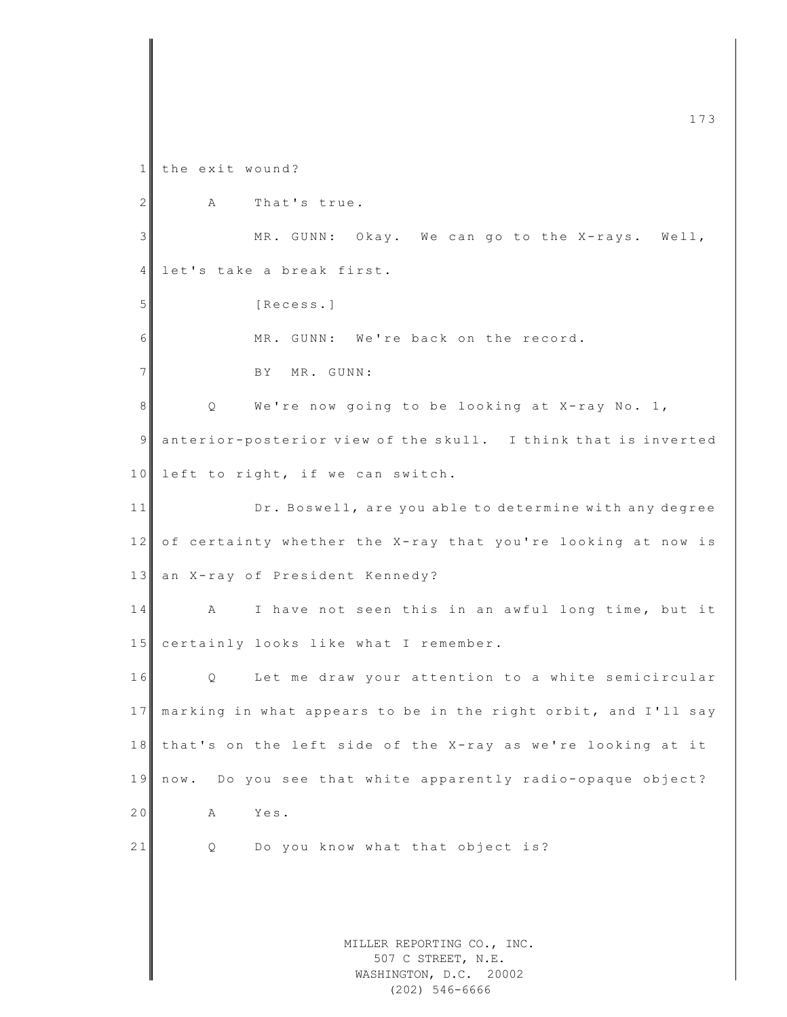MILLER REPORTING CO., INC. 507 C STREET, N.E. WASHINGTON, D.C. 20002 m c  $\frac{1}{3}$  and  $\frac{1}{3}$  and  $\frac{1}{3}$  and  $\frac{1}{3}$  and  $\frac{1}{3}$  and  $\frac{1}{3}$  and  $\frac{1}{3}$  and  $\frac{1}{3}$  and  $\frac{1}{3}$  and  $\frac{1}{3}$  and  $\frac{1}{3}$  and  $\frac{1}{3}$  and  $\frac{1}{3}$  and  $\frac{1}{3}$  and  $\frac{1}{3}$  and  $\frac{1}{3$ 1 the exit wound?  $2$  A That's true. 3 MR. GUNN: Okay. We can go to the X-rays. Well, 4 let's take a break first. 5 [Recess.] 6 MR. GUNN: We're back on the record. 7 BY MR. GUNN: 8 Q We're now going to be looking at X-ray No. 1, 9 anterior-posterior view of the skull. I think that is inverted  $10$  left to right, if we can switch. 11 Dr. Boswell, are you able to determine with any degree 12 of certainty whether the X-ray that you're looking at now is 13 an X-ray of President Kennedy? 14 A I have not seen this in an awful long time, but it 15 certainly looks like what I remember. 16 Q Let me draw your attention to a white semicircular 17 marking in what appears to be in the right orbit, and I'll say 18 that's on the left side of the X-ray as we're looking at it 19 now. Do you see that white apparently radio-opaque object? 20 A Yes. 21 Q Do you know what that object is?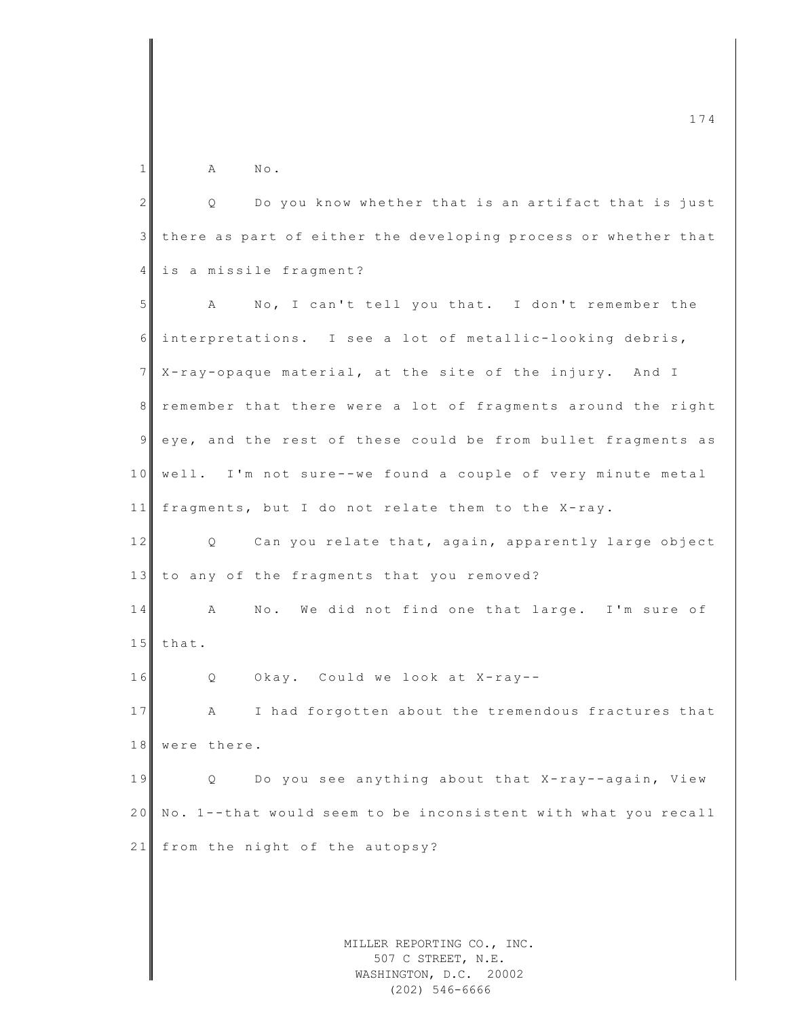$1$  A No. 2 Q Do you know whether that is an artifact that is just 3 there as part of either the developing process or whether that 4 is a missile fragment? 5 A No, I can't tell you that. I don't remember the 6 interpretations. I see a lot of metallic -looking debris, 7 X-ray-opaque material, at the site of the injury. And I 8 remember that there were a lot of fragments around the right 9 eye, and the rest of these could be from bullet fragments as 10 well. I'm not sure--we found a couple of very minute metal 11 fragments, but I do not relate them to the X-ray. 12 Q Can you relate that, again, apparently large object 13 to any of the fragments that you removed? 14 A No. We did not find one that large. I'm sure of  $15$  that. 16 Q Okay. Could we look at X-ray--17 A I had forgotten about the tremendous fractures that 18 were there. 19 Q Do you see anything about that X-ray--again, View 20 No. 1--that would seem to be inconsistent with what you recall 21 from the night of the autopsy?

 $\frac{174}{174}$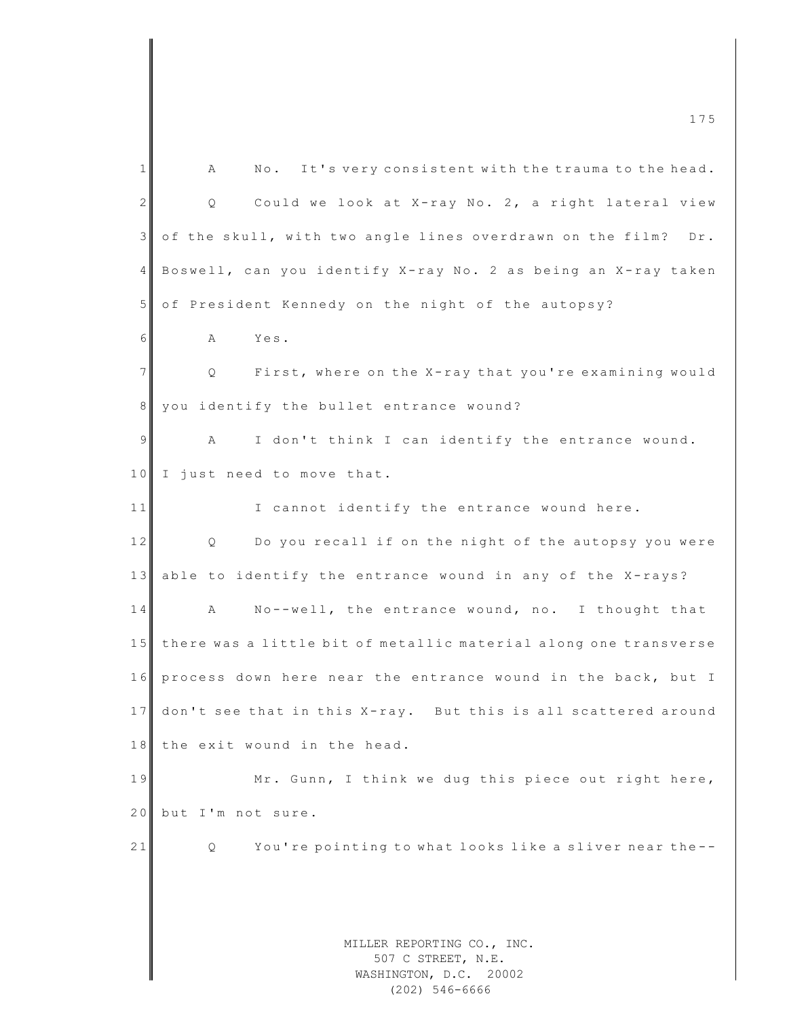| 175                                                                               |  |
|-----------------------------------------------------------------------------------|--|
| No. It's very consistent with the trauma to the head.<br>1<br>А                   |  |
| $\overline{2}$<br>Could we look at X-ray No. 2, a right lateral view<br>Q         |  |
| $\mathcal{E}$<br>of the skull, with two angle lines overdrawn on the film?<br>Dr. |  |
| $\overline{4}$<br>Boswell, can you identify X-ray No. 2 as being an X-ray taken   |  |
| $5\phantom{.}$<br>of President Kennedy on the night of the autopsy?               |  |
| 6<br>Yes.<br>Α                                                                    |  |
| $7\overline{ }$<br>First, where on the X-ray that you're examining would<br>Q     |  |
| 8 <sup>1</sup><br>you identify the bullet entrance wound?                         |  |
| 9<br>I don't think I can identify the entrance wound.<br>Α                        |  |
| 10<br>I just need to move that.                                                   |  |
| I cannot identify the entrance wound here.<br>11                                  |  |
| 12<br>Do you recall if on the night of the autopsy you were<br>Q                  |  |
| 13<br>able to identify the entrance wound in any of the X-rays?                   |  |
| 14<br>No--well, the entrance wound, no. I thought that<br>А                       |  |
| there was a little bit of metallic material along one transverse<br>15            |  |
| process down here near the entrance wound in the back, but I<br>16                |  |
| don't see that in this X-ray. But this is all scattered around<br>17              |  |
| the exit wound in the head.<br>18                                                 |  |
| 19<br>Mr. Gunn, I think we dug this piece out right here,                         |  |
| 20<br>but I'm not sure.                                                           |  |
| 21<br>You're pointing to what looks like a sliver near the--<br>Q.                |  |
|                                                                                   |  |
|                                                                                   |  |
| MILLER REPORTING CO., INC.<br>507 C STREET, N.E.<br>WASHINGTON, D.C. 20002        |  |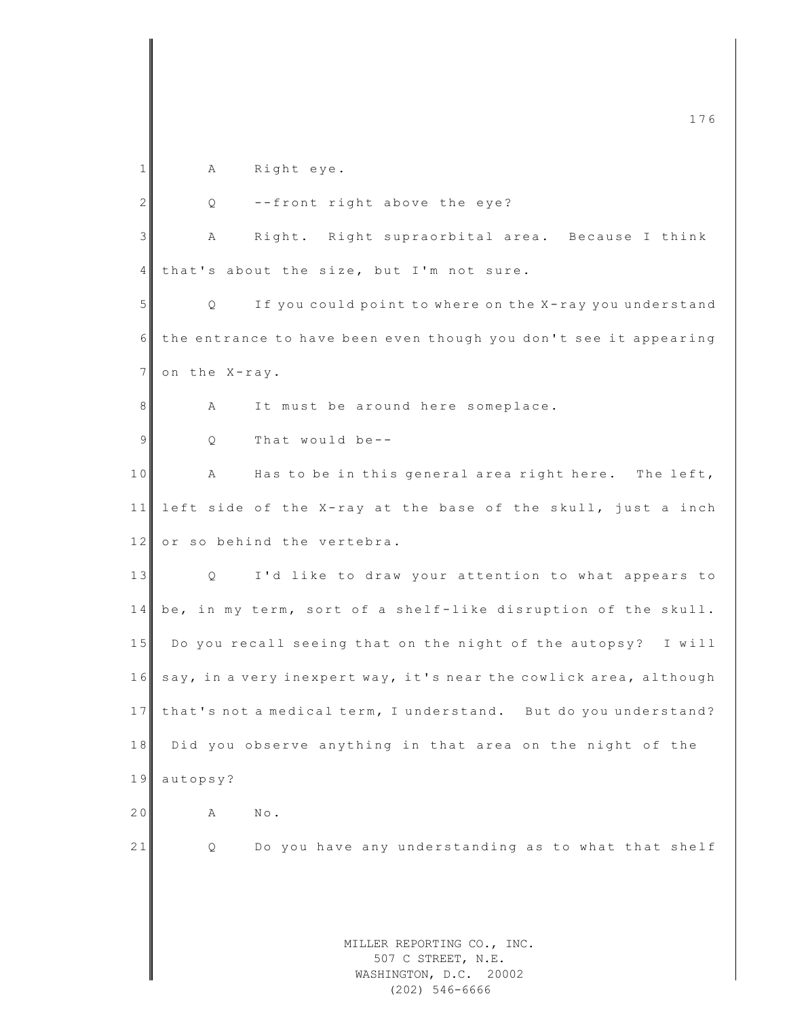|                | 176                                                               |
|----------------|-------------------------------------------------------------------|
| $\mathbf 1$    | Right eye.<br>Α                                                   |
|                |                                                                   |
| 2              | --front right above the eye?<br>Q                                 |
| 3              | Right. Right supraorbital area. Because I think<br>Α              |
| $\overline{4}$ | that's about the size, but I'm not sure.                          |
| 5              | If you could point to where on the X-ray you understand<br>Q      |
| 6              | the entrance to have been even though you don't see it appearing  |
| $7\phantom{.}$ | on the X-ray.                                                     |
| 8              | It must be around here someplace.<br>Α                            |
| 9              | That would be--<br>Q                                              |
| 10             | Has to be in this general area right here. The left,<br>А         |
| 11             | left side of the X-ray at the base of the skull, just a inch      |
| 12             | or so behind the vertebra.                                        |
| 13             | I'd like to draw your attention to what appears to<br>Q           |
| 14             | be, in my term, sort of a shelf-like disruption of the skull.     |
| 15             | Do you recall seeing that on the night of the autopsy? I will     |
| 16             | say, in a very inexpert way, it's near the cowlick area, although |
| 17             | that's not a medical term, I understand. But do you understand?   |
| 18             | Did you observe anything in that area on the night of the         |
| 19             | autopsy?                                                          |
| 20             | $\mbox{N}\circ$ .<br>Α                                            |
| 21             | Do you have any understanding as to what that shelf<br>Q          |
|                |                                                                   |
|                |                                                                   |
|                | MILLER REPORTING CO., INC.                                        |
|                | 507 C STREET, N.E.<br>WASHINGTON, D.C. 20002                      |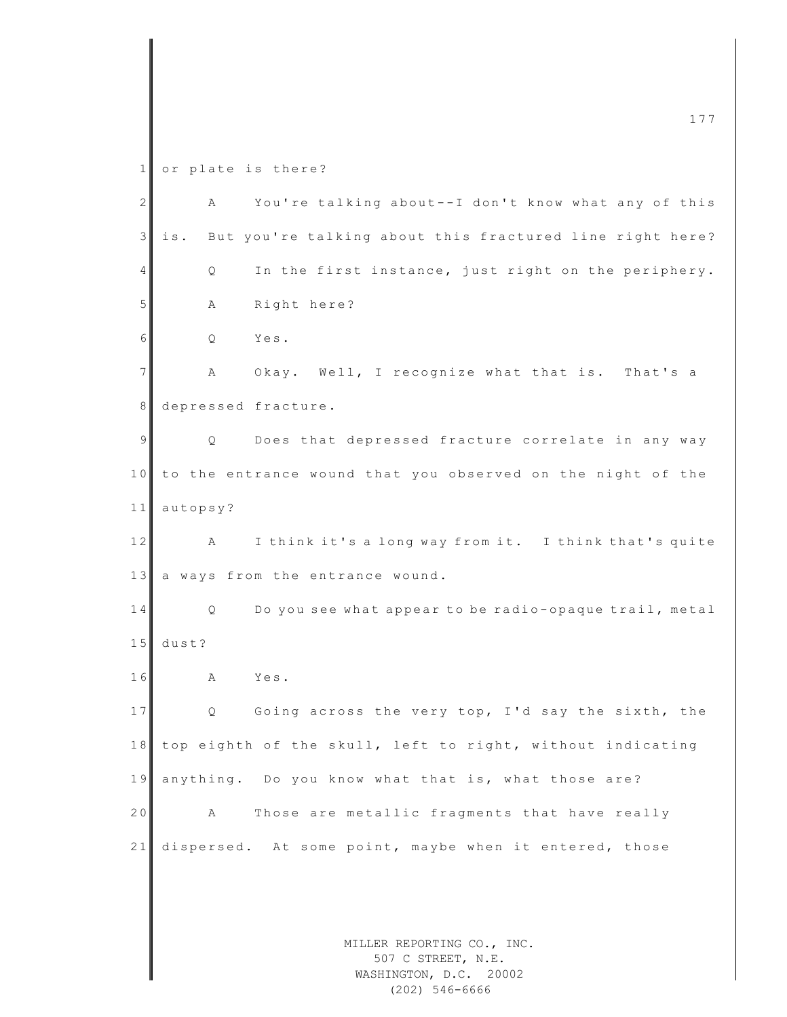1 or plate is there?

| $\mathbf{2}$ | A                   | You're talking about--I don't know what any of this                        |
|--------------|---------------------|----------------------------------------------------------------------------|
| 3            | is.                 | But you're talking about this fractured line right here?                   |
| 4            | Q                   | In the first instance, just right on the periphery.                        |
| 5            | Α                   | Right here?                                                                |
| 6            | Q                   | Yes.                                                                       |
| 7            | А                   | Okay. Well, I recognize what that is. That's a                             |
| 8            | depressed fracture. |                                                                            |
| 9            | Q                   | Does that depressed fracture correlate in any way                          |
| 10           |                     | to the entrance wound that you observed on the night of the                |
| 11           | autopsy?            |                                                                            |
| 12           | A                   | I think it's a long way from it. I think that's quite                      |
| 13           |                     | a ways from the entrance wound.                                            |
| 14           | Q                   | Do you see what appear to be radio-opaque trail, metal                     |
| 15           | $dust$ ?            |                                                                            |
| 16           | Α                   | Yes.                                                                       |
| 17           | Q                   | Going across the very top, I'd say the sixth, the                          |
| 18           |                     | top eighth of the skull, left to right, without indicating                 |
| 19           |                     | anything. Do you know what that is, what those are?                        |
| 20           | А                   | Those are metallic fragments that have really                              |
| 21           |                     | dispersed. At some point, maybe when it entered, those                     |
|              |                     |                                                                            |
|              |                     |                                                                            |
|              |                     | MILLER REPORTING CO., INC.<br>507 C STREET, N.E.<br>WASHINGTON, D.C. 20002 |

WASHINGTON, D.C. 20002 (202) 546-6666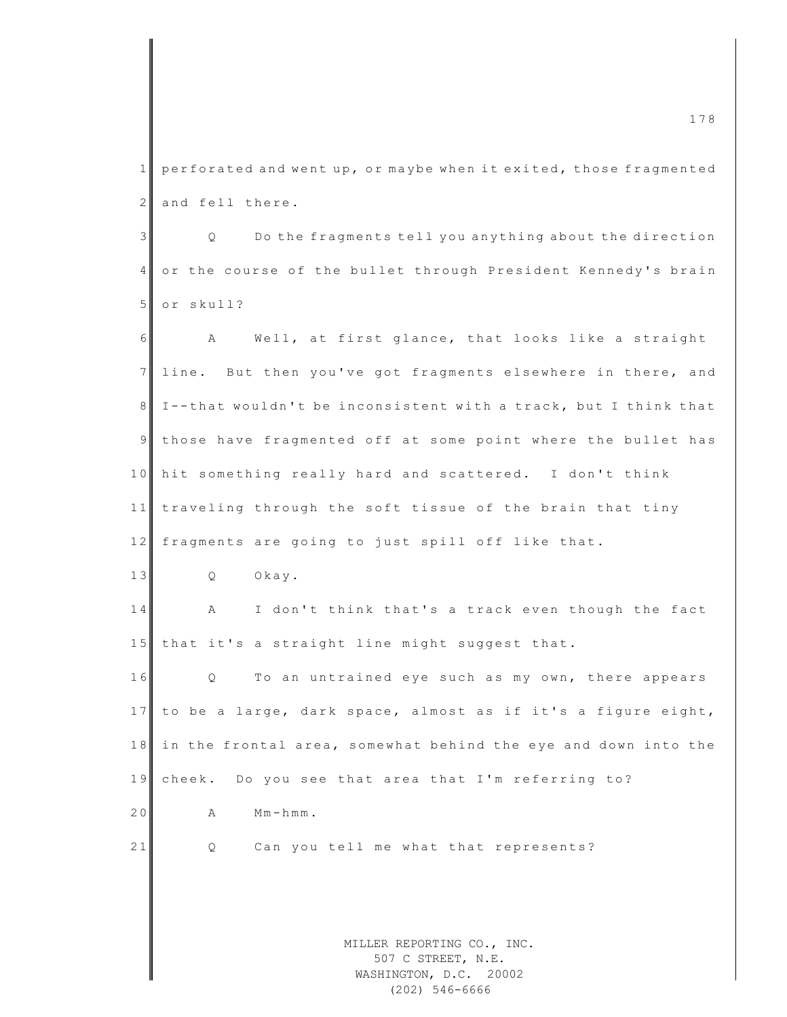$1$  perforated and went up, or maybe when it exited, those fragmented 2 and fell there.

3 Q Do the fragments tell you anything about the direction 4 or the course of the bullet through President Kennedy's brain 5 or skull?

MILLER REPORTING CO., INC. 507 C STREET, N.E. 6 A Well, at first glance, that looks like a straight 7 line. But then you've got fragments elsewhere in there, and 8 I--that wouldn't be inconsistent with a track, but I think that 9 those have fragmented off at some point where the bullet has 10 hit something really hard and scattered. I don't think 11 traveling through the soft tissue of the brain that tiny 12 fragments are going to just spill off like that. 13 Q Okay. 14 A I don't think that's a track even though the fact  $15$  that it's a straight line might suggest that. 16 Q To an untrained eye such as my own, there appears 17 to be a large, dark space, almost as if it's a figure eight, 18 in the frontal area, somewhat behind the eye and down into the 19 cheek. Do you see that area that I'm referring to?  $20$  A  $Mm-hmm.$ 21 Q Can you tell me what that represents?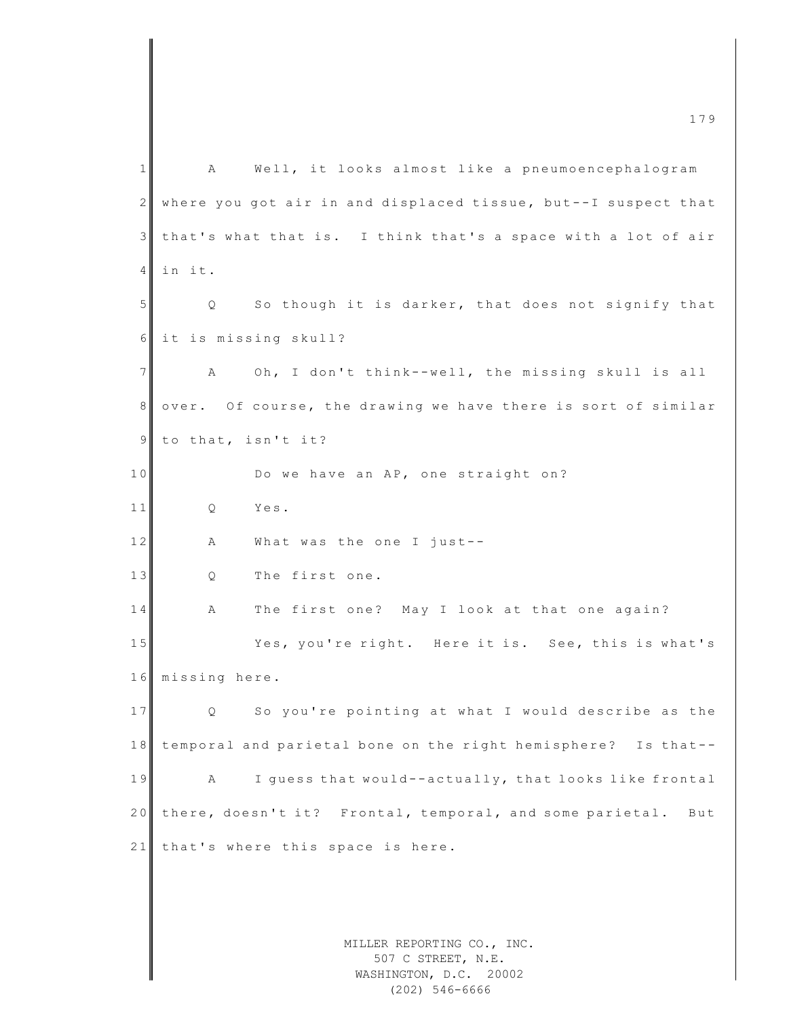MILLER REPORTING CO., INC. 507 C STREET, N.E. WASHINGTON, D.C. 20002 m c  $\frac{179}{2}$ 1 A Well, it looks almost like a pneumoencephalogram  $2 \parallel$  where you got air in and displaced tissue, but--I suspect that 3 that's what that is. I think that's a space with a lot of air 4 in it. 5 Q So though it is darker, that does not signify that 6 it is missing skull? 7 A Oh, I don't think--well, the missing skull is all 8 over. Of course, the drawing we have there is sort of similar 9 to that, isn't it? 10 Do we have an AP, one straight on? 11 O Yes.  $12$   $\parallel$  A What was the one I just--13 Q The first one. 14 A The first one? May I look at that one again? 15 Yes, you're right. Here it is. See, this is what's 16 missing here. 17 Q So you're pointing at what I would describe as the 18 temporal and parietal bone on the right hemisphere? Is that--19 A I guess that would--actually, that looks like frontal 20 there, doesn't it? Frontal, temporal, and some parietal. But 21 that's where this space is here.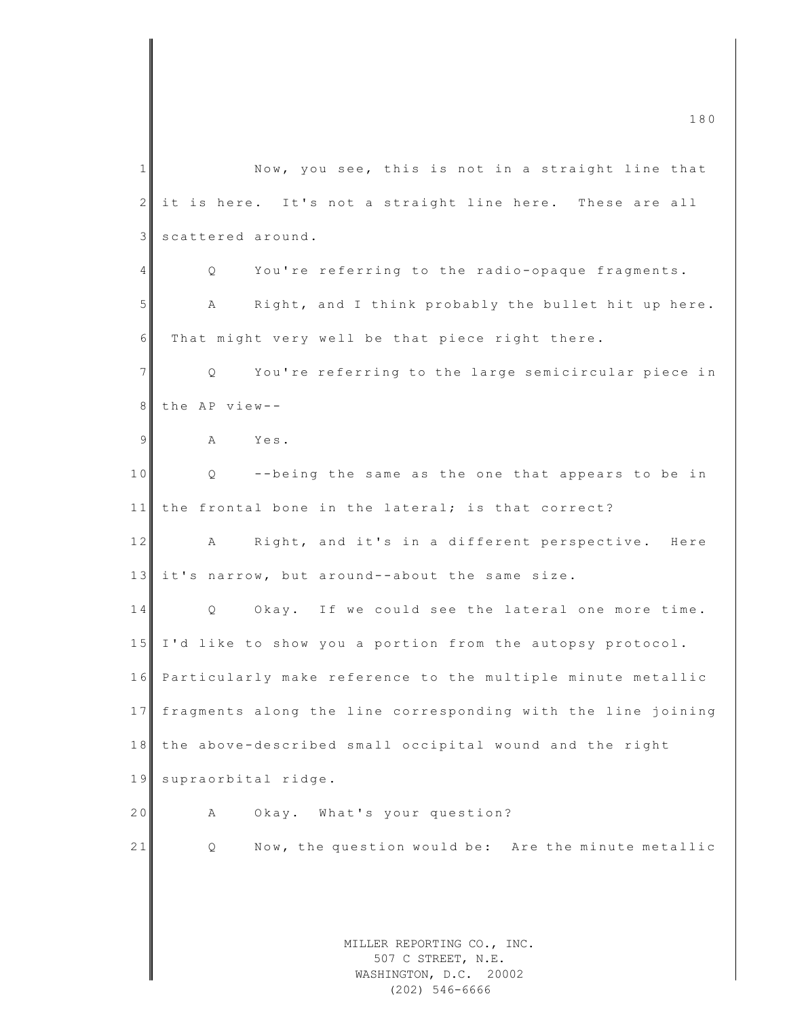MILLER REPORTING CO., INC. 507 C STREET, N.E. WASHINGTON, D.C. 20002 1 Now, you see, this is not in a straight line that  $2$  it is here. It's not a straight line here. These are all 3 scattered around. 4 Q You're referring to the radio-opaque fragments. 5 A Right, and I think probably the bullet hit up here.  $6$  That might very well be that piece right there. 7 | Q You're referring to the large semicircular piece in 8 the AP view--9 A Yes. 10 Q --being the same as the one that appears to be in  $11$  the frontal bone in the lateral; is that correct? 12 A Right, and it's in a different perspective. Here 13 it's narrow, but around--about the same size. 14 Q Okay. If we could see the lateral one more time. 1 5 I'd like to show you a portion from the autopsy protocol. 1 6 Particularly make reference to the multiple minute metallic 17 fragments along the line corresponding with the line joining 18 the above-described small occipital wound and the right 19 supraorbital ridge. 20 A Okay. What's your question? 21 Q Now, the question would be: Are the minute metallic

(202) 546-6666

m c  $\frac{180}{180}$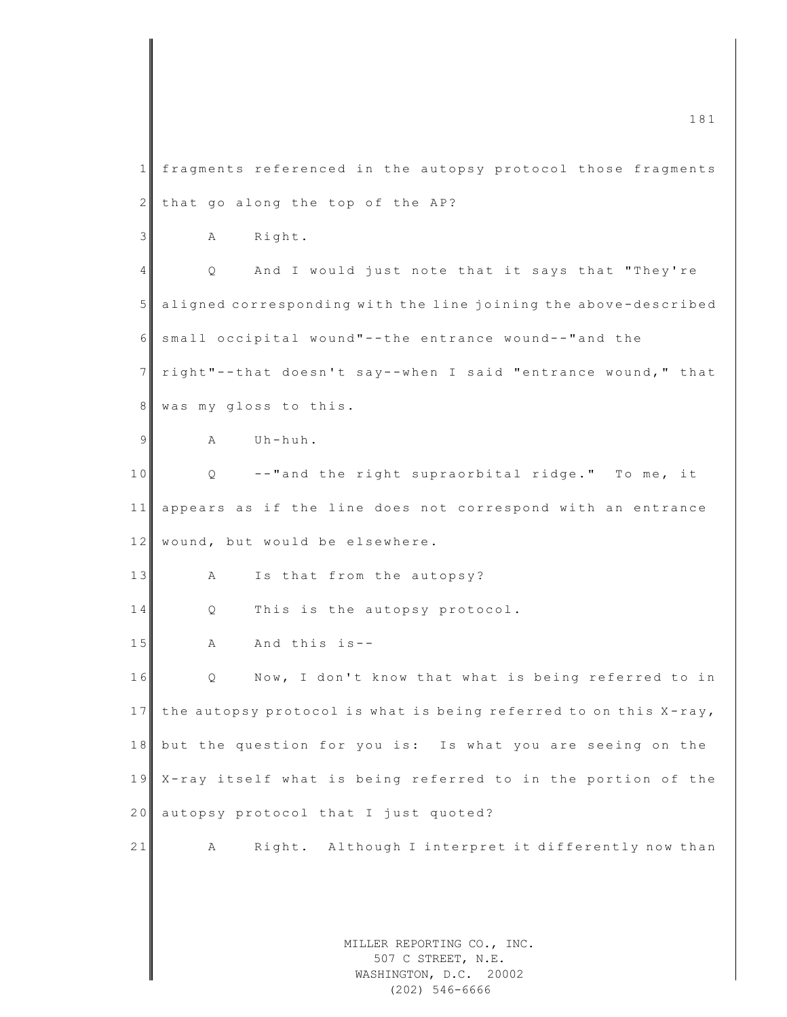|                | 181                                                                        |
|----------------|----------------------------------------------------------------------------|
| 1              | fragments referenced in the autopsy protocol those fragments               |
| $\mathbf{2}$   | that go along the top of the AP?                                           |
| $\mathfrak{Z}$ | Right.<br>А                                                                |
| $\overline{4}$ | And I would just note that it says that "They're<br>Q                      |
| 5              | aligned corresponding with the line joining the above-described            |
| 6              | small occipital wound"--the entrance wound--"and the                       |
| $\overline{7}$ | right"--that doesn't say--when I said "entrance wound," that               |
| 8 <sup>1</sup> | was my gloss to this.                                                      |
| 9              | Uh-huh.<br>Α                                                               |
| 10             | --"and the right supraorbital ridge." To me, it<br>Q                       |
| 11             | appears as if the line does not correspond with an entrance                |
| 12             | wound, but would be elsewhere.                                             |
| 13             | Is that from the autopsy?<br>А                                             |
| 14             | This is the autopsy protocol.<br>Q                                         |
| 15             | And this is--<br>Α                                                         |
| 16             | Now, I don't know that what is being referred to in<br>Q                   |
| 17             | the autopsy protocol is what is being referred to on this X-ray,           |
| 18             | but the question for you is: Is what you are seeing on the                 |
| 19             | X-ray itself what is being referred to in the portion of the               |
| 20             | autopsy protocol that I just quoted?                                       |
| 21             | Right. Although I interpret it differently now than<br>А                   |
|                |                                                                            |
|                |                                                                            |
|                | MILLER REPORTING CO., INC.<br>507 C STREET, N.E.<br>WASHINGTON, D.C. 20002 |

(202) 546-6666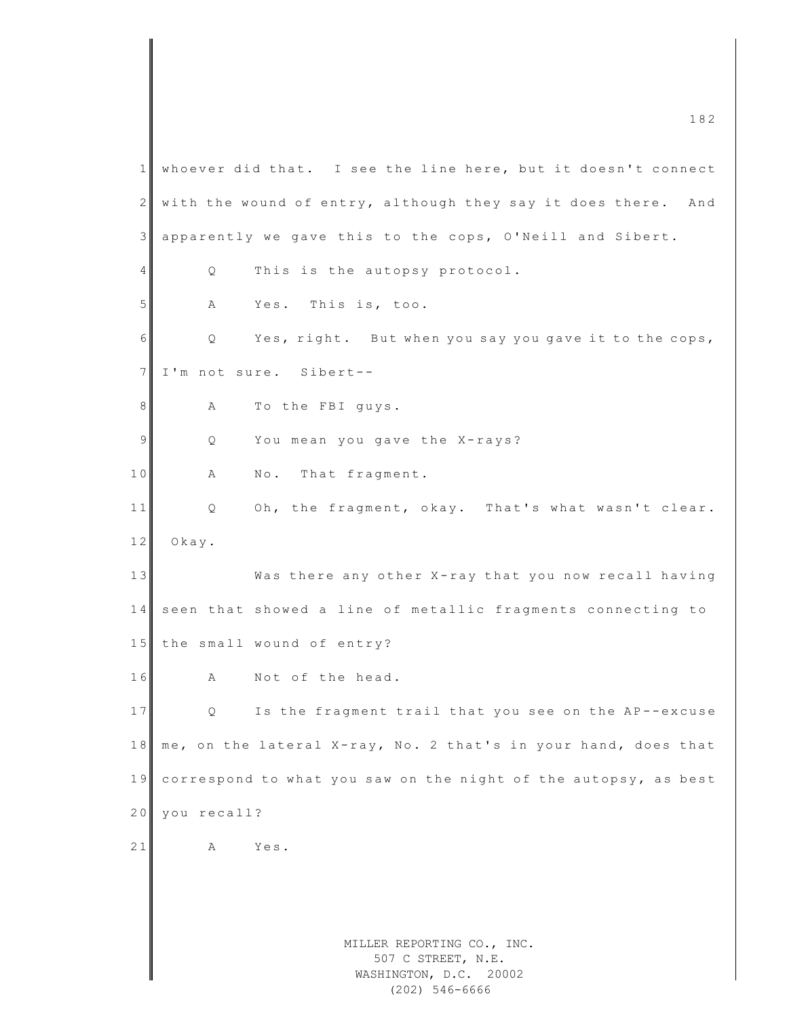MILLER REPORTING CO., INC. 507 C STREET, N.E. WASHINGTON, D.C. 20002 1 whoever did that. I see the line here, but it doesn't connect  $2 \parallel$  with the wound of entry, although they say it does there. And 3 apparently we gave this to the cops, O'Neill and Sibert . 4 Q This is the autopsy protocol. 5 A Yes. This is, too.  $6 \n\begin{array}{ccc} 6 \n\end{array}$  Q Yes, right. But when you say you gave it to the cops, 7 I'm not sure. Sibert--8 A To the FBI guys. 9 Q You mean you gave the X-rays? 10 A No. That fragment. 11 Q Oh, the fragment, okay. That's what wasn't clear. 12 Okay. 13 Was there any other X-ray that you now recall having 14 seen that showed a line of metallic fragments connecting to 15 the small wound of entry? 16 A Not of the head. 17 Q Is the fragment trail that you see on the AP--excuse 18 me, on the lateral X-ray, No. 2 that's in your hand, does that 19 correspond to what you saw on the night of the autopsy, as best 20 you recall? 21 A Yes.

(202) 546-6666

 $\frac{182}{200}$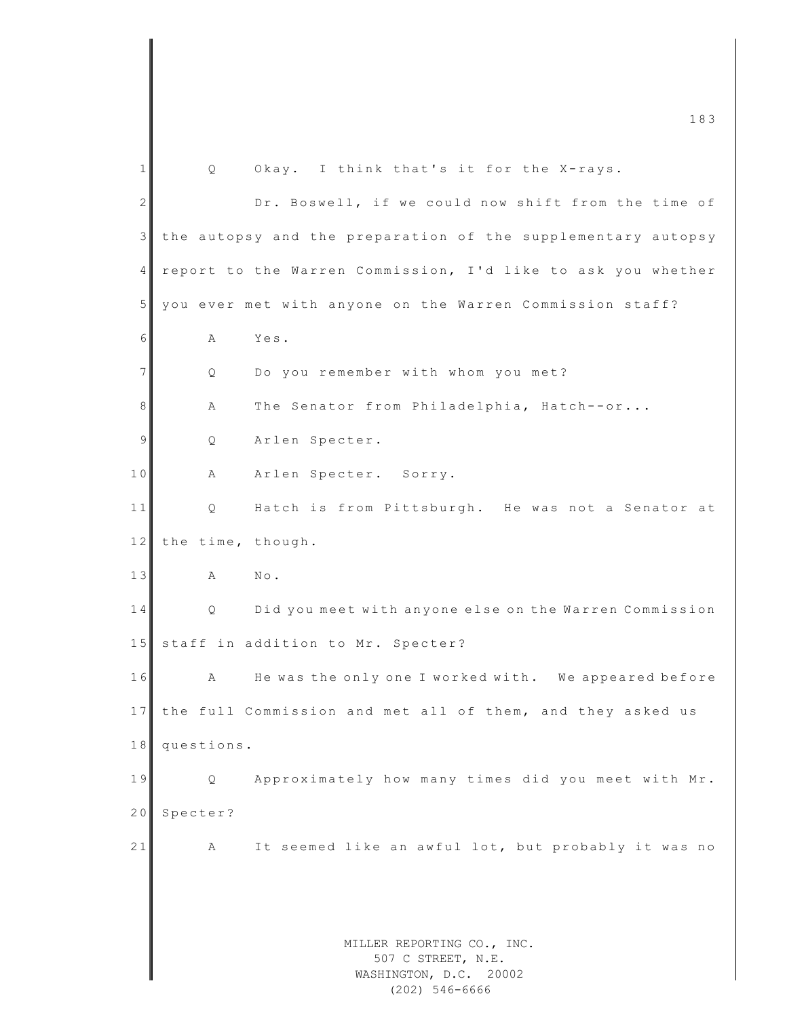MILLER REPORTING CO., INC. 507 C STREET, N.E. WASHINGTON, D.C. 20002  $1 \parallel$  Q Okay. I think that's it for the X-rays. 2 Dr. Boswell, if we could now shift from the time of 3 the autopsy and the preparation of the supplementary autopsy 4 report to the Warren Commission, I'd like to ask you whether 5 you ever met with anyone on the Warren Commission staff? 6 A Yes. 7 Q Do you remember with whom you met? 8 A The Senator from Philadelphia, Hatch--or... 9 Q Arlen Specter. 10 A Arlen Specter. Sorry. 11 Q Hatch is from Pittsburgh. He was not a Senator at 12 the time, though. 13 A No. 14 Q Did you meet with anyone else on the Warren Commission 15 staff in addition to Mr. Specter? 16 A He was the only one I worked with. We appeared before 17 the full Commission and met all of them, and they asked us 18 questions. 19 Q Approximately how many times did you meet with Mr. 20 Specter? 21 A It seemed like an awful lot, but probably it was no

(202) 546-6666

m c  $\frac{183}{2}$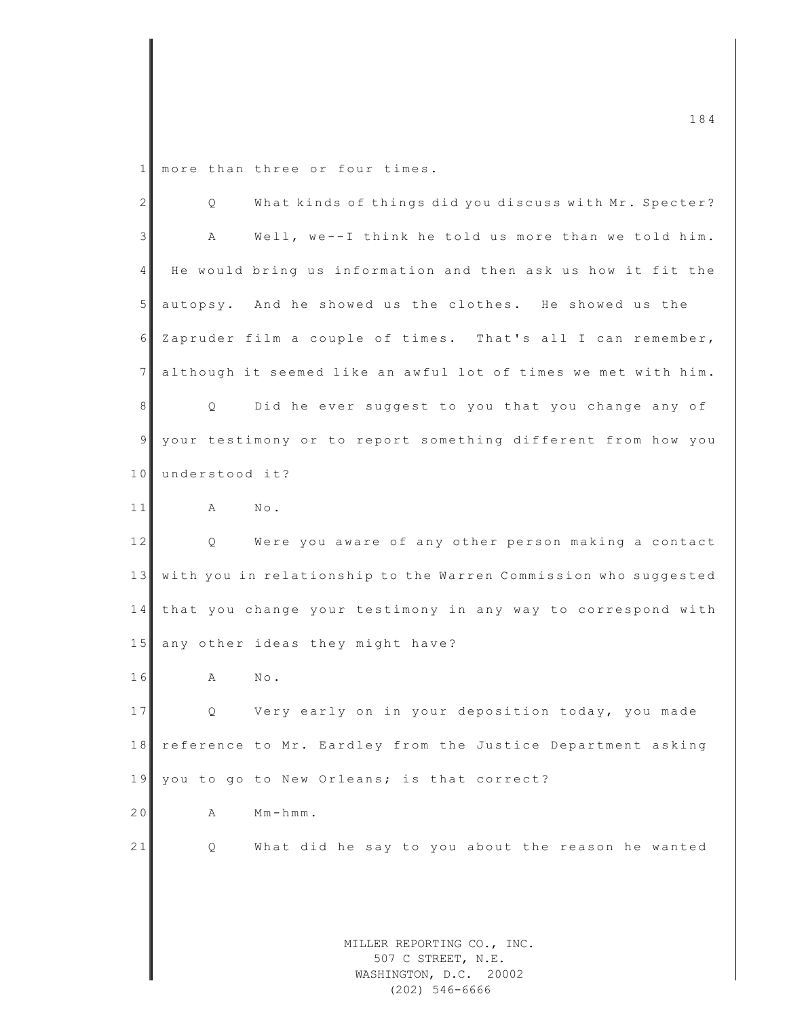1 more than three or four times.

| $\overline{2}$  | What kinds of things did you discuss with Mr. Specter?<br>Q     |
|-----------------|-----------------------------------------------------------------|
| 3               | Well, we--I think he told us more than we told him.<br>Α        |
| 4 <sup>1</sup>  | He would bring us information and then ask us how it fit the    |
| 5 <sub>l</sub>  | autopsy. And he showed us the clothes. He showed us the         |
| 6               | Zapruder film a couple of times. That's all I can remember,     |
| 7               | although it seemed like an awful lot of times we met with him.  |
| 8 <sup>1</sup>  | Did he ever suggest to you that you change any of<br>Q          |
| 9               | your testimony or to report something different from how you    |
| 10 <sup>1</sup> | understood it?                                                  |
| 11              | $\mathbb A$<br>$\mathbb{N} \circ$ .                             |
| 12              | Were you aware of any other person making a contact<br>Q        |
| 13              | with you in relationship to the Warren Commission who suggested |
| 14              | that you change your testimony in any way to correspond with    |
| 15              | any other ideas they might have?                                |
| 16              | Α<br>$\mathbb{N}\circ$ .                                        |
| 17              | Very early on in your deposition today, you made<br>Q           |
| 18              | reference to Mr. Eardley from the Justice Department asking     |
| 19              | you to go to New Orleans; is that correct?                      |
| 20              | $Mm - hmm$ .<br>А                                               |
| 21              | What did he say to you about the reason he wanted<br>Q          |
|                 |                                                                 |
|                 |                                                                 |
|                 | MILLER REPORTING CO., INC.                                      |
|                 | 507 C STREET, N.E.                                              |
|                 | WASHINGTON, D.C. 20002                                          |

WASHINGTON, D.C. 20002 (202) 546-6666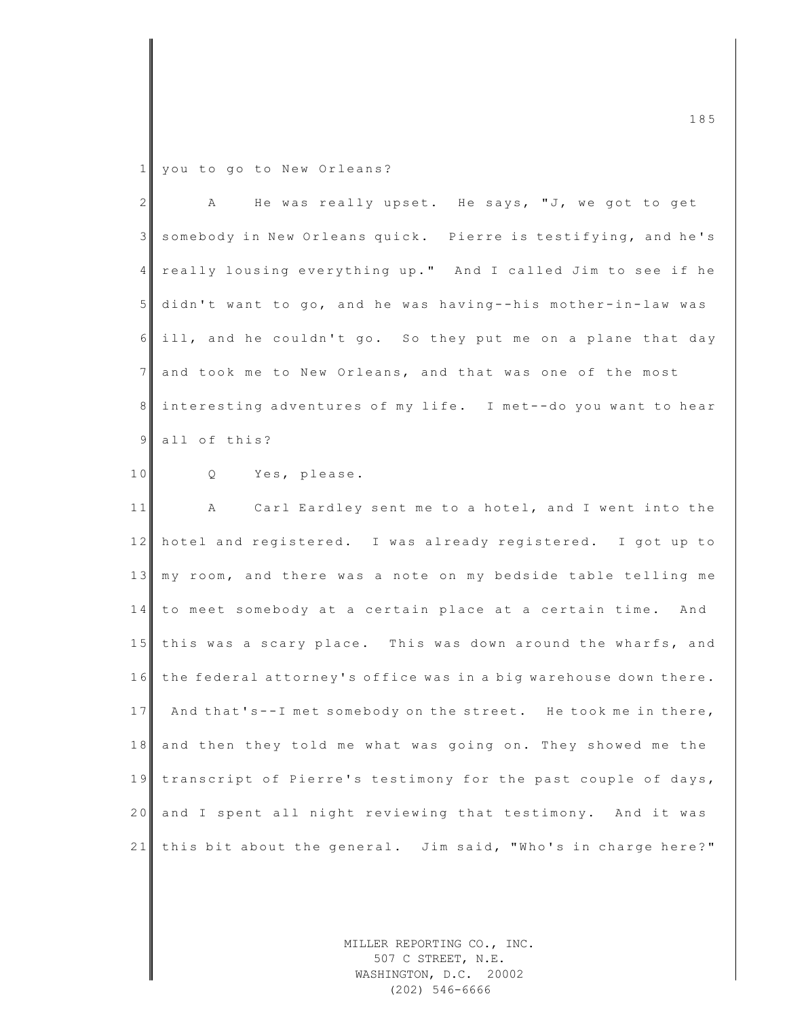1 you to go to New Orleans?

| 2 <sup>1</sup> | He was really upset. He says, "J, we got to get<br>A             |
|----------------|------------------------------------------------------------------|
| 3              | somebody in New Orleans quick. Pierre is testifying, and he's    |
| 4              | really lousing everything up." And I called Jim to see if he     |
| $5\phantom{.}$ | didn't want to go, and he was having--his mother-in-law was      |
| 6              | ill, and he couldn't go. So they put me on a plane that day      |
| 7              | and took me to New Orleans, and that was one of the most         |
| 8              | interesting adventures of my life. I met--do you want to hear    |
| 9              | all of this?                                                     |
| 10             | Q Yes, please.                                                   |
| 11             | A Carl Eardley sent me to a hotel, and I went into the           |
| 12             | hotel and registered. I was already registered. I got up to      |
| 13             | my room, and there was a note on my bedside table telling me     |
|                | 14   to meet somebody at a certain place at a certain time. And  |
| 15             | this was a scary place. This was down around the wharfs, and     |
| 16             | the federal attorney's office was in a big warehouse down there. |
| 17             | And that's--I met somebody on the street. He took me in there,   |
| 18             | and then they told me what was going on. They showed me the      |
| 19             | transcript of Pierre's testimony for the past couple of days,    |
| 20             | and I spent all night reviewing that testimony. And it was       |
| 21             | this bit about the general. Jim said, "Who's in charge here?"    |

MILLER REPORTING CO., INC. 507 C STREET, N.E. WASHINGTON, D.C. 20002 (202) 546-6666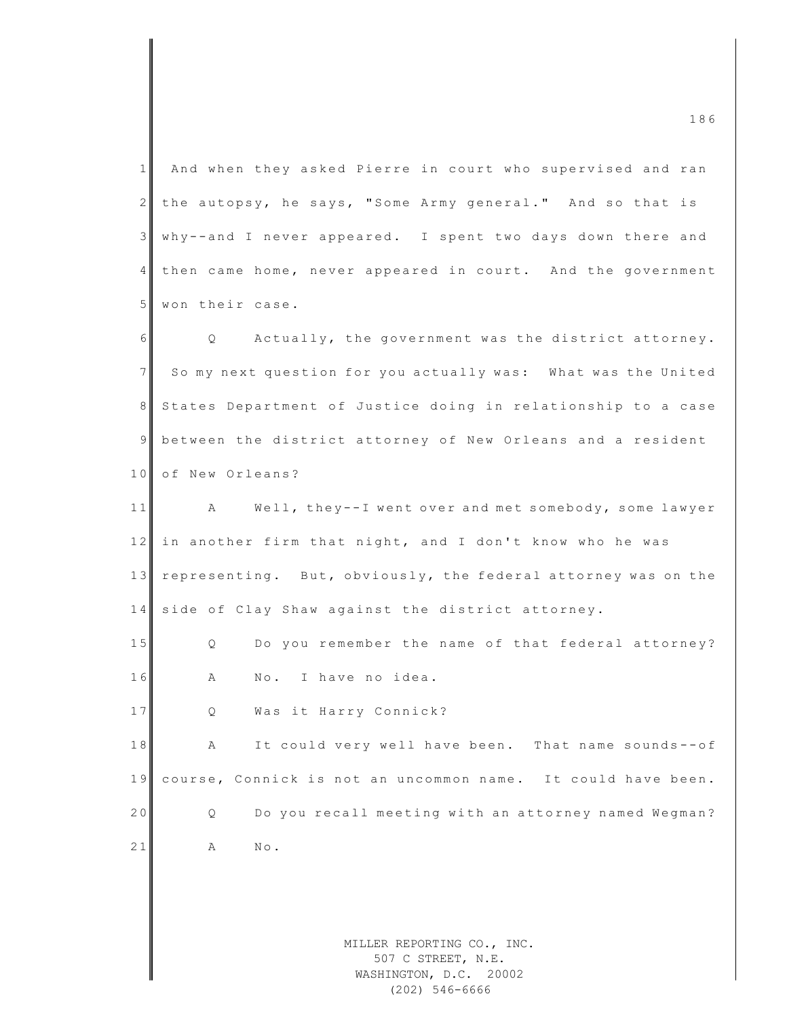|                 | 186                                                                        |
|-----------------|----------------------------------------------------------------------------|
| $\mathbf{1}$    | And when they asked Pierre in court who supervised and ran                 |
| $\mathbf{2}$    | the autopsy, he says, "Some Army general." And so that is                  |
| 3               | why--and I never appeared. I spent two days down there and                 |
| $4\overline{ }$ | then came home, never appeared in court. And the government                |
| 5 <sub>1</sub>  | won their case.                                                            |
| 6               | Actually, the government was the district attorney.<br>$Q \qquad \qquad$   |
| 7 <sup>1</sup>  | So my next question for you actually was: What was the United              |
| 8               | States Department of Justice doing in relationship to a case               |
| 9               | between the district attorney of New Orleans and a resident                |
| 10              | of New Orleans?                                                            |
| 11              | A Well, they--I went over and met somebody, some lawyer                    |
| 12              | in another firm that night, and I don't know who he was                    |
| 13              | representing. But, obviously, the federal attorney was on the              |
| 14              | side of Clay Shaw against the district attorney.                           |
| $1\,5$          | Do you remember the name of that federal attorney?<br>Q.                   |
| 16              | No. I have no idea.<br>Α                                                   |
| 17              | Was it Harry Connick?<br>Q.                                                |
| 18              | It could very well have been. That name sounds--of<br>Α                    |
| 19              | course, Connick is not an uncommon name. It could have been.               |
| 20              | Do you recall meeting with an attorney named Wegman?<br>Q.                 |
| 21              | Α<br>$\mathbb{N}\circ$ .                                                   |
|                 |                                                                            |
|                 |                                                                            |
|                 | MILLER REPORTING CO., INC.<br>507 C STREET, N.E.<br>WASHINGTON, D.C. 20002 |

WASHINGTON, D.C. 20002 (202) 546-6666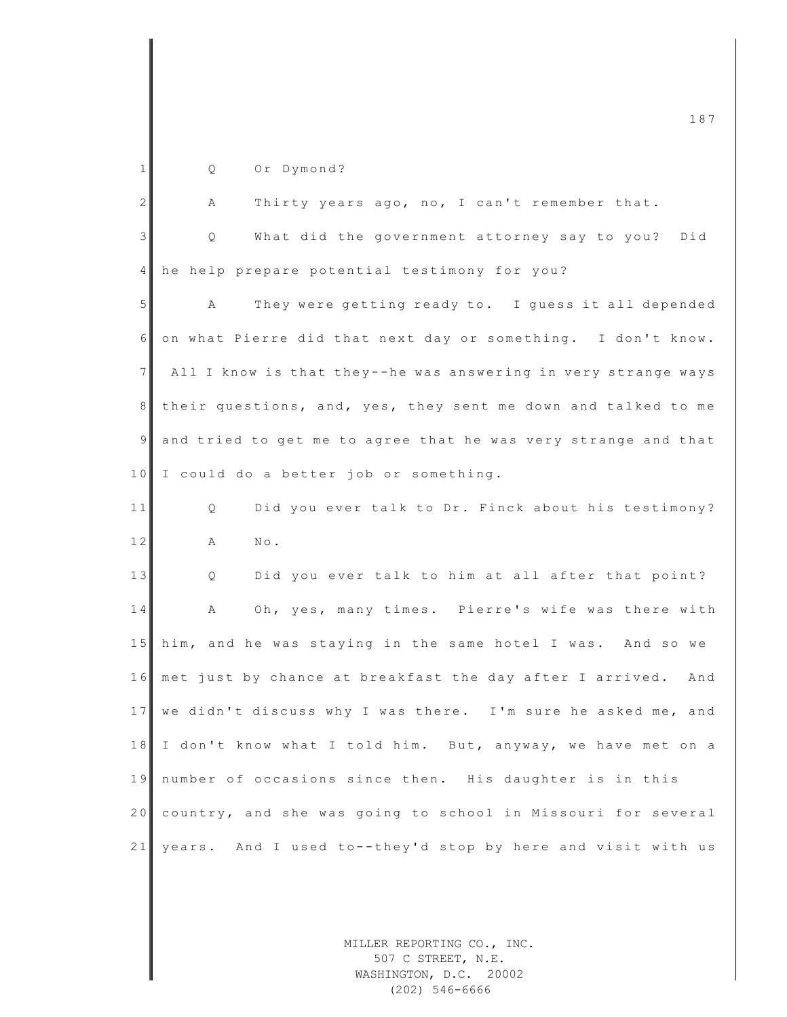| $\mathbf{1}$ | Or Dymond?<br>Q                                                 |
|--------------|-----------------------------------------------------------------|
| 2            | Thirty years ago, no, I can't remember that.<br>Α               |
| 3            | What did the government attorney say to you? Did<br>Q           |
| 4            | he help prepare potential testimony for you?                    |
| 5            | They were getting ready to. I guess it all depended<br>A        |
| 6            | on what Pierre did that next day or something. I don't know.    |
| 7            | All I know is that they--he was answering in very strange ways  |
| 8            | their questions, and, yes, they sent me down and talked to me   |
| $\mathsf{S}$ | and tried to get me to agree that he was very strange and that  |
| 10           | I could do a better job or something.                           |
| 11           | Did you ever talk to Dr. Finck about his testimony?<br>Q        |
| 12           | Α<br>$N \circ$ .                                                |
| 13           | Did you ever talk to him at all after that point?<br>Q          |
| 14           | Oh, yes, many times. Pierre's wife was there with<br>A          |
| 15           | him, and he was staying in the same hotel I was. And so we      |
| 16           | met just by chance at breakfast the day after I arrived.<br>And |
| 17           | we didn't discuss why I was there. I'm sure he asked me, and    |
| 18           | I don't know what I told him. But, anyway, we have met on a     |
| 19           | number of occasions since then. His daughter is in this         |
| 20           | country, and she was going to school in Missouri for several    |
| 21           | years. And I used to--they'd stop by here and visit with us     |
|              |                                                                 |

MILLER REPORTING CO., INC. 507 C STREET, N.E. WASHINGTON, D.C. 20002 (202) 546-6666

m c  $187$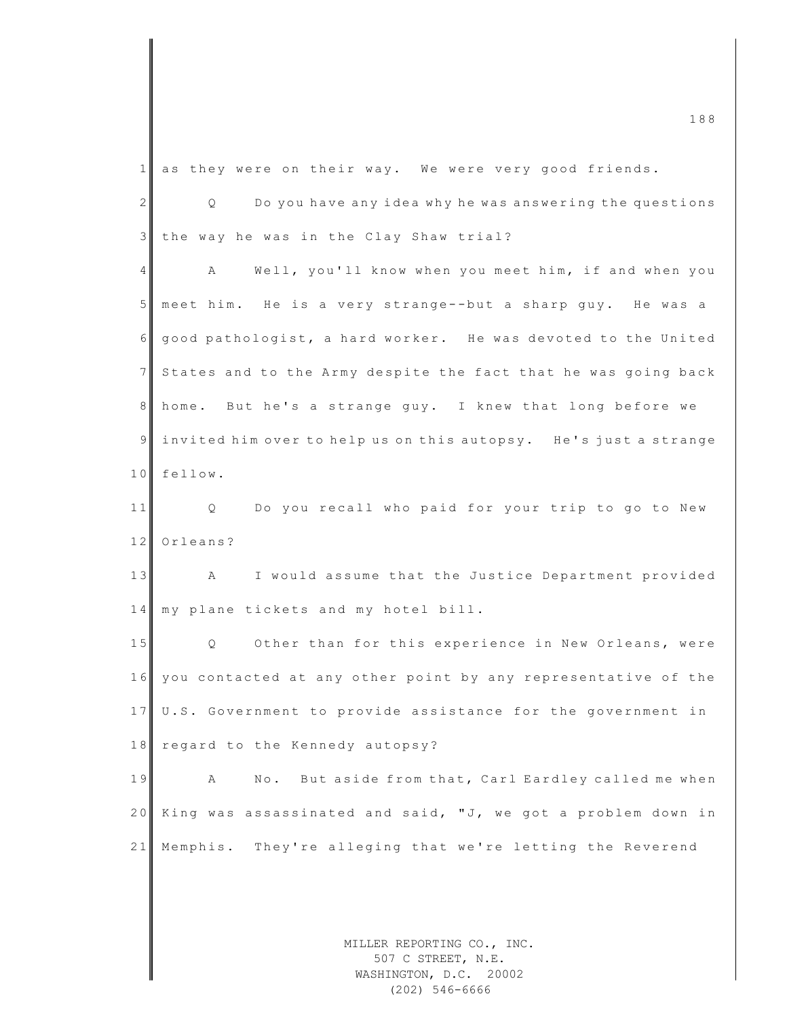| $\mathbf{1}$   | as they were on their way. We were very good friends.                  |
|----------------|------------------------------------------------------------------------|
| $\mathbf{2}$   | Do you have any idea why he was answering the questions<br>$Q_{\rm c}$ |
| $\mathfrak{Z}$ | the way he was in the Clay Shaw trial?                                 |
| 4              | Well, you'll know when you meet him, if and when you<br>A              |
| 5 <sup>5</sup> | meet him. He is a very strange--but a sharp guy. He was a              |
| 6              | good pathologist, a hard worker. He was devoted to the United          |
| 7 <sup>1</sup> | States and to the Army despite the fact that he was going back         |
| 8              | home. But he's a strange guy. I knew that long before we               |
| $\mathsf{S}$   | invited him over to help us on this autopsy. He's just a strange       |
| 10             | fellow.                                                                |
| 11             | Do you recall who paid for your trip to go to New<br>Q                 |
| 12             | Orleans?                                                               |
| 13             | I would assume that the Justice Department provided<br>$\mathbf{A}$    |
| 14             | my plane tickets and my hotel bill.                                    |
| 15             | Q Other than for this experience in New Orleans, were                  |
| 16             | you contacted at any other point by any representative of the          |
| 17             | U.S. Government to provide assistance for the government in            |
| 18             | regard to the Kennedy autopsy?                                         |
| 19             | No. But aside from that, Carl Eardley called me when<br>А              |
| 20             | King was assassinated and said, "J, we got a problem down in           |
| 21             | They're alleging that we're letting the Reverend<br>Memphis.           |
|                |                                                                        |
|                |                                                                        |
|                | MILLER REPORTING CO., INC.                                             |

507 C STREET, N.E. WASHINGTON, D.C. 20002 (202) 546-6666

m c  $\frac{188}{188}$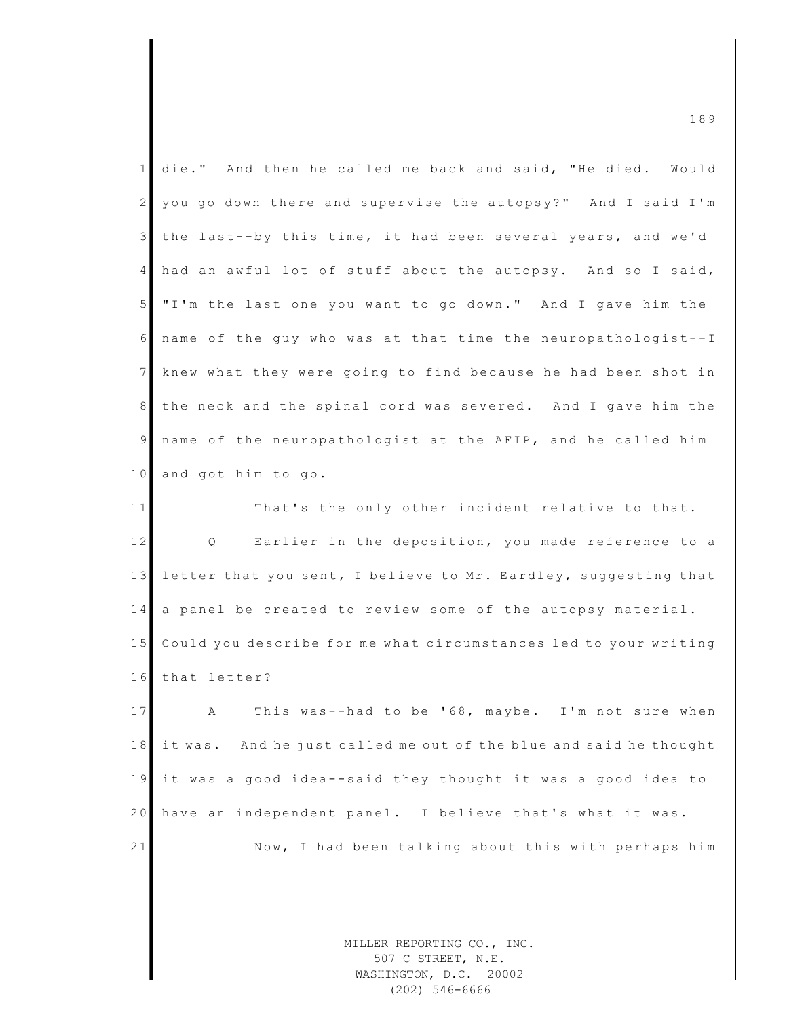| 1              | die." And then he called me back and said, "He died. Would                 |
|----------------|----------------------------------------------------------------------------|
| $\overline{2}$ | you go down there and supervise the autopsy?" And I said I'm               |
| 3              | the last--by this time, it had been several years, and we'd                |
| $\overline{4}$ | had an awful lot of stuff about the autopsy. And so I said,                |
| 5 <sub>1</sub> | "I'm the last one you want to go down." And I gave him the                 |
| 6              | name of the guy who was at that time the neuropathologist--I               |
| $7\phantom{.}$ | knew what they were going to find because he had been shot in              |
| 8              | the neck and the spinal cord was severed. And I gave him the               |
| 9              | name of the neuropathologist at the AFIP, and he called him                |
| 10             | and got him to go.                                                         |
| 11             | That's the only other incident relative to that.                           |
| 12             | Earlier in the deposition, you made reference to a<br>$Q \qquad \qquad$    |
| 13             | letter that you sent, I believe to Mr. Eardley, suggesting that            |
| 14             | a panel be created to review some of the autopsy material.                 |
| 15             | Could you describe for me what circumstances led to your writing           |
| 16             | that letter?                                                               |
| 17             | Α<br>This was--had to be '68, maybe. I'm not sure when                     |
| 18             | it was. And he just called me out of the blue and said he thought          |
| 19             | it was a good idea--said they thought it was a good idea to                |
| 20             | have an independent panel. I believe that's what it was.                   |
| 21             | Now, I had been talking about this with perhaps him                        |
|                |                                                                            |
|                |                                                                            |
|                | MILLER REPORTING CO., INC.<br>507 C STREET, N.E.<br>WASHINGTON, D.C. 20002 |

m c  $\frac{1}{8}$  and  $\frac{1}{8}$  and  $\frac{1}{8}$  and  $\frac{1}{8}$  and  $\frac{1}{8}$  and  $\frac{1}{8}$  and  $\frac{1}{8}$  and  $\frac{1}{8}$  and  $\frac{1}{8}$  and  $\frac{1}{8}$  and  $\frac{1}{8}$  and  $\frac{1}{8}$  and  $\frac{1}{8}$  and  $\frac{1}{8}$  and  $\frac{1}{8}$  and  $\frac{1}{8$ 

WASHINGTON, D.C. 20002 (202) 546-6666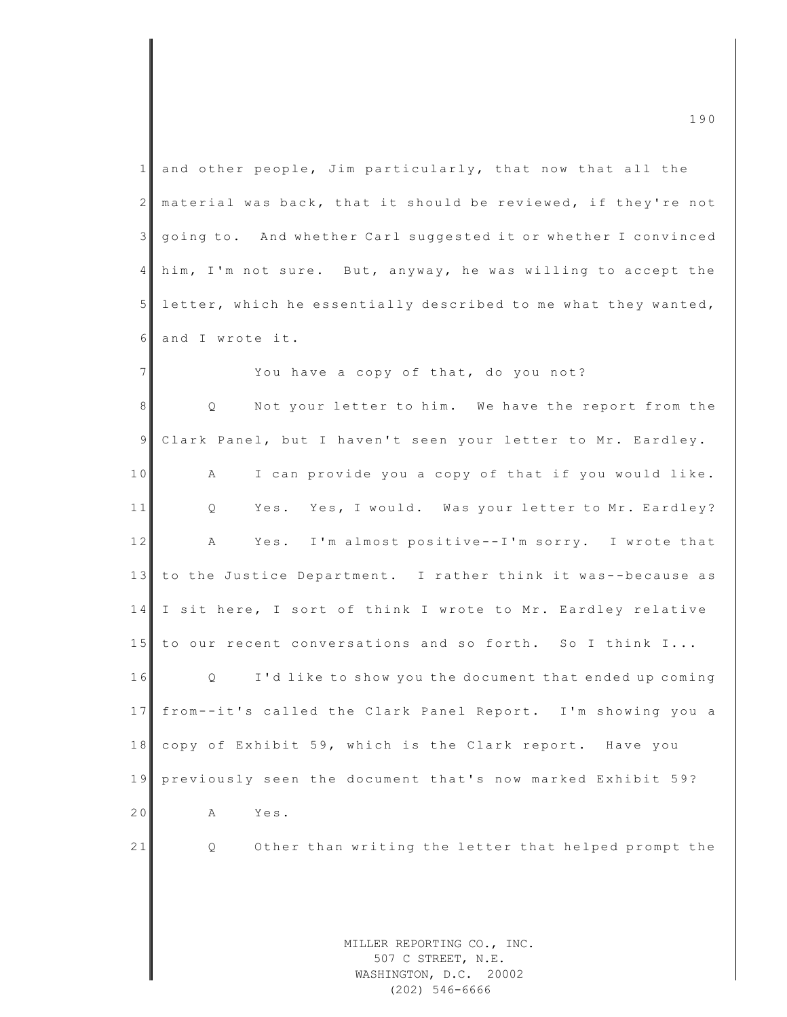| 1              | and other people, Jim particularly, that now that all the                |
|----------------|--------------------------------------------------------------------------|
| $\overline{2}$ | material was back, that it should be reviewed, if they're not            |
| $\mathcal{S}$  | going to. And whether Carl suggested it or whether I convinced           |
| 4              | him, I'm not sure. But, anyway, he was willing to accept the             |
| $5\phantom{.}$ | letter, which he essentially described to me what they wanted,           |
| 6              | and I wrote it.                                                          |
| $\overline{7}$ | You have a copy of that, do you not?                                     |
| 8              | Not your letter to him. We have the report from the<br>$Q \qquad \qquad$ |
| $\overline{9}$ | Clark Panel, but I haven't seen your letter to Mr. Eardley.              |
| 10             | I can provide you a copy of that if you would like.<br>А                 |
| 11             | Yes. Yes, I would. Was your letter to Mr. Eardley?<br>Q                  |
| 12             | Yes. I'm almost positive--I'm sorry. I wrote that<br>A                   |
| 13             | to the Justice Department. I rather think it was--because as             |
| 14             | I sit here, I sort of think I wrote to Mr. Eardley relative              |
| 15             | to our recent conversations and so forth. So I think I                   |
| 16             | Q<br>I'd like to show you the document that ended up coming              |
| 17             | from--it's called the Clark Panel Report. I'm showing you a              |
| 18             | copy of Exhibit 59, which is the Clark report. Have you                  |
| 19             | previously seen the document that's now marked Exhibit 59?               |
| 20             | Yes.<br>Α                                                                |
| 21             | Other than writing the letter that helped prompt the<br>Q                |
|                |                                                                          |
|                |                                                                          |
|                | MILLER REPORTING CO., INC.                                               |

m c  $\frac{1}{2}$  190

507 C STREET, N.E. WASHINGTON, D.C. 20002 (202) 546-6666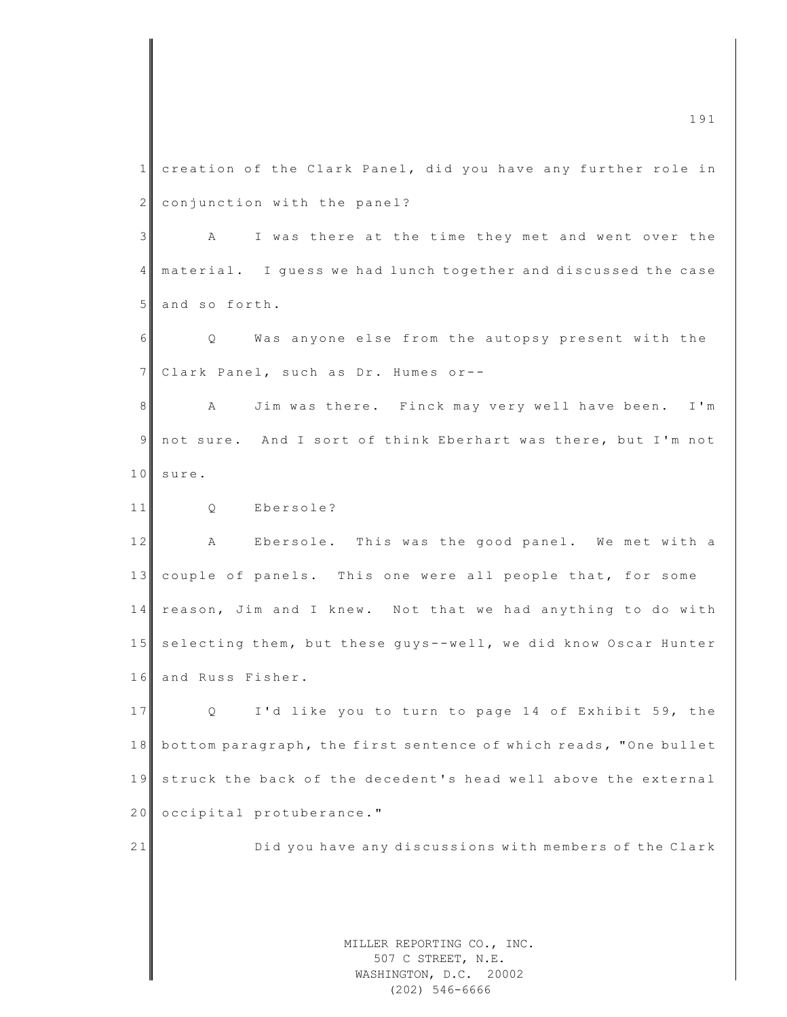MILLER REPORTING CO., INC. 507 C STREET, N.E. WASHINGTON, D.C. 20002 1 creation of the Clark Panel, did you have any further role in 2 conjunction with the panel? 3 A I was there at the time they met and went over the 4 material. I guess we had lunch together and discussed the case 5 and so forth. 6 Q Was anyone else from the autopsy present with the 7 Clark Panel, such as Dr. Humes or--8 A Jim was there. Finck may very well have been. I'm 9 not sure. And I sort of think Eberhart was there, but I'm not 10 sure. 11 0 Ebersole? 12 A Ebersole. This was the good panel. We met with a 13 couple of panels. This one were all people that, for some 14 reason, Jim and I knew. Not that we had anything to do with 15 selecting them, but these guys--well, we did know Oscar Hunter 16 and Russ Fisher. 17 Q I'd like you to turn to page 14 of Exhibit 59, the 18 bottom paragraph, the first sentence of which reads, "One bullet 19 struck the back of the decedent's head well above the external 20 occipital protuberance." 21 Did you have any discussions with members of the Clark

(202) 546-6666

m c  $191$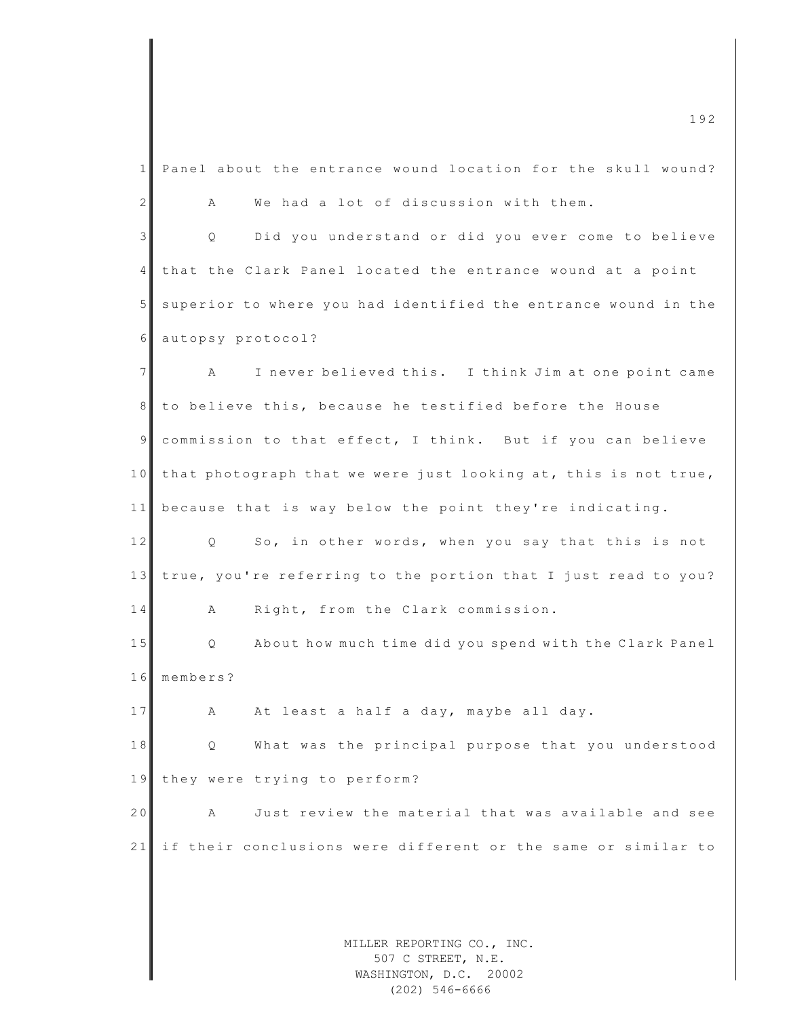MILLER REPORTING CO., INC. 1 Panel about the entrance wound location for the skull wound? 2 A We had a lot of discussion with them. 3 | Q Did you understand or did you ever come to believe 4 that the Clark Panel located the entrance wound at a point 5 superior to where you had identified the entrance wound in the 6 autopsy protocol? 7 A I never believed this. I think Jim at one point came 8 to believe this, because he testified before the House 9 commission to that effect, I think. But if you can believe 10 that photograph that we were just looking at, this is not true, 11 because that is way below the point they're indicating. 12 Q So, in other words, when you say that this is not 13 true, you're referring to the portion that I just read to you? 14 A Right, from the Clark commission. 15 Q About how much time did you spend with the Clark Panel 16 members? 17 A At least a half a day, maybe all day. 18 Q What was the principal purpose that you understood 19 they were trying to perform? 20 A Just review the material that was available and see 21 if their conclusions were different or the same or similar to

507 C STREET, N.E. WASHINGTON, D.C. 20002 (202) 546-6666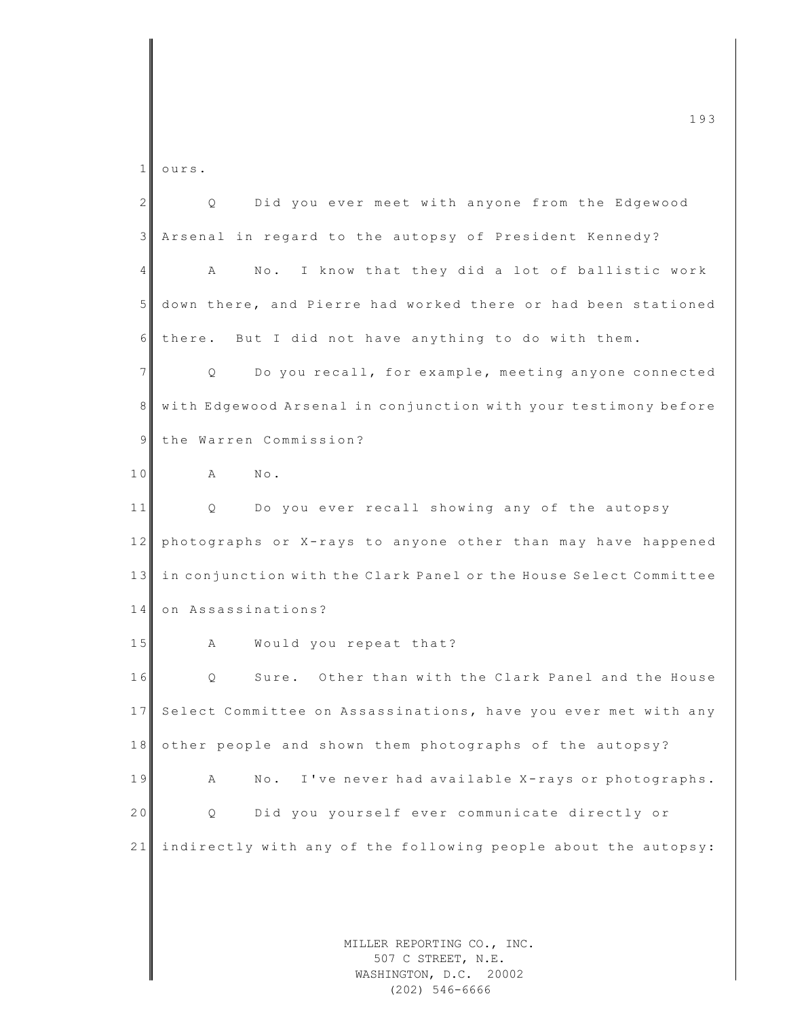MILLER REPORTING CO., INC. 507 C STREET, N.E. 1 ours. 2 Q Did you ever meet with anyone from the Edgewood 3 Arsenal in regard to the autopsy of President Kennedy? 4 A No. I know that they did a lot of ballistic work 5 down there, and Pierre had worked there or had been stationed  $6$  there. But I did not have anything to do with them. 7 Q Do you recall, for example, meeting anyone connected 8 with Edgewood Arsenal in conjunction with your testimony before 9 the Warren Commission? 10 A No. 11 Q Do you ever recall showing any of the autopsy 12 photographs or X-rays to anyone other than may have happened 13 in conjunction with the Clark Panel or the House Select Committee 14 on Assassinations? 15 A Would you repeat that? 16 | Q Sure. Other than with the Clark Panel and the House 17 Select Committee on Assassinations, have you ever met with any 18 other people and shown them photographs of the autopsy? 19 A No. I've never had available X-rays or photographs. 20 Q Did you yourself ever communicate directly or 21 indirectly with any of the following people about the autopsy:

m c  $193$ 

WASHINGTON, D.C. 20002

(202) 546-6666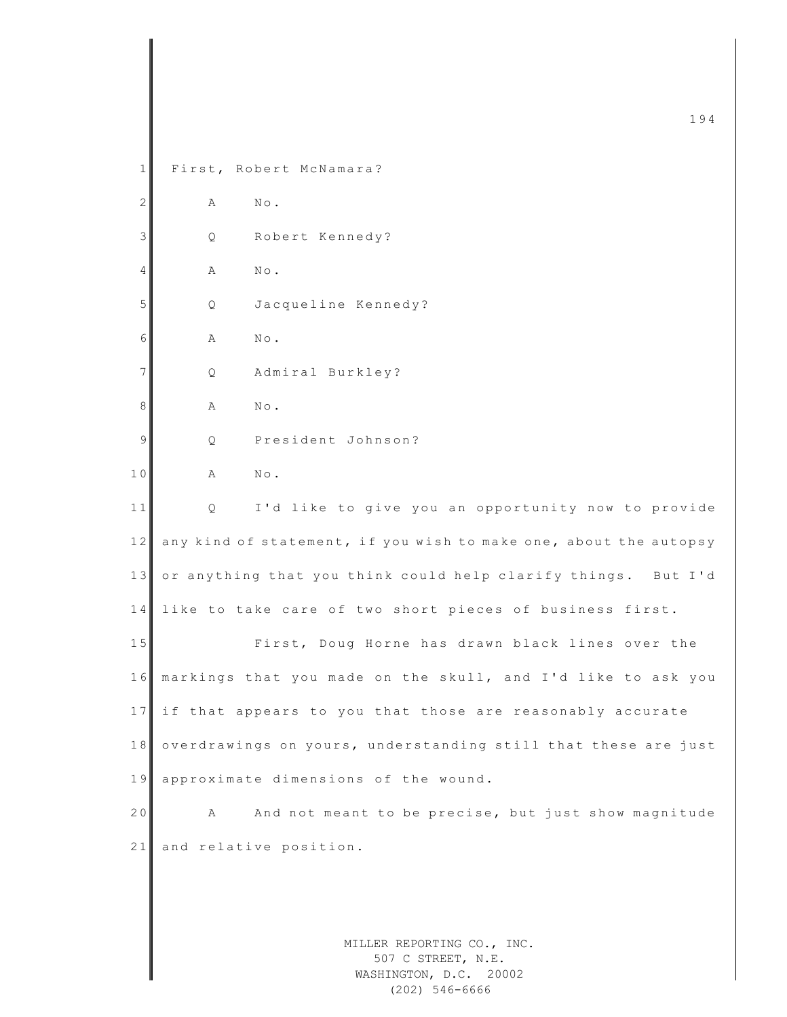MILLER REPORTING CO., INC.  $\frac{194}{194}$ 1 First, Robert McNamara? 2 A No. 3 Q Robert Kennedy? 4 **A** No. 5 Q Jacqueline Kennedy? 6 A No. 7 Q Admiral Burkley? 8 A No. 9 Q President Johnson? 10 A No. 11 Q I'd like to give you an opportunity now to provide 12 any kind of statement, if you wish to make one, about the autopsy 13 or anything that you think could help clarify things. But I'd 14 like to take care of two short pieces of business first. 15 First, Doug Horne has drawn black lines over the 1 6 markings that you made on the skull, and I'd like to ask you 17 if that appears to you that those are reasonably accurate 18 overdrawings on yours, understanding still that these are just 19 approximate dimensions of the wound. 20 A And not meant to be precise, but just show magnitude 21 and relative position.

507 C STREET, N.E. WASHINGTON, D.C. 20002 (202) 546-6666